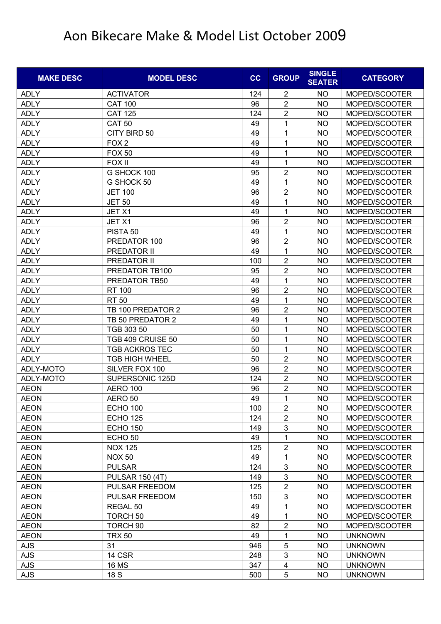| <b>MAKE DESC</b> | <b>MODEL DESC</b>      | cc  | <b>GROUP</b>            | <b>SINGLE</b><br><b>SEATER</b> | <b>CATEGORY</b> |
|------------------|------------------------|-----|-------------------------|--------------------------------|-----------------|
| <b>ADLY</b>      | <b>ACTIVATOR</b>       | 124 | 2                       | NO                             | MOPED/SCOOTER   |
| <b>ADLY</b>      | <b>CAT 100</b>         | 96  | $\overline{2}$          | <b>NO</b>                      | MOPED/SCOOTER   |
| <b>ADLY</b>      | <b>CAT 125</b>         | 124 | $\overline{2}$          | <b>NO</b>                      | MOPED/SCOOTER   |
| <b>ADLY</b>      | <b>CAT 50</b>          | 49  | 1                       | <b>NO</b>                      | MOPED/SCOOTER   |
| <b>ADLY</b>      | CITY BIRD 50           | 49  | 1                       | <b>NO</b>                      | MOPED/SCOOTER   |
| <b>ADLY</b>      | FOX <sub>2</sub>       | 49  | 1                       | NO                             | MOPED/SCOOTER   |
| <b>ADLY</b>      | <b>FOX 50</b>          | 49  | 1                       | <b>NO</b>                      | MOPED/SCOOTER   |
| <b>ADLY</b>      | FOX II                 | 49  | 1                       | NO                             | MOPED/SCOOTER   |
| <b>ADLY</b>      | G SHOCK 100            | 95  | $\overline{2}$          | <b>NO</b>                      | MOPED/SCOOTER   |
| <b>ADLY</b>      | G SHOCK 50             | 49  | 1                       | <b>NO</b>                      | MOPED/SCOOTER   |
| <b>ADLY</b>      | <b>JET 100</b>         | 96  | $\overline{2}$          | NO                             | MOPED/SCOOTER   |
| <b>ADLY</b>      | <b>JET 50</b>          | 49  | 1                       | <b>NO</b>                      | MOPED/SCOOTER   |
| <b>ADLY</b>      | JET X1                 | 49  | 1                       | NO                             | MOPED/SCOOTER   |
| <b>ADLY</b>      | JET X1                 | 96  | $\overline{2}$          | <b>NO</b>                      | MOPED/SCOOTER   |
| <b>ADLY</b>      | PISTA <sub>50</sub>    | 49  | 1                       | <b>NO</b>                      | MOPED/SCOOTER   |
| <b>ADLY</b>      | PREDATOR 100           | 96  | $\overline{2}$          | <b>NO</b>                      | MOPED/SCOOTER   |
| <b>ADLY</b>      | PREDATOR II            | 49  | 1                       | <b>NO</b>                      | MOPED/SCOOTER   |
| <b>ADLY</b>      | PREDATOR II            | 100 | $\overline{2}$          | NO                             | MOPED/SCOOTER   |
| <b>ADLY</b>      | PREDATOR TB100         | 95  | $\overline{2}$          | <b>NO</b>                      | MOPED/SCOOTER   |
| <b>ADLY</b>      | PREDATOR TB50          | 49  | 1                       | NO                             | MOPED/SCOOTER   |
| <b>ADLY</b>      | <b>RT 100</b>          | 96  | $\overline{2}$          | <b>NO</b>                      | MOPED/SCOOTER   |
| <b>ADLY</b>      | <b>RT 50</b>           | 49  | 1                       | <b>NO</b>                      | MOPED/SCOOTER   |
| <b>ADLY</b>      | TB 100 PREDATOR 2      | 96  | $\overline{2}$          | NO                             | MOPED/SCOOTER   |
| <b>ADLY</b>      | TB 50 PREDATOR 2       | 49  | 1                       | <b>NO</b>                      | MOPED/SCOOTER   |
| <b>ADLY</b>      | TGB 303 50             | 50  | 1                       | <b>NO</b>                      | MOPED/SCOOTER   |
| <b>ADLY</b>      | TGB 409 CRUISE 50      | 50  | 1                       | <b>NO</b>                      | MOPED/SCOOTER   |
| <b>ADLY</b>      | <b>TGB ACKROS TEC</b>  | 50  | 1                       | <b>NO</b>                      | MOPED/SCOOTER   |
| <b>ADLY</b>      | <b>TGB HIGH WHEEL</b>  | 50  | $\overline{2}$          | <b>NO</b>                      | MOPED/SCOOTER   |
| ADLY-MOTO        | SILVER FOX 100         | 96  | $\overline{2}$          | <b>NO</b>                      | MOPED/SCOOTER   |
| ADLY-MOTO        | SUPERSONIC 125D        | 124 | $\overline{2}$          | NO                             | MOPED/SCOOTER   |
| <b>AEON</b>      | <b>AERO 100</b>        | 96  | $\overline{2}$          | <b>NO</b>                      | MOPED/SCOOTER   |
| <b>AEON</b>      | AERO 50                | 49  | 1                       | <b>NO</b>                      | MOPED/SCOOTER   |
| <b>AEON</b>      | <b>ECHO 100</b>        | 100 | $\boldsymbol{2}$        | NO.                            | MOPED/SCOOTER   |
| <b>AEON</b>      | <b>ECHO 125</b>        | 124 | $\overline{2}$          | <b>NO</b>                      | MOPED/SCOOTER   |
| <b>AEON</b>      | <b>ECHO 150</b>        | 149 | $\sqrt{3}$              | <b>NO</b>                      | MOPED/SCOOTER   |
| <b>AEON</b>      | ECHO <sub>50</sub>     | 49  | 1                       | <b>NO</b>                      | MOPED/SCOOTER   |
| <b>AEON</b>      | <b>NOX 125</b>         | 125 | $\overline{2}$          | NO                             | MOPED/SCOOTER   |
| <b>AEON</b>      | <b>NOX 50</b>          | 49  | 1                       | <b>NO</b>                      | MOPED/SCOOTER   |
| <b>AEON</b>      | <b>PULSAR</b>          | 124 | $\mathfrak{S}$          | <b>NO</b>                      | MOPED/SCOOTER   |
| <b>AEON</b>      | <b>PULSAR 150 (4T)</b> | 149 | $\mathsf 3$             | <b>NO</b>                      | MOPED/SCOOTER   |
| <b>AEON</b>      | PULSAR FREEDOM         | 125 | $\overline{2}$          | <b>NO</b>                      | MOPED/SCOOTER   |
| <b>AEON</b>      | PULSAR FREEDOM         | 150 | $\mathbf{3}$            | <b>NO</b>                      | MOPED/SCOOTER   |
| <b>AEON</b>      | REGAL 50               | 49  | 1                       | <b>NO</b>                      | MOPED/SCOOTER   |
| <b>AEON</b>      | TORCH <sub>50</sub>    | 49  | 1                       | <b>NO</b>                      | MOPED/SCOOTER   |
| <b>AEON</b>      | TORCH <sub>90</sub>    | 82  | $\sqrt{2}$              | <b>NO</b>                      | MOPED/SCOOTER   |
| <b>AEON</b>      | <b>TRX 50</b>          | 49  | $\mathbf{1}$            | <b>NO</b>                      | <b>UNKNOWN</b>  |
| AJS              | 31                     | 946 | $\mathbf 5$             | <b>NO</b>                      | <b>UNKNOWN</b>  |
| AJS              | 14 CSR                 | 248 | $\mathbf{3}$            | <b>NO</b>                      | <b>UNKNOWN</b>  |
| AJS              | <b>16 MS</b>           | 347 | $\overline{\mathbf{4}}$ | NO.                            | <b>UNKNOWN</b>  |
| <b>AJS</b>       | 18 S                   | 500 | 5                       | <b>NO</b>                      | <b>UNKNOWN</b>  |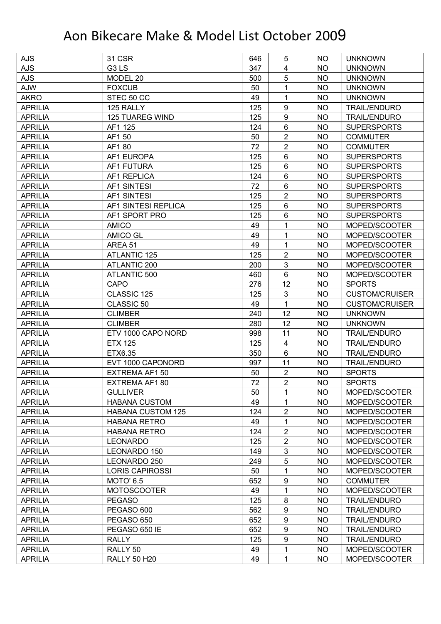| <b>AJS</b>     | <b>31 CSR</b>                 | 646 | 5                       | NO.       | <b>UNKNOWN</b>        |
|----------------|-------------------------------|-----|-------------------------|-----------|-----------------------|
| <b>AJS</b>     | G <sub>3</sub> L <sub>S</sub> | 347 | $\overline{\mathbf{4}}$ | <b>NO</b> | <b>UNKNOWN</b>        |
| <b>AJS</b>     | MODEL 20                      | 500 | 5                       | <b>NO</b> | <b>UNKNOWN</b>        |
| <b>AJW</b>     | <b>FOXCUB</b>                 | 50  | 1                       | <b>NO</b> | <b>UNKNOWN</b>        |
| <b>AKRO</b>    | STEC 50 CC                    | 49  | $\mathbf{1}$            | <b>NO</b> | <b>UNKNOWN</b>        |
| <b>APRILIA</b> | 125 RALLY                     | 125 | 9                       | NO        | <b>TRAIL/ENDURO</b>   |
| <b>APRILIA</b> | <b>125 TUAREG WIND</b>        | 125 | 9                       | <b>NO</b> | <b>TRAIL/ENDURO</b>   |
| <b>APRILIA</b> | AF1 125                       | 124 | 6                       | <b>NO</b> | <b>SUPERSPORTS</b>    |
| <b>APRILIA</b> | AF1 50                        | 50  | $\overline{2}$          | <b>NO</b> | <b>COMMUTER</b>       |
| <b>APRILIA</b> | AF180                         | 72  | $\overline{2}$          | <b>NO</b> | <b>COMMUTER</b>       |
| <b>APRILIA</b> | AF1 EUROPA                    | 125 | 6                       | <b>NO</b> | <b>SUPERSPORTS</b>    |
| <b>APRILIA</b> | AF1 FUTURA                    | 125 | 6                       | <b>NO</b> | <b>SUPERSPORTS</b>    |
| <b>APRILIA</b> | AF1 REPLICA                   | 124 | 6                       | <b>NO</b> | <b>SUPERSPORTS</b>    |
| <b>APRILIA</b> | <b>AF1 SINTESI</b>            | 72  | 6                       | <b>NO</b> | <b>SUPERSPORTS</b>    |
| <b>APRILIA</b> | <b>AF1 SINTESI</b>            | 125 | $\overline{2}$          | <b>NO</b> | <b>SUPERSPORTS</b>    |
| <b>APRILIA</b> | AF1 SINTESI REPLICA           | 125 | 6                       | NO        | <b>SUPERSPORTS</b>    |
| <b>APRILIA</b> | AF1 SPORT PRO                 | 125 | 6                       | <b>NO</b> | <b>SUPERSPORTS</b>    |
| <b>APRILIA</b> | <b>AMICO</b>                  | 49  | 1                       | <b>NO</b> | MOPED/SCOOTER         |
| <b>APRILIA</b> | <b>AMICO GL</b>               | 49  | $\mathbf{1}$            | <b>NO</b> | MOPED/SCOOTER         |
| <b>APRILIA</b> | AREA 51                       | 49  | $\mathbf{1}$            | <b>NO</b> | MOPED/SCOOTER         |
| <b>APRILIA</b> | <b>ATLANTIC 125</b>           | 125 | $\overline{2}$          | <b>NO</b> | MOPED/SCOOTER         |
| <b>APRILIA</b> | ATLANTIC 200                  | 200 | 3                       | <b>NO</b> | MOPED/SCOOTER         |
| <b>APRILIA</b> | ATLANTIC 500                  | 460 | 6                       | <b>NO</b> | MOPED/SCOOTER         |
| <b>APRILIA</b> | <b>CAPO</b>                   | 276 | 12                      | <b>NO</b> | <b>SPORTS</b>         |
| <b>APRILIA</b> | CLASSIC 125                   | 125 | 3                       | NO        | <b>CUSTOM/CRUISER</b> |
| <b>APRILIA</b> | CLASSIC 50                    | 49  | $\mathbf{1}$            | <b>NO</b> | <b>CUSTOM/CRUISER</b> |
| <b>APRILIA</b> | <b>CLIMBER</b>                | 240 | 12                      | <b>NO</b> | <b>UNKNOWN</b>        |
| <b>APRILIA</b> | <b>CLIMBER</b>                | 280 | 12                      | <b>NO</b> | <b>UNKNOWN</b>        |
| <b>APRILIA</b> | ETV 1000 CAPO NORD            | 998 | 11                      | <b>NO</b> | <b>TRAIL/ENDURO</b>   |
| <b>APRILIA</b> | <b>ETX 125</b>                | 125 | 4                       | NO        | <b>TRAIL/ENDURO</b>   |
| <b>APRILIA</b> | ETX6.35                       | 350 | 6                       | <b>NO</b> | <b>TRAIL/ENDURO</b>   |
| <b>APRILIA</b> | EVT 1000 CAPONORD             | 997 | 11                      | <b>NO</b> | <b>TRAIL/ENDURO</b>   |
| <b>APRILIA</b> | EXTREMA AF1 50                | 50  | $\overline{2}$          | <b>NO</b> | <b>SPORTS</b>         |
| <b>APRILIA</b> | EXTREMA AF180                 | 72  | $\overline{2}$          | <b>NO</b> | <b>SPORTS</b>         |
| <b>APRILIA</b> | <b>GULLIVER</b>               | 50  | 1                       | NO.       | MOPED/SCOOTER         |
| <b>APRILIA</b> | <b>HABANA CUSTOM</b>          | 49  | 1                       | <b>NO</b> | MOPED/SCOOTER         |
| <b>APRILIA</b> | <b>HABANA CUSTOM 125</b>      | 124 | $\overline{2}$          | <b>NO</b> | MOPED/SCOOTER         |
| <b>APRILIA</b> | <b>HABANA RETRO</b>           | 49  | $\mathbf 1$             | <b>NO</b> | MOPED/SCOOTER         |
| <b>APRILIA</b> | <b>HABANA RETRO</b>           | 124 | $\overline{2}$          | <b>NO</b> | MOPED/SCOOTER         |
| <b>APRILIA</b> | <b>LEONARDO</b>               | 125 | $\overline{2}$          | <b>NO</b> | MOPED/SCOOTER         |
| <b>APRILIA</b> | LEONARDO 150                  | 149 | 3                       | <b>NO</b> | MOPED/SCOOTER         |
| <b>APRILIA</b> | LEONARDO 250                  | 249 | 5                       | <b>NO</b> | MOPED/SCOOTER         |
| <b>APRILIA</b> | <b>LORIS CAPIROSSI</b>        | 50  | $\mathbf 1$             | <b>NO</b> | MOPED/SCOOTER         |
| <b>APRILIA</b> | <b>MOTO' 6.5</b>              | 652 | 9                       | <b>NO</b> | <b>COMMUTER</b>       |
| <b>APRILIA</b> | <b>MOTOSCOOTER</b>            | 49  | $\mathbf{1}$            | <b>NO</b> | MOPED/SCOOTER         |
| <b>APRILIA</b> | <b>PEGASO</b>                 | 125 | 8                       | <b>NO</b> | <b>TRAIL/ENDURO</b>   |
| <b>APRILIA</b> | PEGASO 600                    | 562 | 9                       | <b>NO</b> | <b>TRAIL/ENDURO</b>   |
| <b>APRILIA</b> | PEGASO 650                    | 652 | 9                       | <b>NO</b> | <b>TRAIL/ENDURO</b>   |
| <b>APRILIA</b> | PEGASO 650 IE                 | 652 | 9                       | <b>NO</b> | <b>TRAIL/ENDURO</b>   |
| <b>APRILIA</b> | <b>RALLY</b>                  | 125 | 9                       | <b>NO</b> | <b>TRAIL/ENDURO</b>   |
| <b>APRILIA</b> | RALLY <sub>50</sub>           | 49  | 1                       | <b>NO</b> | MOPED/SCOOTER         |
|                | <b>RALLY 50 H20</b>           | 49  | $\mathbf{1}$            | <b>NO</b> | MOPED/SCOOTER         |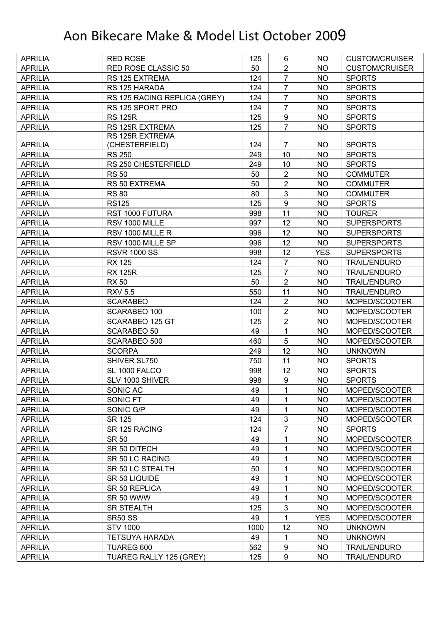| <b>APRILIA</b>                   | <b>RED ROSE</b>              | 125      | 6                | NO.        | <b>CUSTOM/CRUISER</b> |
|----------------------------------|------------------------------|----------|------------------|------------|-----------------------|
| <b>APRILIA</b>                   | RED ROSE CLASSIC 50          | 50       | $\overline{2}$   | <b>NO</b>  | <b>CUSTOM/CRUISER</b> |
| <b>APRILIA</b>                   | RS 125 EXTREMA               | 124      | $\overline{7}$   | <b>NO</b>  | <b>SPORTS</b>         |
| <b>APRILIA</b>                   | RS 125 HARADA                | 124      | $\overline{7}$   | <b>NO</b>  | <b>SPORTS</b>         |
| <b>APRILIA</b>                   | RS 125 RACING REPLICA (GREY) | 124      | $\overline{7}$   | <b>NO</b>  | <b>SPORTS</b>         |
| <b>APRILIA</b>                   | RS 125 SPORT PRO             | 124      | $\overline{7}$   | NO         | <b>SPORTS</b>         |
| <b>APRILIA</b>                   | <b>RS 125R</b>               | 125      | 9                | <b>NO</b>  | <b>SPORTS</b>         |
| <b>APRILIA</b>                   | RS 125R EXTREMA              | 125      | $\overline{7}$   | <b>NO</b>  | <b>SPORTS</b>         |
|                                  | <b>RS 125R EXTREMA</b>       |          |                  |            |                       |
| <b>APRILIA</b>                   | (CHESTERFIELD)               | 124      | $\overline{7}$   | <b>NO</b>  | <b>SPORTS</b>         |
| <b>APRILIA</b>                   | <b>RS 250</b>                | 249      | 10               | <b>NO</b>  | <b>SPORTS</b>         |
| <b>APRILIA</b>                   | RS 250 CHESTERFIELD          | 249      | 10               | <b>NO</b>  | <b>SPORTS</b>         |
| <b>APRILIA</b>                   | <b>RS 50</b>                 | 50       | $\overline{2}$   | <b>NO</b>  | <b>COMMUTER</b>       |
| <b>APRILIA</b>                   | RS 50 EXTREMA                | 50       | $\overline{2}$   | <b>NO</b>  | <b>COMMUTER</b>       |
| <b>APRILIA</b>                   | <b>RS 80</b>                 | 80       | 3                | <b>NO</b>  | <b>COMMUTER</b>       |
| <b>APRILIA</b>                   | <b>RS125</b>                 | 125      | $\boldsymbol{9}$ | <b>NO</b>  | <b>SPORTS</b>         |
| <b>APRILIA</b>                   | RST 1000 FUTURA              | 998      | 11               | <b>NO</b>  | <b>TOURER</b>         |
| <b>APRILIA</b>                   | RSV 1000 MILLE               | 997      | 12               | <b>NO</b>  | <b>SUPERSPORTS</b>    |
| <b>APRILIA</b>                   | RSV 1000 MILLE R             | 996      | 12               | <b>NO</b>  | <b>SUPERSPORTS</b>    |
| <b>APRILIA</b>                   | RSV 1000 MILLE SP            | 996      | 12               | <b>NO</b>  | <b>SUPERSPORTS</b>    |
| <b>APRILIA</b>                   | <b>RSVR 1000 SS</b>          | 998      | 12               | <b>YES</b> | <b>SUPERSPORTS</b>    |
| <b>APRILIA</b>                   | <b>RX 125</b>                | 124      | $\overline{7}$   | <b>NO</b>  | <b>TRAIL/ENDURO</b>   |
| <b>APRILIA</b>                   | <b>RX 125R</b>               | 125      | $\overline{7}$   | <b>NO</b>  | <b>TRAIL/ENDURO</b>   |
| <b>APRILIA</b>                   | <b>RX 50</b>                 | 50       | $\overline{2}$   | <b>NO</b>  | <b>TRAIL/ENDURO</b>   |
| <b>APRILIA</b>                   | <b>RXV 5.5</b>               | 550      | 11               | <b>NO</b>  | <b>TRAIL/ENDURO</b>   |
| <b>APRILIA</b>                   | <b>SCARABEO</b>              | 124      | $\overline{2}$   | <b>NO</b>  | MOPED/SCOOTER         |
| <b>APRILIA</b>                   | SCARABEO 100                 | 100      | $\overline{2}$   | <b>NO</b>  | MOPED/SCOOTER         |
| <b>APRILIA</b>                   | SCARABEO 125 GT              | 125      | $\overline{2}$   | <b>NO</b>  | MOPED/SCOOTER         |
| <b>APRILIA</b>                   | <b>SCARABEO 50</b>           | 49       | 1                | <b>NO</b>  | MOPED/SCOOTER         |
| <b>APRILIA</b>                   | SCARABEO 500                 | 460      | 5                | <b>NO</b>  | MOPED/SCOOTER         |
| <b>APRILIA</b>                   | <b>SCORPA</b>                | 249      | 12               | <b>NO</b>  | <b>UNKNOWN</b>        |
| <b>APRILIA</b>                   | SHIVER SL750                 | 750      | 11               | <b>NO</b>  | <b>SPORTS</b>         |
| <b>APRILIA</b>                   | SL 1000 FALCO                | 998      | 12               | <b>NO</b>  | <b>SPORTS</b>         |
| <b>APRILIA</b>                   | SLV 1000 SHIVER              | 998      | 9                | <b>NO</b>  | <b>SPORTS</b>         |
| <b>APRILIA</b>                   | SONIC AC                     | 49       | 1                | <b>NO</b>  | MOPED/SCOOTER         |
| <b>APRILIA</b>                   | SONIC FT                     | 49       | 1                | <b>NO</b>  | MOPED/SCOOTER         |
| <b>APRILIA</b>                   | SONIC G/P                    | 49       | 1                | <b>NO</b>  | MOPED/SCOOTER         |
| <b>APRILIA</b>                   | <b>SR 125</b>                | 124      | $\mathfrak{B}$   | <b>NO</b>  | MOPED/SCOOTER         |
| <b>APRILIA</b>                   | SR 125 RACING                | 124      | $\overline{7}$   | <b>NO</b>  | <b>SPORTS</b>         |
| <b>APRILIA</b>                   | <b>SR 50</b>                 | 49       | 1                | <b>NO</b>  | MOPED/SCOOTER         |
| <b>APRILIA</b>                   | SR 50 DITECH                 | 49       | 1                | <b>NO</b>  | MOPED/SCOOTER         |
| <b>APRILIA</b>                   | SR 50 LC RACING              | 49       | 1                | <b>NO</b>  | MOPED/SCOOTER         |
|                                  | SR 50 LC STEALTH             |          |                  |            | MOPED/SCOOTER         |
| <b>APRILIA</b><br><b>APRILIA</b> |                              | 50       | 1<br>1           | <b>NO</b>  |                       |
|                                  | SR 50 LIQUIDE                | 49<br>49 |                  | <b>NO</b>  | MOPED/SCOOTER         |
| <b>APRILIA</b>                   | SR 50 REPLICA                | 49       | 1                | <b>NO</b>  | MOPED/SCOOTER         |
| <b>APRILIA</b>                   | SR 50 WWW                    |          | 1                | <b>NO</b>  | MOPED/SCOOTER         |
| <b>APRILIA</b>                   | <b>SR STEALTH</b>            | 125      | 3                | NO.        | MOPED/SCOOTER         |
| <b>APRILIA</b>                   | <b>SR50 SS</b>               | 49       | 1                | <b>YES</b> | MOPED/SCOOTER         |
| <b>APRILIA</b>                   | <b>STV 1000</b>              | 1000     | 12               | <b>NO</b>  | <b>UNKNOWN</b>        |
| <b>APRILIA</b>                   | <b>TETSUYA HARADA</b>        | 49       | $\mathbf{1}$     | <b>NO</b>  | <b>UNKNOWN</b>        |
| <b>APRILIA</b>                   | TUAREG 600                   | 562      | 9                | NO         | <b>TRAIL/ENDURO</b>   |
| <b>APRILIA</b>                   | TUAREG RALLY 125 (GREY)      | 125      | 9                | <b>NO</b>  | <b>TRAIL/ENDURO</b>   |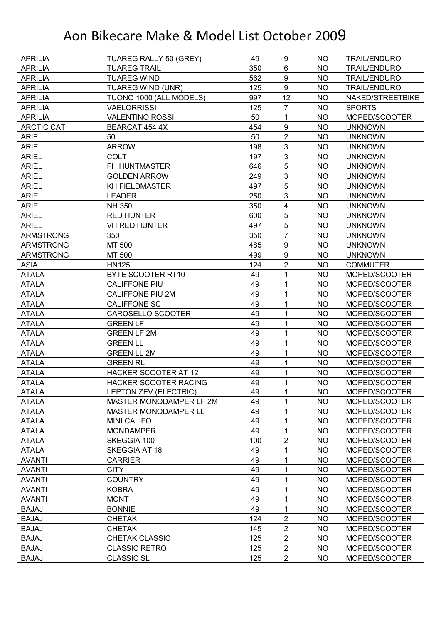| <b>APRILIA</b>   | TUAREG RALLY 50 (GREY)       | 49  | 9                       | NO.       | <b>TRAIL/ENDURO</b> |
|------------------|------------------------------|-----|-------------------------|-----------|---------------------|
| <b>APRILIA</b>   | <b>TUAREG TRAIL</b>          | 350 | $6\phantom{1}$          | <b>NO</b> | <b>TRAIL/ENDURO</b> |
| <b>APRILIA</b>   | <b>TUAREG WIND</b>           | 562 | $\boldsymbol{9}$        | <b>NO</b> | <b>TRAIL/ENDURO</b> |
| <b>APRILIA</b>   | <b>TUAREG WIND (UNR)</b>     | 125 | $\boldsymbol{9}$        | <b>NO</b> | <b>TRAIL/ENDURO</b> |
| <b>APRILIA</b>   | TUONO 1000 (ALL MODELS)      | 997 | 12                      | <b>NO</b> | NAKED/STREETBIKE    |
| <b>APRILIA</b>   | <b>VAELORRISSI</b>           | 125 | $\overline{7}$          | <b>NO</b> | <b>SPORTS</b>       |
| <b>APRILIA</b>   | <b>VALENTINO ROSSI</b>       | 50  | 1                       | <b>NO</b> | MOPED/SCOOTER       |
| ARCTIC CAT       | BEARCAT 454 4X               | 454 | $\boldsymbol{9}$        | <b>NO</b> | <b>UNKNOWN</b>      |
| <b>ARIEL</b>     | 50                           | 50  | $\overline{2}$          | <b>NO</b> | <b>UNKNOWN</b>      |
| <b>ARIEL</b>     | <b>ARROW</b>                 | 198 | 3                       | <b>NO</b> | <b>UNKNOWN</b>      |
| <b>ARIEL</b>     | <b>COLT</b>                  | 197 | 3                       | <b>NO</b> | <b>UNKNOWN</b>      |
| <b>ARIEL</b>     | FH HUNTMASTER                | 646 | 5                       | <b>NO</b> | <b>UNKNOWN</b>      |
| <b>ARIEL</b>     | <b>GOLDEN ARROW</b>          | 249 | 3                       | <b>NO</b> | <b>UNKNOWN</b>      |
| <b>ARIEL</b>     | <b>KH FIELDMASTER</b>        | 497 | 5                       | <b>NO</b> | <b>UNKNOWN</b>      |
| <b>ARIEL</b>     | <b>LEADER</b>                | 250 | $\mathbf{3}$            | NO        | <b>UNKNOWN</b>      |
| <b>ARIEL</b>     | NH 350                       | 350 | $\overline{\mathbf{4}}$ | <b>NO</b> | <b>UNKNOWN</b>      |
| <b>ARIEL</b>     | <b>RED HUNTER</b>            | 600 | 5                       | <b>NO</b> | <b>UNKNOWN</b>      |
| <b>ARIEL</b>     | <b>VH RED HUNTER</b>         | 497 | 5                       | <b>NO</b> | <b>UNKNOWN</b>      |
| <b>ARMSTRONG</b> | 350                          | 350 | $\overline{7}$          | <b>NO</b> | <b>UNKNOWN</b>      |
| <b>ARMSTRONG</b> | MT 500                       | 485 | $\boldsymbol{9}$        | <b>NO</b> | <b>UNKNOWN</b>      |
| <b>ARMSTRONG</b> | MT 500                       | 499 | 9                       | <b>NO</b> | <b>UNKNOWN</b>      |
| <b>ASIA</b>      | <b>HN125</b>                 | 124 | $\overline{2}$          | <b>NO</b> | <b>COMMUTER</b>     |
| <b>ATALA</b>     | BYTE SCOOTER RT10            | 49  | 1                       | <b>NO</b> | MOPED/SCOOTER       |
| <b>ATALA</b>     | <b>CALIFFONE PIU</b>         | 49  | 1                       | <b>NO</b> | MOPED/SCOOTER       |
| <b>ATALA</b>     | <b>CALIFFONE PIU 2M</b>      | 49  | 1                       | <b>NO</b> | MOPED/SCOOTER       |
| <b>ATALA</b>     | <b>CALIFFONE SC</b>          | 49  | 1                       | <b>NO</b> | MOPED/SCOOTER       |
| <b>ATALA</b>     | CAROSELLO SCOOTER            | 49  | $\mathbf{1}$            | <b>NO</b> | MOPED/SCOOTER       |
| <b>ATALA</b>     | <b>GREEN LF</b>              | 49  | 1                       | <b>NO</b> | MOPED/SCOOTER       |
| <b>ATALA</b>     | <b>GREEN LF 2M</b>           | 49  | 1                       | <b>NO</b> | MOPED/SCOOTER       |
| <b>ATALA</b>     | <b>GREEN LL</b>              | 49  | 1                       | <b>NO</b> | MOPED/SCOOTER       |
| <b>ATALA</b>     | <b>GREEN LL 2M</b>           | 49  | 1                       | <b>NO</b> | MOPED/SCOOTER       |
| <b>ATALA</b>     | <b>GREEN RL</b>              | 49  | 1                       | <b>NO</b> | MOPED/SCOOTER       |
| <b>ATALA</b>     | HACKER SCOOTER AT 12         | 49  | 1                       | <b>NO</b> | MOPED/SCOOTER       |
| <b>ATALA</b>     | <b>HACKER SCOOTER RACING</b> | 49  | 1                       | <b>NO</b> | MOPED/SCOOTER       |
| <b>ATALA</b>     | LEPTON ZEV (ELECTRIC)        | 49  | 1                       | <b>NO</b> | MOPED/SCOOTER       |
| <b>ATALA</b>     | MASTER MONODAMPER LF 2M      | 49  | 1                       | <b>NO</b> | MOPED/SCOOTER       |
| <b>ATALA</b>     | <b>MASTER MONODAMPER LL</b>  | 49  | 1                       | <b>NO</b> | MOPED/SCOOTER       |
| <b>ATALA</b>     | <b>MINI CALIFO</b>           | 49  | 1                       | <b>NO</b> | MOPED/SCOOTER       |
| <b>ATALA</b>     | <b>MONDAMPER</b>             | 49  | 1                       | <b>NO</b> | MOPED/SCOOTER       |
| <b>ATALA</b>     | SKEGGIA 100                  | 100 | $\overline{2}$          | <b>NO</b> | MOPED/SCOOTER       |
| <b>ATALA</b>     | SKEGGIA AT 18                | 49  | 1                       | <b>NO</b> | MOPED/SCOOTER       |
| <b>AVANTI</b>    | <b>CARRIER</b>               | 49  | 1                       | <b>NO</b> | MOPED/SCOOTER       |
| <b>AVANTI</b>    | <b>CITY</b>                  | 49  | 1                       | <b>NO</b> | MOPED/SCOOTER       |
| <b>AVANTI</b>    | <b>COUNTRY</b>               | 49  | 1                       | <b>NO</b> | MOPED/SCOOTER       |
| <b>AVANTI</b>    | <b>KOBRA</b>                 | 49  | 1                       | NO        | MOPED/SCOOTER       |
| <b>AVANTI</b>    | <b>MONT</b>                  | 49  | 1                       | <b>NO</b> | MOPED/SCOOTER       |
| <b>BAJAJ</b>     | <b>BONNIE</b>                | 49  | $\mathbf{1}$            | <b>NO</b> | MOPED/SCOOTER       |
| <b>BAJAJ</b>     | <b>CHETAK</b>                | 124 | $\overline{2}$          | <b>NO</b> | MOPED/SCOOTER       |
| <b>BAJAJ</b>     | <b>CHETAK</b>                | 145 | $\overline{2}$          | <b>NO</b> | MOPED/SCOOTER       |
| <b>BAJAJ</b>     | CHETAK CLASSIC               | 125 | $\overline{2}$          | <b>NO</b> | MOPED/SCOOTER       |
| <b>BAJAJ</b>     | <b>CLASSIC RETRO</b>         | 125 | $\overline{2}$          | <b>NO</b> | MOPED/SCOOTER       |
| <b>BAJAJ</b>     | <b>CLASSIC SL</b>            | 125 | $\overline{2}$          | <b>NO</b> | MOPED/SCOOTER       |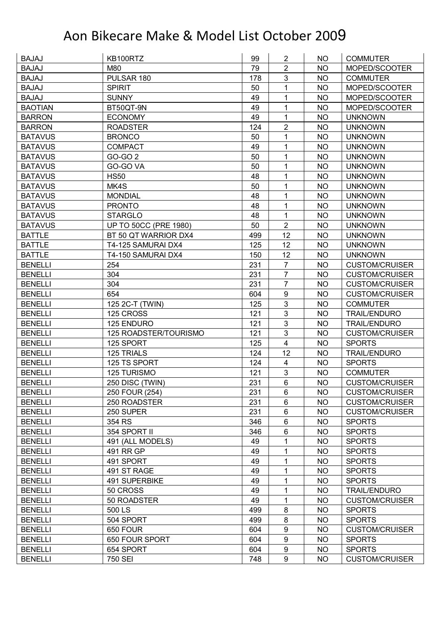| <b>BAJAJ</b>   | KB100RTZ                     | 99  | $\overline{2}$          | <b>NO</b> | <b>COMMUTER</b>       |
|----------------|------------------------------|-----|-------------------------|-----------|-----------------------|
| <b>BAJAJ</b>   | M80                          | 79  | $\overline{2}$          | <b>NO</b> | MOPED/SCOOTER         |
| <b>BAJAJ</b>   | PULSAR 180                   | 178 | 3                       | <b>NO</b> | <b>COMMUTER</b>       |
| <b>BAJAJ</b>   | <b>SPIRIT</b>                | 50  | 1                       | <b>NO</b> | MOPED/SCOOTER         |
| <b>BAJAJ</b>   | <b>SUNNY</b>                 | 49  | 1                       | <b>NO</b> | MOPED/SCOOTER         |
| <b>BAOTIAN</b> | BT50QT-9N                    | 49  | 1                       | <b>NO</b> | MOPED/SCOOTER         |
| <b>BARRON</b>  | <b>ECONOMY</b>               | 49  | 1                       | <b>NO</b> | <b>UNKNOWN</b>        |
| <b>BARRON</b>  | <b>ROADSTER</b>              | 124 | $\overline{2}$          | <b>NO</b> | <b>UNKNOWN</b>        |
| <b>BATAVUS</b> | <b>BRONCO</b>                | 50  | 1                       | <b>NO</b> | <b>UNKNOWN</b>        |
| <b>BATAVUS</b> | <b>COMPACT</b>               | 49  | 1                       | <b>NO</b> | <b>UNKNOWN</b>        |
| <b>BATAVUS</b> | GO-GO 2                      | 50  | 1                       | <b>NO</b> | <b>UNKNOWN</b>        |
| <b>BATAVUS</b> | GO-GO VA                     | 50  | 1                       | <b>NO</b> | <b>UNKNOWN</b>        |
| <b>BATAVUS</b> | <b>HS50</b>                  | 48  | 1                       | <b>NO</b> | <b>UNKNOWN</b>        |
| <b>BATAVUS</b> | MK4S                         | 50  | 1                       | <b>NO</b> | <b>UNKNOWN</b>        |
| <b>BATAVUS</b> | <b>MONDIAL</b>               | 48  | 1                       | <b>NO</b> | <b>UNKNOWN</b>        |
| <b>BATAVUS</b> | <b>PRONTO</b>                | 48  | 1                       | <b>NO</b> | <b>UNKNOWN</b>        |
| <b>BATAVUS</b> | <b>STARGLO</b>               | 48  | 1                       | <b>NO</b> | <b>UNKNOWN</b>        |
| <b>BATAVUS</b> | <b>UP TO 50CC (PRE 1980)</b> | 50  | $\overline{2}$          | <b>NO</b> | <b>UNKNOWN</b>        |
| <b>BATTLE</b>  | BT 50 QT WARRIOR DX4         | 499 | 12                      | <b>NO</b> | <b>UNKNOWN</b>        |
| <b>BATTLE</b>  | T4-125 SAMURAI DX4           | 125 | 12                      | <b>NO</b> | <b>UNKNOWN</b>        |
| <b>BATTLE</b>  | T4-150 SAMURAI DX4           | 150 | 12                      | <b>NO</b> | <b>UNKNOWN</b>        |
| <b>BENELLI</b> | 254                          | 231 | $\overline{7}$          | <b>NO</b> | <b>CUSTOM/CRUISER</b> |
| <b>BENELLI</b> | 304                          | 231 | $\overline{7}$          | <b>NO</b> | <b>CUSTOM/CRUISER</b> |
| <b>BENELLI</b> | 304                          | 231 | $\overline{7}$          | <b>NO</b> | <b>CUSTOM/CRUISER</b> |
| <b>BENELLI</b> | 654                          | 604 | $\boldsymbol{9}$        | <b>NO</b> | <b>CUSTOM/CRUISER</b> |
| <b>BENELLI</b> | 125 2C-T (TWIN)              | 125 | 3                       | <b>NO</b> | <b>COMMUTER</b>       |
| <b>BENELLI</b> | 125 CROSS                    | 121 | 3                       | <b>NO</b> | <b>TRAIL/ENDURO</b>   |
| <b>BENELLI</b> | 125 ENDURO                   | 121 | $\mathbf{3}$            | <b>NO</b> | <b>TRAIL/ENDURO</b>   |
| <b>BENELLI</b> | 125 ROADSTER/TOURISMO        | 121 | 3                       | <b>NO</b> | <b>CUSTOM/CRUISER</b> |
| <b>BENELLI</b> | 125 SPORT                    | 125 | $\overline{4}$          | <b>NO</b> | <b>SPORTS</b>         |
| <b>BENELLI</b> | 125 TRIALS                   | 124 | 12                      | <b>NO</b> | <b>TRAIL/ENDURO</b>   |
| <b>BENELLI</b> | 125 TS SPORT                 | 124 | $\overline{\mathbf{4}}$ | <b>NO</b> | <b>SPORTS</b>         |
| <b>BENELLI</b> | <b>125 TURISMO</b>           | 121 | 3                       | <b>NO</b> | <b>COMMUTER</b>       |
| <b>BENELLI</b> | 250 DISC (TWIN)              | 231 | 6                       | <b>NO</b> | <b>CUSTOM/CRUISER</b> |
| <b>BENELLI</b> | 250 FOUR (254)               | 231 | 6                       | <b>NO</b> | <b>CUSTOM/CRUISER</b> |
| <b>BENELLI</b> | 250 ROADSTER                 | 231 | 6                       | <b>NO</b> | <b>CUSTOM/CRUISER</b> |
| <b>BENELLI</b> | 250 SUPER                    | 231 | 6                       | <b>NO</b> | <b>CUSTOM/CRUISER</b> |
| <b>BENELLI</b> | 354 RS                       | 346 | 6                       | <b>NO</b> | <b>SPORTS</b>         |
| <b>BENELLI</b> | 354 SPORT II                 | 346 | 6                       | <b>NO</b> | <b>SPORTS</b>         |
| <b>BENELLI</b> | 491 (ALL MODELS)             | 49  | 1                       | <b>NO</b> | <b>SPORTS</b>         |
| <b>BENELLI</b> | 491 RR GP                    | 49  | 1                       | <b>NO</b> | <b>SPORTS</b>         |
| <b>BENELLI</b> | 491 SPORT                    | 49  | 1                       | <b>NO</b> | <b>SPORTS</b>         |
| <b>BENELLI</b> | 491 ST RAGE                  | 49  | 1                       | <b>NO</b> | <b>SPORTS</b>         |
| <b>BENELLI</b> | 491 SUPERBIKE                | 49  | 1                       | <b>NO</b> | <b>SPORTS</b>         |
| <b>BENELLI</b> | 50 CROSS                     | 49  | 1                       | NO        | <b>TRAIL/ENDURO</b>   |
| <b>BENELLI</b> | 50 ROADSTER                  | 49  | 1                       | <b>NO</b> | <b>CUSTOM/CRUISER</b> |
| <b>BENELLI</b> | 500 LS                       | 499 | 8                       | NO        | <b>SPORTS</b>         |
| <b>BENELLI</b> | 504 SPORT                    | 499 | 8                       | <b>NO</b> | <b>SPORTS</b>         |
| <b>BENELLI</b> | 650 FOUR                     | 604 | $\boldsymbol{9}$        | <b>NO</b> | <b>CUSTOM/CRUISER</b> |
| <b>BENELLI</b> | 650 FOUR SPORT               | 604 | $\boldsymbol{9}$        | <b>NO</b> | <b>SPORTS</b>         |
| <b>BENELLI</b> | 654 SPORT                    | 604 | 9                       | <b>NO</b> | <b>SPORTS</b>         |
| <b>BENELLI</b> | 750 SEI                      | 748 | 9                       | <b>NO</b> | <b>CUSTOM/CRUISER</b> |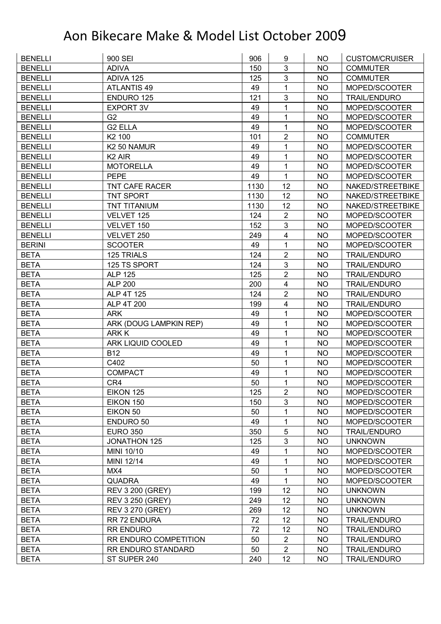| <b>BENELLI</b> | 900 SEI                 | 906  | 9                       | NO.       | <b>CUSTOM/CRUISER</b> |
|----------------|-------------------------|------|-------------------------|-----------|-----------------------|
| <b>BENELLI</b> | <b>ADIVA</b>            | 150  | 3                       | <b>NO</b> | <b>COMMUTER</b>       |
| <b>BENELLI</b> | ADIVA 125               | 125  | 3                       | <b>NO</b> | <b>COMMUTER</b>       |
| <b>BENELLI</b> | <b>ATLANTIS 49</b>      | 49   | 1                       | <b>NO</b> | MOPED/SCOOTER         |
| <b>BENELLI</b> | ENDURO 125              | 121  | 3                       | <b>NO</b> | <b>TRAIL/ENDURO</b>   |
| <b>BENELLI</b> | <b>EXPORT 3V</b>        | 49   | 1                       | NO        | MOPED/SCOOTER         |
| <b>BENELLI</b> | G <sub>2</sub>          | 49   | 1                       | <b>NO</b> | MOPED/SCOOTER         |
| <b>BENELLI</b> | <b>G2 ELLA</b>          | 49   | 1                       | <b>NO</b> | MOPED/SCOOTER         |
| <b>BENELLI</b> | K2 100                  | 101  | $\overline{2}$          | <b>NO</b> | <b>COMMUTER</b>       |
| <b>BENELLI</b> | K2 50 NAMUR             | 49   | 1                       | <b>NO</b> | MOPED/SCOOTER         |
| <b>BENELLI</b> | K <sub>2</sub> AIR      | 49   | 1                       | <b>NO</b> | MOPED/SCOOTER         |
| <b>BENELLI</b> | <b>MOTORELLA</b>        | 49   | 1                       | <b>NO</b> | MOPED/SCOOTER         |
| <b>BENELLI</b> | <b>PEPE</b>             | 49   | 1                       | <b>NO</b> | MOPED/SCOOTER         |
| <b>BENELLI</b> | <b>TNT CAFE RACER</b>   | 1130 | 12                      | <b>NO</b> | NAKED/STREETBIKE      |
| <b>BENELLI</b> | <b>TNT SPORT</b>        | 1130 | 12                      | <b>NO</b> | NAKED/STREETBIKE      |
| <b>BENELLI</b> | <b>TNT TITANIUM</b>     | 1130 | 12                      | <b>NO</b> | NAKED/STREETBIKE      |
| <b>BENELLI</b> | VELVET 125              | 124  | $\overline{2}$          | <b>NO</b> | MOPED/SCOOTER         |
| <b>BENELLI</b> | VELVET 150              | 152  | 3                       | <b>NO</b> | MOPED/SCOOTER         |
| <b>BENELLI</b> | VELVET 250              | 249  | $\overline{\mathbf{4}}$ | <b>NO</b> | MOPED/SCOOTER         |
| <b>BERINI</b>  | <b>SCOOTER</b>          | 49   | 1                       | <b>NO</b> | MOPED/SCOOTER         |
| <b>BETA</b>    | 125 TRIALS              | 124  | $\overline{2}$          | <b>NO</b> | <b>TRAIL/ENDURO</b>   |
| <b>BETA</b>    | 125 TS SPORT            | 124  | 3                       | <b>NO</b> | <b>TRAIL/ENDURO</b>   |
| <b>BETA</b>    | <b>ALP 125</b>          | 125  | $\overline{2}$          | <b>NO</b> | <b>TRAIL/ENDURO</b>   |
| <b>BETA</b>    | <b>ALP 200</b>          | 200  | $\overline{\mathbf{4}}$ | <b>NO</b> | <b>TRAIL/ENDURO</b>   |
| <b>BETA</b>    | ALP 4T 125              | 124  | $\overline{2}$          | <b>NO</b> | <b>TRAIL/ENDURO</b>   |
| <b>BETA</b>    | ALP 4T 200              | 199  | 4                       | <b>NO</b> | <b>TRAIL/ENDURO</b>   |
| <b>BETA</b>    | <b>ARK</b>              | 49   | 1                       | <b>NO</b> | MOPED/SCOOTER         |
| <b>BETA</b>    | ARK (DOUG LAMPKIN REP)  | 49   | 1                       | <b>NO</b> | MOPED/SCOOTER         |
| <b>BETA</b>    | ARK K                   | 49   | 1                       | <b>NO</b> | MOPED/SCOOTER         |
| <b>BETA</b>    | ARK LIQUID COOLED       | 49   | 1                       | <b>NO</b> | MOPED/SCOOTER         |
| <b>BETA</b>    | <b>B12</b>              | 49   | 1                       | <b>NO</b> | MOPED/SCOOTER         |
| <b>BETA</b>    | C402                    | 50   | 1                       | <b>NO</b> | MOPED/SCOOTER         |
| <b>BETA</b>    | <b>COMPACT</b>          | 49   | 1                       | <b>NO</b> | MOPED/SCOOTER         |
| <b>BETA</b>    | CR4                     | 50   | $\mathbf 1$             | <b>NO</b> | MOPED/SCOOTER         |
| <b>BETA</b>    | EIKON 125               | 125  | $\overline{c}$          | NO        | MOPED/SCOOTER         |
| <b>BETA</b>    | EIKON 150               | 150  | 3                       | <b>NO</b> | MOPED/SCOOTER         |
| <b>BETA</b>    | EIKON 50                | 50   | 1                       | <b>NO</b> | MOPED/SCOOTER         |
| <b>BETA</b>    | ENDURO 50               | 49   | 1                       | <b>NO</b> | MOPED/SCOOTER         |
| <b>BETA</b>    | <b>EURO 350</b>         | 350  | 5                       | <b>NO</b> | <b>TRAIL/ENDURO</b>   |
| <b>BETA</b>    | <b>JONATHON 125</b>     | 125  | $\mathsf 3$             | NO        | <b>UNKNOWN</b>        |
| <b>BETA</b>    | MINI 10/10              | 49   | 1                       | <b>NO</b> | MOPED/SCOOTER         |
| <b>BETA</b>    | MINI 12/14              | 49   | 1                       | <b>NO</b> | MOPED/SCOOTER         |
| <b>BETA</b>    | MX4                     | 50   | 1                       | <b>NO</b> | MOPED/SCOOTER         |
| <b>BETA</b>    | <b>QUADRA</b>           | 49   | 1                       | <b>NO</b> | MOPED/SCOOTER         |
| <b>BETA</b>    | <b>REV 3 200 (GREY)</b> | 199  | 12                      | <b>NO</b> | <b>UNKNOWN</b>        |
| <b>BETA</b>    | <b>REV 3 250 (GREY)</b> | 249  | 12                      | <b>NO</b> | <b>UNKNOWN</b>        |
| <b>BETA</b>    | <b>REV 3 270 (GREY)</b> | 269  | 12                      | <b>NO</b> | <b>UNKNOWN</b>        |
| <b>BETA</b>    | RR 72 ENDURA            | 72   | 12                      | <b>NO</b> | <b>TRAIL/ENDURO</b>   |
| <b>BETA</b>    | <b>RR ENDURO</b>        | 72   | 12                      | <b>NO</b> | <b>TRAIL/ENDURO</b>   |
| <b>BETA</b>    | RR ENDURO COMPETITION   | 50   | $\sqrt{2}$              | <b>NO</b> | <b>TRAIL/ENDURO</b>   |
| <b>BETA</b>    | RR ENDURO STANDARD      | 50   | $\overline{2}$          | <b>NO</b> | <b>TRAIL/ENDURO</b>   |
| <b>BETA</b>    | ST SUPER 240            | 240  | 12                      | <b>NO</b> | <b>TRAIL/ENDURO</b>   |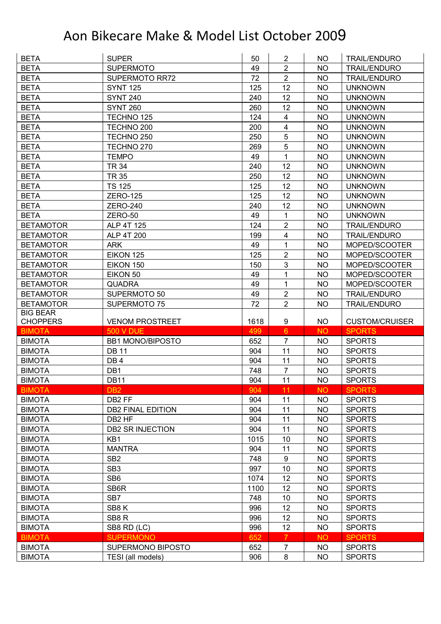| <b>BETA</b>      | <b>SUPER</b>                    | 50         | $\overline{2}$   | NO.       | <b>TRAIL/ENDURO</b>   |
|------------------|---------------------------------|------------|------------------|-----------|-----------------------|
| <b>BETA</b>      | <b>SUPERMOTO</b>                | 49         | $\overline{2}$   | <b>NO</b> | <b>TRAIL/ENDURO</b>   |
| <b>BETA</b>      | <b>SUPERMOTO RR72</b>           | 72         | $\overline{2}$   | <b>NO</b> | <b>TRAIL/ENDURO</b>   |
| <b>BETA</b>      | <b>SYNT 125</b>                 | 125        | 12               | <b>NO</b> | <b>UNKNOWN</b>        |
| <b>BETA</b>      | <b>SYNT 240</b>                 | 240        | 12               | <b>NO</b> | <b>UNKNOWN</b>        |
| <b>BETA</b>      | <b>SYNT 260</b>                 | 260        | 12               | <b>NO</b> | <b>UNKNOWN</b>        |
| <b>BETA</b>      | TECHNO 125                      | 124        | 4                | <b>NO</b> | <b>UNKNOWN</b>        |
| <b>BETA</b>      | TECHNO <sub>200</sub>           | 200        | 4                | <b>NO</b> | <b>UNKNOWN</b>        |
| <b>BETA</b>      | TECHNO <sub>250</sub>           | 250        | 5                | <b>NO</b> | <b>UNKNOWN</b>        |
| <b>BETA</b>      | TECHNO <sub>270</sub>           | 269        | 5                | <b>NO</b> | <b>UNKNOWN</b>        |
| <b>BETA</b>      | <b>TEMPO</b>                    | 49         | 1                | <b>NO</b> | <b>UNKNOWN</b>        |
| <b>BETA</b>      | <b>TR 34</b>                    | 240        | 12               | <b>NO</b> | <b>UNKNOWN</b>        |
| <b>BETA</b>      | <b>TR 35</b>                    | 250        | 12               | <b>NO</b> | <b>UNKNOWN</b>        |
| <b>BETA</b>      | <b>TS 125</b>                   | 125        | 12               | <b>NO</b> | <b>UNKNOWN</b>        |
| <b>BETA</b>      | <b>ZERO-125</b>                 | 125        | 12               | <b>NO</b> | <b>UNKNOWN</b>        |
| <b>BETA</b>      | <b>ZERO-240</b>                 | 240        | 12               | <b>NO</b> | <b>UNKNOWN</b>        |
|                  |                                 |            |                  |           |                       |
| <b>BETA</b>      | ZERO-50                         | 49         | 1                | <b>NO</b> | <b>UNKNOWN</b>        |
| <b>BETAMOTOR</b> | ALP 4T 125                      | 124        | $\overline{2}$   | <b>NO</b> | <b>TRAIL/ENDURO</b>   |
| <b>BETAMOTOR</b> | ALP 4T 200                      | 199        | 4                | <b>NO</b> | <b>TRAIL/ENDURO</b>   |
| <b>BETAMOTOR</b> | <b>ARK</b>                      | 49         | 1                | <b>NO</b> | MOPED/SCOOTER         |
| <b>BETAMOTOR</b> | EIKON 125                       | 125        | $\overline{2}$   | <b>NO</b> | MOPED/SCOOTER         |
| <b>BETAMOTOR</b> | EIKON 150                       | 150        | 3                | <b>NO</b> | MOPED/SCOOTER         |
| <b>BETAMOTOR</b> | EIKON 50                        | 49         | 1                | <b>NO</b> | MOPED/SCOOTER         |
| <b>BETAMOTOR</b> | <b>QUADRA</b>                   | 49         | $\mathbf{1}$     | <b>NO</b> | MOPED/SCOOTER         |
| <b>BETAMOTOR</b> | SUPERMOTO 50                    | 49         | $\overline{2}$   | <b>NO</b> | <b>TRAIL/ENDURO</b>   |
| <b>BETAMOTOR</b> | SUPERMOTO 75                    | 72         | $\overline{2}$   | <b>NO</b> | <b>TRAIL/ENDURO</b>   |
|                  |                                 |            |                  |           |                       |
| <b>BIG BEAR</b>  |                                 |            |                  |           |                       |
| <b>CHOPPERS</b>  | <b>VENOM PROSTREET</b>          | 1618       | 9                | NO.       | <b>CUSTOM/CRUISER</b> |
| <b>BIMOTA</b>    | <b>500 V DUE</b>                | 499        | $6\phantom{1}$   | <b>NO</b> | <b>SPORTS</b>         |
| <b>BIMOTA</b>    | <b>BB1 MONO/BIPOSTO</b>         | 652        | $\overline{7}$   | <b>NO</b> | <b>SPORTS</b>         |
| <b>BIMOTA</b>    | <b>DB 11</b>                    | 904        | 11               | <b>NO</b> | <b>SPORTS</b>         |
| <b>BIMOTA</b>    | DB <sub>4</sub>                 | 904        | 11               | <b>NO</b> | <b>SPORTS</b>         |
| <b>BIMOTA</b>    | DB1                             | 748        | $\overline{7}$   | NO        | <b>SPORTS</b>         |
| <b>BIMOTA</b>    | <b>DB11</b>                     | 904        | 11               | <b>NO</b> | <b>SPORTS</b>         |
| <b>BIMOTA</b>    | DB <sub>2</sub>                 | 904        | 11               | <b>NO</b> | <b>SPORTS</b>         |
| <b>BIMOTA</b>    | DB <sub>2</sub> FF              | 904        | 11               | NO        | <b>SPORTS</b>         |
| <b>BIMOTA</b>    | <b>DB2 FINAL EDITION</b>        | 904        | 11               | <b>NO</b> | <b>SPORTS</b>         |
| <b>BIMOTA</b>    | DB <sub>2</sub> HF              | 904        | 11               | NO        | <b>SPORTS</b>         |
| <b>BIMOTA</b>    | <b>DB2 SR INJECTION</b>         | 904        | 11               | <b>NO</b> | <b>SPORTS</b>         |
| <b>BIMOTA</b>    | KB1                             | 1015       | 10               | NO.       | <b>SPORTS</b>         |
| <b>BIMOTA</b>    | <b>MANTRA</b>                   | 904        | 11               | <b>NO</b> | <b>SPORTS</b>         |
| <b>BIMOTA</b>    | SB <sub>2</sub>                 | 748        | $\boldsymbol{9}$ | <b>NO</b> | <b>SPORTS</b>         |
| <b>BIMOTA</b>    | SB <sub>3</sub>                 | 997        | 10               | <b>NO</b> | <b>SPORTS</b>         |
| <b>BIMOTA</b>    | SB <sub>6</sub>                 | 1074       | 12               | <b>NO</b> | <b>SPORTS</b>         |
| <b>BIMOTA</b>    | SB6R                            | 1100       | 12               | <b>NO</b> | <b>SPORTS</b>         |
| <b>BIMOTA</b>    | SB7                             | 748        | 10               | <b>NO</b> | <b>SPORTS</b>         |
| <b>BIMOTA</b>    | SB8K                            | 996        | 12               | <b>NO</b> | <b>SPORTS</b>         |
| <b>BIMOTA</b>    | SB <sub>8</sub> R               | 996        | 12               | <b>NO</b> | <b>SPORTS</b>         |
| <b>BIMOTA</b>    |                                 | 996        | 12               | NO        | <b>SPORTS</b>         |
| <b>BIMOTA</b>    | SB8 RD (LC)<br><b>SUPERMONO</b> |            | $\overline{7}$   | <b>NO</b> | <b>SPORTS</b>         |
| <b>BIMOTA</b>    | SUPERMONO BIPOSTO               | 652<br>652 | $\overline{7}$   | NO        | <b>SPORTS</b>         |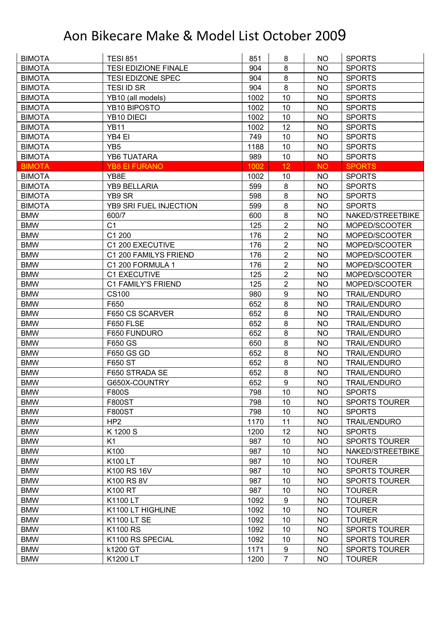| <b>BIMOTA</b> | <b>TESI 851</b>             | 851  | 8                | <b>NO</b> | <b>SPORTS</b>        |
|---------------|-----------------------------|------|------------------|-----------|----------------------|
| <b>BIMOTA</b> | <b>TESI EDIZIONE FINALE</b> | 904  | 8                | <b>NO</b> | <b>SPORTS</b>        |
| <b>BIMOTA</b> | <b>TESI EDIZONE SPEC</b>    | 904  | 8                | <b>NO</b> | <b>SPORTS</b>        |
| <b>BIMOTA</b> | <b>TESI ID SR</b>           | 904  | 8                | <b>NO</b> | <b>SPORTS</b>        |
| <b>BIMOTA</b> | YB10 (all models)           | 1002 | 10               | <b>NO</b> | <b>SPORTS</b>        |
| <b>BIMOTA</b> | YB10 BIPOSTO                | 1002 | 10               | NO        | <b>SPORTS</b>        |
| <b>BIMOTA</b> | YB10 DIECI                  | 1002 | 10               | <b>NO</b> | <b>SPORTS</b>        |
| <b>BIMOTA</b> | <b>YB11</b>                 | 1002 | 12               | <b>NO</b> | <b>SPORTS</b>        |
| <b>BIMOTA</b> | YB4 EI                      | 749  | 10               | <b>NO</b> | <b>SPORTS</b>        |
| <b>BIMOTA</b> | YB <sub>5</sub>             | 1188 | 10               | <b>NO</b> | <b>SPORTS</b>        |
| <b>BIMOTA</b> | <b>YB6 TUATARA</b>          | 989  | 10               | <b>NO</b> | <b>SPORTS</b>        |
| <b>BIMOTA</b> | <b>YB8 EI FURANO</b>        | 1002 | 12               | <b>NO</b> | <b>SPORTS</b>        |
| <b>BIMOTA</b> | YB8E                        | 1002 | 10               | <b>NO</b> | <b>SPORTS</b>        |
| <b>BIMOTA</b> | <b>YB9 BELLARIA</b>         | 599  | $\bf 8$          | <b>NO</b> | <b>SPORTS</b>        |
| <b>BIMOTA</b> | YB9 SR                      | 598  | 8                | <b>NO</b> | <b>SPORTS</b>        |
| <b>BIMOTA</b> | YB9 SRI FUEL INJECTION      | 599  | 8                | NO        | <b>SPORTS</b>        |
| <b>BMW</b>    | 600/7                       | 600  | $\bf 8$          | <b>NO</b> | NAKED/STREETBIKE     |
| <b>BMW</b>    | C <sub>1</sub>              | 125  | $\overline{2}$   | <b>NO</b> | MOPED/SCOOTER        |
| <b>BMW</b>    | C1 200                      | 176  | $\overline{2}$   | <b>NO</b> | MOPED/SCOOTER        |
| <b>BMW</b>    | C1 200 EXECUTIVE            | 176  | $\overline{2}$   | <b>NO</b> | MOPED/SCOOTER        |
| <b>BMW</b>    | C1 200 FAMILYS FRIEND       | 176  | $\overline{2}$   | <b>NO</b> | MOPED/SCOOTER        |
| <b>BMW</b>    | C1 200 FORMULA 1            | 176  | 2                | <b>NO</b> | MOPED/SCOOTER        |
| <b>BMW</b>    | C1 EXECUTIVE                | 125  | $\overline{2}$   | <b>NO</b> | MOPED/SCOOTER        |
| <b>BMW</b>    | C1 FAMILY'S FRIEND          | 125  | $\overline{c}$   | <b>NO</b> | MOPED/SCOOTER        |
| <b>BMW</b>    | CS100                       | 980  | $\boldsymbol{9}$ | <b>NO</b> | <b>TRAIL/ENDURO</b>  |
| <b>BMW</b>    | F650                        | 652  | 8                | <b>NO</b> | <b>TRAIL/ENDURO</b>  |
| <b>BMW</b>    | F650 CS SCARVER             | 652  | 8                | <b>NO</b> | <b>TRAIL/ENDURO</b>  |
| <b>BMW</b>    | F650 FLSE                   | 652  | 8                | <b>NO</b> | <b>TRAIL/ENDURO</b>  |
| <b>BMW</b>    | F650 FUNDURO                | 652  | 8                | <b>NO</b> | <b>TRAIL/ENDURO</b>  |
| <b>BMW</b>    | F650 GS                     | 650  | $\bf 8$          | <b>NO</b> | <b>TRAIL/ENDURO</b>  |
| <b>BMW</b>    | F650 GS GD                  | 652  | 8                | <b>NO</b> | <b>TRAIL/ENDURO</b>  |
| <b>BMW</b>    | F650 ST                     | 652  | 8                | <b>NO</b> | <b>TRAIL/ENDURO</b>  |
| <b>BMW</b>    | F650 STRADA SE              | 652  | 8                | <b>NO</b> | <b>TRAIL/ENDURO</b>  |
| <b>BMW</b>    | G650X-COUNTRY               | 652  | 9                | <b>NO</b> | <b>TRAIL/ENDURO</b>  |
| <b>BMW</b>    | <b>F800S</b>                | 798  | 10               | NO.       | <b>SPORTS</b>        |
| <b>BMW</b>    | <b>F800ST</b>               | 798  | 10               | <b>NO</b> | <b>SPORTS TOURER</b> |
| <b>BMW</b>    | <b>F800ST</b>               | 798  | 10               | <b>NO</b> | <b>SPORTS</b>        |
| <b>BMW</b>    | HP <sub>2</sub>             | 1170 | 11               | <b>NO</b> | <b>TRAIL/ENDURO</b>  |
| <b>BMW</b>    | K1200 S                     | 1200 | 12               | <b>NO</b> | <b>SPORTS</b>        |
| <b>BMW</b>    | K <sub>1</sub>              | 987  | 10               | <b>NO</b> | <b>SPORTS TOURER</b> |
| <b>BMW</b>    | K100                        | 987  | 10               | <b>NO</b> | NAKED/STREETBIKE     |
| <b>BMW</b>    | K100 LT                     | 987  | 10               | <b>NO</b> | <b>TOURER</b>        |
| <b>BMW</b>    | K100 RS 16V                 | 987  | 10               | <b>NO</b> | <b>SPORTS TOURER</b> |
| <b>BMW</b>    | K100 RS 8V                  | 987  | 10               | <b>NO</b> | <b>SPORTS TOURER</b> |
| <b>BMW</b>    | K100 RT                     | 987  | 10               | <b>NO</b> | <b>TOURER</b>        |
| <b>BMW</b>    | K1100 LT                    | 1092 | 9                | <b>NO</b> | <b>TOURER</b>        |
| <b>BMW</b>    | K1100 LT HIGHLINE           | 1092 | 10               | <b>NO</b> | <b>TOURER</b>        |
| <b>BMW</b>    | K1100 LT SE                 | 1092 | 10               | <b>NO</b> | <b>TOURER</b>        |
| <b>BMW</b>    | K1100 RS                    | 1092 | 10               | <b>NO</b> | <b>SPORTS TOURER</b> |
| <b>BMW</b>    | K1100 RS SPECIAL            | 1092 | 10               | <b>NO</b> | <b>SPORTS TOURER</b> |
| <b>BMW</b>    | k1200 GT                    | 1171 | 9                | <b>NO</b> | <b>SPORTS TOURER</b> |
| <b>BMW</b>    | K1200 LT                    | 1200 | $\overline{7}$   | <b>NO</b> | <b>TOURER</b>        |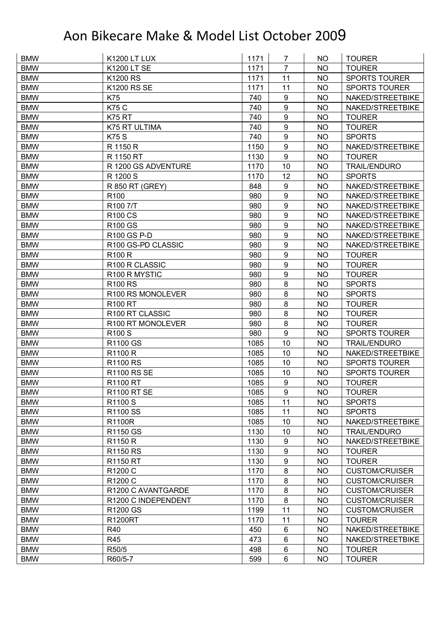| <b>BMW</b> | <b>K1200 LT LUX</b> | 1171 | 7                | NO        | <b>TOURER</b>         |
|------------|---------------------|------|------------------|-----------|-----------------------|
| <b>BMW</b> | <b>K1200 LT SE</b>  | 1171 | $\overline{7}$   | <b>NO</b> | <b>TOURER</b>         |
| <b>BMW</b> | K1200 RS            | 1171 | 11               | <b>NO</b> | <b>SPORTS TOURER</b>  |
| <b>BMW</b> | <b>K1200 RS SE</b>  | 1171 | 11               | <b>NO</b> | <b>SPORTS TOURER</b>  |
| <b>BMW</b> | K75                 | 740  | $\boldsymbol{9}$ | <b>NO</b> | NAKED/STREETBIKE      |
| <b>BMW</b> | <b>K75 C</b>        | 740  | $\boldsymbol{9}$ | NO        | NAKED/STREETBIKE      |
| <b>BMW</b> | K75 RT              | 740  | $\boldsymbol{9}$ | <b>NO</b> | <b>TOURER</b>         |
| <b>BMW</b> | K75 RT ULTIMA       | 740  | 9                | <b>NO</b> | <b>TOURER</b>         |
| <b>BMW</b> | <b>K75 S</b>        | 740  | $\boldsymbol{9}$ | <b>NO</b> | <b>SPORTS</b>         |
| <b>BMW</b> | R 1150 R            | 1150 | 9                | <b>NO</b> | NAKED/STREETBIKE      |
| <b>BMW</b> | R 1150 RT           | 1130 | 9                | <b>NO</b> | <b>TOURER</b>         |
| <b>BMW</b> | R 1200 GS ADVENTURE | 1170 | 10               | <b>NO</b> | <b>TRAIL/ENDURO</b>   |
| <b>BMW</b> | R 1200 S            | 1170 | 12               | <b>NO</b> | <b>SPORTS</b>         |
| <b>BMW</b> | R 850 RT (GREY)     | 848  | $\boldsymbol{9}$ | <b>NO</b> | NAKED/STREETBIKE      |
| <b>BMW</b> | R <sub>100</sub>    | 980  | 9                | <b>NO</b> | NAKED/STREETBIKE      |
| <b>BMW</b> | R100 7/T            | 980  | 9                | <b>NO</b> | NAKED/STREETBIKE      |
| <b>BMW</b> | <b>R100 CS</b>      | 980  | 9                | <b>NO</b> | NAKED/STREETBIKE      |
| <b>BMW</b> | <b>R100 GS</b>      | 980  | 9                | <b>NO</b> | NAKED/STREETBIKE      |
| <b>BMW</b> | R100 GS P-D         | 980  | $\boldsymbol{9}$ | <b>NO</b> | NAKED/STREETBIKE      |
| <b>BMW</b> | R100 GS-PD CLASSIC  | 980  | 9                | <b>NO</b> | NAKED/STREETBIKE      |
| <b>BMW</b> | <b>R100 R</b>       | 980  | 9                | <b>NO</b> | <b>TOURER</b>         |
| <b>BMW</b> | R100 R CLASSIC      | 980  | $\boldsymbol{9}$ | <b>NO</b> | <b>TOURER</b>         |
| <b>BMW</b> | R100 R MYSTIC       | 980  | 9                | <b>NO</b> | <b>TOURER</b>         |
| <b>BMW</b> | <b>R100 RS</b>      | 980  | 8                | <b>NO</b> | <b>SPORTS</b>         |
| <b>BMW</b> | R100 RS MONOLEVER   | 980  | $\bf 8$          | <b>NO</b> | <b>SPORTS</b>         |
| <b>BMW</b> | <b>R100 RT</b>      | 980  | 8                | <b>NO</b> | <b>TOURER</b>         |
| <b>BMW</b> | R100 RT CLASSIC     | 980  | 8                | <b>NO</b> | <b>TOURER</b>         |
| <b>BMW</b> | R100 RT MONOLEVER   | 980  | 8                | <b>NO</b> | <b>TOURER</b>         |
| <b>BMW</b> | R <sub>100</sub> S  | 980  | 9                | <b>NO</b> | <b>SPORTS TOURER</b>  |
| <b>BMW</b> | R1100 GS            | 1085 | 10               | <b>NO</b> | <b>TRAIL/ENDURO</b>   |
| <b>BMW</b> | R1100 R             | 1085 | 10               | <b>NO</b> | NAKED/STREETBIKE      |
| <b>BMW</b> | <b>R1100 RS</b>     | 1085 | 10               | <b>NO</b> | <b>SPORTS TOURER</b>  |
| <b>BMW</b> | <b>R1100 RS SE</b>  | 1085 | 10               | <b>NO</b> | <b>SPORTS TOURER</b>  |
| <b>BMW</b> | <b>R1100 RT</b>     | 1085 | $\boldsymbol{9}$ | <b>NO</b> | <b>TOURER</b>         |
| <b>BMW</b> | <b>R1100 RT SE</b>  | 1085 | 9                | NO        | <b>TOURER</b>         |
| <b>BMW</b> | R1100 S             | 1085 | 11               | <b>NO</b> | <b>SPORTS</b>         |
| <b>BMW</b> | R1100 SS            | 1085 | 11               | NO        | <b>SPORTS</b>         |
| <b>BMW</b> | <b>R1100R</b>       | 1085 | 10               | <b>NO</b> | NAKED/STREETBIKE      |
| <b>BMW</b> | R1150 GS            | 1130 | 10               | <b>NO</b> | <b>TRAIL/ENDURO</b>   |
| <b>BMW</b> | R1150 R             | 1130 | $\boldsymbol{9}$ | <b>NO</b> | NAKED/STREETBIKE      |
| <b>BMW</b> | R1150 RS            | 1130 | $\boldsymbol{9}$ | <b>NO</b> | <b>TOURER</b>         |
| <b>BMW</b> | <b>R1150 RT</b>     | 1130 | $\boldsymbol{9}$ | <b>NO</b> | <b>TOURER</b>         |
| <b>BMW</b> | R1200 C             | 1170 | $\bf 8$          | <b>NO</b> | <b>CUSTOM/CRUISER</b> |
| <b>BMW</b> | R1200 C             | 1170 | $\bf 8$          | <b>NO</b> | <b>CUSTOM/CRUISER</b> |
| <b>BMW</b> | R1200 C AVANTGARDE  | 1170 | $\bf 8$          | <b>NO</b> | <b>CUSTOM/CRUISER</b> |
| <b>BMW</b> | R1200 C INDEPENDENT | 1170 | $\bf 8$          | <b>NO</b> | <b>CUSTOM/CRUISER</b> |
| <b>BMW</b> | R1200 GS            | 1199 | 11               | <b>NO</b> | <b>CUSTOM/CRUISER</b> |
| <b>BMW</b> | <b>R1200RT</b>      | 1170 | 11               | <b>NO</b> | <b>TOURER</b>         |
| <b>BMW</b> | R40                 | 450  | $\,6$            | <b>NO</b> | NAKED/STREETBIKE      |
| <b>BMW</b> | R45                 | 473  | $\,6$            | <b>NO</b> | NAKED/STREETBIKE      |
| <b>BMW</b> | R50/5               | 498  | $\,6$            | NO.       | <b>TOURER</b>         |
| <b>BMW</b> | R60/5-7             | 599  | $\,6$            | <b>NO</b> | <b>TOURER</b>         |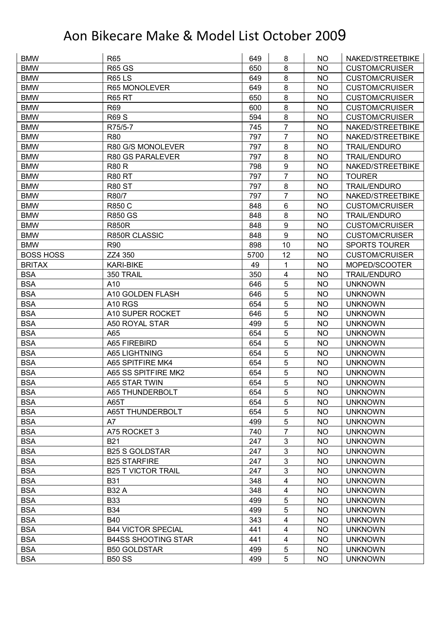| <b>BMW</b>       | R65                        | 649  | 8                       | NO.       | NAKED/STREETBIKE      |
|------------------|----------------------------|------|-------------------------|-----------|-----------------------|
| <b>BMW</b>       | <b>R65 GS</b>              | 650  | 8                       | <b>NO</b> | <b>CUSTOM/CRUISER</b> |
| <b>BMW</b>       | <b>R65LS</b>               | 649  | 8                       | <b>NO</b> | <b>CUSTOM/CRUISER</b> |
| <b>BMW</b>       | R65 MONOLEVER              | 649  | 8                       | <b>NO</b> | <b>CUSTOM/CRUISER</b> |
| <b>BMW</b>       | <b>R65 RT</b>              | 650  | 8                       | <b>NO</b> | <b>CUSTOM/CRUISER</b> |
| <b>BMW</b>       | R69                        | 600  | 8                       | NO        | <b>CUSTOM/CRUISER</b> |
| <b>BMW</b>       | <b>R69 S</b>               | 594  | 8                       | <b>NO</b> | <b>CUSTOM/CRUISER</b> |
| <b>BMW</b>       | R75/5-7                    | 745  | $\overline{7}$          | <b>NO</b> | NAKED/STREETBIKE      |
| <b>BMW</b>       | <b>R80</b>                 | 797  | $\overline{7}$          | <b>NO</b> | NAKED/STREETBIKE      |
| <b>BMW</b>       | R80 G/S MONOLEVER          | 797  | 8                       | <b>NO</b> | TRAIL/ENDURO          |
| <b>BMW</b>       | R80 GS PARALEVER           | 797  | 8                       | <b>NO</b> | <b>TRAIL/ENDURO</b>   |
| <b>BMW</b>       | <b>R80 R</b>               | 798  | $\boldsymbol{9}$        | <b>NO</b> | NAKED/STREETBIKE      |
| <b>BMW</b>       | <b>R80 RT</b>              | 797  | $\overline{7}$          | <b>NO</b> | <b>TOURER</b>         |
| <b>BMW</b>       | <b>R80 ST</b>              | 797  | 8                       | <b>NO</b> | <b>TRAIL/ENDURO</b>   |
| <b>BMW</b>       | R80/7                      | 797  | 7                       | <b>NO</b> | NAKED/STREETBIKE      |
| <b>BMW</b>       | <b>R850 C</b>              | 848  | 6                       | <b>NO</b> | <b>CUSTOM/CRUISER</b> |
| <b>BMW</b>       | <b>R850 GS</b>             | 848  | 8                       | <b>NO</b> | <b>TRAIL/ENDURO</b>   |
| <b>BMW</b>       | <b>R850R</b>               | 848  | 9                       | <b>NO</b> | <b>CUSTOM/CRUISER</b> |
| <b>BMW</b>       | R850R CLASSIC              | 848  | $\overline{9}$          | <b>NO</b> | <b>CUSTOM/CRUISER</b> |
| <b>BMW</b>       | R90                        | 898  | 10                      | NO        | <b>SPORTS TOURER</b>  |
| <b>BOSS HOSS</b> | ZZ4 350                    | 5700 | 12                      | <b>NO</b> | <b>CUSTOM/CRUISER</b> |
| <b>BRITAX</b>    | <b>KARI-BIKE</b>           | 49   | 1                       | <b>NO</b> | MOPED/SCOOTER         |
| <b>BSA</b>       | 350 TRAIL                  | 350  | $\overline{\mathbf{4}}$ | <b>NO</b> | <b>TRAIL/ENDURO</b>   |
| <b>BSA</b>       | A10                        | 646  | 5                       | <b>NO</b> | <b>UNKNOWN</b>        |
| <b>BSA</b>       | A10 GOLDEN FLASH           | 646  | 5                       | NO        | <b>UNKNOWN</b>        |
| <b>BSA</b>       | A10 RGS                    | 654  | 5                       | <b>NO</b> | <b>UNKNOWN</b>        |
| <b>BSA</b>       | A10 SUPER ROCKET           | 646  | 5                       | <b>NO</b> | <b>UNKNOWN</b>        |
| <b>BSA</b>       | A50 ROYAL STAR             | 499  | 5                       | <b>NO</b> | <b>UNKNOWN</b>        |
| <b>BSA</b>       | A65                        | 654  | 5                       | <b>NO</b> | <b>UNKNOWN</b>        |
| <b>BSA</b>       | A65 FIREBIRD               | 654  | 5                       | <b>NO</b> | <b>UNKNOWN</b>        |
| <b>BSA</b>       | A65 LIGHTNING              | 654  | 5                       | <b>NO</b> | <b>UNKNOWN</b>        |
| <b>BSA</b>       | A65 SPITFIRE MK4           | 654  | 5                       | <b>NO</b> | <b>UNKNOWN</b>        |
| <b>BSA</b>       | A65 SS SPITFIRE MK2        | 654  | 5                       | <b>NO</b> | <b>UNKNOWN</b>        |
| <b>BSA</b>       | A65 STAR TWIN              | 654  | 5                       | <b>NO</b> | <b>UNKNOWN</b>        |
| <b>BSA</b>       | A65 THUNDERBOLT            | 654  | 5                       | NO.       | <b>UNKNOWN</b>        |
| <b>BSA</b>       | A65T                       | 654  | 5                       | <b>NO</b> | <b>UNKNOWN</b>        |
| <b>BSA</b>       | A65T THUNDERBOLT           | 654  | 5                       | NO.       | <b>UNKNOWN</b>        |
| <b>BSA</b>       | A7                         | 499  | 5                       | <b>NO</b> | <b>UNKNOWN</b>        |
| <b>BSA</b>       | A75 ROCKET 3               | 740  | 7                       | <b>NO</b> | <b>UNKNOWN</b>        |
| <b>BSA</b>       | <b>B21</b>                 | 247  | $\mathfrak{B}$          | <b>NO</b> | <b>UNKNOWN</b>        |
| <b>BSA</b>       | <b>B25 S GOLDSTAR</b>      | 247  | 3                       | <b>NO</b> | <b>UNKNOWN</b>        |
| <b>BSA</b>       | <b>B25 STARFIRE</b>        | 247  | $\sqrt{3}$              | NO        | <b>UNKNOWN</b>        |
| <b>BSA</b>       | <b>B25 T VICTOR TRAIL</b>  | 247  | 3                       | <b>NO</b> | <b>UNKNOWN</b>        |
| <b>BSA</b>       | <b>B31</b>                 | 348  | 4                       | <b>NO</b> | <b>UNKNOWN</b>        |
| <b>BSA</b>       | <b>B32 A</b>               | 348  | 4                       | NO        | <b>UNKNOWN</b>        |
| <b>BSA</b>       | <b>B33</b>                 | 499  | 5                       | <b>NO</b> | <b>UNKNOWN</b>        |
| <b>BSA</b>       | <b>B34</b>                 | 499  | 5                       | <b>NO</b> | <b>UNKNOWN</b>        |
| <b>BSA</b>       | <b>B40</b>                 | 343  | $\overline{\mathbf{4}}$ | <b>NO</b> | <b>UNKNOWN</b>        |
| <b>BSA</b>       | <b>B44 VICTOR SPECIAL</b>  | 441  | 4                       | <b>NO</b> | <b>UNKNOWN</b>        |
| <b>BSA</b>       | <b>B44SS SHOOTING STAR</b> | 441  | 4                       | <b>NO</b> | <b>UNKNOWN</b>        |
| <b>BSA</b>       | <b>B50 GOLDSTAR</b>        | 499  | 5                       | <b>NO</b> | <b>UNKNOWN</b>        |
| <b>BSA</b>       | <b>B50 SS</b>              | 499  | 5                       | <b>NO</b> | <b>UNKNOWN</b>        |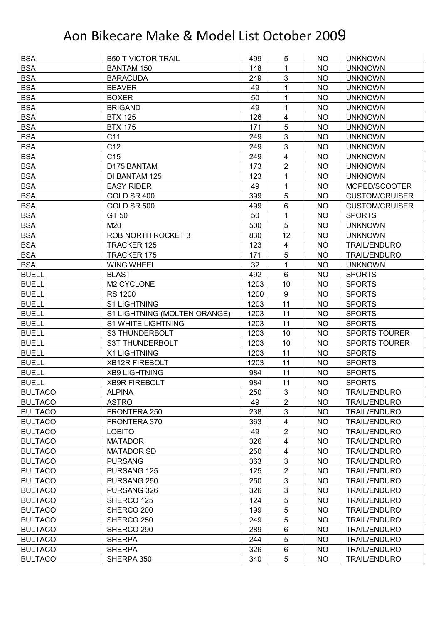| <b>BSA</b>     | <b>B50 T VICTOR TRAIL</b>    | 499  | 5                       | NO.       | <b>UNKNOWN</b>        |
|----------------|------------------------------|------|-------------------------|-----------|-----------------------|
| <b>BSA</b>     | <b>BANTAM 150</b>            | 148  | 1                       | <b>NO</b> | <b>UNKNOWN</b>        |
| <b>BSA</b>     | <b>BARACUDA</b>              | 249  | 3                       | <b>NO</b> | <b>UNKNOWN</b>        |
| <b>BSA</b>     | <b>BEAVER</b>                | 49   | 1                       | <b>NO</b> | <b>UNKNOWN</b>        |
| <b>BSA</b>     | <b>BOXER</b>                 | 50   | 1                       | <b>NO</b> | <b>UNKNOWN</b>        |
| <b>BSA</b>     | <b>BRIGAND</b>               | 49   | 1                       | NO        | <b>UNKNOWN</b>        |
| <b>BSA</b>     | <b>BTX 125</b>               | 126  | 4                       | <b>NO</b> | <b>UNKNOWN</b>        |
| <b>BSA</b>     | <b>BTX 175</b>               | 171  | 5                       | <b>NO</b> | <b>UNKNOWN</b>        |
| <b>BSA</b>     | C <sub>11</sub>              | 249  | 3                       | <b>NO</b> | <b>UNKNOWN</b>        |
| <b>BSA</b>     | C12                          | 249  | 3                       | <b>NO</b> | <b>UNKNOWN</b>        |
| <b>BSA</b>     | C <sub>15</sub>              | 249  | $\overline{\mathbf{4}}$ | <b>NO</b> | <b>UNKNOWN</b>        |
| <b>BSA</b>     | D175 BANTAM                  | 173  | $\overline{2}$          | <b>NO</b> | <b>UNKNOWN</b>        |
| <b>BSA</b>     | DI BANTAM 125                | 123  | 1                       | <b>NO</b> | <b>UNKNOWN</b>        |
| <b>BSA</b>     | <b>EASY RIDER</b>            | 49   | 1                       | <b>NO</b> | MOPED/SCOOTER         |
| <b>BSA</b>     | GOLD SR 400                  | 399  | 5                       | <b>NO</b> | <b>CUSTOM/CRUISER</b> |
| <b>BSA</b>     | GOLD SR 500                  | 499  | 6                       | <b>NO</b> | <b>CUSTOM/CRUISER</b> |
| <b>BSA</b>     | GT 50                        | 50   | 1                       | <b>NO</b> | <b>SPORTS</b>         |
| <b>BSA</b>     | M20                          | 500  | 5                       | <b>NO</b> | <b>UNKNOWN</b>        |
| <b>BSA</b>     | <b>ROB NORTH ROCKET 3</b>    | 830  | 12                      | <b>NO</b> | <b>UNKNOWN</b>        |
| <b>BSA</b>     | <b>TRACKER 125</b>           | 123  | 4                       | <b>NO</b> | <b>TRAIL/ENDURO</b>   |
| <b>BSA</b>     | <b>TRACKER 175</b>           | 171  | 5                       | <b>NO</b> | <b>TRAIL/ENDURO</b>   |
| <b>BSA</b>     | <b>WING WHEEL</b>            | 32   | 1                       | <b>NO</b> | <b>UNKNOWN</b>        |
| <b>BUELL</b>   | <b>BLAST</b>                 | 492  | 6                       | <b>NO</b> | <b>SPORTS</b>         |
| <b>BUELL</b>   | M2 CYCLONE                   | 1203 | 10                      | <b>NO</b> | <b>SPORTS</b>         |
| <b>BUELL</b>   | <b>RS 1200</b>               | 1200 | 9                       | <b>NO</b> | <b>SPORTS</b>         |
| <b>BUELL</b>   | S1 LIGHTNING                 | 1203 | 11                      | <b>NO</b> | <b>SPORTS</b>         |
| <b>BUELL</b>   | S1 LIGHTNING (MOLTEN ORANGE) | 1203 | 11                      | <b>NO</b> | <b>SPORTS</b>         |
| <b>BUELL</b>   | <b>S1 WHITE LIGHTNING</b>    | 1203 | 11                      | <b>NO</b> | <b>SPORTS</b>         |
| <b>BUELL</b>   | S3 THUNDERBOLT               | 1203 | 10                      | <b>NO</b> | <b>SPORTS TOURER</b>  |
| <b>BUELL</b>   | S3T THUNDERBOLT              | 1203 | 10                      | <b>NO</b> | <b>SPORTS TOURER</b>  |
| <b>BUELL</b>   | X1 LIGHTNING                 | 1203 | 11                      | <b>NO</b> | <b>SPORTS</b>         |
| <b>BUELL</b>   | <b>XB12R FIREBOLT</b>        | 1203 | 11                      | <b>NO</b> | <b>SPORTS</b>         |
| <b>BUELL</b>   | <b>XB9 LIGHTNING</b>         | 984  | 11                      | <b>NO</b> | <b>SPORTS</b>         |
| <b>BUELL</b>   | <b>XB9R FIREBOLT</b>         | 984  | 11                      | <b>NO</b> | <b>SPORTS</b>         |
| <b>BULTACO</b> | <b>ALPINA</b>                | 250  | 3                       | <b>NO</b> | <b>TRAIL/ENDURO</b>   |
| <b>BULTACO</b> | <b>ASTRO</b>                 | 49   | 2                       | <b>NO</b> | <b>TRAIL/ENDURO</b>   |
| <b>BULTACO</b> | FRONTERA 250                 | 238  | 3                       | <b>NO</b> | <b>TRAIL/ENDURO</b>   |
| <b>BULTACO</b> | FRONTERA 370                 | 363  | 4                       | <b>NO</b> | <b>TRAIL/ENDURO</b>   |
| <b>BULTACO</b> | <b>LOBITO</b>                | 49   | $\overline{2}$          | <b>NO</b> | <b>TRAIL/ENDURO</b>   |
| <b>BULTACO</b> | <b>MATADOR</b>               | 326  | 4                       | <b>NO</b> | <b>TRAIL/ENDURO</b>   |
| <b>BULTACO</b> | <b>MATADOR SD</b>            | 250  | $\overline{\mathbf{4}}$ | <b>NO</b> | <b>TRAIL/ENDURO</b>   |
| <b>BULTACO</b> | <b>PURSANG</b>               | 363  | 3                       | <b>NO</b> | <b>TRAIL/ENDURO</b>   |
| <b>BULTACO</b> | PURSANG 125                  | 125  | $\overline{c}$          | <b>NO</b> | <b>TRAIL/ENDURO</b>   |
| <b>BULTACO</b> | PURSANG 250                  | 250  | 3                       | <b>NO</b> | <b>TRAIL/ENDURO</b>   |
| <b>BULTACO</b> | PURSANG 326                  | 326  | 3                       | <b>NO</b> | <b>TRAIL/ENDURO</b>   |
| <b>BULTACO</b> | SHERCO 125                   | 124  | 5                       | <b>NO</b> | <b>TRAIL/ENDURO</b>   |
| <b>BULTACO</b> | SHERCO 200                   | 199  | 5                       | <b>NO</b> | <b>TRAIL/ENDURO</b>   |
| <b>BULTACO</b> | SHERCO 250                   | 249  | 5                       | <b>NO</b> | <b>TRAIL/ENDURO</b>   |
| <b>BULTACO</b> | SHERCO 290                   | 289  | $\,6$                   | <b>NO</b> | <b>TRAIL/ENDURO</b>   |
| <b>BULTACO</b> | <b>SHERPA</b>                | 244  | 5                       | <b>NO</b> | <b>TRAIL/ENDURO</b>   |
| <b>BULTACO</b> | <b>SHERPA</b>                | 326  | 6                       | <b>NO</b> | <b>TRAIL/ENDURO</b>   |
|                |                              |      |                         |           |                       |
| <b>BULTACO</b> | SHERPA 350                   | 340  | 5                       | NO        | <b>TRAIL/ENDURO</b>   |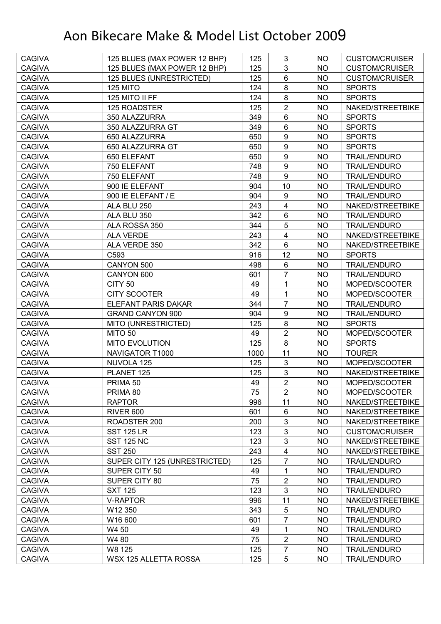| <b>CAGIVA</b> | 125 BLUES (MAX POWER 12 BHP)  | 125  | 3                       | NO.       | <b>CUSTOM/CRUISER</b> |
|---------------|-------------------------------|------|-------------------------|-----------|-----------------------|
| <b>CAGIVA</b> | 125 BLUES (MAX POWER 12 BHP)  | 125  | 3                       | <b>NO</b> | <b>CUSTOM/CRUISER</b> |
| <b>CAGIVA</b> | 125 BLUES (UNRESTRICTED)      | 125  | $6\phantom{1}$          | <b>NO</b> | <b>CUSTOM/CRUISER</b> |
| <b>CAGIVA</b> | 125 MITO                      | 124  | 8                       | <b>NO</b> | <b>SPORTS</b>         |
| <b>CAGIVA</b> | 125 MITO II FF                | 124  | 8                       | <b>NO</b> | <b>SPORTS</b>         |
| <b>CAGIVA</b> | 125 ROADSTER                  | 125  | $\overline{2}$          | <b>NO</b> | NAKED/STREETBIKE      |
| <b>CAGIVA</b> | 350 ALAZZURRA                 | 349  | 6                       | <b>NO</b> | <b>SPORTS</b>         |
| <b>CAGIVA</b> | 350 ALAZZURRA GT              | 349  | $6\phantom{1}$          | <b>NO</b> | <b>SPORTS</b>         |
| <b>CAGIVA</b> | 650 ALAZZURRA                 | 650  | 9                       | <b>NO</b> | <b>SPORTS</b>         |
| <b>CAGIVA</b> | 650 ALAZZURRA GT              | 650  | 9                       | <b>NO</b> | <b>SPORTS</b>         |
| <b>CAGIVA</b> | 650 ELEFANT                   | 650  | 9                       | <b>NO</b> | <b>TRAIL/ENDURO</b>   |
| <b>CAGIVA</b> | 750 ELEFANT                   | 748  | $\boldsymbol{9}$        | <b>NO</b> | <b>TRAIL/ENDURO</b>   |
| <b>CAGIVA</b> | 750 ELEFANT                   | 748  | 9                       | <b>NO</b> | <b>TRAIL/ENDURO</b>   |
| <b>CAGIVA</b> | 900 IE ELEFANT                | 904  | 10                      | <b>NO</b> | <b>TRAIL/ENDURO</b>   |
| <b>CAGIVA</b> | 900 IE ELEFANT / E            | 904  | $\boldsymbol{9}$        | NO        | <b>TRAIL/ENDURO</b>   |
| <b>CAGIVA</b> | ALA BLU 250                   | 243  | $\overline{\mathbf{4}}$ | <b>NO</b> | NAKED/STREETBIKE      |
| <b>CAGIVA</b> | ALA BLU 350                   | 342  | $6\phantom{1}$          | <b>NO</b> | <b>TRAIL/ENDURO</b>   |
| <b>CAGIVA</b> | ALA ROSSA 350                 | 344  | 5                       | <b>NO</b> | <b>TRAIL/ENDURO</b>   |
| <b>CAGIVA</b> | <b>ALA VERDE</b>              | 243  | $\overline{\mathbf{4}}$ | <b>NO</b> | NAKED/STREETBIKE      |
| <b>CAGIVA</b> | ALA VERDE 350                 | 342  | 6                       | <b>NO</b> | NAKED/STREETBIKE      |
| <b>CAGIVA</b> | C593                          | 916  | 12                      | <b>NO</b> | <b>SPORTS</b>         |
| <b>CAGIVA</b> | CANYON 500                    | 498  | $6\phantom{1}$          | <b>NO</b> | <b>TRAIL/ENDURO</b>   |
| <b>CAGIVA</b> | CANYON 600                    | 601  | $\overline{7}$          | <b>NO</b> | <b>TRAIL/ENDURO</b>   |
| <b>CAGIVA</b> | CITY 50                       | 49   | 1                       | <b>NO</b> | MOPED/SCOOTER         |
| <b>CAGIVA</b> | <b>CITY SCOOTER</b>           | 49   | $\mathbf{1}$            | <b>NO</b> | MOPED/SCOOTER         |
| <b>CAGIVA</b> | ELEFANT PARIS DAKAR           | 344  | $\overline{7}$          | <b>NO</b> | <b>TRAIL/ENDURO</b>   |
| <b>CAGIVA</b> | <b>GRAND CANYON 900</b>       | 904  | $\boldsymbol{9}$        | <b>NO</b> | <b>TRAIL/ENDURO</b>   |
| <b>CAGIVA</b> | MITO (UNRESTRICTED)           | 125  | 8                       | <b>NO</b> | <b>SPORTS</b>         |
| <b>CAGIVA</b> | <b>MITO 50</b>                | 49   | $\overline{2}$          | <b>NO</b> | MOPED/SCOOTER         |
| <b>CAGIVA</b> | <b>MITO EVOLUTION</b>         | 125  | 8                       | <b>NO</b> | <b>SPORTS</b>         |
| <b>CAGIVA</b> | NAVIGATOR T1000               | 1000 | 11                      | <b>NO</b> | <b>TOURER</b>         |
| <b>CAGIVA</b> | NUVOLA 125                    | 125  | 3                       | <b>NO</b> | MOPED/SCOOTER         |
| <b>CAGIVA</b> | PLANET 125                    | 125  | 3                       | <b>NO</b> | NAKED/STREETBIKE      |
| <b>CAGIVA</b> | PRIMA 50                      | 49   | $\overline{2}$          | <b>NO</b> | MOPED/SCOOTER         |
| <b>CAGIVA</b> | PRIMA 80                      | 75   | $\overline{2}$          | <b>NO</b> | MOPED/SCOOTER         |
| <b>CAGIVA</b> | <b>RAPTOR</b>                 | 996  | 11                      | <b>NO</b> | NAKED/STREETBIKE      |
| <b>CAGIVA</b> | <b>RIVER 600</b>              | 601  | 6                       | <b>NO</b> | NAKED/STREETBIKE      |
| <b>CAGIVA</b> | ROADSTER 200                  | 200  | 3                       | <b>NO</b> | NAKED/STREETBIKE      |
| <b>CAGIVA</b> | <b>SST 125 LR</b>             | 123  | $\mathbf{3}$            | NO        | <b>CUSTOM/CRUISER</b> |
| <b>CAGIVA</b> | <b>SST 125 NC</b>             | 123  | $\sqrt{3}$              | <b>NO</b> | NAKED/STREETBIKE      |
| <b>CAGIVA</b> | <b>SST 250</b>                | 243  | $\overline{\mathbf{4}}$ | <b>NO</b> | NAKED/STREETBIKE      |
| <b>CAGIVA</b> | SUPER CITY 125 (UNRESTRICTED) | 125  | 7                       | <b>NO</b> | <b>TRAIL/ENDURO</b>   |
| <b>CAGIVA</b> | SUPER CITY 50                 | 49   | 1                       | <b>NO</b> | <b>TRAIL/ENDURO</b>   |
| <b>CAGIVA</b> | SUPER CITY 80                 | 75   | $\overline{2}$          | <b>NO</b> | <b>TRAIL/ENDURO</b>   |
| <b>CAGIVA</b> | <b>SXT 125</b>                | 123  | $\mathbf{3}$            | <b>NO</b> | <b>TRAIL/ENDURO</b>   |
| <b>CAGIVA</b> | <b>V-RAPTOR</b>               | 996  | 11                      | <b>NO</b> | NAKED/STREETBIKE      |
| <b>CAGIVA</b> | W12 350                       | 343  | $\sqrt{5}$              | <b>NO</b> | <b>TRAIL/ENDURO</b>   |
| <b>CAGIVA</b> | W16 600                       | 601  | $\overline{7}$          | <b>NO</b> | <b>TRAIL/ENDURO</b>   |
| <b>CAGIVA</b> | W4 50                         | 49   | 1                       | <b>NO</b> | <b>TRAIL/ENDURO</b>   |
| <b>CAGIVA</b> | W4 80                         | 75   | $\mathbf 2$             | <b>NO</b> | <b>TRAIL/ENDURO</b>   |
| <b>CAGIVA</b> | W8 125                        | 125  | $\overline{7}$          | <b>NO</b> | <b>TRAIL/ENDURO</b>   |
| <b>CAGIVA</b> | WSX 125 ALLETTA ROSSA         | 125  | 5                       | <b>NO</b> | <b>TRAIL/ENDURO</b>   |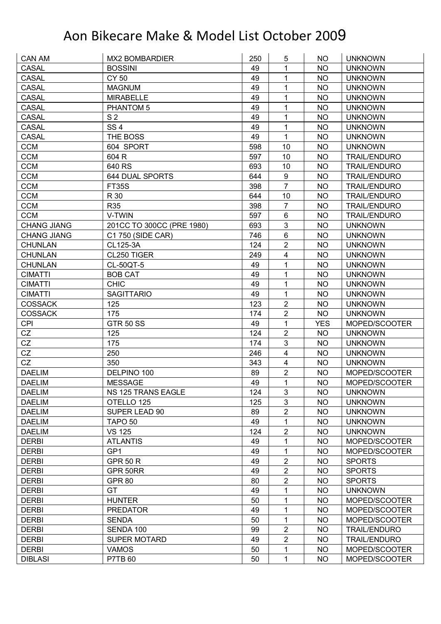| <b>CASAL</b><br><b>BOSSINI</b><br>49<br>1<br><b>NO</b><br><b>UNKNOWN</b><br>CASAL<br><b>CY 50</b><br>49<br>1<br><b>NO</b><br><b>UNKNOWN</b><br>49<br>1<br><b>CASAL</b><br><b>MAGNUM</b><br><b>NO</b><br><b>UNKNOWN</b><br>49<br>1<br><b>CASAL</b><br><b>NO</b><br><b>MIRABELLE</b><br><b>UNKNOWN</b><br><b>CASAL</b><br>49<br>1<br><b>NO</b><br>PHANTOM 5<br><b>UNKNOWN</b><br><b>CASAL</b><br>S <sub>2</sub><br>49<br>1<br><b>NO</b><br><b>UNKNOWN</b><br>SS <sub>4</sub><br><b>CASAL</b><br>49<br>1<br><b>NO</b><br><b>UNKNOWN</b><br>1<br>49<br><b>CASAL</b><br>THE BOSS<br><b>NO</b><br><b>UNKNOWN</b><br><b>CCM</b><br>604 SPORT<br>598<br><b>NO</b><br>10<br><b>UNKNOWN</b><br><b>CCM</b><br>604 R<br>597<br>10<br><b>NO</b><br><b>TRAIL/ENDURO</b><br><b>CCM</b><br>640 RS<br>693<br>10<br><b>NO</b><br><b>TRAIL/ENDURO</b><br><b>CCM</b><br>$\boldsymbol{9}$<br><b>644 DUAL SPORTS</b><br>644<br><b>NO</b><br><b>TRAIL/ENDURO</b><br>$\overline{7}$<br><b>CCM</b><br>398<br><b>FT35S</b><br><b>NO</b><br><b>TRAIL/ENDURO</b><br><b>CCM</b><br>R 30<br>644<br>10<br><b>NO</b><br><b>TRAIL/ENDURO</b><br><b>CCM</b><br><b>R35</b><br>398<br>$\overline{7}$<br><b>NO</b><br><b>TRAIL/ENDURO</b><br><b>CCM</b><br>597<br>6<br>V-TWIN<br><b>NO</b><br><b>TRAIL/ENDURO</b><br>3<br><b>CHANG JIANG</b><br>201CC TO 300CC (PRE 1980)<br>693<br><b>NO</b><br><b>UNKNOWN</b><br>6<br><b>NO</b><br>746<br><b>UNKNOWN</b><br><b>CHANG JIANG</b><br>C1 750 (SIDE CAR)<br>$\overline{2}$<br><b>NO</b><br><b>CHUNLAN</b><br>CL125-3A<br>124<br><b>UNKNOWN</b><br>CL250 TIGER<br><b>CHUNLAN</b><br>249<br>$\overline{\mathbf{4}}$<br><b>NO</b><br><b>UNKNOWN</b><br>49<br><b>CHUNLAN</b><br>CL-50QT-5<br>1<br><b>NO</b><br><b>UNKNOWN</b><br>49<br>1<br><b>BOB CAT</b><br><b>NO</b><br><b>CIMATTI</b><br><b>UNKNOWN</b><br><b>CHIC</b><br>49<br>1<br><b>CIMATTI</b><br><b>NO</b><br><b>UNKNOWN</b><br><b>SAGITTARIO</b><br>49<br>1<br><b>CIMATTI</b><br>NO<br><b>UNKNOWN</b><br>$\overline{2}$<br><b>COSSACK</b><br>125<br>123<br><b>NO</b><br><b>UNKNOWN</b><br>$\overline{2}$<br><b>COSSACK</b><br>175<br>174<br><b>NO</b><br><b>UNKNOWN</b><br>1<br><b>CPI</b><br><b>GTR 50 SS</b><br>49<br><b>YES</b><br>MOPED/SCOOTER<br>$\overline{2}$<br>CZ<br>124<br>125<br><b>NO</b><br><b>UNKNOWN</b><br>$\mathbf{3}$<br>CZ<br>175<br>174<br><b>NO</b><br><b>UNKNOWN</b><br>CZ<br>250<br>246<br>$\overline{\mathbf{4}}$<br><b>NO</b><br><b>UNKNOWN</b><br>CZ<br>350<br>343<br>$\overline{4}$<br><b>NO</b><br><b>UNKNOWN</b><br>$\overline{2}$<br><b>DAELIM</b><br>89<br>DELPINO 100<br><b>NO</b><br>MOPED/SCOOTER<br>49<br>1<br><b>MESSAGE</b><br><b>NO</b><br>MOPED/SCOOTER<br><b>DAELIM</b><br>3<br><b>DAELIM</b><br>NS 125 TRANS EAGLE<br>124<br>NO.<br><b>UNKNOWN</b><br><b>DAELIM</b><br>OTELLO 125<br>125<br>3<br><b>NO</b><br><b>UNKNOWN</b><br>2<br>SUPER LEAD 90<br>89<br><b>DAELIM</b><br>NO.<br><b>UNKNOWN</b><br>1<br>49<br><b>NO</b><br><b>DAELIM</b><br>TAPO <sub>50</sub><br><b>UNKNOWN</b><br>2<br><b>VS 125</b><br>124<br><b>DAELIM</b><br><b>NO</b><br><b>UNKNOWN</b><br><b>DERBI</b><br>49<br>1<br>MOPED/SCOOTER<br><b>ATLANTIS</b><br>NO<br>49<br><b>DERBI</b><br>GP <sub>1</sub><br>1<br><b>NO</b><br>MOPED/SCOOTER<br>$\overline{2}$<br>49<br><b>NO</b><br><b>DERBI</b><br><b>GPR 50 R</b><br><b>SPORTS</b><br>$\sqrt{2}$<br>49<br><b>DERBI</b><br>GPR 50RR<br><b>NO</b><br><b>SPORTS</b><br>$\boldsymbol{2}$<br><b>DERBI</b><br>80<br><b>NO</b><br><b>GPR 80</b><br><b>SPORTS</b><br><b>DERBI</b><br><b>GT</b><br>49<br>1<br><b>NO</b><br><b>UNKNOWN</b><br><b>DERBI</b><br><b>HUNTER</b><br>50<br>1<br><b>NO</b><br>MOPED/SCOOTER<br>49<br>1<br><b>DERBI</b><br><b>PREDATOR</b><br>NO<br>MOPED/SCOOTER<br>50<br>1<br><b>DERBI</b><br><b>SENDA</b><br><b>NO</b><br>MOPED/SCOOTER<br>$\overline{2}$<br>99<br><b>DERBI</b><br>SENDA 100<br><b>NO</b><br><b>TRAIL/ENDURO</b><br>$\overline{2}$<br><b>DERBI</b><br><b>SUPER MOTARD</b><br>49<br><b>NO</b><br><b>TRAIL/ENDURO</b><br><b>DERBI</b><br><b>VAMOS</b><br>50<br>1<br><b>NO</b><br>MOPED/SCOOTER | CAN AM         | <b>MX2 BOMBARDIER</b> | 250 | 5 | NO. | <b>UNKNOWN</b> |
|----------------------------------------------------------------------------------------------------------------------------------------------------------------------------------------------------------------------------------------------------------------------------------------------------------------------------------------------------------------------------------------------------------------------------------------------------------------------------------------------------------------------------------------------------------------------------------------------------------------------------------------------------------------------------------------------------------------------------------------------------------------------------------------------------------------------------------------------------------------------------------------------------------------------------------------------------------------------------------------------------------------------------------------------------------------------------------------------------------------------------------------------------------------------------------------------------------------------------------------------------------------------------------------------------------------------------------------------------------------------------------------------------------------------------------------------------------------------------------------------------------------------------------------------------------------------------------------------------------------------------------------------------------------------------------------------------------------------------------------------------------------------------------------------------------------------------------------------------------------------------------------------------------------------------------------------------------------------------------------------------------------------------------------------------------------------------------------------------------------------------------------------------------------------------------------------------------------------------------------------------------------------------------------------------------------------------------------------------------------------------------------------------------------------------------------------------------------------------------------------------------------------------------------------------------------------------------------------------------------------------------------------------------------------------------------------------------------------------------------------------------------------------------------------------------------------------------------------------------------------------------------------------------------------------------------------------------------------------------------------------------------------------------------------------------------------------------------------------------------------------------------------------------------------------------------------------------------------------------------------------------------------------------------------------------------------------------------------------------------------------------------------------------------------------------------------------------------------------------------------------------------------------------------------------------------------------------------------------------------------------------------------------------------------------------------------------------------------------------------------------------------------------------------------------------------------------------------------------------------------------------------------------------------------------------------------------------------------------------------------------------------------------------------------------------------|----------------|-----------------------|-----|---|-----|----------------|
|                                                                                                                                                                                                                                                                                                                                                                                                                                                                                                                                                                                                                                                                                                                                                                                                                                                                                                                                                                                                                                                                                                                                                                                                                                                                                                                                                                                                                                                                                                                                                                                                                                                                                                                                                                                                                                                                                                                                                                                                                                                                                                                                                                                                                                                                                                                                                                                                                                                                                                                                                                                                                                                                                                                                                                                                                                                                                                                                                                                                                                                                                                                                                                                                                                                                                                                                                                                                                                                                                                                                                                                                                                                                                                                                                                                                                                                                                                                                                                                                                                                                |                |                       |     |   |     |                |
|                                                                                                                                                                                                                                                                                                                                                                                                                                                                                                                                                                                                                                                                                                                                                                                                                                                                                                                                                                                                                                                                                                                                                                                                                                                                                                                                                                                                                                                                                                                                                                                                                                                                                                                                                                                                                                                                                                                                                                                                                                                                                                                                                                                                                                                                                                                                                                                                                                                                                                                                                                                                                                                                                                                                                                                                                                                                                                                                                                                                                                                                                                                                                                                                                                                                                                                                                                                                                                                                                                                                                                                                                                                                                                                                                                                                                                                                                                                                                                                                                                                                |                |                       |     |   |     |                |
|                                                                                                                                                                                                                                                                                                                                                                                                                                                                                                                                                                                                                                                                                                                                                                                                                                                                                                                                                                                                                                                                                                                                                                                                                                                                                                                                                                                                                                                                                                                                                                                                                                                                                                                                                                                                                                                                                                                                                                                                                                                                                                                                                                                                                                                                                                                                                                                                                                                                                                                                                                                                                                                                                                                                                                                                                                                                                                                                                                                                                                                                                                                                                                                                                                                                                                                                                                                                                                                                                                                                                                                                                                                                                                                                                                                                                                                                                                                                                                                                                                                                |                |                       |     |   |     |                |
|                                                                                                                                                                                                                                                                                                                                                                                                                                                                                                                                                                                                                                                                                                                                                                                                                                                                                                                                                                                                                                                                                                                                                                                                                                                                                                                                                                                                                                                                                                                                                                                                                                                                                                                                                                                                                                                                                                                                                                                                                                                                                                                                                                                                                                                                                                                                                                                                                                                                                                                                                                                                                                                                                                                                                                                                                                                                                                                                                                                                                                                                                                                                                                                                                                                                                                                                                                                                                                                                                                                                                                                                                                                                                                                                                                                                                                                                                                                                                                                                                                                                |                |                       |     |   |     |                |
|                                                                                                                                                                                                                                                                                                                                                                                                                                                                                                                                                                                                                                                                                                                                                                                                                                                                                                                                                                                                                                                                                                                                                                                                                                                                                                                                                                                                                                                                                                                                                                                                                                                                                                                                                                                                                                                                                                                                                                                                                                                                                                                                                                                                                                                                                                                                                                                                                                                                                                                                                                                                                                                                                                                                                                                                                                                                                                                                                                                                                                                                                                                                                                                                                                                                                                                                                                                                                                                                                                                                                                                                                                                                                                                                                                                                                                                                                                                                                                                                                                                                |                |                       |     |   |     |                |
|                                                                                                                                                                                                                                                                                                                                                                                                                                                                                                                                                                                                                                                                                                                                                                                                                                                                                                                                                                                                                                                                                                                                                                                                                                                                                                                                                                                                                                                                                                                                                                                                                                                                                                                                                                                                                                                                                                                                                                                                                                                                                                                                                                                                                                                                                                                                                                                                                                                                                                                                                                                                                                                                                                                                                                                                                                                                                                                                                                                                                                                                                                                                                                                                                                                                                                                                                                                                                                                                                                                                                                                                                                                                                                                                                                                                                                                                                                                                                                                                                                                                |                |                       |     |   |     |                |
|                                                                                                                                                                                                                                                                                                                                                                                                                                                                                                                                                                                                                                                                                                                                                                                                                                                                                                                                                                                                                                                                                                                                                                                                                                                                                                                                                                                                                                                                                                                                                                                                                                                                                                                                                                                                                                                                                                                                                                                                                                                                                                                                                                                                                                                                                                                                                                                                                                                                                                                                                                                                                                                                                                                                                                                                                                                                                                                                                                                                                                                                                                                                                                                                                                                                                                                                                                                                                                                                                                                                                                                                                                                                                                                                                                                                                                                                                                                                                                                                                                                                |                |                       |     |   |     |                |
|                                                                                                                                                                                                                                                                                                                                                                                                                                                                                                                                                                                                                                                                                                                                                                                                                                                                                                                                                                                                                                                                                                                                                                                                                                                                                                                                                                                                                                                                                                                                                                                                                                                                                                                                                                                                                                                                                                                                                                                                                                                                                                                                                                                                                                                                                                                                                                                                                                                                                                                                                                                                                                                                                                                                                                                                                                                                                                                                                                                                                                                                                                                                                                                                                                                                                                                                                                                                                                                                                                                                                                                                                                                                                                                                                                                                                                                                                                                                                                                                                                                                |                |                       |     |   |     |                |
|                                                                                                                                                                                                                                                                                                                                                                                                                                                                                                                                                                                                                                                                                                                                                                                                                                                                                                                                                                                                                                                                                                                                                                                                                                                                                                                                                                                                                                                                                                                                                                                                                                                                                                                                                                                                                                                                                                                                                                                                                                                                                                                                                                                                                                                                                                                                                                                                                                                                                                                                                                                                                                                                                                                                                                                                                                                                                                                                                                                                                                                                                                                                                                                                                                                                                                                                                                                                                                                                                                                                                                                                                                                                                                                                                                                                                                                                                                                                                                                                                                                                |                |                       |     |   |     |                |
|                                                                                                                                                                                                                                                                                                                                                                                                                                                                                                                                                                                                                                                                                                                                                                                                                                                                                                                                                                                                                                                                                                                                                                                                                                                                                                                                                                                                                                                                                                                                                                                                                                                                                                                                                                                                                                                                                                                                                                                                                                                                                                                                                                                                                                                                                                                                                                                                                                                                                                                                                                                                                                                                                                                                                                                                                                                                                                                                                                                                                                                                                                                                                                                                                                                                                                                                                                                                                                                                                                                                                                                                                                                                                                                                                                                                                                                                                                                                                                                                                                                                |                |                       |     |   |     |                |
|                                                                                                                                                                                                                                                                                                                                                                                                                                                                                                                                                                                                                                                                                                                                                                                                                                                                                                                                                                                                                                                                                                                                                                                                                                                                                                                                                                                                                                                                                                                                                                                                                                                                                                                                                                                                                                                                                                                                                                                                                                                                                                                                                                                                                                                                                                                                                                                                                                                                                                                                                                                                                                                                                                                                                                                                                                                                                                                                                                                                                                                                                                                                                                                                                                                                                                                                                                                                                                                                                                                                                                                                                                                                                                                                                                                                                                                                                                                                                                                                                                                                |                |                       |     |   |     |                |
|                                                                                                                                                                                                                                                                                                                                                                                                                                                                                                                                                                                                                                                                                                                                                                                                                                                                                                                                                                                                                                                                                                                                                                                                                                                                                                                                                                                                                                                                                                                                                                                                                                                                                                                                                                                                                                                                                                                                                                                                                                                                                                                                                                                                                                                                                                                                                                                                                                                                                                                                                                                                                                                                                                                                                                                                                                                                                                                                                                                                                                                                                                                                                                                                                                                                                                                                                                                                                                                                                                                                                                                                                                                                                                                                                                                                                                                                                                                                                                                                                                                                |                |                       |     |   |     |                |
|                                                                                                                                                                                                                                                                                                                                                                                                                                                                                                                                                                                                                                                                                                                                                                                                                                                                                                                                                                                                                                                                                                                                                                                                                                                                                                                                                                                                                                                                                                                                                                                                                                                                                                                                                                                                                                                                                                                                                                                                                                                                                                                                                                                                                                                                                                                                                                                                                                                                                                                                                                                                                                                                                                                                                                                                                                                                                                                                                                                                                                                                                                                                                                                                                                                                                                                                                                                                                                                                                                                                                                                                                                                                                                                                                                                                                                                                                                                                                                                                                                                                |                |                       |     |   |     |                |
|                                                                                                                                                                                                                                                                                                                                                                                                                                                                                                                                                                                                                                                                                                                                                                                                                                                                                                                                                                                                                                                                                                                                                                                                                                                                                                                                                                                                                                                                                                                                                                                                                                                                                                                                                                                                                                                                                                                                                                                                                                                                                                                                                                                                                                                                                                                                                                                                                                                                                                                                                                                                                                                                                                                                                                                                                                                                                                                                                                                                                                                                                                                                                                                                                                                                                                                                                                                                                                                                                                                                                                                                                                                                                                                                                                                                                                                                                                                                                                                                                                                                |                |                       |     |   |     |                |
|                                                                                                                                                                                                                                                                                                                                                                                                                                                                                                                                                                                                                                                                                                                                                                                                                                                                                                                                                                                                                                                                                                                                                                                                                                                                                                                                                                                                                                                                                                                                                                                                                                                                                                                                                                                                                                                                                                                                                                                                                                                                                                                                                                                                                                                                                                                                                                                                                                                                                                                                                                                                                                                                                                                                                                                                                                                                                                                                                                                                                                                                                                                                                                                                                                                                                                                                                                                                                                                                                                                                                                                                                                                                                                                                                                                                                                                                                                                                                                                                                                                                |                |                       |     |   |     |                |
|                                                                                                                                                                                                                                                                                                                                                                                                                                                                                                                                                                                                                                                                                                                                                                                                                                                                                                                                                                                                                                                                                                                                                                                                                                                                                                                                                                                                                                                                                                                                                                                                                                                                                                                                                                                                                                                                                                                                                                                                                                                                                                                                                                                                                                                                                                                                                                                                                                                                                                                                                                                                                                                                                                                                                                                                                                                                                                                                                                                                                                                                                                                                                                                                                                                                                                                                                                                                                                                                                                                                                                                                                                                                                                                                                                                                                                                                                                                                                                                                                                                                |                |                       |     |   |     |                |
|                                                                                                                                                                                                                                                                                                                                                                                                                                                                                                                                                                                                                                                                                                                                                                                                                                                                                                                                                                                                                                                                                                                                                                                                                                                                                                                                                                                                                                                                                                                                                                                                                                                                                                                                                                                                                                                                                                                                                                                                                                                                                                                                                                                                                                                                                                                                                                                                                                                                                                                                                                                                                                                                                                                                                                                                                                                                                                                                                                                                                                                                                                                                                                                                                                                                                                                                                                                                                                                                                                                                                                                                                                                                                                                                                                                                                                                                                                                                                                                                                                                                |                |                       |     |   |     |                |
|                                                                                                                                                                                                                                                                                                                                                                                                                                                                                                                                                                                                                                                                                                                                                                                                                                                                                                                                                                                                                                                                                                                                                                                                                                                                                                                                                                                                                                                                                                                                                                                                                                                                                                                                                                                                                                                                                                                                                                                                                                                                                                                                                                                                                                                                                                                                                                                                                                                                                                                                                                                                                                                                                                                                                                                                                                                                                                                                                                                                                                                                                                                                                                                                                                                                                                                                                                                                                                                                                                                                                                                                                                                                                                                                                                                                                                                                                                                                                                                                                                                                |                |                       |     |   |     |                |
|                                                                                                                                                                                                                                                                                                                                                                                                                                                                                                                                                                                                                                                                                                                                                                                                                                                                                                                                                                                                                                                                                                                                                                                                                                                                                                                                                                                                                                                                                                                                                                                                                                                                                                                                                                                                                                                                                                                                                                                                                                                                                                                                                                                                                                                                                                                                                                                                                                                                                                                                                                                                                                                                                                                                                                                                                                                                                                                                                                                                                                                                                                                                                                                                                                                                                                                                                                                                                                                                                                                                                                                                                                                                                                                                                                                                                                                                                                                                                                                                                                                                |                |                       |     |   |     |                |
|                                                                                                                                                                                                                                                                                                                                                                                                                                                                                                                                                                                                                                                                                                                                                                                                                                                                                                                                                                                                                                                                                                                                                                                                                                                                                                                                                                                                                                                                                                                                                                                                                                                                                                                                                                                                                                                                                                                                                                                                                                                                                                                                                                                                                                                                                                                                                                                                                                                                                                                                                                                                                                                                                                                                                                                                                                                                                                                                                                                                                                                                                                                                                                                                                                                                                                                                                                                                                                                                                                                                                                                                                                                                                                                                                                                                                                                                                                                                                                                                                                                                |                |                       |     |   |     |                |
|                                                                                                                                                                                                                                                                                                                                                                                                                                                                                                                                                                                                                                                                                                                                                                                                                                                                                                                                                                                                                                                                                                                                                                                                                                                                                                                                                                                                                                                                                                                                                                                                                                                                                                                                                                                                                                                                                                                                                                                                                                                                                                                                                                                                                                                                                                                                                                                                                                                                                                                                                                                                                                                                                                                                                                                                                                                                                                                                                                                                                                                                                                                                                                                                                                                                                                                                                                                                                                                                                                                                                                                                                                                                                                                                                                                                                                                                                                                                                                                                                                                                |                |                       |     |   |     |                |
|                                                                                                                                                                                                                                                                                                                                                                                                                                                                                                                                                                                                                                                                                                                                                                                                                                                                                                                                                                                                                                                                                                                                                                                                                                                                                                                                                                                                                                                                                                                                                                                                                                                                                                                                                                                                                                                                                                                                                                                                                                                                                                                                                                                                                                                                                                                                                                                                                                                                                                                                                                                                                                                                                                                                                                                                                                                                                                                                                                                                                                                                                                                                                                                                                                                                                                                                                                                                                                                                                                                                                                                                                                                                                                                                                                                                                                                                                                                                                                                                                                                                |                |                       |     |   |     |                |
|                                                                                                                                                                                                                                                                                                                                                                                                                                                                                                                                                                                                                                                                                                                                                                                                                                                                                                                                                                                                                                                                                                                                                                                                                                                                                                                                                                                                                                                                                                                                                                                                                                                                                                                                                                                                                                                                                                                                                                                                                                                                                                                                                                                                                                                                                                                                                                                                                                                                                                                                                                                                                                                                                                                                                                                                                                                                                                                                                                                                                                                                                                                                                                                                                                                                                                                                                                                                                                                                                                                                                                                                                                                                                                                                                                                                                                                                                                                                                                                                                                                                |                |                       |     |   |     |                |
|                                                                                                                                                                                                                                                                                                                                                                                                                                                                                                                                                                                                                                                                                                                                                                                                                                                                                                                                                                                                                                                                                                                                                                                                                                                                                                                                                                                                                                                                                                                                                                                                                                                                                                                                                                                                                                                                                                                                                                                                                                                                                                                                                                                                                                                                                                                                                                                                                                                                                                                                                                                                                                                                                                                                                                                                                                                                                                                                                                                                                                                                                                                                                                                                                                                                                                                                                                                                                                                                                                                                                                                                                                                                                                                                                                                                                                                                                                                                                                                                                                                                |                |                       |     |   |     |                |
|                                                                                                                                                                                                                                                                                                                                                                                                                                                                                                                                                                                                                                                                                                                                                                                                                                                                                                                                                                                                                                                                                                                                                                                                                                                                                                                                                                                                                                                                                                                                                                                                                                                                                                                                                                                                                                                                                                                                                                                                                                                                                                                                                                                                                                                                                                                                                                                                                                                                                                                                                                                                                                                                                                                                                                                                                                                                                                                                                                                                                                                                                                                                                                                                                                                                                                                                                                                                                                                                                                                                                                                                                                                                                                                                                                                                                                                                                                                                                                                                                                                                |                |                       |     |   |     |                |
|                                                                                                                                                                                                                                                                                                                                                                                                                                                                                                                                                                                                                                                                                                                                                                                                                                                                                                                                                                                                                                                                                                                                                                                                                                                                                                                                                                                                                                                                                                                                                                                                                                                                                                                                                                                                                                                                                                                                                                                                                                                                                                                                                                                                                                                                                                                                                                                                                                                                                                                                                                                                                                                                                                                                                                                                                                                                                                                                                                                                                                                                                                                                                                                                                                                                                                                                                                                                                                                                                                                                                                                                                                                                                                                                                                                                                                                                                                                                                                                                                                                                |                |                       |     |   |     |                |
|                                                                                                                                                                                                                                                                                                                                                                                                                                                                                                                                                                                                                                                                                                                                                                                                                                                                                                                                                                                                                                                                                                                                                                                                                                                                                                                                                                                                                                                                                                                                                                                                                                                                                                                                                                                                                                                                                                                                                                                                                                                                                                                                                                                                                                                                                                                                                                                                                                                                                                                                                                                                                                                                                                                                                                                                                                                                                                                                                                                                                                                                                                                                                                                                                                                                                                                                                                                                                                                                                                                                                                                                                                                                                                                                                                                                                                                                                                                                                                                                                                                                |                |                       |     |   |     |                |
|                                                                                                                                                                                                                                                                                                                                                                                                                                                                                                                                                                                                                                                                                                                                                                                                                                                                                                                                                                                                                                                                                                                                                                                                                                                                                                                                                                                                                                                                                                                                                                                                                                                                                                                                                                                                                                                                                                                                                                                                                                                                                                                                                                                                                                                                                                                                                                                                                                                                                                                                                                                                                                                                                                                                                                                                                                                                                                                                                                                                                                                                                                                                                                                                                                                                                                                                                                                                                                                                                                                                                                                                                                                                                                                                                                                                                                                                                                                                                                                                                                                                |                |                       |     |   |     |                |
|                                                                                                                                                                                                                                                                                                                                                                                                                                                                                                                                                                                                                                                                                                                                                                                                                                                                                                                                                                                                                                                                                                                                                                                                                                                                                                                                                                                                                                                                                                                                                                                                                                                                                                                                                                                                                                                                                                                                                                                                                                                                                                                                                                                                                                                                                                                                                                                                                                                                                                                                                                                                                                                                                                                                                                                                                                                                                                                                                                                                                                                                                                                                                                                                                                                                                                                                                                                                                                                                                                                                                                                                                                                                                                                                                                                                                                                                                                                                                                                                                                                                |                |                       |     |   |     |                |
|                                                                                                                                                                                                                                                                                                                                                                                                                                                                                                                                                                                                                                                                                                                                                                                                                                                                                                                                                                                                                                                                                                                                                                                                                                                                                                                                                                                                                                                                                                                                                                                                                                                                                                                                                                                                                                                                                                                                                                                                                                                                                                                                                                                                                                                                                                                                                                                                                                                                                                                                                                                                                                                                                                                                                                                                                                                                                                                                                                                                                                                                                                                                                                                                                                                                                                                                                                                                                                                                                                                                                                                                                                                                                                                                                                                                                                                                                                                                                                                                                                                                |                |                       |     |   |     |                |
|                                                                                                                                                                                                                                                                                                                                                                                                                                                                                                                                                                                                                                                                                                                                                                                                                                                                                                                                                                                                                                                                                                                                                                                                                                                                                                                                                                                                                                                                                                                                                                                                                                                                                                                                                                                                                                                                                                                                                                                                                                                                                                                                                                                                                                                                                                                                                                                                                                                                                                                                                                                                                                                                                                                                                                                                                                                                                                                                                                                                                                                                                                                                                                                                                                                                                                                                                                                                                                                                                                                                                                                                                                                                                                                                                                                                                                                                                                                                                                                                                                                                |                |                       |     |   |     |                |
|                                                                                                                                                                                                                                                                                                                                                                                                                                                                                                                                                                                                                                                                                                                                                                                                                                                                                                                                                                                                                                                                                                                                                                                                                                                                                                                                                                                                                                                                                                                                                                                                                                                                                                                                                                                                                                                                                                                                                                                                                                                                                                                                                                                                                                                                                                                                                                                                                                                                                                                                                                                                                                                                                                                                                                                                                                                                                                                                                                                                                                                                                                                                                                                                                                                                                                                                                                                                                                                                                                                                                                                                                                                                                                                                                                                                                                                                                                                                                                                                                                                                |                |                       |     |   |     |                |
|                                                                                                                                                                                                                                                                                                                                                                                                                                                                                                                                                                                                                                                                                                                                                                                                                                                                                                                                                                                                                                                                                                                                                                                                                                                                                                                                                                                                                                                                                                                                                                                                                                                                                                                                                                                                                                                                                                                                                                                                                                                                                                                                                                                                                                                                                                                                                                                                                                                                                                                                                                                                                                                                                                                                                                                                                                                                                                                                                                                                                                                                                                                                                                                                                                                                                                                                                                                                                                                                                                                                                                                                                                                                                                                                                                                                                                                                                                                                                                                                                                                                |                |                       |     |   |     |                |
|                                                                                                                                                                                                                                                                                                                                                                                                                                                                                                                                                                                                                                                                                                                                                                                                                                                                                                                                                                                                                                                                                                                                                                                                                                                                                                                                                                                                                                                                                                                                                                                                                                                                                                                                                                                                                                                                                                                                                                                                                                                                                                                                                                                                                                                                                                                                                                                                                                                                                                                                                                                                                                                                                                                                                                                                                                                                                                                                                                                                                                                                                                                                                                                                                                                                                                                                                                                                                                                                                                                                                                                                                                                                                                                                                                                                                                                                                                                                                                                                                                                                |                |                       |     |   |     |                |
|                                                                                                                                                                                                                                                                                                                                                                                                                                                                                                                                                                                                                                                                                                                                                                                                                                                                                                                                                                                                                                                                                                                                                                                                                                                                                                                                                                                                                                                                                                                                                                                                                                                                                                                                                                                                                                                                                                                                                                                                                                                                                                                                                                                                                                                                                                                                                                                                                                                                                                                                                                                                                                                                                                                                                                                                                                                                                                                                                                                                                                                                                                                                                                                                                                                                                                                                                                                                                                                                                                                                                                                                                                                                                                                                                                                                                                                                                                                                                                                                                                                                |                |                       |     |   |     |                |
|                                                                                                                                                                                                                                                                                                                                                                                                                                                                                                                                                                                                                                                                                                                                                                                                                                                                                                                                                                                                                                                                                                                                                                                                                                                                                                                                                                                                                                                                                                                                                                                                                                                                                                                                                                                                                                                                                                                                                                                                                                                                                                                                                                                                                                                                                                                                                                                                                                                                                                                                                                                                                                                                                                                                                                                                                                                                                                                                                                                                                                                                                                                                                                                                                                                                                                                                                                                                                                                                                                                                                                                                                                                                                                                                                                                                                                                                                                                                                                                                                                                                |                |                       |     |   |     |                |
|                                                                                                                                                                                                                                                                                                                                                                                                                                                                                                                                                                                                                                                                                                                                                                                                                                                                                                                                                                                                                                                                                                                                                                                                                                                                                                                                                                                                                                                                                                                                                                                                                                                                                                                                                                                                                                                                                                                                                                                                                                                                                                                                                                                                                                                                                                                                                                                                                                                                                                                                                                                                                                                                                                                                                                                                                                                                                                                                                                                                                                                                                                                                                                                                                                                                                                                                                                                                                                                                                                                                                                                                                                                                                                                                                                                                                                                                                                                                                                                                                                                                |                |                       |     |   |     |                |
|                                                                                                                                                                                                                                                                                                                                                                                                                                                                                                                                                                                                                                                                                                                                                                                                                                                                                                                                                                                                                                                                                                                                                                                                                                                                                                                                                                                                                                                                                                                                                                                                                                                                                                                                                                                                                                                                                                                                                                                                                                                                                                                                                                                                                                                                                                                                                                                                                                                                                                                                                                                                                                                                                                                                                                                                                                                                                                                                                                                                                                                                                                                                                                                                                                                                                                                                                                                                                                                                                                                                                                                                                                                                                                                                                                                                                                                                                                                                                                                                                                                                |                |                       |     |   |     |                |
|                                                                                                                                                                                                                                                                                                                                                                                                                                                                                                                                                                                                                                                                                                                                                                                                                                                                                                                                                                                                                                                                                                                                                                                                                                                                                                                                                                                                                                                                                                                                                                                                                                                                                                                                                                                                                                                                                                                                                                                                                                                                                                                                                                                                                                                                                                                                                                                                                                                                                                                                                                                                                                                                                                                                                                                                                                                                                                                                                                                                                                                                                                                                                                                                                                                                                                                                                                                                                                                                                                                                                                                                                                                                                                                                                                                                                                                                                                                                                                                                                                                                |                |                       |     |   |     |                |
|                                                                                                                                                                                                                                                                                                                                                                                                                                                                                                                                                                                                                                                                                                                                                                                                                                                                                                                                                                                                                                                                                                                                                                                                                                                                                                                                                                                                                                                                                                                                                                                                                                                                                                                                                                                                                                                                                                                                                                                                                                                                                                                                                                                                                                                                                                                                                                                                                                                                                                                                                                                                                                                                                                                                                                                                                                                                                                                                                                                                                                                                                                                                                                                                                                                                                                                                                                                                                                                                                                                                                                                                                                                                                                                                                                                                                                                                                                                                                                                                                                                                |                |                       |     |   |     |                |
|                                                                                                                                                                                                                                                                                                                                                                                                                                                                                                                                                                                                                                                                                                                                                                                                                                                                                                                                                                                                                                                                                                                                                                                                                                                                                                                                                                                                                                                                                                                                                                                                                                                                                                                                                                                                                                                                                                                                                                                                                                                                                                                                                                                                                                                                                                                                                                                                                                                                                                                                                                                                                                                                                                                                                                                                                                                                                                                                                                                                                                                                                                                                                                                                                                                                                                                                                                                                                                                                                                                                                                                                                                                                                                                                                                                                                                                                                                                                                                                                                                                                |                |                       |     |   |     |                |
|                                                                                                                                                                                                                                                                                                                                                                                                                                                                                                                                                                                                                                                                                                                                                                                                                                                                                                                                                                                                                                                                                                                                                                                                                                                                                                                                                                                                                                                                                                                                                                                                                                                                                                                                                                                                                                                                                                                                                                                                                                                                                                                                                                                                                                                                                                                                                                                                                                                                                                                                                                                                                                                                                                                                                                                                                                                                                                                                                                                                                                                                                                                                                                                                                                                                                                                                                                                                                                                                                                                                                                                                                                                                                                                                                                                                                                                                                                                                                                                                                                                                |                |                       |     |   |     |                |
|                                                                                                                                                                                                                                                                                                                                                                                                                                                                                                                                                                                                                                                                                                                                                                                                                                                                                                                                                                                                                                                                                                                                                                                                                                                                                                                                                                                                                                                                                                                                                                                                                                                                                                                                                                                                                                                                                                                                                                                                                                                                                                                                                                                                                                                                                                                                                                                                                                                                                                                                                                                                                                                                                                                                                                                                                                                                                                                                                                                                                                                                                                                                                                                                                                                                                                                                                                                                                                                                                                                                                                                                                                                                                                                                                                                                                                                                                                                                                                                                                                                                |                |                       |     |   |     |                |
|                                                                                                                                                                                                                                                                                                                                                                                                                                                                                                                                                                                                                                                                                                                                                                                                                                                                                                                                                                                                                                                                                                                                                                                                                                                                                                                                                                                                                                                                                                                                                                                                                                                                                                                                                                                                                                                                                                                                                                                                                                                                                                                                                                                                                                                                                                                                                                                                                                                                                                                                                                                                                                                                                                                                                                                                                                                                                                                                                                                                                                                                                                                                                                                                                                                                                                                                                                                                                                                                                                                                                                                                                                                                                                                                                                                                                                                                                                                                                                                                                                                                |                |                       |     |   |     |                |
|                                                                                                                                                                                                                                                                                                                                                                                                                                                                                                                                                                                                                                                                                                                                                                                                                                                                                                                                                                                                                                                                                                                                                                                                                                                                                                                                                                                                                                                                                                                                                                                                                                                                                                                                                                                                                                                                                                                                                                                                                                                                                                                                                                                                                                                                                                                                                                                                                                                                                                                                                                                                                                                                                                                                                                                                                                                                                                                                                                                                                                                                                                                                                                                                                                                                                                                                                                                                                                                                                                                                                                                                                                                                                                                                                                                                                                                                                                                                                                                                                                                                |                |                       |     |   |     |                |
|                                                                                                                                                                                                                                                                                                                                                                                                                                                                                                                                                                                                                                                                                                                                                                                                                                                                                                                                                                                                                                                                                                                                                                                                                                                                                                                                                                                                                                                                                                                                                                                                                                                                                                                                                                                                                                                                                                                                                                                                                                                                                                                                                                                                                                                                                                                                                                                                                                                                                                                                                                                                                                                                                                                                                                                                                                                                                                                                                                                                                                                                                                                                                                                                                                                                                                                                                                                                                                                                                                                                                                                                                                                                                                                                                                                                                                                                                                                                                                                                                                                                |                |                       |     |   |     |                |
|                                                                                                                                                                                                                                                                                                                                                                                                                                                                                                                                                                                                                                                                                                                                                                                                                                                                                                                                                                                                                                                                                                                                                                                                                                                                                                                                                                                                                                                                                                                                                                                                                                                                                                                                                                                                                                                                                                                                                                                                                                                                                                                                                                                                                                                                                                                                                                                                                                                                                                                                                                                                                                                                                                                                                                                                                                                                                                                                                                                                                                                                                                                                                                                                                                                                                                                                                                                                                                                                                                                                                                                                                                                                                                                                                                                                                                                                                                                                                                                                                                                                |                |                       |     |   |     |                |
|                                                                                                                                                                                                                                                                                                                                                                                                                                                                                                                                                                                                                                                                                                                                                                                                                                                                                                                                                                                                                                                                                                                                                                                                                                                                                                                                                                                                                                                                                                                                                                                                                                                                                                                                                                                                                                                                                                                                                                                                                                                                                                                                                                                                                                                                                                                                                                                                                                                                                                                                                                                                                                                                                                                                                                                                                                                                                                                                                                                                                                                                                                                                                                                                                                                                                                                                                                                                                                                                                                                                                                                                                                                                                                                                                                                                                                                                                                                                                                                                                                                                |                |                       |     |   |     |                |
|                                                                                                                                                                                                                                                                                                                                                                                                                                                                                                                                                                                                                                                                                                                                                                                                                                                                                                                                                                                                                                                                                                                                                                                                                                                                                                                                                                                                                                                                                                                                                                                                                                                                                                                                                                                                                                                                                                                                                                                                                                                                                                                                                                                                                                                                                                                                                                                                                                                                                                                                                                                                                                                                                                                                                                                                                                                                                                                                                                                                                                                                                                                                                                                                                                                                                                                                                                                                                                                                                                                                                                                                                                                                                                                                                                                                                                                                                                                                                                                                                                                                |                |                       |     |   |     |                |
|                                                                                                                                                                                                                                                                                                                                                                                                                                                                                                                                                                                                                                                                                                                                                                                                                                                                                                                                                                                                                                                                                                                                                                                                                                                                                                                                                                                                                                                                                                                                                                                                                                                                                                                                                                                                                                                                                                                                                                                                                                                                                                                                                                                                                                                                                                                                                                                                                                                                                                                                                                                                                                                                                                                                                                                                                                                                                                                                                                                                                                                                                                                                                                                                                                                                                                                                                                                                                                                                                                                                                                                                                                                                                                                                                                                                                                                                                                                                                                                                                                                                |                |                       |     |   |     |                |
|                                                                                                                                                                                                                                                                                                                                                                                                                                                                                                                                                                                                                                                                                                                                                                                                                                                                                                                                                                                                                                                                                                                                                                                                                                                                                                                                                                                                                                                                                                                                                                                                                                                                                                                                                                                                                                                                                                                                                                                                                                                                                                                                                                                                                                                                                                                                                                                                                                                                                                                                                                                                                                                                                                                                                                                                                                                                                                                                                                                                                                                                                                                                                                                                                                                                                                                                                                                                                                                                                                                                                                                                                                                                                                                                                                                                                                                                                                                                                                                                                                                                | <b>DIBLASI</b> | <b>P7TB 60</b>        | 50  | 1 | NO  | MOPED/SCOOTER  |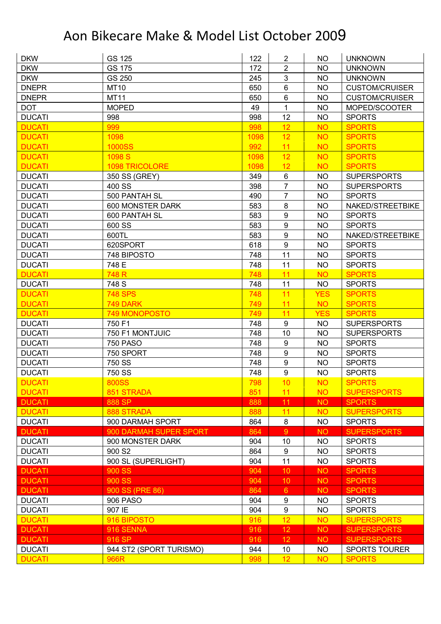| <b>DKW</b>    | GS 125                  | 122  | $\overline{2}$         | <b>NO</b>  | <b>UNKNOWN</b>        |
|---------------|-------------------------|------|------------------------|------------|-----------------------|
| <b>DKW</b>    | <b>GS 175</b>           | 172  | $\overline{2}$         | <b>NO</b>  | <b>UNKNOWN</b>        |
| <b>DKW</b>    | GS 250                  | 245  | 3                      | <b>NO</b>  | <b>UNKNOWN</b>        |
| <b>DNEPR</b>  | <b>MT10</b>             | 650  | $6\phantom{1}$         | <b>NO</b>  | <b>CUSTOM/CRUISER</b> |
| <b>DNEPR</b>  | <b>MT11</b>             | 650  | $6\phantom{1}$         | <b>NO</b>  | <b>CUSTOM/CRUISER</b> |
| <b>DOT</b>    | <b>MOPED</b>            | 49   | $\mathbf{1}$           | <b>NO</b>  | MOPED/SCOOTER         |
| <b>DUCATI</b> | 998                     | 998  | 12                     | <b>NO</b>  | <b>SPORTS</b>         |
| <b>DUCATI</b> | 999                     | 998  | 12                     | <b>NO</b>  | <b>SPORTS</b>         |
| <b>DUCATI</b> | 1098                    | 1098 | 12                     | <b>NO</b>  | <b>SPORTS</b>         |
| <b>DUCATI</b> | <b>1000SS</b>           | 992  | 11                     | <b>NO</b>  | <b>SPORTS</b>         |
| <b>DUCATI</b> | 1098 S                  | 1098 | 12                     | <b>NO</b>  | <b>SPORTS</b>         |
| <b>DUCATI</b> | 1098 TRICOLORE          | 1098 | 12                     | <b>NO</b>  | <b>SPORTS</b>         |
| <b>DUCATI</b> | 350 SS (GREY)           | 349  | $\,6$                  | <b>NO</b>  | <b>SUPERSPORTS</b>    |
| <b>DUCATI</b> | 400 SS                  | 398  | $\overline{7}$         | <b>NO</b>  | <b>SUPERSPORTS</b>    |
| <b>DUCATI</b> | 500 PANTAH SL           | 490  | $\overline{7}$         | <b>NO</b>  | <b>SPORTS</b>         |
| <b>DUCATI</b> | 600 MONSTER DARK        | 583  | 8                      | <b>NO</b>  | NAKED/STREETBIKE      |
| <b>DUCATI</b> | 600 PANTAH SL           | 583  | $\boldsymbol{9}$       | <b>NO</b>  | <b>SPORTS</b>         |
| <b>DUCATI</b> | 600 SS                  | 583  | 9                      | <b>NO</b>  | <b>SPORTS</b>         |
| <b>DUCATI</b> | 600TL                   | 583  | $\boldsymbol{9}$       | <b>NO</b>  | NAKED/STREETBIKE      |
| <b>DUCATI</b> | 620SPORT                | 618  | 9                      | <b>NO</b>  | <b>SPORTS</b>         |
| <b>DUCATI</b> | 748 BIPOSTO             | 748  | 11                     | <b>NO</b>  | <b>SPORTS</b>         |
| <b>DUCATI</b> | 748 E                   | 748  | 11                     | <b>NO</b>  | <b>SPORTS</b>         |
| <b>DUCATI</b> | 748 R                   | 748  | 11                     | <b>NO</b>  | <b>SPORTS</b>         |
| <b>DUCATI</b> | 748 S                   | 748  | 11                     | <b>NO</b>  | <b>SPORTS</b>         |
| <b>DUCATI</b> | <b>748 SPS</b>          | 748  | 11                     | <b>YES</b> | <b>SPORTS</b>         |
| <b>DUCATI</b> | 749 DARK                | 749  | 11                     | <b>NO</b>  | <b>SPORTS</b>         |
| <b>DUCATI</b> | 749 MONOPOSTO           | 749  | 11                     | <b>YES</b> | <b>SPORTS</b>         |
| <b>DUCATI</b> | 750 F1                  | 748  | $\boldsymbol{9}$       | <b>NO</b>  | <b>SUPERSPORTS</b>    |
| <b>DUCATI</b> | 750 F1 MONTJUIC         | 748  | 10                     | <b>NO</b>  | <b>SUPERSPORTS</b>    |
| <b>DUCATI</b> | <b>750 PASO</b>         | 748  | 9                      | <b>NO</b>  | <b>SPORTS</b>         |
| <b>DUCATI</b> | 750 SPORT               | 748  | $\boldsymbol{9}$       | <b>NO</b>  | <b>SPORTS</b>         |
| <b>DUCATI</b> | 750 SS                  | 748  | $\boldsymbol{9}$       | <b>NO</b>  | <b>SPORTS</b>         |
| <b>DUCATI</b> | 750 SS                  | 748  | 9                      | <b>NO</b>  | <b>SPORTS</b>         |
| <b>DUCATI</b> | <b>800SS</b>            | 798  | 10                     | <b>NO</b>  | <b>SPORTS</b>         |
| <b>DUCATI</b> | 851 STRADA              | 851  | 11                     | <b>NO</b>  | <b>SUPERSPORTS</b>    |
| <b>DUCATI</b> | 888 SP                  | 888  | 11                     | <b>NO</b>  | <b>SPORTS</b>         |
| <b>DUCATI</b> | 888 STRADA              | 888  | 11                     | <b>NO</b>  | <b>SUPERSPORTS</b>    |
| <b>DUCATI</b> | 900 DARMAH SPORT        | 864  | $\bf 8$                | <b>NO</b>  | <b>SPORTS</b>         |
| <b>DUCATI</b> | 900 DARMAH SUPER SPORT  | 864  | 9                      | <b>NO</b>  | <b>SUPERSPORTS</b>    |
| <b>DUCATI</b> | 900 MONSTER DARK        | 904  |                        | <b>NO</b>  | <b>SPORTS</b>         |
| <b>DUCATI</b> | 900 S <sub>2</sub>      | 864  | 10<br>$\boldsymbol{9}$ | <b>NO</b>  | <b>SPORTS</b>         |
|               | 900 SL (SUPERLIGHT)     |      | 11                     |            |                       |
| <b>DUCATI</b> |                         | 904  |                        | <b>NO</b>  | <b>SPORTS</b>         |
| <b>DUCATI</b> | 900 SS                  | 904  | 10                     | <b>NO</b>  | <b>SPORTS</b>         |
| <b>DUCATI</b> | 900 SS                  | 904  | 10                     | <b>NO</b>  | <b>SPORTS</b>         |
| <b>DUCATI</b> | 900 SS (PRE 86)         | 864  | 6 <sup>°</sup>         | <b>NO</b>  | <b>SPORTS</b>         |
| <b>DUCATI</b> | 906 PASO                | 904  | 9                      | <b>NO</b>  | <b>SPORTS</b>         |
| <b>DUCATI</b> | 907 IE                  | 904  | $\boldsymbol{9}$       | <b>NO</b>  | <b>SPORTS</b>         |
| <b>DUCATI</b> | 916 BIPOSTO             | 916  | 12                     | <b>NO</b>  | <b>SUPERSPORTS</b>    |
| <b>DUCATI</b> | 916 SENNA               | 916  | 12                     | <b>NO</b>  | <b>SUPERSPORTS</b>    |
| <b>DUCATI</b> | 916 SP                  | 916  | 12                     | <b>NO</b>  | <b>SUPERSPORTS</b>    |
| <b>DUCATI</b> | 944 ST2 (SPORT TURISMO) | 944  | 10                     | <b>NO</b>  | SPORTS TOURER         |
| <b>DUCATI</b> | 966R                    | 998  | 12                     | <b>NO</b>  | <b>SPORTS</b>         |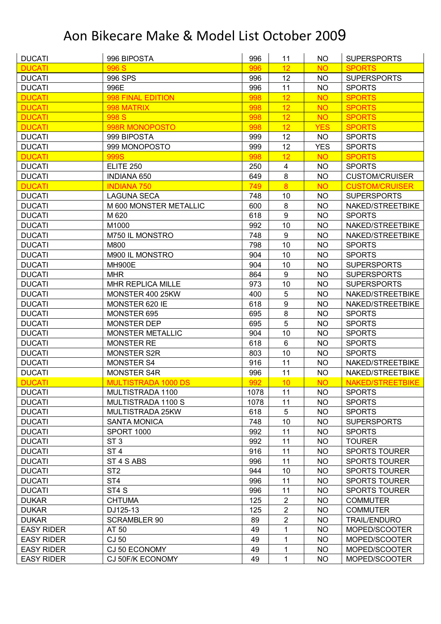| <b>DUCATI</b>     | 996 BIPOSTA              | 996        | 11                               | <b>NO</b>              | <b>SUPERSPORTS</b>    |
|-------------------|--------------------------|------------|----------------------------------|------------------------|-----------------------|
| <b>DUCATI</b>     | 996 S                    | 996        | 12 <sub>2</sub>                  | <b>NO</b>              | <b>SPORTS</b>         |
| <b>DUCATI</b>     | 996 SPS                  | 996        | 12                               | <b>NO</b>              | <b>SUPERSPORTS</b>    |
| <b>DUCATI</b>     | 996E                     | 996        | 11                               | <b>NO</b>              | <b>SPORTS</b>         |
| <b>DUCATI</b>     | 998 FINAL EDITION        | 998        | 12                               | <b>NO</b>              | <b>SPORTS</b>         |
| <b>DUCATI</b>     | 998 MATRIX               | 998        | 12 <sub>2</sub>                  | <b>NO</b>              | <b>SPORTS</b>         |
| <b>DUCATI</b>     | 998 S                    | 998        | 12                               | <b>NO</b>              | <b>SPORTS</b>         |
| <b>DUCATI</b>     | 998R MONOPOSTO           | 998        | 12                               | <b>YES</b>             | <b>SPORTS</b>         |
| <b>DUCATI</b>     | 999 BIPOSTA              | 999        | 12                               | <b>NO</b>              | <b>SPORTS</b>         |
| <b>DUCATI</b>     | 999 MONOPOSTO            | 999        | 12                               | <b>YES</b>             | <b>SPORTS</b>         |
| <b>DUCATI</b>     | 999S                     | 998        | 12 <sub>2</sub>                  | <b>NO</b>              | <b>SPORTS</b>         |
| <b>DUCATI</b>     | <b>ELITE 250</b>         | 250        | $\overline{4}$                   | <b>NO</b>              | <b>SPORTS</b>         |
| <b>DUCATI</b>     | <b>INDIANA 650</b>       | 649        | 8                                | <b>NO</b>              | <b>CUSTOM/CRUISER</b> |
| <b>DUCATI</b>     | <b>INDIANA 750</b>       | 749        | $\overline{8}$                   | <b>NO</b>              | <b>CUSTOM/CRUISER</b> |
| <b>DUCATI</b>     | <b>LAGUNA SECA</b>       | 748        | 10                               | <b>NO</b>              | <b>SUPERSPORTS</b>    |
| <b>DUCATI</b>     | M 600 MONSTER METALLIC   | 600        | 8                                | <b>NO</b>              | NAKED/STREETBIKE      |
| <b>DUCATI</b>     | M 620                    | 618        | 9                                | <b>NO</b>              | <b>SPORTS</b>         |
| <b>DUCATI</b>     | M1000                    | 992        | 10                               | <b>NO</b>              | NAKED/STREETBIKE      |
| <b>DUCATI</b>     | M750 IL MONSTRO          | 748        | $\boldsymbol{9}$                 | <b>NO</b>              | NAKED/STREETBIKE      |
| <b>DUCATI</b>     | M800                     | 798        | 10                               | <b>NO</b>              | <b>SPORTS</b>         |
| <b>DUCATI</b>     | M900 IL MONSTRO          | 904        | 10                               | <b>NO</b>              | <b>SPORTS</b>         |
| <b>DUCATI</b>     | <b>MH900E</b>            | 904        | 10                               | <b>NO</b>              | <b>SUPERSPORTS</b>    |
| <b>DUCATI</b>     | <b>MHR</b>               | 864        | 9                                | <b>NO</b>              | <b>SUPERSPORTS</b>    |
| <b>DUCATI</b>     | MHR REPLICA MILLE        | 973        | 10                               | <b>NO</b>              | <b>SUPERSPORTS</b>    |
| <b>DUCATI</b>     | MONSTER 400 25KW         | 400        | 5                                | <b>NO</b>              | NAKED/STREETBIKE      |
| <b>DUCATI</b>     | MONSTER 620 IE           | 618        | 9                                | <b>NO</b>              | NAKED/STREETBIKE      |
| <b>DUCATI</b>     | MONSTER 695              | 695        | 8                                | <b>NO</b>              | <b>SPORTS</b>         |
| <b>DUCATI</b>     | MONSTER DEP              | 695        | 5                                | <b>NO</b>              | <b>SPORTS</b>         |
| <b>DUCATI</b>     | <b>MONSTER METALLIC</b>  | 904        | 10                               | <b>NO</b>              | <b>SPORTS</b>         |
| <b>DUCATI</b>     | <b>MONSTER RE</b>        | 618        | $6\phantom{a}$                   | <b>NO</b>              | <b>SPORTS</b>         |
| <b>DUCATI</b>     | <b>MONSTER S2R</b>       | 803        | 10                               | <b>NO</b>              | <b>SPORTS</b>         |
| <b>DUCATI</b>     | <b>MONSTER S4</b>        | 916        | 11                               | <b>NO</b>              | NAKED/STREETBIKE      |
| <b>DUCATI</b>     | <b>MONSTER S4R</b>       | 996        | 11                               | <b>NO</b>              | NAKED/STREETBIKE      |
| <b>DUCATI</b>     | MULTISTRADA 1000 DS      | 992        | 10 <sup>1</sup>                  | <b>NO</b>              | NAKED/STREETBIKE      |
| <b>DUCATI</b>     | MULTISTRADA 1100         | 1078       | 11                               | NO                     | <b>SPORTS</b>         |
| <b>DUCATI</b>     | MULTISTRADA 1100 S       | 1078       | 11                               | <b>NO</b>              | <b>SPORTS</b>         |
| <b>DUCATI</b>     | MULTISTRADA 25KW         | 618        | $\sqrt{5}$                       | <b>NO</b>              | <b>SPORTS</b>         |
| <b>DUCATI</b>     | <b>SANTA MONICA</b>      | 748        | 10                               | <b>NO</b>              | <b>SUPERSPORTS</b>    |
| <b>DUCATI</b>     | <b>SPORT 1000</b>        | 992        | 11                               | <b>NO</b>              | <b>SPORTS</b>         |
| <b>DUCATI</b>     | ST <sub>3</sub>          | 992        | 11                               | <b>NO</b>              | <b>TOURER</b>         |
| <b>DUCATI</b>     | ST <sub>4</sub>          | 916        | 11                               | <b>NO</b>              | <b>SPORTS TOURER</b>  |
| <b>DUCATI</b>     | ST 4 S ABS               | 996        | 11                               | <b>NO</b>              | <b>SPORTS TOURER</b>  |
| <b>DUCATI</b>     | ST <sub>2</sub>          | 944        | 10                               |                        | <b>SPORTS TOURER</b>  |
|                   |                          |            | 11                               | <b>NO</b>              |                       |
| <b>DUCATI</b>     | ST <sub>4</sub><br>ST4 S | 996<br>996 | 11                               | <b>NO</b><br><b>NO</b> | <b>SPORTS TOURER</b>  |
| <b>DUCATI</b>     |                          |            |                                  |                        | <b>SPORTS TOURER</b>  |
| <b>DUKAR</b>      | <b>CHTUMA</b>            | 125        | $\overline{2}$                   | <b>NO</b>              | <b>COMMUTER</b>       |
| <b>DUKAR</b>      | DJ125-13                 | 125        | $\overline{2}$<br>$\overline{2}$ | <b>NO</b>              | <b>COMMUTER</b>       |
| <b>DUKAR</b>      | <b>SCRAMBLER 90</b>      | 89         |                                  | <b>NO</b>              | <b>TRAIL/ENDURO</b>   |
| <b>EASY RIDER</b> | AT 50                    | 49         | 1                                | <b>NO</b>              | MOPED/SCOOTER         |
| <b>EASY RIDER</b> | CJ 50                    | 49         | 1                                | <b>NO</b>              | MOPED/SCOOTER         |
| <b>EASY RIDER</b> | CJ 50 ECONOMY            | 49         | 1                                | <b>NO</b>              | MOPED/SCOOTER         |
| <b>EASY RIDER</b> | CJ 50F/K ECONOMY         | 49         | 1                                | <b>NO</b>              | MOPED/SCOOTER         |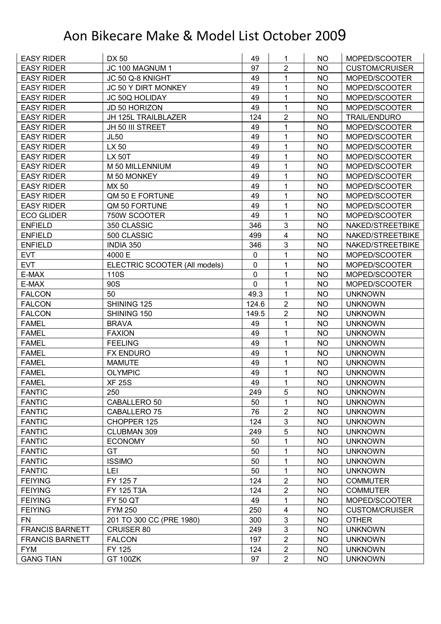| <b>EASY RIDER</b>      | DX 50                         | 49          | 1                       | NO        | MOPED/SCOOTER         |
|------------------------|-------------------------------|-------------|-------------------------|-----------|-----------------------|
| <b>EASY RIDER</b>      | JC 100 MAGNUM 1               | 97          | $\overline{2}$          | <b>NO</b> | <b>CUSTOM/CRUISER</b> |
| <b>EASY RIDER</b>      | JC 50 Q-8 KNIGHT              | 49          | 1                       | <b>NO</b> | MOPED/SCOOTER         |
| <b>EASY RIDER</b>      | JC 50 Y DIRT MONKEY           | 49          | 1                       | <b>NO</b> | MOPED/SCOOTER         |
| <b>EASY RIDER</b>      | JC 50Q HOLIDAY                | 49          | 1                       | <b>NO</b> | MOPED/SCOOTER         |
| <b>EASY RIDER</b>      | JD 50 HORIZON                 | 49          | 1                       | NO        | MOPED/SCOOTER         |
| <b>EASY RIDER</b>      | JH 125L TRAILBLAZER           | 124         | $\overline{2}$          | <b>NO</b> | <b>TRAIL/ENDURO</b>   |
| <b>EASY RIDER</b>      | JH 50 III STREET              | 49          | 1                       | <b>NO</b> | MOPED/SCOOTER         |
| <b>EASY RIDER</b>      | <b>JL50</b>                   | 49          | 1                       | <b>NO</b> | MOPED/SCOOTER         |
| <b>EASY RIDER</b>      | LX 50                         | 49          | 1                       | <b>NO</b> | MOPED/SCOOTER         |
| <b>EASY RIDER</b>      | <b>LX 50T</b>                 | 49          | 1                       | NO        | MOPED/SCOOTER         |
| <b>EASY RIDER</b>      | M 50 MILLENNIUM               | 49          | 1                       | <b>NO</b> | MOPED/SCOOTER         |
| <b>EASY RIDER</b>      | M 50 MONKEY                   | 49          | 1                       | <b>NO</b> | MOPED/SCOOTER         |
| <b>EASY RIDER</b>      | MX 50                         | 49          | 1                       | <b>NO</b> | MOPED/SCOOTER         |
| <b>EASY RIDER</b>      | QM 50 E FORTUNE               | 49          | 1                       | <b>NO</b> | MOPED/SCOOTER         |
| <b>EASY RIDER</b>      | QM 50 FORTUNE                 | 49          | 1                       | <b>NO</b> | MOPED/SCOOTER         |
| <b>ECO GLIDER</b>      | 750W SCOOTER                  | 49          | 1                       | <b>NO</b> | MOPED/SCOOTER         |
| <b>ENFIELD</b>         | 350 CLASSIC                   | 346         | 3                       | <b>NO</b> | NAKED/STREETBIKE      |
| <b>ENFIELD</b>         | 500 CLASSIC                   | 499         | 4                       | <b>NO</b> | NAKED/STREETBIKE      |
| <b>ENFIELD</b>         | INDIA 350                     | 346         | 3                       | <b>NO</b> | NAKED/STREETBIKE      |
| <b>EVT</b>             | 4000 E                        | $\mathbf 0$ | 1                       | <b>NO</b> | MOPED/SCOOTER         |
| <b>EVT</b>             | ELECTRIC SCOOTER (All models) | $\mathbf 0$ | 1                       | <b>NO</b> | MOPED/SCOOTER         |
| E-MAX                  | 110S                          | 0           | 1                       | <b>NO</b> | MOPED/SCOOTER         |
| E-MAX                  | 90S                           | $\mathbf 0$ | 1                       | <b>NO</b> | MOPED/SCOOTER         |
| <b>FALCON</b>          | 50                            | 49.3        | 1                       | NO        | <b>UNKNOWN</b>        |
| <b>FALCON</b>          | SHINING 125                   | 124.6       | $\overline{2}$          | <b>NO</b> | <b>UNKNOWN</b>        |
| <b>FALCON</b>          | SHINING 150                   | 149.5       | $\overline{2}$          | <b>NO</b> | <b>UNKNOWN</b>        |
| <b>FAMEL</b>           | <b>BRAVA</b>                  | 49          | 1                       | <b>NO</b> | <b>UNKNOWN</b>        |
| <b>FAMEL</b>           | <b>FAXION</b>                 | 49          | 1                       | <b>NO</b> | <b>UNKNOWN</b>        |
| <b>FAMEL</b>           | <b>FEELING</b>                | 49          | 1                       | <b>NO</b> | <b>UNKNOWN</b>        |
| <b>FAMEL</b>           | <b>FX ENDURO</b>              | 49          | 1                       | <b>NO</b> | <b>UNKNOWN</b>        |
| <b>FAMEL</b>           | <b>MAMUTE</b>                 | 49          | 1                       | <b>NO</b> | <b>UNKNOWN</b>        |
| <b>FAMEL</b>           | <b>OLYMPIC</b>                | 49          | 1                       | <b>NO</b> | <b>UNKNOWN</b>        |
| <b>FAMEL</b>           | <b>XF 25S</b>                 | 49          | 1                       | <b>NO</b> | <b>UNKNOWN</b>        |
| <b>FANTIC</b>          | 250                           | 249         | 5                       | NO        | <b>UNKNOWN</b>        |
| <b>FANTIC</b>          | CABALLERO 50                  | 50          | 1                       | <b>NO</b> | <b>UNKNOWN</b>        |
| <b>FANTIC</b>          | CABALLERO 75                  | 76          | $\overline{2}$          | <b>NO</b> | <b>UNKNOWN</b>        |
| <b>FANTIC</b>          | CHOPPER 125                   | 124         | $\mathbf{3}$            | <b>NO</b> | <b>UNKNOWN</b>        |
| <b>FANTIC</b>          | CLUBMAN 309                   | 249         | 5                       | <b>NO</b> | <b>UNKNOWN</b>        |
| <b>FANTIC</b>          | <b>ECONOMY</b>                | 50          | 1                       | <b>NO</b> | <b>UNKNOWN</b>        |
| <b>FANTIC</b>          | GT                            | 50          | 1                       | <b>NO</b> | <b>UNKNOWN</b>        |
| <b>FANTIC</b>          | <b>ISSIMO</b>                 | 50          | 1                       | <b>NO</b> | <b>UNKNOWN</b>        |
| <b>FANTIC</b>          | LEI                           | 50          | 1                       | <b>NO</b> | <b>UNKNOWN</b>        |
| <b>FEIYING</b>         | FY 1257                       | 124         | $\overline{\mathbf{c}}$ | <b>NO</b> | <b>COMMUTER</b>       |
| <b>FEIYING</b>         | FY 125 T3A                    | 124         | $\overline{2}$          | <b>NO</b> | <b>COMMUTER</b>       |
| <b>FEIYING</b>         | <b>FY 50 QT</b>               | 49          | 1                       | <b>NO</b> | MOPED/SCOOTER         |
| <b>FEIYING</b>         | <b>FYM 250</b>                | 250         | $\overline{\mathbf{4}}$ | <b>NO</b> | <b>CUSTOM/CRUISER</b> |
| <b>FN</b>              | 201 TO 300 CC (PRE 1980)      | 300         | $\mathbf{3}$            | <b>NO</b> | <b>OTHER</b>          |
| <b>FRANCIS BARNETT</b> | <b>CRUISER 80</b>             | 249         | $\mathfrak{B}$          | <b>NO</b> | <b>UNKNOWN</b>        |
| <b>FRANCIS BARNETT</b> | <b>FALCON</b>                 | 197         | $\overline{2}$          | <b>NO</b> | <b>UNKNOWN</b>        |
| <b>FYM</b>             | FY 125                        | 124         | $\overline{2}$          | <b>NO</b> | <b>UNKNOWN</b>        |
|                        |                               |             |                         |           |                       |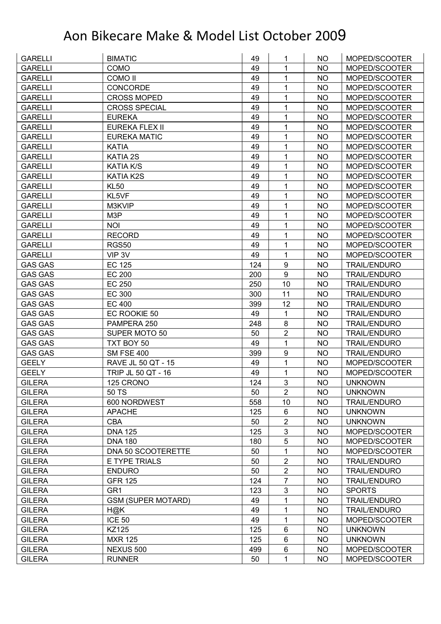| <b>GARELLI</b> | <b>BIMATIC</b>            | 49  | 1                | NO.       | MOPED/SCOOTER       |
|----------------|---------------------------|-----|------------------|-----------|---------------------|
| <b>GARELLI</b> | COMO                      | 49  | 1                | <b>NO</b> | MOPED/SCOOTER       |
| <b>GARELLI</b> | <b>COMO II</b>            | 49  | 1                | <b>NO</b> | MOPED/SCOOTER       |
| <b>GARELLI</b> | <b>CONCORDE</b>           | 49  | 1                | <b>NO</b> | MOPED/SCOOTER       |
| <b>GARELLI</b> | <b>CROSS MOPED</b>        | 49  | 1                | <b>NO</b> | MOPED/SCOOTER       |
| <b>GARELLI</b> | <b>CROSS SPECIAL</b>      | 49  | 1                | <b>NO</b> | MOPED/SCOOTER       |
| <b>GARELLI</b> | <b>EUREKA</b>             | 49  | 1                | <b>NO</b> | MOPED/SCOOTER       |
| <b>GARELLI</b> | <b>EUREKA FLEX II</b>     | 49  | 1                | <b>NO</b> | MOPED/SCOOTER       |
| <b>GARELLI</b> | <b>EUREKA MATIC</b>       | 49  | 1                | <b>NO</b> | MOPED/SCOOTER       |
| <b>GARELLI</b> | <b>KATIA</b>              | 49  | 1                | <b>NO</b> | MOPED/SCOOTER       |
| <b>GARELLI</b> | <b>KATIA 2S</b>           | 49  | 1                | <b>NO</b> | MOPED/SCOOTER       |
| <b>GARELLI</b> | <b>KATIA K/S</b>          | 49  | 1                | <b>NO</b> | MOPED/SCOOTER       |
| <b>GARELLI</b> | KATIA K2S                 | 49  | 1                | <b>NO</b> | MOPED/SCOOTER       |
| <b>GARELLI</b> | <b>KL50</b>               | 49  | 1                | <b>NO</b> | MOPED/SCOOTER       |
| <b>GARELLI</b> | KL5VF                     | 49  | 1                | <b>NO</b> | MOPED/SCOOTER       |
| <b>GARELLI</b> | M3KVIP                    | 49  | 1                | <b>NO</b> | MOPED/SCOOTER       |
| <b>GARELLI</b> | M3P                       | 49  | 1                | <b>NO</b> | MOPED/SCOOTER       |
| <b>GARELLI</b> | <b>NOI</b>                | 49  | 1                | <b>NO</b> | MOPED/SCOOTER       |
| <b>GARELLI</b> | <b>RECORD</b>             | 49  | 1                | <b>NO</b> | MOPED/SCOOTER       |
| <b>GARELLI</b> | <b>RGS50</b>              | 49  | 1                | <b>NO</b> | MOPED/SCOOTER       |
| <b>GARELLI</b> | VIP 3V                    | 49  | 1                | <b>NO</b> | MOPED/SCOOTER       |
| <b>GAS GAS</b> | <b>EC 125</b>             | 124 | $\boldsymbol{9}$ | <b>NO</b> | <b>TRAIL/ENDURO</b> |
| <b>GAS GAS</b> | <b>EC 200</b>             | 200 | $\boldsymbol{9}$ | <b>NO</b> | <b>TRAIL/ENDURO</b> |
| <b>GAS GAS</b> | <b>EC 250</b>             | 250 | 10               | <b>NO</b> | <b>TRAIL/ENDURO</b> |
| <b>GAS GAS</b> | <b>EC 300</b>             | 300 | 11               | <b>NO</b> | <b>TRAIL/ENDURO</b> |
| <b>GAS GAS</b> | <b>EC 400</b>             | 399 | 12               | <b>NO</b> | <b>TRAIL/ENDURO</b> |
| <b>GAS GAS</b> | EC ROOKIE 50              | 49  | $\mathbf 1$      | <b>NO</b> | <b>TRAIL/ENDURO</b> |
| <b>GAS GAS</b> | PAMPERA 250               | 248 | 8                | <b>NO</b> | <b>TRAIL/ENDURO</b> |
| <b>GAS GAS</b> | <b>SUPER MOTO 50</b>      | 50  | $\overline{2}$   | <b>NO</b> | <b>TRAIL/ENDURO</b> |
| <b>GAS GAS</b> | TXT BOY 50                | 49  | 1                | NO        | <b>TRAIL/ENDURO</b> |
| <b>GAS GAS</b> | <b>SM FSE 400</b>         | 399 | $\boldsymbol{9}$ | <b>NO</b> | <b>TRAIL/ENDURO</b> |
| <b>GEELY</b>   | RAVE JL 50 QT - 15        | 49  | $\mathbf 1$      | <b>NO</b> | MOPED/SCOOTER       |
| <b>GEELY</b>   | TRIP JL 50 QT - 16        | 49  | 1                | <b>NO</b> | MOPED/SCOOTER       |
| <b>GILERA</b>  | 125 CRONO                 | 124 | 3                | <b>NO</b> | <b>UNKNOWN</b>      |
| <b>GILERA</b>  | 50 TS                     | 50  | $\overline{2}$   | <b>NO</b> | <b>UNKNOWN</b>      |
| <b>GILERA</b>  | 600 NORDWEST              | 558 | 10               | <b>NO</b> | <b>TRAIL/ENDURO</b> |
| <b>GILERA</b>  | <b>APACHE</b>             | 125 | 6                | <b>NO</b> | <b>UNKNOWN</b>      |
| <b>GILERA</b>  | <b>CBA</b>                | 50  | $\mathbf 2$      | <b>NO</b> | <b>UNKNOWN</b>      |
| <b>GILERA</b>  | <b>DNA 125</b>            | 125 | $\mathbf{3}$     | <b>NO</b> | MOPED/SCOOTER       |
| <b>GILERA</b>  | <b>DNA 180</b>            | 180 | 5                | <b>NO</b> | MOPED/SCOOTER       |
| <b>GILERA</b>  | DNA 50 SCOOTERETTE        | 50  | 1                | <b>NO</b> | MOPED/SCOOTER       |
| <b>GILERA</b>  | E TYPE TRIALS             | 50  | $\overline{c}$   | <b>NO</b> | <b>TRAIL/ENDURO</b> |
| <b>GILERA</b>  | <b>ENDURO</b>             | 50  | $\overline{2}$   | <b>NO</b> | <b>TRAIL/ENDURO</b> |
| <b>GILERA</b>  | <b>GFR 125</b>            | 124 | $\overline{7}$   | <b>NO</b> | <b>TRAIL/ENDURO</b> |
| <b>GILERA</b>  | GR <sub>1</sub>           | 123 | $\mathbf{3}$     | <b>NO</b> | <b>SPORTS</b>       |
| <b>GILERA</b>  | <b>GSM (SUPER MOTARD)</b> | 49  | 1                | <b>NO</b> | <b>TRAIL/ENDURO</b> |
| <b>GILERA</b>  | H@K                       | 49  | 1                | <b>NO</b> | <b>TRAIL/ENDURO</b> |
| <b>GILERA</b>  | <b>ICE 50</b>             | 49  | $\mathbf 1$      | <b>NO</b> | MOPED/SCOOTER       |
| <b>GILERA</b>  | KZ125                     | 125 | $\,6$            | <b>NO</b> | <b>UNKNOWN</b>      |
| <b>GILERA</b>  | <b>MXR 125</b>            | 125 | 6                | <b>NO</b> | <b>UNKNOWN</b>      |
| <b>GILERA</b>  | NEXUS 500                 | 499 | $\,6$            | <b>NO</b> | MOPED/SCOOTER       |
| <b>GILERA</b>  | <b>RUNNER</b>             | 50  | 1                | <b>NO</b> | MOPED/SCOOTER       |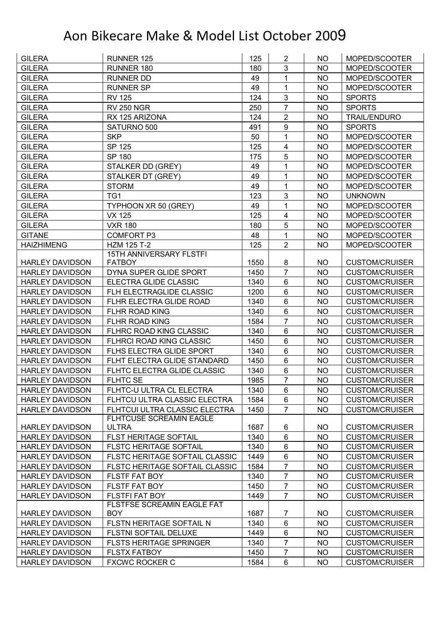| <b>GILERA</b>          | <b>RUNNER 125</b>                               | 125  | $\overline{2}$          | NO        | MOPED/SCOOTER         |
|------------------------|-------------------------------------------------|------|-------------------------|-----------|-----------------------|
| <b>GILERA</b>          | RUNNER 180                                      | 180  | 3                       | <b>NO</b> | MOPED/SCOOTER         |
| <b>GILERA</b>          | <b>RUNNER DD</b>                                | 49   | 1                       | <b>NO</b> | MOPED/SCOOTER         |
| <b>GILERA</b>          | <b>RUNNER SP</b>                                | 49   | $\mathbf{1}$            | <b>NO</b> | MOPED/SCOOTER         |
| <b>GILERA</b>          | <b>RV 125</b>                                   | 124  | 3                       | <b>NO</b> | <b>SPORTS</b>         |
| <b>GILERA</b>          | <b>RV 250 NGR</b>                               | 250  | $\overline{7}$          | NO        | <b>SPORTS</b>         |
| <b>GILERA</b>          | RX 125 ARIZONA                                  | 124  | $\overline{2}$          | <b>NO</b> | <b>TRAIL/ENDURO</b>   |
| <b>GILERA</b>          | SATURNO 500                                     | 491  | 9                       | <b>NO</b> | <b>SPORTS</b>         |
| <b>GILERA</b>          | <b>SKP</b>                                      | 50   | 1                       | <b>NO</b> | MOPED/SCOOTER         |
| <b>GILERA</b>          | SP 125                                          | 125  | $\overline{\mathbf{4}}$ | <b>NO</b> | MOPED/SCOOTER         |
| <b>GILERA</b>          | SP 180                                          | 175  | 5                       | <b>NO</b> | MOPED/SCOOTER         |
| <b>GILERA</b>          | STALKER DD (GREY)                               | 49   | 1                       | <b>NO</b> | MOPED/SCOOTER         |
| <b>GILERA</b>          | STALKER DT (GREY)                               | 49   | 1                       | <b>NO</b> | MOPED/SCOOTER         |
| <b>GILERA</b>          | <b>STORM</b>                                    | 49   | 1                       | <b>NO</b> | MOPED/SCOOTER         |
| <b>GILERA</b>          | TG1                                             | 123  | 3                       | <b>NO</b> | <b>UNKNOWN</b>        |
|                        |                                                 |      | 1                       |           | MOPED/SCOOTER         |
| <b>GILERA</b>          | TYPHOON XR 50 (GREY)                            | 49   |                         | <b>NO</b> |                       |
| <b>GILERA</b>          | <b>VX 125</b>                                   | 125  | $\overline{\mathbf{4}}$ | <b>NO</b> | MOPED/SCOOTER         |
| <b>GILERA</b>          | <b>VXR 180</b>                                  | 180  | 5                       | <b>NO</b> | MOPED/SCOOTER         |
| <b>GITANE</b>          | <b>COMFORT P3</b>                               | 48   | $\mathbf 1$             | <b>NO</b> | MOPED/SCOOTER         |
| <b>HAIZHIMENG</b>      | HZM 125 T-2                                     | 125  | $\overline{2}$          | <b>NO</b> | MOPED/SCOOTER         |
| <b>HARLEY DAVIDSON</b> | <b>15TH ANNIVERSARY FLSTFI</b><br><b>FATBOY</b> |      |                         |           | <b>CUSTOM/CRUISER</b> |
|                        |                                                 | 1550 | 8                       | <b>NO</b> |                       |
| <b>HARLEY DAVIDSON</b> | DYNA SUPER GLIDE SPORT                          | 1450 | $\overline{7}$          | <b>NO</b> | <b>CUSTOM/CRUISER</b> |
| <b>HARLEY DAVIDSON</b> | ELECTRA GLIDE CLASSIC                           | 1340 | 6                       | <b>NO</b> | <b>CUSTOM/CRUISER</b> |
| <b>HARLEY DAVIDSON</b> | FLH ELECTRAGLIDE CLASSIC                        | 1200 | 6                       | <b>NO</b> | <b>CUSTOM/CRUISER</b> |
| <b>HARLEY DAVIDSON</b> | FLHR ELECTRA GLIDE ROAD                         | 1340 | 6                       | <b>NO</b> | <b>CUSTOM/CRUISER</b> |
| <b>HARLEY DAVIDSON</b> | FLHR ROAD KING                                  | 1340 | 6                       | <b>NO</b> | <b>CUSTOM/CRUISER</b> |
| <b>HARLEY DAVIDSON</b> | FLHR ROAD KING                                  | 1584 | $\overline{7}$          | <b>NO</b> | <b>CUSTOM/CRUISER</b> |
| <b>HARLEY DAVIDSON</b> | FLHRC ROAD KING CLASSIC                         | 1340 | 6                       | <b>NO</b> | <b>CUSTOM/CRUISER</b> |
| <b>HARLEY DAVIDSON</b> | FLHRCI ROAD KING CLASSIC                        | 1450 | 6                       | <b>NO</b> | <b>CUSTOM/CRUISER</b> |
| <b>HARLEY DAVIDSON</b> | FLHS ELECTRA GLIDE SPORT                        | 1340 | 6                       | <b>NO</b> | <b>CUSTOM/CRUISER</b> |
| <b>HARLEY DAVIDSON</b> | FLHT ELECTRA GLIDE STANDARD                     | 1450 | 6                       | <b>NO</b> | <b>CUSTOM/CRUISER</b> |
| <b>HARLEY DAVIDSON</b> | FLHTC ELECTRA GLIDE CLASSIC                     | 1340 | 6                       | <b>NO</b> | <b>CUSTOM/CRUISER</b> |
| <b>HARLEY DAVIDSON</b> | <b>FLHTC SE</b>                                 | 1985 | $\overline{7}$          | <b>NO</b> | <b>CUSTOM/CRUISER</b> |
| <b>HARLEY DAVIDSON</b> | FLHTC-U ULTRA CL ELECTRA                        | 1340 | 6                       | <b>NO</b> | <b>CUSTOM/CRUISER</b> |
| <b>HARLEY DAVIDSON</b> | FLHTCU ULTRA CLASSIC ELECTRA                    | 1584 | 6                       | <b>NO</b> | <b>CUSTOM/CRUISER</b> |
| <b>HARLEY DAVIDSON</b> | FLHTCUI ULTRA CLASSIC ELECTRA                   | 1450 | $\overline{7}$          | <b>NO</b> | <b>CUSTOM/CRUISER</b> |
|                        | <b>FLHTCUSE SCREAMIN EAGLE</b>                  |      |                         |           |                       |
| <b>HARLEY DAVIDSON</b> | <b>ULTRA</b>                                    | 1687 | 6                       | NO.       | <b>CUSTOM/CRUISER</b> |
| <b>HARLEY DAVIDSON</b> | <b>FLST HERITAGE SOFTAIL</b>                    | 1340 | 6                       | <b>NO</b> | <b>CUSTOM/CRUISER</b> |
| <b>HARLEY DAVIDSON</b> | FLSTC HERITAGE SOFTAIL                          | 1340 | 6                       | <b>NO</b> | <b>CUSTOM/CRUISER</b> |
| <b>HARLEY DAVIDSON</b> | FLSTC HERITAGE SOFTAIL CLASSIC                  | 1449 | 6                       | <b>NO</b> | <b>CUSTOM/CRUISER</b> |
| <b>HARLEY DAVIDSON</b> | FLSTC HERITAGE SOFTAIL CLASSIC                  | 1584 | $\overline{7}$          | <b>NO</b> | <b>CUSTOM/CRUISER</b> |
| <b>HARLEY DAVIDSON</b> | FLSTF FAT BOY                                   | 1340 | $\overline{7}$          | <b>NO</b> | <b>CUSTOM/CRUISER</b> |
| <b>HARLEY DAVIDSON</b> | FLSTF FAT BOY                                   | 1450 | $\overline{7}$          | <b>NO</b> | <b>CUSTOM/CRUISER</b> |
| <b>HARLEY DAVIDSON</b> | FLSTFI FAT BOY                                  | 1449 | $\overline{7}$          | <b>NO</b> | <b>CUSTOM/CRUISER</b> |
|                        | FLSTFSE SCREAMIN EAGLE FAT                      |      |                         |           |                       |
| <b>HARLEY DAVIDSON</b> | <b>BOY</b>                                      | 1687 | $\overline{7}$          | <b>NO</b> | <b>CUSTOM/CRUISER</b> |
| <b>HARLEY DAVIDSON</b> | FLSTN HERITAGE SOFTAIL N                        | 1340 | 6                       | <b>NO</b> | <b>CUSTOM/CRUISER</b> |
| <b>HARLEY DAVIDSON</b> | FLSTNI SOFTAIL DELUXE                           | 1449 | 6                       | <b>NO</b> | <b>CUSTOM/CRUISER</b> |
| <b>HARLEY DAVIDSON</b> | <b>FLSTS HERITAGE SPRINGER</b>                  | 1340 | $\overline{7}$          | <b>NO</b> | <b>CUSTOM/CRUISER</b> |
| <b>HARLEY DAVIDSON</b> | <b>FLSTX FATBOY</b>                             | 1450 | $\overline{7}$          | <b>NO</b> | <b>CUSTOM/CRUISER</b> |
| <b>HARLEY DAVIDSON</b> | <b>FXCWC ROCKER C</b>                           | 1584 | 6                       | <b>NO</b> | <b>CUSTOM/CRUISER</b> |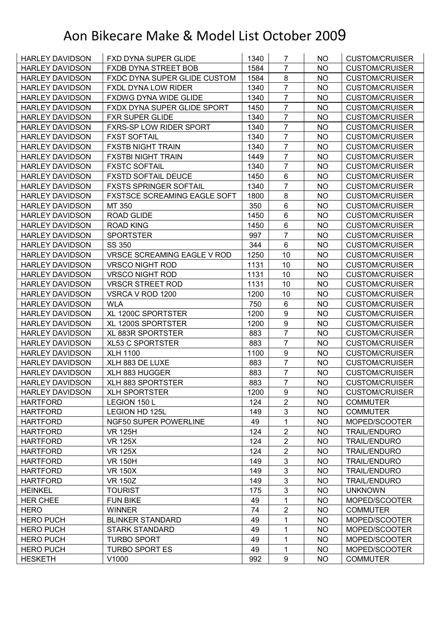| <b>HARLEY DAVIDSON</b> | <b>FXD DYNA SUPER GLIDE</b>         | 1340 | $\overline{7}$   | NO.       | <b>CUSTOM/CRUISER</b> |
|------------------------|-------------------------------------|------|------------------|-----------|-----------------------|
| <b>HARLEY DAVIDSON</b> | FXDB DYNA STREET BOB                | 1584 | $\overline{7}$   | <b>NO</b> | <b>CUSTOM/CRUISER</b> |
| <b>HARLEY DAVIDSON</b> | <b>FXDC DYNA SUPER GLIDE CUSTOM</b> | 1584 | 8                | <b>NO</b> | <b>CUSTOM/CRUISER</b> |
| <b>HARLEY DAVIDSON</b> | <b>FXDL DYNA LOW RIDER</b>          | 1340 | $\overline{7}$   | NO.       | <b>CUSTOM/CRUISER</b> |
| <b>HARLEY DAVIDSON</b> | FXDWG DYNA WIDE GLIDE               | 1340 | $\overline{7}$   | <b>NO</b> | <b>CUSTOM/CRUISER</b> |
| <b>HARLEY DAVIDSON</b> | FXDX DYNA SUPER GLIDE SPORT         | 1450 | $\overline{7}$   | <b>NO</b> | <b>CUSTOM/CRUISER</b> |
| <b>HARLEY DAVIDSON</b> | <b>FXR SUPER GLIDE</b>              | 1340 | $\overline{7}$   | NO.       | <b>CUSTOM/CRUISER</b> |
| <b>HARLEY DAVIDSON</b> | <b>FXRS-SP LOW RIDER SPORT</b>      | 1340 | $\overline{7}$   | <b>NO</b> | <b>CUSTOM/CRUISER</b> |
| <b>HARLEY DAVIDSON</b> | <b>FXST SOFTAIL</b>                 | 1340 | $\overline{7}$   | <b>NO</b> | <b>CUSTOM/CRUISER</b> |
| <b>HARLEY DAVIDSON</b> | <b>FXSTB NIGHT TRAIN</b>            | 1340 | $\overline{7}$   | <b>NO</b> | <b>CUSTOM/CRUISER</b> |
| <b>HARLEY DAVIDSON</b> | <b>FXSTBI NIGHT TRAIN</b>           | 1449 | $\overline{7}$   | <b>NO</b> | <b>CUSTOM/CRUISER</b> |
| <b>HARLEY DAVIDSON</b> | <b>FXSTC SOFTAIL</b>                | 1340 | $\overline{7}$   | <b>NO</b> | <b>CUSTOM/CRUISER</b> |
| <b>HARLEY DAVIDSON</b> | <b>FXSTD SOFTAIL DEUCE</b>          | 1450 | 6                | <b>NO</b> | <b>CUSTOM/CRUISER</b> |
| <b>HARLEY DAVIDSON</b> | <b>FXSTS SPRINGER SOFTAIL</b>       | 1340 | $\overline{7}$   | <b>NO</b> | <b>CUSTOM/CRUISER</b> |
| <b>HARLEY DAVIDSON</b> | <b>FXSTSCE SCREAMING EAGLE SOFT</b> | 1800 | $\bf 8$          | <b>NO</b> | <b>CUSTOM/CRUISER</b> |
| <b>HARLEY DAVIDSON</b> | MT 350                              | 350  | $6\phantom{1}$   | NO.       | <b>CUSTOM/CRUISER</b> |
| <b>HARLEY DAVIDSON</b> | <b>ROAD GLIDE</b>                   | 1450 | 6                | <b>NO</b> | <b>CUSTOM/CRUISER</b> |
| <b>HARLEY DAVIDSON</b> | ROAD KING                           | 1450 | 6                | <b>NO</b> | <b>CUSTOM/CRUISER</b> |
| <b>HARLEY DAVIDSON</b> | <b>SPORTSTER</b>                    | 997  | $\overline{7}$   | <b>NO</b> | <b>CUSTOM/CRUISER</b> |
| <b>HARLEY DAVIDSON</b> | SS 350                              | 344  | $6\phantom{1}$   | <b>NO</b> | <b>CUSTOM/CRUISER</b> |
| <b>HARLEY DAVIDSON</b> | <b>VRSCE SCREAMING EAGLE V ROD</b>  | 1250 | 10               | <b>NO</b> | <b>CUSTOM/CRUISER</b> |
| <b>HARLEY DAVIDSON</b> | <b>VRSCO NIGHT ROD</b>              | 1131 | 10               | <b>NO</b> | <b>CUSTOM/CRUISER</b> |
| <b>HARLEY DAVIDSON</b> | <b>VRSCO NIGHT ROD</b>              | 1131 | 10               | <b>NO</b> | <b>CUSTOM/CRUISER</b> |
| <b>HARLEY DAVIDSON</b> | <b>VRSCR STREET ROD</b>             | 1131 | 10               | <b>NO</b> | <b>CUSTOM/CRUISER</b> |
| <b>HARLEY DAVIDSON</b> | VSRCA V ROD 1200                    | 1200 | 10               | NO        | <b>CUSTOM/CRUISER</b> |
| <b>HARLEY DAVIDSON</b> | <b>WLA</b>                          | 750  | $\,6$            | <b>NO</b> | <b>CUSTOM/CRUISER</b> |
| <b>HARLEY DAVIDSON</b> | XL 1200C SPORTSTER                  | 1200 | 9                | <b>NO</b> | <b>CUSTOM/CRUISER</b> |
| <b>HARLEY DAVIDSON</b> | XL 1200S SPORTSTER                  | 1200 | $\boldsymbol{9}$ | <b>NO</b> | <b>CUSTOM/CRUISER</b> |
| <b>HARLEY DAVIDSON</b> | <b>XL 883R SPORTSTER</b>            | 883  | $\overline{7}$   | <b>NO</b> | <b>CUSTOM/CRUISER</b> |
| <b>HARLEY DAVIDSON</b> | <b>XL53 C SPORTSTER</b>             | 883  | $\overline{7}$   | NO.       | <b>CUSTOM/CRUISER</b> |
| <b>HARLEY DAVIDSON</b> | <b>XLH 1100</b>                     | 1100 | $\boldsymbol{9}$ | <b>NO</b> | <b>CUSTOM/CRUISER</b> |
| <b>HARLEY DAVIDSON</b> | XLH 883 DE LUXE                     | 883  | $\overline{7}$   | <b>NO</b> | <b>CUSTOM/CRUISER</b> |
| <b>HARLEY DAVIDSON</b> | XLH 883 HUGGER                      | 883  | $\overline{7}$   | <b>NO</b> | <b>CUSTOM/CRUISER</b> |
| <b>HARLEY DAVIDSON</b> | XLH 883 SPORTSTER                   | 883  | $\overline{7}$   | <b>NO</b> | <b>CUSTOM/CRUISER</b> |
| <b>HARLEY DAVIDSON</b> | <b>XLH SPORTSTER</b>                | 1200 | 9                | NO        | <b>CUSTOM/CRUISER</b> |
| <b>HARTFORD</b>        | LEGION 150 L                        | 124  | $\overline{2}$   | <b>NO</b> | <b>COMMUTER</b>       |
| <b>HARTFORD</b>        | LEGION HD 125L                      | 149  | 3                | NO        | <b>COMMUTER</b>       |
| <b>HARTFORD</b>        | NGF50 SUPER POWERLINE               | 49   | $\mathbf 1$      | <b>NO</b> | MOPED/SCOOTER         |
| <b>HARTFORD</b>        | <b>VR 125H</b>                      | 124  | $\overline{2}$   | <b>NO</b> | <b>TRAIL/ENDURO</b>   |
| <b>HARTFORD</b>        | <b>VR 125X</b>                      | 124  | $\overline{2}$   | <b>NO</b> | <b>TRAIL/ENDURO</b>   |
| <b>HARTFORD</b>        | <b>VR 125X</b>                      | 124  | $\overline{2}$   | <b>NO</b> | <b>TRAIL/ENDURO</b>   |
| <b>HARTFORD</b>        | <b>VR 150H</b>                      | 149  | $\mathsf 3$      | <b>NO</b> | <b>TRAIL/ENDURO</b>   |
| <b>HARTFORD</b>        | <b>VR 150X</b>                      | 149  | 3                | <b>NO</b> | <b>TRAIL/ENDURO</b>   |
| <b>HARTFORD</b>        | <b>VR 150Z</b>                      | 149  | 3                | <b>NO</b> | <b>TRAIL/ENDURO</b>   |
| <b>HEINKEL</b>         | <b>TOURIST</b>                      | 175  | 3                | NO        | <b>UNKNOWN</b>        |
| <b>HER CHEE</b>        | <b>FUN BIKE</b>                     | 49   | 1                | <b>NO</b> | MOPED/SCOOTER         |
| <b>HERO</b>            | <b>WINNER</b>                       | 74   | $\overline{2}$   | <b>NO</b> | <b>COMMUTER</b>       |
| <b>HERO PUCH</b>       | <b>BLINKER STANDARD</b>             | 49   | 1                | <b>NO</b> | MOPED/SCOOTER         |
| <b>HERO PUCH</b>       | <b>STARK STANDARD</b>               | 49   | 1                | <b>NO</b> | MOPED/SCOOTER         |
| <b>HERO PUCH</b>       | <b>TURBO SPORT</b>                  | 49   | 1                | NO        | MOPED/SCOOTER         |
| <b>HERO PUCH</b>       | <b>TURBO SPORT ES</b>               | 49   | 1                | NO        | MOPED/SCOOTER         |
| <b>HESKETH</b>         | V1000                               | 992  | $\boldsymbol{9}$ | NO        | <b>COMMUTER</b>       |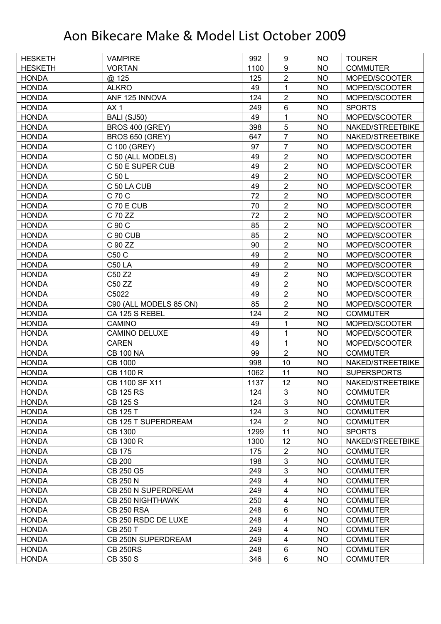| <b>HESKETH</b> | <b>VAMPIRE</b>          | 992  | 9              | NO        | <b>TOURER</b>      |
|----------------|-------------------------|------|----------------|-----------|--------------------|
| <b>HESKETH</b> | <b>VORTAN</b>           | 1100 | 9              | <b>NO</b> | <b>COMMUTER</b>    |
| <b>HONDA</b>   | @ 125                   | 125  | $\overline{2}$ | <b>NO</b> | MOPED/SCOOTER      |
| <b>HONDA</b>   | <b>ALKRO</b>            | 49   | 1              | <b>NO</b> | MOPED/SCOOTER      |
| <b>HONDA</b>   | ANF 125 INNOVA          | 124  | $\overline{2}$ | <b>NO</b> | MOPED/SCOOTER      |
| <b>HONDA</b>   | AX <sub>1</sub>         | 249  | $6\phantom{1}$ | <b>NO</b> | <b>SPORTS</b>      |
| <b>HONDA</b>   | <b>BALI (SJ50)</b>      | 49   | 1              | <b>NO</b> | MOPED/SCOOTER      |
| <b>HONDA</b>   | <b>BROS 400 (GREY)</b>  | 398  | 5              | <b>NO</b> | NAKED/STREETBIKE   |
| <b>HONDA</b>   | <b>BROS 650 (GREY)</b>  | 647  | $\overline{7}$ | <b>NO</b> | NAKED/STREETBIKE   |
| <b>HONDA</b>   | C 100 (GREY)            | 97   | $\overline{7}$ | <b>NO</b> | MOPED/SCOOTER      |
| <b>HONDA</b>   | C 50 (ALL MODELS)       | 49   | $\overline{2}$ | <b>NO</b> | MOPED/SCOOTER      |
| <b>HONDA</b>   | C 50 E SUPER CUB        | 49   | $\overline{2}$ | <b>NO</b> | MOPED/SCOOTER      |
| <b>HONDA</b>   | C 50 L                  | 49   | $\overline{2}$ | <b>NO</b> | MOPED/SCOOTER      |
| <b>HONDA</b>   | C 50 LA CUB             | 49   | $\overline{2}$ | <b>NO</b> | MOPED/SCOOTER      |
| <b>HONDA</b>   | C 70 C                  | 72   | $\overline{2}$ | <b>NO</b> | MOPED/SCOOTER      |
| <b>HONDA</b>   | C 70 E CUB              | 70   | $\overline{2}$ | <b>NO</b> | MOPED/SCOOTER      |
| <b>HONDA</b>   | C 70 ZZ                 | 72   | $\overline{2}$ | <b>NO</b> | MOPED/SCOOTER      |
| <b>HONDA</b>   | C 90 C                  | 85   | $\overline{2}$ | <b>NO</b> | MOPED/SCOOTER      |
| <b>HONDA</b>   | C 90 CUB                | 85   | $\overline{2}$ | <b>NO</b> | MOPED/SCOOTER      |
| <b>HONDA</b>   | C 90 ZZ                 | 90   | $\overline{2}$ | <b>NO</b> | MOPED/SCOOTER      |
| <b>HONDA</b>   | C50 C                   | 49   | $\overline{2}$ | <b>NO</b> | MOPED/SCOOTER      |
| <b>HONDA</b>   | <b>C50 LA</b>           | 49   | 2              | <b>NO</b> | MOPED/SCOOTER      |
| <b>HONDA</b>   | C50 Z2                  | 49   | $\overline{2}$ | <b>NO</b> | MOPED/SCOOTER      |
| <b>HONDA</b>   | C50 ZZ                  | 49   | $\overline{2}$ | <b>NO</b> | MOPED/SCOOTER      |
| <b>HONDA</b>   | C5022                   | 49   | $\overline{2}$ | <b>NO</b> | MOPED/SCOOTER      |
| <b>HONDA</b>   | C90 (ALL MODELS 85 ON)  | 85   | $\overline{2}$ | <b>NO</b> | MOPED/SCOOTER      |
| <b>HONDA</b>   | CA 125 S REBEL          | 124  | $\overline{2}$ | <b>NO</b> | <b>COMMUTER</b>    |
| <b>HONDA</b>   | <b>CAMINO</b>           | 49   | 1              | <b>NO</b> | MOPED/SCOOTER      |
| <b>HONDA</b>   | <b>CAMINO DELUXE</b>    | 49   | 1              | <b>NO</b> | MOPED/SCOOTER      |
| <b>HONDA</b>   | <b>CAREN</b>            | 49   | 1              | <b>NO</b> | MOPED/SCOOTER      |
| <b>HONDA</b>   | <b>CB 100 NA</b>        | 99   | $\overline{2}$ | <b>NO</b> | <b>COMMUTER</b>    |
| <b>HONDA</b>   | <b>CB 1000</b>          | 998  | 10             | <b>NO</b> | NAKED/STREETBIKE   |
| <b>HONDA</b>   | CB 1100 R               | 1062 | 11             | <b>NO</b> | <b>SUPERSPORTS</b> |
| <b>HONDA</b>   | CB 1100 SF X11          | 1137 | 12             | <b>NO</b> | NAKED/STREETBIKE   |
| <b>HONDA</b>   | <b>CB 125 RS</b>        | 124  | 3              | <b>NO</b> | <b>COMMUTER</b>    |
| <b>HONDA</b>   | CB 125 S                | 124  | 3              | <b>NO</b> | <b>COMMUTER</b>    |
| <b>HONDA</b>   | CB 125 T                | 124  | 3              | <b>NO</b> | <b>COMMUTER</b>    |
| <b>HONDA</b>   | CB 125 T SUPERDREAM     | 124  | $\overline{2}$ | <b>NO</b> | <b>COMMUTER</b>    |
| <b>HONDA</b>   | <b>CB 1300</b>          | 1299 | 11             | <b>NO</b> | <b>SPORTS</b>      |
| <b>HONDA</b>   | CB 1300 R               | 1300 | 12             | <b>NO</b> | NAKED/STREETBIKE   |
| <b>HONDA</b>   | <b>CB 175</b>           | 175  | $\overline{2}$ | <b>NO</b> | <b>COMMUTER</b>    |
| <b>HONDA</b>   | <b>CB 200</b>           | 198  | 3              | <b>NO</b> | <b>COMMUTER</b>    |
| <b>HONDA</b>   | CB 250 G5               | 249  | 3              | <b>NO</b> | <b>COMMUTER</b>    |
| <b>HONDA</b>   | <b>CB 250 N</b>         | 249  | 4              | <b>NO</b> | <b>COMMUTER</b>    |
| <b>HONDA</b>   | CB 250 N SUPERDREAM     | 249  | 4              | <b>NO</b> | <b>COMMUTER</b>    |
|                |                         |      |                |           |                    |
| <b>HONDA</b>   | <b>CB 250 NIGHTHAWK</b> | 250  | 4              | <b>NO</b> | <b>COMMUTER</b>    |
| <b>HONDA</b>   | <b>CB 250 RSA</b>       | 248  | $\,6$          | <b>NO</b> | <b>COMMUTER</b>    |
| <b>HONDA</b>   | CB 250 RSDC DE LUXE     | 248  | 4              | <b>NO</b> | <b>COMMUTER</b>    |
| <b>HONDA</b>   | <b>CB 250 T</b>         | 249  | 4              | <b>NO</b> | <b>COMMUTER</b>    |
| <b>HONDA</b>   | CB 250N SUPERDREAM      | 249  | 4              | <b>NO</b> | <b>COMMUTER</b>    |
| <b>HONDA</b>   | <b>CB 250RS</b>         | 248  | 6              | <b>NO</b> | <b>COMMUTER</b>    |
| <b>HONDA</b>   | CB 350 S                | 346  | $\,6$          | <b>NO</b> | <b>COMMUTER</b>    |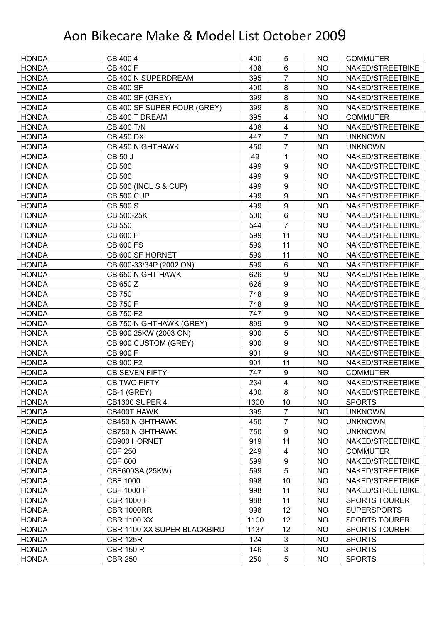| <b>HONDA</b> | CB 400 4                           | 400  | 5                       | NO        | <b>COMMUTER</b>      |
|--------------|------------------------------------|------|-------------------------|-----------|----------------------|
| <b>HONDA</b> | <b>CB 400 F</b>                    | 408  | 6                       | <b>NO</b> | NAKED/STREETBIKE     |
| <b>HONDA</b> | CB 400 N SUPERDREAM                | 395  | $\overline{7}$          | <b>NO</b> | NAKED/STREETBIKE     |
| <b>HONDA</b> | <b>CB 400 SF</b>                   | 400  | 8                       | <b>NO</b> | NAKED/STREETBIKE     |
| <b>HONDA</b> | <b>CB 400 SF (GREY)</b>            | 399  | 8                       | <b>NO</b> | NAKED/STREETBIKE     |
| <b>HONDA</b> | CB 400 SF SUPER FOUR (GREY)        | 399  | 8                       | NO        | NAKED/STREETBIKE     |
| <b>HONDA</b> | CB 400 T DREAM                     | 395  | 4                       | <b>NO</b> | <b>COMMUTER</b>      |
| <b>HONDA</b> | <b>CB 400 T/N</b>                  | 408  | 4                       | <b>NO</b> | NAKED/STREETBIKE     |
| <b>HONDA</b> | <b>CB 450 DX</b>                   | 447  | $\overline{7}$          | <b>NO</b> | <b>UNKNOWN</b>       |
| <b>HONDA</b> | <b>CB 450 NIGHTHAWK</b>            | 450  | $\overline{7}$          | <b>NO</b> | <b>UNKNOWN</b>       |
| <b>HONDA</b> | <b>CB 50 J</b>                     | 49   | 1                       | <b>NO</b> | NAKED/STREETBIKE     |
| <b>HONDA</b> | <b>CB 500</b>                      | 499  | $\boldsymbol{9}$        | <b>NO</b> | NAKED/STREETBIKE     |
| <b>HONDA</b> | <b>CB 500</b>                      | 499  | 9                       | <b>NO</b> | NAKED/STREETBIKE     |
| <b>HONDA</b> | <b>CB 500 (INCL S &amp; CUP)</b>   | 499  | $\boldsymbol{9}$        | <b>NO</b> | NAKED/STREETBIKE     |
| <b>HONDA</b> | <b>CB 500 CUP</b>                  | 499  | 9                       | <b>NO</b> | NAKED/STREETBIKE     |
| <b>HONDA</b> | <b>CB 500 S</b>                    | 499  | 9                       | <b>NO</b> | NAKED/STREETBIKE     |
| <b>HONDA</b> | CB 500-25K                         | 500  | 6                       | <b>NO</b> | NAKED/STREETBIKE     |
| <b>HONDA</b> | <b>CB 550</b>                      | 544  | $\overline{7}$          | <b>NO</b> | NAKED/STREETBIKE     |
| <b>HONDA</b> | CB 600 F                           | 599  | 11                      | <b>NO</b> | NAKED/STREETBIKE     |
| <b>HONDA</b> | <b>CB 600 FS</b>                   | 599  | 11                      | <b>NO</b> | NAKED/STREETBIKE     |
| <b>HONDA</b> | CB 600 SF HORNET                   | 599  | 11                      | <b>NO</b> | NAKED/STREETBIKE     |
| <b>HONDA</b> | CB 600-33/34P (2002 ON)            | 599  | $6\phantom{1}$          | <b>NO</b> | NAKED/STREETBIKE     |
| <b>HONDA</b> | CB 650 NIGHT HAWK                  | 626  | $\boldsymbol{9}$        | <b>NO</b> | NAKED/STREETBIKE     |
| <b>HONDA</b> | CB 650 Z                           | 626  | $\overline{9}$          | <b>NO</b> | NAKED/STREETBIKE     |
| <b>HONDA</b> | <b>CB750</b>                       | 748  | 9                       | NO        | NAKED/STREETBIKE     |
| <b>HONDA</b> | <b>CB 750 F</b>                    | 748  | $\boldsymbol{9}$        | <b>NO</b> | NAKED/STREETBIKE     |
| <b>HONDA</b> | CB 750 F2                          | 747  | $\boldsymbol{9}$        | <b>NO</b> | NAKED/STREETBIKE     |
| <b>HONDA</b> | CB 750 NIGHTHAWK (GREY)            | 899  | $\boldsymbol{9}$        | <b>NO</b> | NAKED/STREETBIKE     |
| <b>HONDA</b> | CB 900 25KW (2003 ON)              | 900  | 5                       | <b>NO</b> | NAKED/STREETBIKE     |
| <b>HONDA</b> | CB 900 CUSTOM (GREY)               | 900  | 9                       | <b>NO</b> | NAKED/STREETBIKE     |
| <b>HONDA</b> | CB 900 F                           | 901  | $9\,$                   | <b>NO</b> | NAKED/STREETBIKE     |
| <b>HONDA</b> | CB 900 F2                          | 901  | 11                      | <b>NO</b> | NAKED/STREETBIKE     |
| <b>HONDA</b> | <b>CB SEVEN FIFTY</b>              | 747  | $\boldsymbol{9}$        | <b>NO</b> | <b>COMMUTER</b>      |
| <b>HONDA</b> | <b>CB TWO FIFTY</b>                | 234  | $\overline{\mathbf{4}}$ | <b>NO</b> | NAKED/STREETBIKE     |
| <b>HONDA</b> | CB-1 (GREY)                        | 400  | 8                       | <b>NO</b> | NAKED/STREETBIKE     |
| <b>HONDA</b> | <b>CB1300 SUPER 4</b>              | 1300 | 10                      | <b>NO</b> | <b>SPORTS</b>        |
| <b>HONDA</b> | CB400T HAWK                        | 395  | $\overline{7}$          | <b>NO</b> | <b>UNKNOWN</b>       |
| <b>HONDA</b> | <b>CB450 NIGHTHAWK</b>             | 450  | $\overline{7}$          | <b>NO</b> | <b>UNKNOWN</b>       |
| <b>HONDA</b> | <b>CB750 NIGHTHAWK</b>             | 750  | $\boldsymbol{9}$        | <b>NO</b> | <b>UNKNOWN</b>       |
| <b>HONDA</b> | CB900 HORNET                       | 919  | 11                      | <b>NO</b> | NAKED/STREETBIKE     |
| <b>HONDA</b> | <b>CBF 250</b>                     | 249  | 4                       | <b>NO</b> | <b>COMMUTER</b>      |
| <b>HONDA</b> | <b>CBF 600</b>                     | 599  | $\boldsymbol{9}$        | <b>NO</b> | NAKED/STREETBIKE     |
| <b>HONDA</b> | CBF600SA (25KW)                    | 599  | 5                       | <b>NO</b> | NAKED/STREETBIKE     |
| <b>HONDA</b> | <b>CBF 1000</b>                    | 998  | 10                      | <b>NO</b> | NAKED/STREETBIKE     |
| <b>HONDA</b> | CBF 1000 F                         | 998  | 11                      | <b>NO</b> | NAKED/STREETBIKE     |
| <b>HONDA</b> | <b>CBR 1000 F</b>                  | 988  | 11                      | <b>NO</b> | <b>SPORTS TOURER</b> |
| <b>HONDA</b> | <b>CBR 1000RR</b>                  | 998  | 12                      | <b>NO</b> | <b>SUPERSPORTS</b>   |
| <b>HONDA</b> | <b>CBR 1100 XX</b>                 | 1100 | 12                      | <b>NO</b> | <b>SPORTS TOURER</b> |
| <b>HONDA</b> | <b>CBR 1100 XX SUPER BLACKBIRD</b> | 1137 | 12                      | <b>NO</b> | <b>SPORTS TOURER</b> |
| <b>HONDA</b> | <b>CBR 125R</b>                    | 124  | 3                       | <b>NO</b> | <b>SPORTS</b>        |
| <b>HONDA</b> | <b>CBR 150 R</b>                   | 146  | 3                       | <b>NO</b> | <b>SPORTS</b>        |
| <b>HONDA</b> | <b>CBR 250</b>                     | 250  | 5                       | <b>NO</b> | <b>SPORTS</b>        |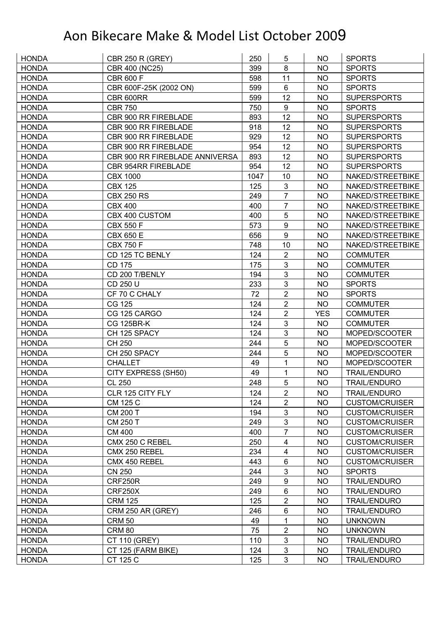| <b>HONDA</b>                 | <b>CBR 250 R (GREY)</b>             | 250  | 5                         | NO.        | <b>SPORTS</b>         |
|------------------------------|-------------------------------------|------|---------------------------|------------|-----------------------|
| <b>HONDA</b>                 | CBR 400 (NC25)                      | 399  | 8                         | <b>NO</b>  | <b>SPORTS</b>         |
| <b>HONDA</b>                 | <b>CBR 600 F</b>                    | 598  | 11                        | <b>NO</b>  | <b>SPORTS</b>         |
| <b>HONDA</b>                 | CBR 600F-25K (2002 ON)              | 599  | 6                         | <b>NO</b>  | <b>SPORTS</b>         |
| <b>HONDA</b>                 | CBR 600RR                           | 599  | 12                        | <b>NO</b>  | <b>SUPERSPORTS</b>    |
| <b>HONDA</b>                 | <b>CBR 750</b>                      | 750  | 9                         | NO         | <b>SPORTS</b>         |
| <b>HONDA</b>                 | CBR 900 RR FIREBLADE                | 893  | 12                        | <b>NO</b>  | <b>SUPERSPORTS</b>    |
| <b>HONDA</b>                 | CBR 900 RR FIREBLADE                | 918  | 12                        | <b>NO</b>  | <b>SUPERSPORTS</b>    |
| <b>HONDA</b>                 | CBR 900 RR FIREBLADE                | 929  | 12                        | <b>NO</b>  | <b>SUPERSPORTS</b>    |
| <b>HONDA</b>                 | CBR 900 RR FIREBLADE                | 954  | 12                        | <b>NO</b>  | <b>SUPERSPORTS</b>    |
| <b>HONDA</b>                 | CBR 900 RR FIREBLADE ANNIVERSA      | 893  | 12                        | <b>NO</b>  | <b>SUPERSPORTS</b>    |
| <b>HONDA</b>                 | <b>CBR 954RR FIREBLADE</b>          | 954  | 12                        | <b>NO</b>  | <b>SUPERSPORTS</b>    |
| <b>HONDA</b>                 | <b>CBX 1000</b>                     | 1047 | 10                        | <b>NO</b>  | NAKED/STREETBIKE      |
| <b>HONDA</b>                 | <b>CBX 125</b>                      | 125  | 3                         | <b>NO</b>  | NAKED/STREETBIKE      |
| <b>HONDA</b>                 | <b>CBX 250 RS</b>                   | 249  | $\overline{7}$            | <b>NO</b>  | NAKED/STREETBIKE      |
| <b>HONDA</b>                 | <b>CBX 400</b>                      | 400  | $\overline{7}$            | <b>NO</b>  | NAKED/STREETBIKE      |
| <b>HONDA</b>                 | CBX 400 CUSTOM                      | 400  | 5                         | <b>NO</b>  | NAKED/STREETBIKE      |
| <b>HONDA</b>                 | <b>CBX 550 F</b>                    | 573  | 9                         | <b>NO</b>  | NAKED/STREETBIKE      |
| <b>HONDA</b>                 | <b>CBX 650 E</b>                    | 656  | $\overline{9}$            | <b>NO</b>  | NAKED/STREETBIKE      |
|                              |                                     |      |                           |            |                       |
| <b>HONDA</b><br><b>HONDA</b> | <b>CBX 750 F</b><br>CD 125 TC BENLY | 748  | 10                        | <b>NO</b>  | NAKED/STREETBIKE      |
|                              |                                     | 124  | $\overline{2}$            | <b>NO</b>  | <b>COMMUTER</b>       |
| <b>HONDA</b>                 | CD 175                              | 175  | 3                         | <b>NO</b>  | <b>COMMUTER</b>       |
| <b>HONDA</b>                 | CD 200 T/BENLY                      | 194  | 3                         | <b>NO</b>  | <b>COMMUTER</b>       |
| <b>HONDA</b>                 | CD 250 U                            | 233  | 3                         | <b>NO</b>  | <b>SPORTS</b>         |
| <b>HONDA</b>                 | CF 70 C CHALY                       | 72   | $\overline{2}$            | <b>NO</b>  | <b>SPORTS</b>         |
| <b>HONDA</b>                 | <b>CG 125</b>                       | 124  | $\overline{2}$            | <b>NO</b>  | <b>COMMUTER</b>       |
| <b>HONDA</b>                 | CG 125 CARGO                        | 124  | $\overline{2}$            | <b>YES</b> | <b>COMMUTER</b>       |
| <b>HONDA</b>                 | <b>CG 125BR-K</b>                   | 124  | 3                         | <b>NO</b>  | <b>COMMUTER</b>       |
| <b>HONDA</b>                 | CH 125 SPACY                        | 124  | 3                         | <b>NO</b>  | MOPED/SCOOTER         |
| <b>HONDA</b>                 | CH 250                              | 244  | 5                         | <b>NO</b>  | MOPED/SCOOTER         |
| <b>HONDA</b>                 | CH 250 SPACY                        | 244  | 5                         | <b>NO</b>  | MOPED/SCOOTER         |
| <b>HONDA</b>                 | <b>CHALLET</b>                      | 49   | 1                         | <b>NO</b>  | MOPED/SCOOTER         |
| <b>HONDA</b>                 | CITY EXPRESS (SH50)                 | 49   | 1                         | <b>NO</b>  | <b>TRAIL/ENDURO</b>   |
| <b>HONDA</b>                 | <b>CL 250</b>                       | 248  | 5                         | <b>NO</b>  | <b>TRAIL/ENDURO</b>   |
| <b>HONDA</b>                 | CLR 125 CITY FLY                    | 124  | $\overline{2}$            | NO         | <b>TRAIL/ENDURO</b>   |
| <b>HONDA</b>                 | CM 125 C                            | 124  | 2                         | <b>NO</b>  | <b>CUSTOM/CRUISER</b> |
| <b>HONDA</b>                 | <b>CM 200 T</b>                     | 194  | 3                         | <b>NO</b>  | <b>CUSTOM/CRUISER</b> |
| <b>HONDA</b>                 | CM 250 T                            | 249  | $\mathfrak{S}$            | <b>NO</b>  | <b>CUSTOM/CRUISER</b> |
| <b>HONDA</b>                 | <b>CM 400</b>                       | 400  | $\overline{7}$            | <b>NO</b>  | <b>CUSTOM/CRUISER</b> |
| <b>HONDA</b>                 | CMX 250 C REBEL                     | 250  | 4                         | <b>NO</b>  | <b>CUSTOM/CRUISER</b> |
| <b>HONDA</b>                 | CMX 250 REBEL                       | 234  | 4                         | <b>NO</b>  | <b>CUSTOM/CRUISER</b> |
| <b>HONDA</b>                 | CMX 450 REBEL                       | 443  | 6                         | <b>NO</b>  | <b>CUSTOM/CRUISER</b> |
| <b>HONDA</b>                 | <b>CN 250</b>                       | 244  | 3                         | <b>NO</b>  | <b>SPORTS</b>         |
| <b>HONDA</b>                 | CRF250R                             | 249  | $\boldsymbol{9}$          | <b>NO</b>  | <b>TRAIL/ENDURO</b>   |
| <b>HONDA</b>                 | CRF250X                             | 249  | 6                         | <b>NO</b>  | <b>TRAIL/ENDURO</b>   |
| <b>HONDA</b>                 | <b>CRM 125</b>                      | 125  | $\overline{2}$            | <b>NO</b>  | <b>TRAIL/ENDURO</b>   |
| <b>HONDA</b>                 | CRM 250 AR (GREY)                   | 246  | 6                         | <b>NO</b>  | <b>TRAIL/ENDURO</b>   |
| <b>HONDA</b>                 | <b>CRM 50</b>                       | 49   | 1                         | <b>NO</b>  | <b>UNKNOWN</b>        |
| <b>HONDA</b>                 | <b>CRM 80</b>                       | 75   | $\mathbf{2}$              | <b>NO</b>  | <b>UNKNOWN</b>        |
| <b>HONDA</b>                 | CT 110 (GREY)                       | 110  | 3                         | <b>NO</b>  | <b>TRAIL/ENDURO</b>   |
| <b>HONDA</b>                 | CT 125 (FARM BIKE)                  | 124  | $\ensuremath{\mathsf{3}}$ | <b>NO</b>  | <b>TRAIL/ENDURO</b>   |
| <b>HONDA</b>                 | CT 125 C                            | 125  | 3                         | <b>NO</b>  | <b>TRAIL/ENDURO</b>   |
|                              |                                     |      |                           |            |                       |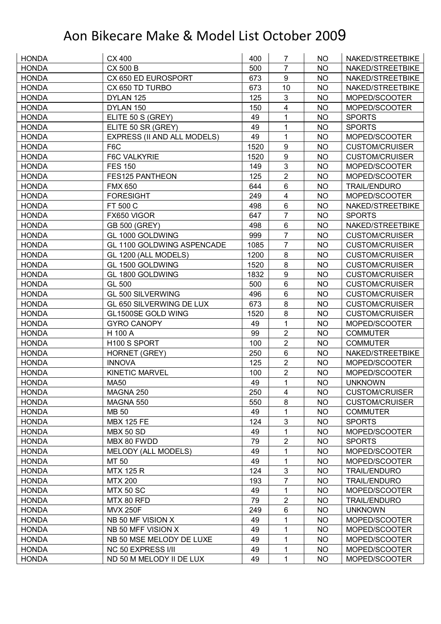| <b>HONDA</b> | CX 400                      | 400  | 7                       | <b>NO</b> | NAKED/STREETBIKE      |
|--------------|-----------------------------|------|-------------------------|-----------|-----------------------|
| <b>HONDA</b> | <b>CX 500 B</b>             | 500  | 7                       | <b>NO</b> | NAKED/STREETBIKE      |
| <b>HONDA</b> | CX 650 ED EUROSPORT         | 673  | 9                       | <b>NO</b> | NAKED/STREETBIKE      |
| <b>HONDA</b> | CX 650 TD TURBO             | 673  | 10                      | <b>NO</b> | NAKED/STREETBIKE      |
| <b>HONDA</b> | DYLAN 125                   | 125  | 3                       | <b>NO</b> | MOPED/SCOOTER         |
| <b>HONDA</b> | DYLAN 150                   | 150  | $\overline{\mathbf{4}}$ | <b>NO</b> | MOPED/SCOOTER         |
| <b>HONDA</b> | ELITE 50 S (GREY)           | 49   | 1                       | <b>NO</b> | <b>SPORTS</b>         |
| <b>HONDA</b> | ELITE 50 SR (GREY)          | 49   | 1                       | <b>NO</b> | <b>SPORTS</b>         |
| <b>HONDA</b> | EXPRESS (II AND ALL MODELS) | 49   | 1                       | <b>NO</b> | MOPED/SCOOTER         |
| <b>HONDA</b> | F6C                         | 1520 | 9                       | <b>NO</b> | <b>CUSTOM/CRUISER</b> |
| <b>HONDA</b> | <b>F6C VALKYRIE</b>         | 1520 | 9                       | <b>NO</b> | <b>CUSTOM/CRUISER</b> |
| <b>HONDA</b> | <b>FES 150</b>              | 149  | 3                       | <b>NO</b> | MOPED/SCOOTER         |
| <b>HONDA</b> | FES125 PANTHEON             | 125  | $\overline{2}$          | <b>NO</b> | MOPED/SCOOTER         |
| <b>HONDA</b> | <b>FMX 650</b>              | 644  | $6\phantom{1}$          | <b>NO</b> | <b>TRAIL/ENDURO</b>   |
| <b>HONDA</b> | <b>FORESIGHT</b>            | 249  | $\overline{\mathbf{4}}$ | <b>NO</b> | MOPED/SCOOTER         |
| <b>HONDA</b> | FT 500 C                    | 498  | $6\phantom{1}$          | <b>NO</b> | NAKED/STREETBIKE      |
| <b>HONDA</b> | FX650 VIGOR                 | 647  | $\overline{7}$          | <b>NO</b> | <b>SPORTS</b>         |
| <b>HONDA</b> | GB 500 (GREY)               | 498  | 6                       | <b>NO</b> | NAKED/STREETBIKE      |
| <b>HONDA</b> | GL 1000 GOLDWING            | 999  | $\overline{7}$          | <b>NO</b> | <b>CUSTOM/CRUISER</b> |
| <b>HONDA</b> | GL 1100 GOLDWING ASPENCADE  | 1085 | $\overline{7}$          | <b>NO</b> | <b>CUSTOM/CRUISER</b> |
| <b>HONDA</b> | GL 1200 (ALL MODELS)        | 1200 | 8                       | <b>NO</b> | <b>CUSTOM/CRUISER</b> |
| <b>HONDA</b> | GL 1500 GOLDWING            | 1520 | 8                       | <b>NO</b> | <b>CUSTOM/CRUISER</b> |
| <b>HONDA</b> | GL 1800 GOLDWING            | 1832 | 9                       | <b>NO</b> | <b>CUSTOM/CRUISER</b> |
| <b>HONDA</b> | GL 500                      | 500  | $6\phantom{1}$          | <b>NO</b> | <b>CUSTOM/CRUISER</b> |
| <b>HONDA</b> | GL 500 SILVERWING           | 496  | $\,6$                   | <b>NO</b> | <b>CUSTOM/CRUISER</b> |
| <b>HONDA</b> | GL 650 SILVERWING DE LUX    | 673  | 8                       | <b>NO</b> | <b>CUSTOM/CRUISER</b> |
| <b>HONDA</b> | GL1500SE GOLD WING          | 1520 | 8                       | <b>NO</b> | <b>CUSTOM/CRUISER</b> |
| <b>HONDA</b> | <b>GYRO CANOPY</b>          | 49   | 1                       | <b>NO</b> | MOPED/SCOOTER         |
| <b>HONDA</b> | H 100 A                     | 99   | $\overline{2}$          | <b>NO</b> | <b>COMMUTER</b>       |
| <b>HONDA</b> | H100 S SPORT                | 100  | $\overline{2}$          | <b>NO</b> | <b>COMMUTER</b>       |
| <b>HONDA</b> | HORNET (GREY)               | 250  | 6                       | <b>NO</b> | NAKED/STREETBIKE      |
| <b>HONDA</b> | <b>INNOVA</b>               | 125  | $\overline{2}$          | <b>NO</b> | MOPED/SCOOTER         |
| <b>HONDA</b> | <b>KINETIC MARVEL</b>       | 100  | $\overline{2}$          | <b>NO</b> | MOPED/SCOOTER         |
| <b>HONDA</b> | <b>MA50</b>                 | 49   | $\mathbf{1}$            | <b>NO</b> | <b>UNKNOWN</b>        |
| <b>HONDA</b> | MAGNA 250                   | 250  | 4                       | <b>NO</b> | <b>CUSTOM/CRUISER</b> |
| <b>HONDA</b> | MAGNA 550                   | 550  | 8                       | <b>NO</b> | <b>CUSTOM/CRUISER</b> |
| <b>HONDA</b> | <b>MB 50</b>                | 49   | 1                       | NO.       | <b>COMMUTER</b>       |
| <b>HONDA</b> | <b>MBX 125 FE</b>           | 124  | $\mathfrak{B}$          | NO        | <b>SPORTS</b>         |
| <b>HONDA</b> | <b>MBX 50 SD</b>            | 49   | 1                       | <b>NO</b> | MOPED/SCOOTER         |
| <b>HONDA</b> | MBX 80 FWDD                 | 79   | $\boldsymbol{2}$        | NO.       | <b>SPORTS</b>         |
| <b>HONDA</b> | MELODY (ALL MODELS)         | 49   | 1                       | NO        | MOPED/SCOOTER         |
| <b>HONDA</b> | MT 50                       | 49   | 1                       | <b>NO</b> | MOPED/SCOOTER         |
| <b>HONDA</b> | <b>MTX 125 R</b>            | 124  | $\mathbf{3}$            | <b>NO</b> | <b>TRAIL/ENDURO</b>   |
| <b>HONDA</b> | <b>MTX 200</b>              | 193  | $\overline{7}$          | NO.       | <b>TRAIL/ENDURO</b>   |
| <b>HONDA</b> | <b>MTX 50 SC</b>            | 49   | 1                       | <b>NO</b> | MOPED/SCOOTER         |
| <b>HONDA</b> | MTX 80 RFD                  | 79   | $\overline{2}$          | <b>NO</b> | <b>TRAIL/ENDURO</b>   |
| <b>HONDA</b> | <b>MVX 250F</b>             | 249  | 6                       | NO        | <b>UNKNOWN</b>        |
| <b>HONDA</b> | NB 50 MF VISION X           | 49   | 1                       | NO        | MOPED/SCOOTER         |
| <b>HONDA</b> | NB 50 MFF VISION X          | 49   | 1                       | <b>NO</b> | MOPED/SCOOTER         |
| <b>HONDA</b> | NB 50 MSE MELODY DE LUXE    | 49   | 1                       | <b>NO</b> | MOPED/SCOOTER         |
| <b>HONDA</b> | <b>NC 50 EXPRESS I/II</b>   | 49   | 1                       | <b>NO</b> | MOPED/SCOOTER         |
| <b>HONDA</b> | ND 50 M MELODY II DE LUX    | 49   | 1                       | NO        | MOPED/SCOOTER         |
|              |                             |      |                         |           |                       |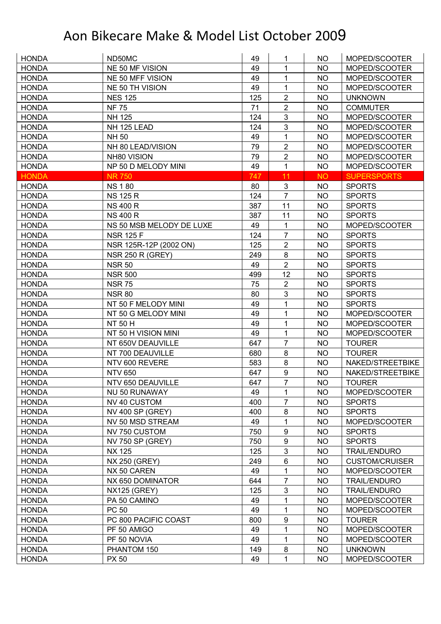| <b>HONDA</b> | ND50MC                   | 49  | 1                | NO.       | MOPED/SCOOTER         |
|--------------|--------------------------|-----|------------------|-----------|-----------------------|
| <b>HONDA</b> | NE 50 MF VISION          | 49  | 1                | <b>NO</b> | MOPED/SCOOTER         |
| <b>HONDA</b> | NE 50 MFF VISION         | 49  | 1                | <b>NO</b> | MOPED/SCOOTER         |
| <b>HONDA</b> | NE 50 TH VISION          | 49  | 1                | <b>NO</b> | MOPED/SCOOTER         |
| <b>HONDA</b> | <b>NES 125</b>           | 125 | $\overline{2}$   | <b>NO</b> | <b>UNKNOWN</b>        |
| <b>HONDA</b> | <b>NF 75</b>             | 71  | $\overline{2}$   | <b>NO</b> | <b>COMMUTER</b>       |
| <b>HONDA</b> | NH 125                   | 124 | $\mathfrak{B}$   | <b>NO</b> | MOPED/SCOOTER         |
| <b>HONDA</b> | NH 125 LEAD              | 124 | $\mathfrak{S}$   | <b>NO</b> | MOPED/SCOOTER         |
| <b>HONDA</b> | <b>NH 50</b>             | 49  | 1                | <b>NO</b> | MOPED/SCOOTER         |
| <b>HONDA</b> | NH 80 LEAD/VISION        | 79  | $\overline{2}$   | <b>NO</b> | MOPED/SCOOTER         |
| <b>HONDA</b> | NH80 VISION              | 79  | $\overline{2}$   | <b>NO</b> | MOPED/SCOOTER         |
| <b>HONDA</b> | NP 50 D MELODY MINI      | 49  | $\mathbf{1}$     | <b>NO</b> | MOPED/SCOOTER         |
| <b>HONDA</b> | <b>NR 750</b>            | 747 | 11               | <b>NO</b> | <b>SUPERSPORTS</b>    |
| <b>HONDA</b> | <b>NS 180</b>            | 80  | $\mathfrak{S}$   | <b>NO</b> | <b>SPORTS</b>         |
| <b>HONDA</b> | <b>NS 125 R</b>          | 124 | $\overline{7}$   | <b>NO</b> | <b>SPORTS</b>         |
| <b>HONDA</b> | <b>NS 400 R</b>          | 387 | 11               | <b>NO</b> | <b>SPORTS</b>         |
| <b>HONDA</b> | <b>NS 400 R</b>          | 387 | 11               | <b>NO</b> | <b>SPORTS</b>         |
| <b>HONDA</b> | NS 50 MSB MELODY DE LUXE | 49  | $\mathbf{1}$     | <b>NO</b> | MOPED/SCOOTER         |
| <b>HONDA</b> | <b>NSR 125 F</b>         | 124 | $\overline{7}$   | <b>NO</b> | <b>SPORTS</b>         |
| <b>HONDA</b> | NSR 125R-12P (2002 ON)   | 125 | $\overline{2}$   | <b>NO</b> | <b>SPORTS</b>         |
| <b>HONDA</b> | <b>NSR 250 R (GREY)</b>  | 249 | 8                | <b>NO</b> | <b>SPORTS</b>         |
| <b>HONDA</b> | <b>NSR 50</b>            | 49  | $\overline{2}$   | <b>NO</b> | <b>SPORTS</b>         |
| <b>HONDA</b> | <b>NSR 500</b>           | 499 | 12               | <b>NO</b> | <b>SPORTS</b>         |
| <b>HONDA</b> | <b>NSR 75</b>            | 75  | $\overline{2}$   | <b>NO</b> | <b>SPORTS</b>         |
| <b>HONDA</b> | <b>NSR 80</b>            | 80  | $\mathfrak{S}$   | <b>NO</b> | <b>SPORTS</b>         |
| <b>HONDA</b> | NT 50 F MELODY MINI      | 49  | 1                | <b>NO</b> | <b>SPORTS</b>         |
| <b>HONDA</b> | NT 50 G MELODY MINI      | 49  | 1                | <b>NO</b> | MOPED/SCOOTER         |
| <b>HONDA</b> | <b>NT 50 H</b>           | 49  | 1                | <b>NO</b> | MOPED/SCOOTER         |
| <b>HONDA</b> | NT 50 H VISION MINI      | 49  | 1                | <b>NO</b> | MOPED/SCOOTER         |
| <b>HONDA</b> | NT 650V DEAUVILLE        | 647 | $\overline{7}$   | <b>NO</b> | <b>TOURER</b>         |
| <b>HONDA</b> | NT 700 DEAUVILLE         | 680 | 8                | <b>NO</b> | <b>TOURER</b>         |
| <b>HONDA</b> | NTV 600 REVERE           | 583 | 8                | <b>NO</b> | NAKED/STREETBIKE      |
| <b>HONDA</b> | <b>NTV 650</b>           | 647 | 9                | <b>NO</b> | NAKED/STREETBIKE      |
| <b>HONDA</b> | NTV 650 DEAUVILLE        | 647 | $\overline{7}$   | <b>NO</b> | <b>TOURER</b>         |
| <b>HONDA</b> | <b>NU 50 RUNAWAY</b>     | 49  | 1                | <b>NO</b> | MOPED/SCOOTER         |
| <b>HONDA</b> | NV 40 CUSTOM             | 400 | $\overline{7}$   | <b>NO</b> | <b>SPORTS</b>         |
| <b>HONDA</b> | <b>NV 400 SP (GREY)</b>  | 400 | 8                | <b>NO</b> | <b>SPORTS</b>         |
| <b>HONDA</b> | NV 50 MSD STREAM         | 49  | 1                | <b>NO</b> | MOPED/SCOOTER         |
| <b>HONDA</b> | NV 750 CUSTOM            | 750 | $\boldsymbol{9}$ | <b>NO</b> | <b>SPORTS</b>         |
| <b>HONDA</b> | NV 750 SP (GREY)         | 750 | $\boldsymbol{9}$ | <b>NO</b> | <b>SPORTS</b>         |
| <b>HONDA</b> | <b>NX 125</b>            | 125 | $\mathfrak{S}$   | <b>NO</b> | <b>TRAIL/ENDURO</b>   |
| <b>HONDA</b> | <b>NX 250 (GREY)</b>     | 249 | $\,6\,$          | <b>NO</b> | <b>CUSTOM/CRUISER</b> |
| <b>HONDA</b> | NX 50 CAREN              | 49  | 1                | <b>NO</b> | MOPED/SCOOTER         |
| <b>HONDA</b> | NX 650 DOMINATOR         | 644 | $\overline{7}$   | <b>NO</b> | <b>TRAIL/ENDURO</b>   |
| <b>HONDA</b> | <b>NX125 (GREY)</b>      | 125 | $\mathbf{3}$     | <b>NO</b> | <b>TRAIL/ENDURO</b>   |
| <b>HONDA</b> | PA 50 CAMINO             | 49  | 1                | <b>NO</b> | MOPED/SCOOTER         |
| <b>HONDA</b> | PC 50                    | 49  | 1                | <b>NO</b> | MOPED/SCOOTER         |
| <b>HONDA</b> | PC 800 PACIFIC COAST     | 800 | $\boldsymbol{9}$ | <b>NO</b> | <b>TOURER</b>         |
| <b>HONDA</b> | PF 50 AMIGO              | 49  | 1                | <b>NO</b> | MOPED/SCOOTER         |
| <b>HONDA</b> | PF 50 NOVIA              | 49  | 1                | <b>NO</b> | MOPED/SCOOTER         |
| <b>HONDA</b> | PHANTOM 150              | 149 | 8                | <b>NO</b> | <b>UNKNOWN</b>        |
| <b>HONDA</b> | <b>PX 50</b>             | 49  | 1                | <b>NO</b> | MOPED/SCOOTER         |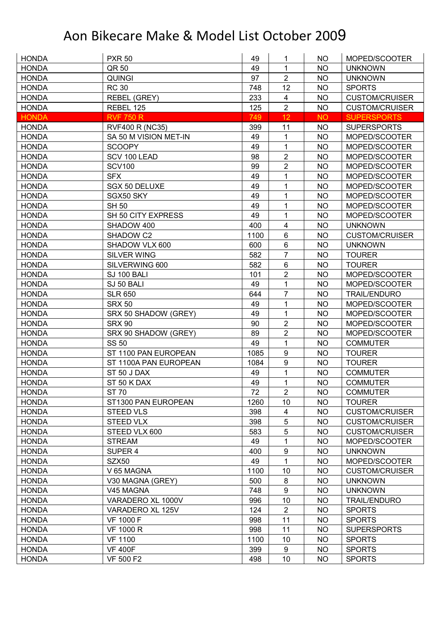| <b>HONDA</b> | <b>PXR 50</b>          | 49   | 1                       | <b>NO</b> | MOPED/SCOOTER         |
|--------------|------------------------|------|-------------------------|-----------|-----------------------|
| <b>HONDA</b> | QR 50                  | 49   | 1                       | <b>NO</b> | <b>UNKNOWN</b>        |
| <b>HONDA</b> | <b>QUINGI</b>          | 97   | $\overline{2}$          | <b>NO</b> | <b>UNKNOWN</b>        |
| <b>HONDA</b> | <b>RC 30</b>           | 748  | 12                      | <b>NO</b> | <b>SPORTS</b>         |
| <b>HONDA</b> | REBEL (GREY)           | 233  | $\overline{\mathbf{4}}$ | <b>NO</b> | <b>CUSTOM/CRUISER</b> |
| <b>HONDA</b> | REBEL 125              | 125  | $\overline{2}$          | <b>NO</b> | <b>CUSTOM/CRUISER</b> |
| <b>HONDA</b> | <b>RVF 750 R</b>       | 749  | 12                      | <b>NO</b> | <b>SUPERSPORTS</b>    |
| <b>HONDA</b> | <b>RVF400 R (NC35)</b> | 399  | 11                      | <b>NO</b> | <b>SUPERSPORTS</b>    |
| <b>HONDA</b> | SA 50 M VISION MET-IN  | 49   | $\mathbf{1}$            | <b>NO</b> | MOPED/SCOOTER         |
| <b>HONDA</b> | <b>SCOOPY</b>          | 49   | 1                       | <b>NO</b> | MOPED/SCOOTER         |
| <b>HONDA</b> | SCV 100 LEAD           | 98   | $\overline{2}$          | <b>NO</b> | MOPED/SCOOTER         |
| <b>HONDA</b> | <b>SCV100</b>          | 99   | $\overline{2}$          | <b>NO</b> | MOPED/SCOOTER         |
| <b>HONDA</b> | <b>SFX</b>             | 49   | 1                       | <b>NO</b> | MOPED/SCOOTER         |
| <b>HONDA</b> | SGX 50 DELUXE          | 49   | $\mathbf{1}$            | <b>NO</b> | MOPED/SCOOTER         |
| <b>HONDA</b> | SGX50 SKY              | 49   | 1                       | <b>NO</b> | MOPED/SCOOTER         |
| <b>HONDA</b> | <b>SH 50</b>           | 49   | 1                       | <b>NO</b> | MOPED/SCOOTER         |
| <b>HONDA</b> | SH 50 CITY EXPRESS     | 49   | 1                       | <b>NO</b> | MOPED/SCOOTER         |
| <b>HONDA</b> | SHADOW 400             | 400  | $\overline{\mathbf{4}}$ | <b>NO</b> | <b>UNKNOWN</b>        |
| <b>HONDA</b> | SHADOW C2              | 1100 | 6                       | <b>NO</b> | <b>CUSTOM/CRUISER</b> |
| <b>HONDA</b> | SHADOW VLX 600         | 600  | 6                       | <b>NO</b> | <b>UNKNOWN</b>        |
| <b>HONDA</b> | <b>SILVER WING</b>     | 582  | $\overline{7}$          | <b>NO</b> | <b>TOURER</b>         |
| <b>HONDA</b> | SILVERWING 600         | 582  | 6                       | <b>NO</b> | <b>TOURER</b>         |
| <b>HONDA</b> | SJ 100 BALI            | 101  | $\overline{2}$          | <b>NO</b> | MOPED/SCOOTER         |
| <b>HONDA</b> | SJ 50 BALI             | 49   | $\mathbf{1}$            | <b>NO</b> | MOPED/SCOOTER         |
| <b>HONDA</b> | <b>SLR 650</b>         | 644  | $\overline{7}$          | <b>NO</b> | <b>TRAIL/ENDURO</b>   |
| <b>HONDA</b> | <b>SRX 50</b>          | 49   | $\mathbf 1$             | <b>NO</b> | MOPED/SCOOTER         |
| <b>HONDA</b> | SRX 50 SHADOW (GREY)   | 49   | 1                       | <b>NO</b> | MOPED/SCOOTER         |
| <b>HONDA</b> | <b>SRX 90</b>          | 90   | $\overline{2}$          | <b>NO</b> | MOPED/SCOOTER         |
| <b>HONDA</b> | SRX 90 SHADOW (GREY)   | 89   | $\overline{2}$          | <b>NO</b> | MOPED/SCOOTER         |
| <b>HONDA</b> | <b>SS 50</b>           | 49   | $\mathbf{1}$            | <b>NO</b> | <b>COMMUTER</b>       |
| <b>HONDA</b> | ST 1100 PAN EUROPEAN   | 1085 | 9                       | <b>NO</b> | <b>TOURER</b>         |
| <b>HONDA</b> | ST 1100A PAN EUROPEAN  | 1084 | 9                       | <b>NO</b> | <b>TOURER</b>         |
| <b>HONDA</b> | ST 50 J DAX            | 49   | 1                       | <b>NO</b> | <b>COMMUTER</b>       |
| <b>HONDA</b> | ST 50 K DAX            | 49   | 1                       | <b>NO</b> | <b>COMMUTER</b>       |
| <b>HONDA</b> | <b>ST 70</b>           | 72   | $\overline{2}$          | NO        | <b>COMMUTER</b>       |
| <b>HONDA</b> | ST1300 PAN EUROPEAN    | 1260 | 10                      | <b>NO</b> | <b>TOURER</b>         |
| <b>HONDA</b> | <b>STEED VLS</b>       | 398  | 4                       | <b>NO</b> | <b>CUSTOM/CRUISER</b> |
| <b>HONDA</b> | STEED VLX              | 398  | $\sqrt{5}$              | <b>NO</b> | <b>CUSTOM/CRUISER</b> |
| <b>HONDA</b> | STEED VLX 600          | 583  | $\sqrt{5}$              | <b>NO</b> | <b>CUSTOM/CRUISER</b> |
| <b>HONDA</b> | <b>STREAM</b>          | 49   | $\mathbf{1}$            | <b>NO</b> | MOPED/SCOOTER         |
| <b>HONDA</b> | SUPER 4                | 400  | 9                       | <b>NO</b> | <b>UNKNOWN</b>        |
| <b>HONDA</b> | SZX50                  | 49   | $\mathbf{1}$            | <b>NO</b> | MOPED/SCOOTER         |
| <b>HONDA</b> | V 65 MAGNA             | 1100 | 10                      | <b>NO</b> | <b>CUSTOM/CRUISER</b> |
| <b>HONDA</b> | V30 MAGNA (GREY)       | 500  | 8                       | <b>NO</b> | <b>UNKNOWN</b>        |
| <b>HONDA</b> | V45 MAGNA              | 748  | 9                       | <b>NO</b> | <b>UNKNOWN</b>        |
| <b>HONDA</b> | VARADERO XL 1000V      | 996  | 10                      | <b>NO</b> | <b>TRAIL/ENDURO</b>   |
| <b>HONDA</b> | VARADERO XL 125V       | 124  | $\overline{2}$          | <b>NO</b> | <b>SPORTS</b>         |
| <b>HONDA</b> | <b>VF 1000 F</b>       | 998  | 11                      | <b>NO</b> | <b>SPORTS</b>         |
| <b>HONDA</b> | <b>VF 1000 R</b>       | 998  | 11                      | <b>NO</b> | <b>SUPERSPORTS</b>    |
| <b>HONDA</b> | <b>VF 1100</b>         | 1100 | 10                      | <b>NO</b> | <b>SPORTS</b>         |
| <b>HONDA</b> | <b>VF 400F</b>         | 399  | 9                       | <b>NO</b> | <b>SPORTS</b>         |
| <b>HONDA</b> | VF 500 F2              | 498  | 10                      | <b>NO</b> | <b>SPORTS</b>         |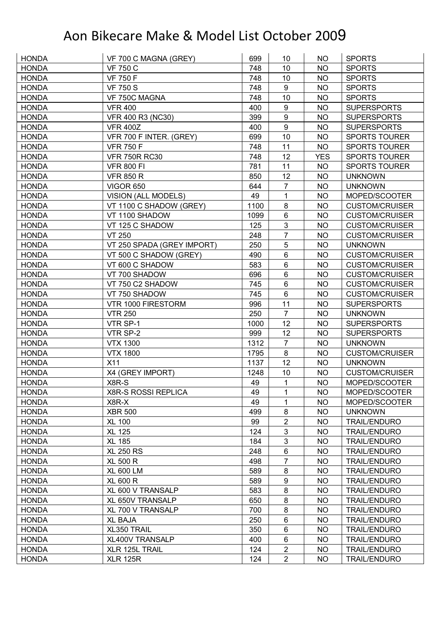| <b>HONDA</b> | VF 700 C MAGNA (GREY)      | 699  | 10               | <b>NO</b>  | <b>SPORTS</b>         |
|--------------|----------------------------|------|------------------|------------|-----------------------|
| <b>HONDA</b> | <b>VF 750 C</b>            | 748  | 10               | <b>NO</b>  | <b>SPORTS</b>         |
| <b>HONDA</b> | <b>VF 750 F</b>            | 748  | 10               | <b>NO</b>  | <b>SPORTS</b>         |
| <b>HONDA</b> | <b>VF 750 S</b>            | 748  | $\boldsymbol{9}$ | <b>NO</b>  | <b>SPORTS</b>         |
| <b>HONDA</b> | VF 750C MAGNA              | 748  | 10               | <b>NO</b>  | <b>SPORTS</b>         |
| <b>HONDA</b> | <b>VFR 400</b>             | 400  | $9\,$            | NO.        | <b>SUPERSPORTS</b>    |
| <b>HONDA</b> | VFR 400 R3 (NC30)          | 399  | $\boldsymbol{9}$ | <b>NO</b>  | <b>SUPERSPORTS</b>    |
| <b>HONDA</b> | <b>VFR 400Z</b>            | 400  | 9                | <b>NO</b>  | <b>SUPERSPORTS</b>    |
| <b>HONDA</b> | VFR 700 F INTER. (GREY)    | 699  | 10               | <b>NO</b>  | <b>SPORTS TOURER</b>  |
| <b>HONDA</b> | <b>VFR 750 F</b>           | 748  | 11               | <b>NO</b>  | <b>SPORTS TOURER</b>  |
| <b>HONDA</b> | <b>VFR 750R RC30</b>       | 748  | 12               | <b>YES</b> | <b>SPORTS TOURER</b>  |
| <b>HONDA</b> | <b>VFR 800 FI</b>          | 781  | 11               | <b>NO</b>  | <b>SPORTS TOURER</b>  |
| <b>HONDA</b> | <b>VFR 850 R</b>           | 850  | 12               | <b>NO</b>  | <b>UNKNOWN</b>        |
| <b>HONDA</b> | <b>VIGOR 650</b>           | 644  | $\overline{7}$   | <b>NO</b>  | <b>UNKNOWN</b>        |
| <b>HONDA</b> | <b>VISION (ALL MODELS)</b> | 49   | 1                | <b>NO</b>  | MOPED/SCOOTER         |
| <b>HONDA</b> | VT 1100 C SHADOW (GREY)    | 1100 | 8                | <b>NO</b>  | <b>CUSTOM/CRUISER</b> |
| <b>HONDA</b> | VT 1100 SHADOW             | 1099 | 6                | <b>NO</b>  | <b>CUSTOM/CRUISER</b> |
| <b>HONDA</b> | VT 125 C SHADOW            | 125  | 3                | <b>NO</b>  | <b>CUSTOM/CRUISER</b> |
| <b>HONDA</b> | <b>VT 250</b>              | 248  | $\overline{7}$   | <b>NO</b>  | <b>CUSTOM/CRUISER</b> |
| <b>HONDA</b> | VT 250 SPADA (GREY IMPORT) | 250  | 5                | <b>NO</b>  | <b>UNKNOWN</b>        |
| <b>HONDA</b> | VT 500 C SHADOW (GREY)     | 490  | $6\phantom{1}$   | <b>NO</b>  | <b>CUSTOM/CRUISER</b> |
| <b>HONDA</b> | VT 600 C SHADOW            | 583  | 6                | <b>NO</b>  | <b>CUSTOM/CRUISER</b> |
| <b>HONDA</b> | VT 700 SHADOW              | 696  | 6                | <b>NO</b>  | <b>CUSTOM/CRUISER</b> |
| <b>HONDA</b> | VT 750 C2 SHADOW           | 745  | 6                | <b>NO</b>  | <b>CUSTOM/CRUISER</b> |
| <b>HONDA</b> | VT 750 SHADOW              | 745  | $6\phantom{1}$   | <b>NO</b>  | <b>CUSTOM/CRUISER</b> |
| <b>HONDA</b> | VTR 1000 FIRESTORM         | 996  | 11               | <b>NO</b>  | <b>SUPERSPORTS</b>    |
| <b>HONDA</b> | <b>VTR 250</b>             | 250  | $\overline{7}$   | <b>NO</b>  | <b>UNKNOWN</b>        |
| <b>HONDA</b> | VTR SP-1                   | 1000 | 12               | <b>NO</b>  | <b>SUPERSPORTS</b>    |
| <b>HONDA</b> | VTR SP-2                   | 999  | 12               | <b>NO</b>  | <b>SUPERSPORTS</b>    |
| <b>HONDA</b> | <b>VTX 1300</b>            | 1312 | $\overline{7}$   | <b>NO</b>  | <b>UNKNOWN</b>        |
| <b>HONDA</b> | <b>VTX 1800</b>            | 1795 | $\bf 8$          | <b>NO</b>  | <b>CUSTOM/CRUISER</b> |
| <b>HONDA</b> | X11                        | 1137 | 12               | <b>NO</b>  | <b>UNKNOWN</b>        |
| <b>HONDA</b> | X4 (GREY IMPORT)           | 1248 | 10               | <b>NO</b>  | <b>CUSTOM/CRUISER</b> |
| <b>HONDA</b> | X8R-S                      | 49   | $\mathbf{1}$     | <b>NO</b>  | MOPED/SCOOTER         |
| <b>HONDA</b> | <b>X8R-S ROSSI REPLICA</b> | 49   | 1                | <b>NO</b>  | MOPED/SCOOTER         |
| <b>HONDA</b> | X8R-X                      | 49   | 1                | <b>NO</b>  | MOPED/SCOOTER         |
| <b>HONDA</b> | <b>XBR 500</b>             | 499  | 8                | <b>NO</b>  | <b>UNKNOWN</b>        |
| <b>HONDA</b> | <b>XL 100</b>              | 99   | $\overline{2}$   | <b>NO</b>  | <b>TRAIL/ENDURO</b>   |
| <b>HONDA</b> | <b>XL 125</b>              | 124  | 3                | <b>NO</b>  | <b>TRAIL/ENDURO</b>   |
| <b>HONDA</b> | <b>XL 185</b>              | 184  | 3                | NO         | <b>TRAIL/ENDURO</b>   |
| <b>HONDA</b> | <b>XL 250 RS</b>           | 248  | 6                | <b>NO</b>  | <b>TRAIL/ENDURO</b>   |
| <b>HONDA</b> | <b>XL 500 R</b>            | 498  | $\overline{7}$   | <b>NO</b>  | <b>TRAIL/ENDURO</b>   |
| <b>HONDA</b> | <b>XL 600 LM</b>           | 589  | $\bf 8$          | <b>NO</b>  | <b>TRAIL/ENDURO</b>   |
| <b>HONDA</b> | <b>XL 600 R</b>            | 589  | $\boldsymbol{9}$ | <b>NO</b>  | <b>TRAIL/ENDURO</b>   |
| <b>HONDA</b> | XL 600 V TRANSALP          | 583  | 8                | <b>NO</b>  | <b>TRAIL/ENDURO</b>   |
| <b>HONDA</b> | XL 650V TRANSALP           | 650  | 8                | <b>NO</b>  | <b>TRAIL/ENDURO</b>   |
| <b>HONDA</b> | <b>XL 700 V TRANSALP</b>   | 700  | $\bf 8$          | <b>NO</b>  | <b>TRAIL/ENDURO</b>   |
| <b>HONDA</b> | <b>XL BAJA</b>             | 250  | $\,6\,$          | <b>NO</b>  | <b>TRAIL/ENDURO</b>   |
| <b>HONDA</b> | XL350 TRAIL                | 350  | $\,6$            | <b>NO</b>  | <b>TRAIL/ENDURO</b>   |
| <b>HONDA</b> | XL400V TRANSALP            | 400  | $\,6$            | <b>NO</b>  | <b>TRAIL/ENDURO</b>   |
| <b>HONDA</b> | XLR 125L TRAIL             | 124  | $\overline{2}$   | <b>NO</b>  | <b>TRAIL/ENDURO</b>   |
| <b>HONDA</b> | <b>XLR 125R</b>            | 124  | $\overline{2}$   | <b>NO</b>  | <b>TRAIL/ENDURO</b>   |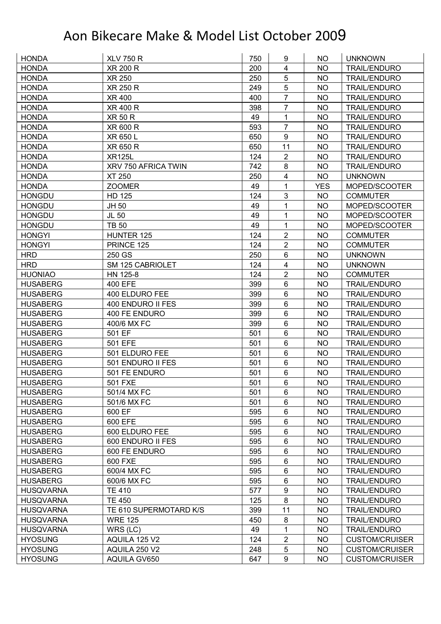| <b>HONDA</b>     | <b>XLV 750 R</b>       | 750 | 9                       | NO.        | <b>UNKNOWN</b>        |
|------------------|------------------------|-----|-------------------------|------------|-----------------------|
| <b>HONDA</b>     | <b>XR 200 R</b>        | 200 | 4                       | <b>NO</b>  | <b>TRAIL/ENDURO</b>   |
| <b>HONDA</b>     | <b>XR 250</b>          | 250 | 5                       | <b>NO</b>  | <b>TRAIL/ENDURO</b>   |
| <b>HONDA</b>     | XR 250 R               | 249 | 5                       | NO.        | <b>TRAIL/ENDURO</b>   |
| <b>HONDA</b>     | <b>XR 400</b>          | 400 | $\overline{7}$          | <b>NO</b>  | <b>TRAIL/ENDURO</b>   |
| <b>HONDA</b>     | XR 400 R               | 398 | $\overline{7}$          | <b>NO</b>  | <b>TRAIL/ENDURO</b>   |
| <b>HONDA</b>     | <b>XR 50 R</b>         | 49  | 1                       | <b>NO</b>  | <b>TRAIL/ENDURO</b>   |
| <b>HONDA</b>     | XR 600 R               | 593 | $\overline{7}$          | <b>NO</b>  | <b>TRAIL/ENDURO</b>   |
| <b>HONDA</b>     | XR 650 L               | 650 | 9                       | <b>NO</b>  | <b>TRAIL/ENDURO</b>   |
| <b>HONDA</b>     | XR 650 R               | 650 | 11                      | <b>NO</b>  | <b>TRAIL/ENDURO</b>   |
| <b>HONDA</b>     | <b>XR125L</b>          | 124 | $\overline{2}$          | <b>NO</b>  | <b>TRAIL/ENDURO</b>   |
| <b>HONDA</b>     | XRV 750 AFRICA TWIN    | 742 | 8                       | <b>NO</b>  | <b>TRAIL/ENDURO</b>   |
| <b>HONDA</b>     | <b>XT 250</b>          | 250 | $\overline{\mathbf{4}}$ | <b>NO</b>  | <b>UNKNOWN</b>        |
| <b>HONDA</b>     | <b>ZOOMER</b>          | 49  | $\mathbf{1}$            | <b>YES</b> | MOPED/SCOOTER         |
| <b>HONGDU</b>    | HD 125                 | 124 | 3                       | <b>NO</b>  | <b>COMMUTER</b>       |
| <b>HONGDU</b>    | JH 50                  | 49  | $\mathbf 1$             | <b>NO</b>  | MOPED/SCOOTER         |
| <b>HONGDU</b>    | JL 50                  | 49  | 1                       | <b>NO</b>  | MOPED/SCOOTER         |
| <b>HONGDU</b>    | <b>TB 50</b>           | 49  | $\mathbf{1}$            | <b>NO</b>  | MOPED/SCOOTER         |
| <b>HONGYI</b>    | HUNTER 125             | 124 | $\overline{2}$          | <b>NO</b>  | <b>COMMUTER</b>       |
| <b>HONGYI</b>    | PRINCE 125             | 124 | $\overline{2}$          | <b>NO</b>  | <b>COMMUTER</b>       |
| <b>HRD</b>       | 250 GS                 | 250 | 6                       | <b>NO</b>  | <b>UNKNOWN</b>        |
| <b>HRD</b>       | SM 125 CABRIOLET       | 124 | $\overline{\mathbf{4}}$ | <b>NO</b>  | <b>UNKNOWN</b>        |
| <b>HUONIAO</b>   | HN 125-8               | 124 | $\overline{2}$          | <b>NO</b>  | <b>COMMUTER</b>       |
| <b>HUSABERG</b>  | 400 EFE                | 399 | 6                       | <b>NO</b>  | <b>TRAIL/ENDURO</b>   |
| <b>HUSABERG</b>  | 400 ELDURO FEE         | 399 | 6                       | <b>NO</b>  | <b>TRAIL/ENDURO</b>   |
| <b>HUSABERG</b>  | 400 ENDURO II FES      | 399 | 6                       | <b>NO</b>  | <b>TRAIL/ENDURO</b>   |
| <b>HUSABERG</b>  | 400 FE ENDURO          | 399 | 6                       | <b>NO</b>  | <b>TRAIL/ENDURO</b>   |
| <b>HUSABERG</b>  | 400/6 MX FC            | 399 | 6                       | <b>NO</b>  | <b>TRAIL/ENDURO</b>   |
| <b>HUSABERG</b>  | 501 EF                 | 501 | 6                       | <b>NO</b>  | <b>TRAIL/ENDURO</b>   |
| <b>HUSABERG</b>  | 501 EFE                | 501 | 6                       | NO         | <b>TRAIL/ENDURO</b>   |
| <b>HUSABERG</b>  | 501 ELDURO FEE         | 501 | 6                       | <b>NO</b>  | <b>TRAIL/ENDURO</b>   |
| <b>HUSABERG</b>  | 501 ENDURO II FES      | 501 | 6                       | <b>NO</b>  | <b>TRAIL/ENDURO</b>   |
| <b>HUSABERG</b>  | 501 FE ENDURO          | 501 | 6                       | <b>NO</b>  | <b>TRAIL/ENDURO</b>   |
| <b>HUSABERG</b>  | <b>501 FXE</b>         | 501 | 6                       | <b>NO</b>  | TRAIL/ENDURO          |
| <b>HUSABERG</b>  | 501/4 MX FC            | 501 | 6                       | <b>NO</b>  | <b>TRAIL/ENDURO</b>   |
| <b>HUSABERG</b>  | 501/6 MX FC            | 501 | 6                       | <b>NO</b>  | <b>TRAIL/ENDURO</b>   |
| <b>HUSABERG</b>  | 600 EF                 | 595 | 6                       | <b>NO</b>  | TRAIL/ENDURO          |
| <b>HUSABERG</b>  | 600 EFE                | 595 | 6                       | <b>NO</b>  | <b>TRAIL/ENDURO</b>   |
| <b>HUSABERG</b>  | 600 ELDURO FEE         | 595 | $\,6\,$                 | <b>NO</b>  | <b>TRAIL/ENDURO</b>   |
| <b>HUSABERG</b>  | 600 ENDURO II FES      | 595 | 6                       | NO         | <b>TRAIL/ENDURO</b>   |
| <b>HUSABERG</b>  | 600 FE ENDURO          | 595 | 6                       | <b>NO</b>  | <b>TRAIL/ENDURO</b>   |
| <b>HUSABERG</b>  | 600 FXE                | 595 | 6                       | <b>NO</b>  | <b>TRAIL/ENDURO</b>   |
| <b>HUSABERG</b>  | 600/4 MX FC            | 595 | 6                       | <b>NO</b>  | <b>TRAIL/ENDURO</b>   |
| <b>HUSABERG</b>  | 600/6 MX FC            | 595 | 6                       | <b>NO</b>  | <b>TRAIL/ENDURO</b>   |
| <b>HUSQVARNA</b> | <b>TE 410</b>          | 577 | 9                       | <b>NO</b>  | <b>TRAIL/ENDURO</b>   |
| <b>HUSQVARNA</b> | <b>TE 450</b>          | 125 | 8                       | <b>NO</b>  | <b>TRAIL/ENDURO</b>   |
| <b>HUSQVARNA</b> | TE 610 SUPERMOTARD K/S | 399 | 11                      | <b>NO</b>  | <b>TRAIL/ENDURO</b>   |
| <b>HUSQVARNA</b> | <b>WRE 125</b>         | 450 | 8                       | <b>NO</b>  | <b>TRAIL/ENDURO</b>   |
| <b>HUSQVARNA</b> | WRS (LC)               | 49  | $\mathbf 1$             | <b>NO</b>  | <b>TRAIL/ENDURO</b>   |
| <b>HYOSUNG</b>   | AQUILA 125 V2          | 124 | $\overline{2}$          | <b>NO</b>  | <b>CUSTOM/CRUISER</b> |
| <b>HYOSUNG</b>   | AQUILA 250 V2          | 248 | 5                       | <b>NO</b>  | <b>CUSTOM/CRUISER</b> |
| <b>HYOSUNG</b>   | AQUILA GV650           | 647 | 9                       | <b>NO</b>  | <b>CUSTOM/CRUISER</b> |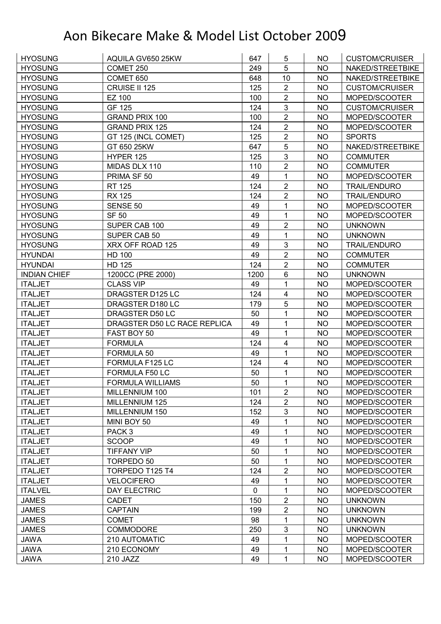| <b>HYOSUNG</b>      | AQUILA GV650 25KW            | 647         | 5                       | NO.       | <b>CUSTOM/CRUISER</b> |
|---------------------|------------------------------|-------------|-------------------------|-----------|-----------------------|
| <b>HYOSUNG</b>      | COMET 250                    | 249         | 5                       | <b>NO</b> | NAKED/STREETBIKE      |
| <b>HYOSUNG</b>      | COMET 650                    | 648         | 10                      | <b>NO</b> | NAKED/STREETBIKE      |
| <b>HYOSUNG</b>      | CRUISE II 125                | 125         | $\overline{2}$          | <b>NO</b> | <b>CUSTOM/CRUISER</b> |
| <b>HYOSUNG</b>      | <b>EZ 100</b>                | 100         | $\overline{2}$          | <b>NO</b> | MOPED/SCOOTER         |
| <b>HYOSUNG</b>      | GF 125                       | 124         | 3                       | NO        | <b>CUSTOM/CRUISER</b> |
| <b>HYOSUNG</b>      | <b>GRAND PRIX 100</b>        | 100         | $\mathbf{2}$            | <b>NO</b> | MOPED/SCOOTER         |
| <b>HYOSUNG</b>      | <b>GRAND PRIX 125</b>        | 124         | $\overline{2}$          | <b>NO</b> | MOPED/SCOOTER         |
| <b>HYOSUNG</b>      | GT 125 (INCL COMET)          | 125         | $\overline{2}$          | <b>NO</b> | <b>SPORTS</b>         |
| <b>HYOSUNG</b>      | GT 650 25KW                  | 647         | 5                       | <b>NO</b> | NAKED/STREETBIKE      |
| <b>HYOSUNG</b>      | HYPER 125                    | 125         | 3                       | <b>NO</b> | <b>COMMUTER</b>       |
| <b>HYOSUNG</b>      | MIDAS DLX 110                | 110         | $\overline{2}$          | <b>NO</b> | <b>COMMUTER</b>       |
| <b>HYOSUNG</b>      | PRIMA SF 50                  | 49          | 1                       | <b>NO</b> | MOPED/SCOOTER         |
| <b>HYOSUNG</b>      | <b>RT 125</b>                | 124         | $\overline{2}$          | <b>NO</b> | <b>TRAIL/ENDURO</b>   |
| <b>HYOSUNG</b>      | <b>RX 125</b>                | 124         | $\overline{2}$          | <b>NO</b> | <b>TRAIL/ENDURO</b>   |
| <b>HYOSUNG</b>      | SENSE 50                     | 49          | 1                       | NO        | MOPED/SCOOTER         |
| <b>HYOSUNG</b>      | <b>SF 50</b>                 | 49          | 1                       | <b>NO</b> | MOPED/SCOOTER         |
| <b>HYOSUNG</b>      | SUPER CAB 100                | 49          | $\overline{2}$          | <b>NO</b> | <b>UNKNOWN</b>        |
| <b>HYOSUNG</b>      | SUPER CAB 50                 | 49          | $\mathbf 1$             | <b>NO</b> | <b>UNKNOWN</b>        |
| <b>HYOSUNG</b>      | XRX OFF ROAD 125             | 49          | 3                       | <b>NO</b> | <b>TRAIL/ENDURO</b>   |
| <b>HYUNDAI</b>      | HD 100                       | 49          | $\overline{2}$          | <b>NO</b> | <b>COMMUTER</b>       |
| <b>HYUNDAI</b>      | <b>HD 125</b>                | 124         | $\overline{2}$          | <b>NO</b> | <b>COMMUTER</b>       |
| <b>INDIAN CHIEF</b> | 1200CC (PRE 2000)            | 1200        | 6                       | <b>NO</b> | <b>UNKNOWN</b>        |
| <b>ITALJET</b>      | <b>CLASS VIP</b>             | 49          | $\mathbf{1}$            | <b>NO</b> | MOPED/SCOOTER         |
| <b>ITALJET</b>      | DRAGSTER D125 LC             | 124         | $\overline{\mathbf{4}}$ | <b>NO</b> | MOPED/SCOOTER         |
| <b>ITALJET</b>      | DRAGSTER D180 LC             | 179         | 5                       | <b>NO</b> | MOPED/SCOOTER         |
| <b>ITALJET</b>      | DRAGSTER D50 LC              | 50          | 1                       | <b>NO</b> | MOPED/SCOOTER         |
| <b>ITALJET</b>      | DRAGSTER D50 LC RACE REPLICA | 49          | 1                       | <b>NO</b> | MOPED/SCOOTER         |
| <b>ITALJET</b>      | FAST BOY 50                  | 49          | $\mathbf{1}$            | <b>NO</b> | MOPED/SCOOTER         |
| <b>ITALJET</b>      | <b>FORMULA</b>               | 124         | 4                       | <b>NO</b> | MOPED/SCOOTER         |
| <b>ITALJET</b>      | FORMULA 50                   | 49          | 1                       | <b>NO</b> | MOPED/SCOOTER         |
| <b>ITALJET</b>      | FORMULA F125 LC              | 124         | $\overline{4}$          | <b>NO</b> | MOPED/SCOOTER         |
| <b>ITALJET</b>      | FORMULA F50 LC               | 50          | 1                       | <b>NO</b> | MOPED/SCOOTER         |
| <b>ITALJET</b>      | <b>FORMULA WILLIAMS</b>      | 50          | 1                       | <b>NO</b> | MOPED/SCOOTER         |
| <b>ITALJET</b>      | MILLENNIUM 100               | 101         | $\overline{c}$          | NO.       | MOPED/SCOOTER         |
| <b>ITALJET</b>      | MILLENNIUM 125               | 124         | 2                       | <b>NO</b> | MOPED/SCOOTER         |
| <b>ITALJET</b>      | MILLENNIUM 150               | 152         | 3                       | <b>NO</b> | MOPED/SCOOTER         |
| <b>ITALJET</b>      | MINI BOY 50                  | 49          | 1                       | <b>NO</b> | MOPED/SCOOTER         |
| <b>ITALJET</b>      | PACK <sub>3</sub>            | 49          | 1                       | <b>NO</b> | MOPED/SCOOTER         |
| <b>ITALJET</b>      | <b>SCOOP</b>                 | 49          | 1                       | <b>NO</b> | MOPED/SCOOTER         |
| <b>ITALJET</b>      | <b>TIFFANY VIP</b>           | 50          | 1                       | <b>NO</b> | MOPED/SCOOTER         |
| <b>ITALJET</b>      | TORPEDO 50                   | 50          | 1                       | <b>NO</b> | MOPED/SCOOTER         |
| <b>ITALJET</b>      | TORPEDO T125 T4              | 124         | $\mathbf{2}$            | <b>NO</b> | MOPED/SCOOTER         |
| <b>ITALJET</b>      | <b>VELOCIFERO</b>            | 49          | 1                       | <b>NO</b> | MOPED/SCOOTER         |
| <b>ITALVEL</b>      | DAY ELECTRIC                 | $\mathbf 0$ | 1                       | <b>NO</b> | MOPED/SCOOTER         |
| <b>JAMES</b>        | <b>CADET</b>                 | 150         | $\overline{2}$          | <b>NO</b> | <b>UNKNOWN</b>        |
| <b>JAMES</b>        | <b>CAPTAIN</b>               | 199         | $\overline{2}$          | <b>NO</b> | <b>UNKNOWN</b>        |
| <b>JAMES</b>        | <b>COMET</b>                 | 98          | $\mathbf{1}$            | <b>NO</b> | <b>UNKNOWN</b>        |
| <b>JAMES</b>        | <b>COMMODORE</b>             | 250         | 3                       | <b>NO</b> | <b>UNKNOWN</b>        |
| <b>JAWA</b>         | 210 AUTOMATIC                | 49          | 1                       | <b>NO</b> | MOPED/SCOOTER         |
| <b>JAWA</b>         | 210 ECONOMY                  | 49          | 1                       | <b>NO</b> | MOPED/SCOOTER         |
|                     |                              |             |                         |           |                       |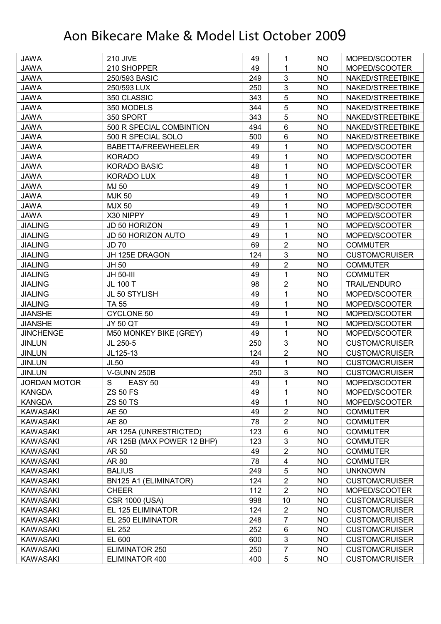| <b>JAWA</b>                        | <b>210 JIVE</b>            | 49  | 1                       | NO        | MOPED/SCOOTER         |
|------------------------------------|----------------------------|-----|-------------------------|-----------|-----------------------|
| <b>JAWA</b>                        | 210 SHOPPER                | 49  | 1                       | <b>NO</b> | MOPED/SCOOTER         |
| <b>JAWA</b>                        | 250/593 BASIC              | 249 | 3                       | <b>NO</b> | NAKED/STREETBIKE      |
| <b>JAWA</b>                        | 250/593 LUX                | 250 | 3                       | <b>NO</b> | NAKED/STREETBIKE      |
| <b>JAWA</b>                        | 350 CLASSIC                | 343 | 5                       | <b>NO</b> | NAKED/STREETBIKE      |
| <b>JAWA</b>                        | 350 MODELS                 | 344 | 5                       | NO        | NAKED/STREETBIKE      |
| <b>JAWA</b>                        | 350 SPORT                  | 343 | 5                       | <b>NO</b> | NAKED/STREETBIKE      |
| <b>JAWA</b>                        | 500 R SPECIAL COMBINTION   | 494 | 6                       | <b>NO</b> | NAKED/STREETBIKE      |
| <b>JAWA</b>                        | 500 R SPECIAL SOLO         | 500 | 6                       | <b>NO</b> | NAKED/STREETBIKE      |
| <b>JAWA</b>                        | BABETTA/FREEWHEELER        | 49  | 1                       | <b>NO</b> | MOPED/SCOOTER         |
| <b>JAWA</b>                        | <b>KORADO</b>              | 49  | 1                       | <b>NO</b> | MOPED/SCOOTER         |
| <b>JAWA</b>                        | <b>KORADO BASIC</b>        | 48  | 1                       | <b>NO</b> | MOPED/SCOOTER         |
| <b>JAWA</b>                        | KORADO LUX                 | 48  | 1                       | <b>NO</b> | MOPED/SCOOTER         |
| <b>JAWA</b>                        | MJ 50                      | 49  | 1                       | <b>NO</b> | MOPED/SCOOTER         |
| <b>JAWA</b>                        | <b>MJK 50</b>              | 49  | 1                       | <b>NO</b> | MOPED/SCOOTER         |
| <b>JAWA</b>                        | <b>MJX 50</b>              | 49  | 1                       | <b>NO</b> | MOPED/SCOOTER         |
| <b>JAWA</b>                        | X30 NIPPY                  | 49  | 1                       | <b>NO</b> | MOPED/SCOOTER         |
| <b>JIALING</b>                     | JD 50 HORIZON              | 49  | 1                       | <b>NO</b> | MOPED/SCOOTER         |
| <b>JIALING</b>                     | <b>JD 50 HORIZON AUTO</b>  | 49  | 1                       | <b>NO</b> | MOPED/SCOOTER         |
| <b>JIALING</b>                     | <b>JD 70</b>               | 69  | $\overline{2}$          | <b>NO</b> | <b>COMMUTER</b>       |
| <b>JIALING</b>                     | JH 125E DRAGON             | 124 | 3                       | <b>NO</b> | <b>CUSTOM/CRUISER</b> |
| <b>JIALING</b>                     | JH 50                      | 49  | $\overline{2}$          | <b>NO</b> | <b>COMMUTER</b>       |
| <b>JIALING</b>                     | JH 50-III                  | 49  | 1                       | <b>NO</b> | <b>COMMUTER</b>       |
| <b>JIALING</b>                     | JL 100 T                   | 98  | $\overline{2}$          | <b>NO</b> | <b>TRAIL/ENDURO</b>   |
| <b>JIALING</b>                     | JL 50 STYLISH              | 49  | 1                       | NO        | MOPED/SCOOTER         |
| <b>JIALING</b>                     | <b>TA 55</b>               | 49  | 1                       | <b>NO</b> | MOPED/SCOOTER         |
| <b>JIANSHE</b>                     | <b>CYCLONE 50</b>          | 49  | 1                       | <b>NO</b> | MOPED/SCOOTER         |
|                                    | <b>JY 50 QT</b>            | 49  | 1                       | <b>NO</b> | MOPED/SCOOTER         |
| <b>JIANSHE</b><br><b>JINCHENGE</b> |                            | 49  | $\mathbf 1$             | <b>NO</b> | MOPED/SCOOTER         |
|                                    | M50 MONKEY BIKE (GREY)     |     | $\mathfrak{S}$          |           |                       |
| <b>JINLUN</b>                      | JL 250-5                   | 250 |                         | <b>NO</b> | <b>CUSTOM/CRUISER</b> |
| <b>JINLUN</b>                      | JL125-13                   | 124 | $\overline{2}$          | <b>NO</b> | <b>CUSTOM/CRUISER</b> |
| <b>JINLUN</b>                      | <b>JL50</b><br>V-GUNN 250B | 49  | 1<br>3                  | <b>NO</b> | <b>CUSTOM/CRUISER</b> |
| <b>JINLUN</b>                      |                            | 250 | 1                       | <b>NO</b> | <b>CUSTOM/CRUISER</b> |
| <b>JORDAN MOTOR</b>                | ${\mathsf S}$<br>EASY 50   | 49  |                         | <b>NO</b> | MOPED/SCOOTER         |
| KANGDA                             | <b>ZS 50 FS</b>            | 49  | 1                       | NO.       | MOPED/SCOOTER         |
| <b>KANGDA</b>                      | <b>ZS 50 TS</b>            | 49  | 1                       | <b>NO</b> | MOPED/SCOOTER         |
| <b>KAWASAKI</b>                    | AE 50                      | 49  | 2                       | <b>NO</b> | <b>COMMUTER</b>       |
| <b>KAWASAKI</b>                    | AE 80                      | 78  | $\overline{2}$          | <b>NO</b> | <b>COMMUTER</b>       |
| KAWASAKI                           | AR 125A (UNRESTRICTED)     | 123 | $\,6\,$                 | <b>NO</b> | <b>COMMUTER</b>       |
| <b>KAWASAKI</b>                    | AR 125B (MAX POWER 12 BHP) | 123 | $\sqrt{3}$              | NO        | <b>COMMUTER</b>       |
| <b>KAWASAKI</b>                    | AR 50                      | 49  | $\overline{2}$          | <b>NO</b> | <b>COMMUTER</b>       |
| <b>KAWASAKI</b>                    | AR 80                      | 78  | $\overline{\mathbf{4}}$ | <b>NO</b> | <b>COMMUTER</b>       |
| <b>KAWASAKI</b>                    | <b>BALIUS</b>              | 249 | 5                       | <b>NO</b> | <b>UNKNOWN</b>        |
| KAWASAKI                           | BN125 A1 (ELIMINATOR)      | 124 | $\boldsymbol{2}$        | <b>NO</b> | <b>CUSTOM/CRUISER</b> |
| <b>KAWASAKI</b>                    | <b>CHEER</b>               | 112 | $\overline{2}$          | NO.       | MOPED/SCOOTER         |
| <b>KAWASAKI</b>                    | <b>CSR 1000 (USA)</b>      | 998 | 10                      | <b>NO</b> | <b>CUSTOM/CRUISER</b> |
| <b>KAWASAKI</b>                    | EL 125 ELIMINATOR          | 124 | $\overline{2}$          | NO.       | <b>CUSTOM/CRUISER</b> |
| KAWASAKI                           | EL 250 ELIMINATOR          | 248 | $\overline{7}$          | <b>NO</b> | <b>CUSTOM/CRUISER</b> |
| KAWASAKI                           | EL 252                     | 252 | 6                       | <b>NO</b> | <b>CUSTOM/CRUISER</b> |
| <b>KAWASAKI</b>                    | EL 600                     | 600 | $\mathbf{3}$            | <b>NO</b> | <b>CUSTOM/CRUISER</b> |
| <b>KAWASAKI</b>                    | ELIMINATOR 250             | 250 | $\overline{7}$          | <b>NO</b> | <b>CUSTOM/CRUISER</b> |
| <b>KAWASAKI</b>                    | ELIMINATOR 400             | 400 | 5                       | NO        | <b>CUSTOM/CRUISER</b> |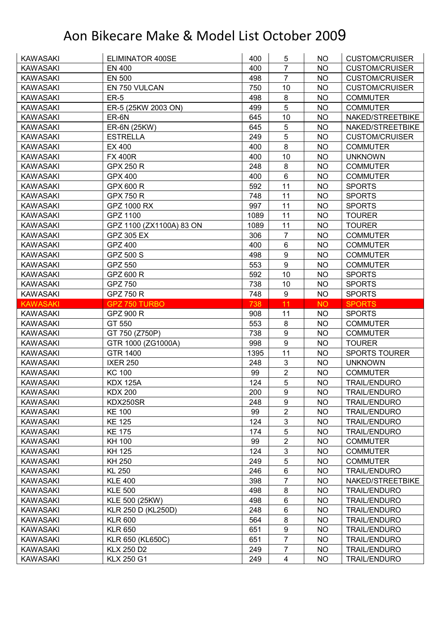| <b>KAWASAKI</b>                    | ELIMINATOR 400SE                       | 400        | 5                            | NO.                    | <b>CUSTOM/CRUISER</b>                      |
|------------------------------------|----------------------------------------|------------|------------------------------|------------------------|--------------------------------------------|
| <b>KAWASAKI</b>                    | <b>EN 400</b>                          | 400        | $\overline{7}$               | <b>NO</b>              | <b>CUSTOM/CRUISER</b>                      |
| <b>KAWASAKI</b>                    | <b>EN 500</b>                          | 498        | $\overline{7}$               | <b>NO</b>              | <b>CUSTOM/CRUISER</b>                      |
| <b>KAWASAKI</b>                    | EN 750 VULCAN                          | 750        | 10                           | <b>NO</b>              | <b>CUSTOM/CRUISER</b>                      |
| <b>KAWASAKI</b>                    | $ER-5$                                 | 498        | 8                            | <b>NO</b>              | <b>COMMUTER</b>                            |
| <b>KAWASAKI</b>                    | ER-5 (25KW 2003 ON)                    | 499        | 5                            | NO                     | <b>COMMUTER</b>                            |
| <b>KAWASAKI</b>                    | ER-6N                                  | 645        | 10                           | <b>NO</b>              | NAKED/STREETBIKE                           |
| <b>KAWASAKI</b>                    | ER-6N (25KW)                           | 645        | 5                            | <b>NO</b>              | NAKED/STREETBIKE                           |
| <b>KAWASAKI</b>                    | <b>ESTRELLA</b>                        | 249        | $\overline{5}$               | <b>NO</b>              | <b>CUSTOM/CRUISER</b>                      |
| <b>KAWASAKI</b>                    | EX 400                                 | 400        | 8                            | <b>NO</b>              | <b>COMMUTER</b>                            |
| <b>KAWASAKI</b>                    | <b>FX 400R</b>                         | 400        | 10                           | <b>NO</b>              | <b>UNKNOWN</b>                             |
| <b>KAWASAKI</b>                    | <b>GPX 250 R</b>                       | 248        | 8                            | <b>NO</b>              | <b>COMMUTER</b>                            |
| <b>KAWASAKI</b>                    | <b>GPX 400</b>                         | 400        | $6\phantom{1}$               | <b>NO</b>              | <b>COMMUTER</b>                            |
| <b>KAWASAKI</b>                    | GPX 600 R                              | 592        | 11                           | <b>NO</b>              | <b>SPORTS</b>                              |
| <b>KAWASAKI</b>                    | <b>GPX 750 R</b>                       | 748        | 11                           | <b>NO</b>              | <b>SPORTS</b>                              |
| <b>KAWASAKI</b>                    | GPZ 1000 RX                            | 997        | 11                           | <b>NO</b>              | <b>SPORTS</b>                              |
| <b>KAWASAKI</b>                    | GPZ 1100                               | 1089       | 11                           | <b>NO</b>              | <b>TOURER</b>                              |
| <b>KAWASAKI</b>                    | GPZ 1100 (ZX1100A) 83 ON               | 1089       | 11                           | <b>NO</b>              | <b>TOURER</b>                              |
| <b>KAWASAKI</b>                    | <b>GPZ 305 EX</b>                      | 306        | $\overline{7}$               | <b>NO</b>              | <b>COMMUTER</b>                            |
| <b>KAWASAKI</b>                    | <b>GPZ 400</b>                         | 400        | 6                            | <b>NO</b>              | <b>COMMUTER</b>                            |
| <b>KAWASAKI</b>                    | GPZ 500 S                              | 498        | 9                            | <b>NO</b>              | <b>COMMUTER</b>                            |
| <b>KAWASAKI</b>                    | GPZ 550                                | 553        | 9                            | <b>NO</b>              | <b>COMMUTER</b>                            |
| <b>KAWASAKI</b>                    | GPZ 600 R                              | 592        | 10                           | <b>NO</b>              | <b>SPORTS</b>                              |
| <b>KAWASAKI</b>                    | GPZ 750                                | 738        | 10                           | <b>NO</b>              | <b>SPORTS</b>                              |
| <b>KAWASAKI</b>                    | GPZ 750 R                              | 748        | 9                            | <b>NO</b>              | <b>SPORTS</b>                              |
| <b>KAWASAKI</b>                    | GPZ 750 TURBO                          | 738        | 11                           | <b>NO</b>              | <b>SPORTS</b>                              |
|                                    |                                        |            |                              |                        |                                            |
|                                    |                                        |            |                              |                        |                                            |
| <b>KAWASAKI</b>                    | GPZ 900 R                              | 908        | 11                           | <b>NO</b>              | <b>SPORTS</b>                              |
| <b>KAWASAKI</b>                    | GT 550                                 | 553        | 8                            | <b>NO</b>              | <b>COMMUTER</b>                            |
| <b>KAWASAKI</b>                    | GT 750 (Z750P)                         | 738        | 9                            | <b>NO</b>              | <b>COMMUTER</b>                            |
| <b>KAWASAKI</b>                    | GTR 1000 (ZG1000A)                     | 998        | 9                            | <b>NO</b>              | <b>TOURER</b>                              |
| <b>KAWASAKI</b>                    | <b>GTR 1400</b>                        | 1395       | 11                           | <b>NO</b>              | <b>SPORTS TOURER</b>                       |
| <b>KAWASAKI</b>                    | <b>IXER 250</b>                        | 248        | 3                            | NO.                    | <b>UNKNOWN</b>                             |
| <b>KAWASAKI</b>                    | <b>KC 100</b>                          | 99         | $\overline{2}$               | <b>NO</b>              | <b>COMMUTER</b>                            |
| <b>KAWASAKI</b>                    | <b>KDX 125A</b>                        | 124        | $\overline{5}$               | <b>NO</b>              | <b>TRAIL/ENDURO</b>                        |
| <b>KAWASAKI</b>                    | <b>KDX 200</b>                         | 200        | 9                            | NO.                    | <b>TRAIL/ENDURO</b>                        |
| <b>KAWASAKI</b>                    | KDX250SR                               | 248        | $\boldsymbol{9}$             | <b>NO</b>              | <b>TRAIL/ENDURO</b>                        |
| <b>KAWASAKI</b>                    | <b>KE 100</b>                          | 99         | $\overline{2}$               | NO.                    | <b>TRAIL/ENDURO</b>                        |
| <b>KAWASAKI</b>                    | <b>KE 125</b>                          | 124        | $\sqrt{3}$                   | <b>NO</b>              | <b>TRAIL/ENDURO</b>                        |
| KAWASAKI                           | <b>KE 175</b>                          | 174        | $\overline{5}$               | <b>NO</b>              | <b>TRAIL/ENDURO</b>                        |
| KAWASAKI                           | <b>KH 100</b>                          | 99         | $\overline{2}$               | <b>NO</b>              | <b>COMMUTER</b>                            |
| KAWASAKI                           | KH 125                                 | 124        | 3                            | <b>NO</b>              | <b>COMMUTER</b>                            |
| KAWASAKI                           | KH 250                                 | 249        | 5                            | NO                     | <b>COMMUTER</b>                            |
| <b>KAWASAKI</b>                    | <b>KL 250</b>                          | 246        | 6                            | <b>NO</b>              | <b>TRAIL/ENDURO</b>                        |
| KAWASAKI                           | <b>KLE 400</b>                         | 398        | 7                            | <b>NO</b>              | NAKED/STREETBIKE                           |
| KAWASAKI                           | <b>KLE 500</b>                         | 498        | 8                            | NO                     | <b>TRAIL/ENDURO</b>                        |
| KAWASAKI                           | KLE 500 (25KW)                         | 498        | 6                            | <b>NO</b>              | <b>TRAIL/ENDURO</b>                        |
| <b>KAWASAKI</b>                    | <b>KLR 250 D (KL250D)</b>              | 248        | 6                            | NO                     | <b>TRAIL/ENDURO</b>                        |
| <b>KAWASAKI</b>                    | <b>KLR 600</b>                         | 564        | $\bf 8$                      | <b>NO</b>              | <b>TRAIL/ENDURO</b>                        |
| <b>KAWASAKI</b>                    | <b>KLR 650</b>                         | 651        | $\boldsymbol{9}$             | <b>NO</b>              | <b>TRAIL/ENDURO</b>                        |
| <b>KAWASAKI</b>                    | KLR 650 (KL650C)                       | 651        | $\overline{7}$               | <b>NO</b>              | <b>TRAIL/ENDURO</b>                        |
| <b>KAWASAKI</b><br><b>KAWASAKI</b> | <b>KLX 250 D2</b><br><b>KLX 250 G1</b> | 249<br>249 | 7<br>$\overline{\mathbf{4}}$ | <b>NO</b><br><b>NO</b> | <b>TRAIL/ENDURO</b><br><b>TRAIL/ENDURO</b> |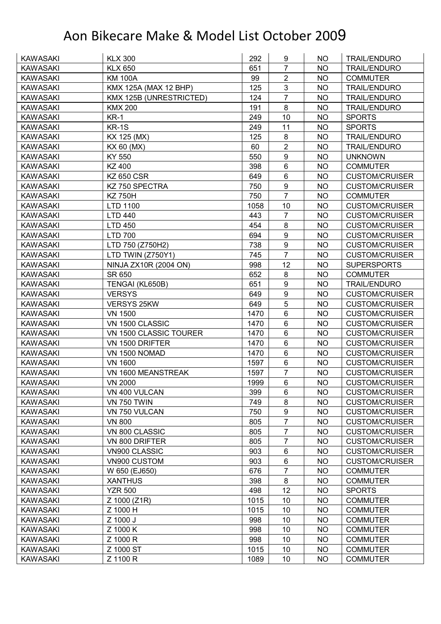| <b>KAWASAKI</b> | <b>KLX 300</b>          | 292  | 9                | NO.       | <b>TRAIL/ENDURO</b>   |
|-----------------|-------------------------|------|------------------|-----------|-----------------------|
| <b>KAWASAKI</b> | <b>KLX 650</b>          | 651  | $\overline{7}$   | <b>NO</b> | <b>TRAIL/ENDURO</b>   |
| <b>KAWASAKI</b> | <b>KM 100A</b>          | 99   | $\overline{2}$   | <b>NO</b> | <b>COMMUTER</b>       |
| <b>KAWASAKI</b> | KMX 125A (MAX 12 BHP)   | 125  | 3                | <b>NO</b> | TRAIL/ENDURO          |
| <b>KAWASAKI</b> | KMX 125B (UNRESTRICTED) | 124  | $\overline{7}$   | <b>NO</b> | <b>TRAIL/ENDURO</b>   |
| <b>KAWASAKI</b> | <b>KMX 200</b>          | 191  | 8                | <b>NO</b> | <b>TRAIL/ENDURO</b>   |
| <b>KAWASAKI</b> | KR-1                    | 249  | 10               | <b>NO</b> | <b>SPORTS</b>         |
| <b>KAWASAKI</b> | $KR-1S$                 | 249  | 11               | <b>NO</b> | <b>SPORTS</b>         |
| <b>KAWASAKI</b> | KX 125 (MX)             | 125  | 8                | <b>NO</b> | <b>TRAIL/ENDURO</b>   |
| <b>KAWASAKI</b> | KX 60 (MX)              | 60   | $\overline{2}$   | <b>NO</b> | TRAIL/ENDURO          |
| <b>KAWASAKI</b> | KY 550                  | 550  | 9                | <b>NO</b> | <b>UNKNOWN</b>        |
| <b>KAWASAKI</b> | KZ 400                  | 398  | 6                | <b>NO</b> | <b>COMMUTER</b>       |
| <b>KAWASAKI</b> | <b>KZ 650 CSR</b>       | 649  | 6                | <b>NO</b> | <b>CUSTOM/CRUISER</b> |
| <b>KAWASAKI</b> | KZ 750 SPECTRA          | 750  | 9                | <b>NO</b> | <b>CUSTOM/CRUISER</b> |
| <b>KAWASAKI</b> | <b>KZ750H</b>           | 750  | $\overline{7}$   | <b>NO</b> | <b>COMMUTER</b>       |
| <b>KAWASAKI</b> | LTD 1100                | 1058 | 10               | <b>NO</b> | <b>CUSTOM/CRUISER</b> |
| <b>KAWASAKI</b> | <b>LTD 440</b>          | 443  | $\overline{7}$   | <b>NO</b> | <b>CUSTOM/CRUISER</b> |
| <b>KAWASAKI</b> | <b>LTD 450</b>          | 454  | 8                | <b>NO</b> | <b>CUSTOM/CRUISER</b> |
| <b>KAWASAKI</b> | <b>LTD 700</b>          | 694  | $\boldsymbol{9}$ | <b>NO</b> | <b>CUSTOM/CRUISER</b> |
| <b>KAWASAKI</b> | LTD 750 (Z750H2)        | 738  | 9                | <b>NO</b> | <b>CUSTOM/CRUISER</b> |
| <b>KAWASAKI</b> | LTD TWIN (Z750Y1)       | 745  | $\overline{7}$   | <b>NO</b> | <b>CUSTOM/CRUISER</b> |
| <b>KAWASAKI</b> | NINJA ZX10R (2004 ON)   | 998  | 12               | <b>NO</b> | <b>SUPERSPORTS</b>    |
| <b>KAWASAKI</b> | SR 650                  | 652  | 8                | <b>NO</b> | <b>COMMUTER</b>       |
| <b>KAWASAKI</b> | TENGAI (KL650B)         | 651  | 9                | <b>NO</b> | <b>TRAIL/ENDURO</b>   |
| <b>KAWASAKI</b> | <b>VERSYS</b>           | 649  | $\boldsymbol{9}$ | <b>NO</b> | <b>CUSTOM/CRUISER</b> |
| <b>KAWASAKI</b> | VERSYS 25KW             | 649  | 5                | <b>NO</b> | <b>CUSTOM/CRUISER</b> |
| <b>KAWASAKI</b> | <b>VN 1500</b>          | 1470 | 6                | <b>NO</b> | <b>CUSTOM/CRUISER</b> |
| <b>KAWASAKI</b> | VN 1500 CLASSIC         | 1470 | $6\phantom{1}$   | <b>NO</b> | <b>CUSTOM/CRUISER</b> |
| <b>KAWASAKI</b> | VN 1500 CLASSIC TOURER  | 1470 | $6\phantom{a}$   | <b>NO</b> | <b>CUSTOM/CRUISER</b> |
| <b>KAWASAKI</b> | VN 1500 DRIFTER         | 1470 | $6\phantom{1}$   | NO.       | <b>CUSTOM/CRUISER</b> |
| <b>KAWASAKI</b> | VN 1500 NOMAD           | 1470 | 6                | <b>NO</b> | <b>CUSTOM/CRUISER</b> |
| <b>KAWASAKI</b> | <b>VN 1600</b>          | 1597 | 6                | <b>NO</b> | <b>CUSTOM/CRUISER</b> |
| <b>KAWASAKI</b> | VN 1600 MEANSTREAK      | 1597 | $\overline{7}$   | <b>NO</b> | <b>CUSTOM/CRUISER</b> |
| <b>KAWASAKI</b> | <b>VN 2000</b>          | 1999 | $6\phantom{1}$   | <b>NO</b> | <b>CUSTOM/CRUISER</b> |
| <b>KAWASAKI</b> | VN 400 VULCAN           | 399  | 6                | <b>NO</b> | <b>CUSTOM/CRUISER</b> |
| <b>KAWASAKI</b> | <b>VN 750 TWIN</b>      | 749  | 8                | <b>NO</b> | <b>CUSTOM/CRUISER</b> |
| <b>KAWASAKI</b> | VN 750 VULCAN           | 750  | $\boldsymbol{9}$ | <b>NO</b> | <b>CUSTOM/CRUISER</b> |
| KAWASAKI        | <b>VN 800</b>           | 805  | $\overline{7}$   | <b>NO</b> | <b>CUSTOM/CRUISER</b> |
| <b>KAWASAKI</b> | VN 800 CLASSIC          | 805  | $\overline{7}$   | <b>NO</b> | <b>CUSTOM/CRUISER</b> |
| <b>KAWASAKI</b> | VN 800 DRIFTER          | 805  | $\overline{7}$   | <b>NO</b> | <b>CUSTOM/CRUISER</b> |
| KAWASAKI        | VN900 CLASSIC           | 903  | 6                | <b>NO</b> | <b>CUSTOM/CRUISER</b> |
| <b>KAWASAKI</b> | VN900 CUSTOM            | 903  | $\,6\,$          | <b>NO</b> | <b>CUSTOM/CRUISER</b> |
| <b>KAWASAKI</b> | W 650 (EJ650)           | 676  | $\overline{7}$   | <b>NO</b> | <b>COMMUTER</b>       |
| <b>KAWASAKI</b> | <b>XANTHUS</b>          | 398  | 8                | <b>NO</b> | <b>COMMUTER</b>       |
| <b>KAWASAKI</b> | <b>YZR 500</b>          | 498  | 12               | <b>NO</b> | <b>SPORTS</b>         |
| <b>KAWASAKI</b> | Z 1000 (Z1R)            | 1015 | 10               | <b>NO</b> | <b>COMMUTER</b>       |
| <b>KAWASAKI</b> | Z 1000 H                | 1015 | 10               | <b>NO</b> | <b>COMMUTER</b>       |
| <b>KAWASAKI</b> | Z 1000 J                | 998  | 10               | <b>NO</b> | <b>COMMUTER</b>       |
| KAWASAKI        | Z 1000 K                | 998  | 10               | <b>NO</b> | <b>COMMUTER</b>       |
| <b>KAWASAKI</b> | Z 1000 R                | 998  | 10               | <b>NO</b> | <b>COMMUTER</b>       |
| <b>KAWASAKI</b> | Z 1000 ST               | 1015 | 10               | <b>NO</b> | <b>COMMUTER</b>       |
| <b>KAWASAKI</b> | Z 1100 R                | 1089 | 10               | <b>NO</b> | <b>COMMUTER</b>       |
|                 |                         |      |                  |           |                       |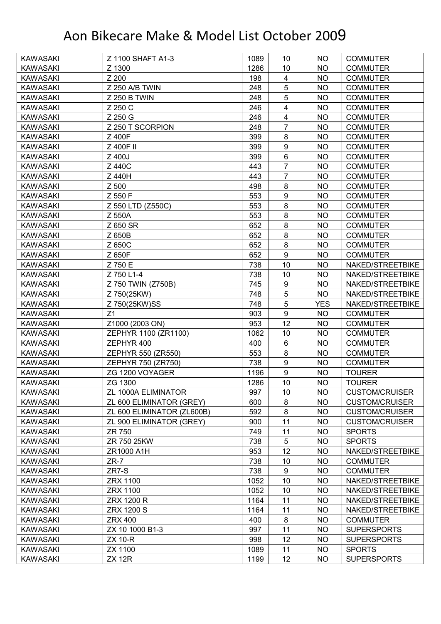| <b>KAWASAKI</b> | Z 1100 SHAFT A1-3          | 1089 | 10                      | <b>NO</b>  | <b>COMMUTER</b>       |
|-----------------|----------------------------|------|-------------------------|------------|-----------------------|
| <b>KAWASAKI</b> | Z 1300                     | 1286 | 10                      | <b>NO</b>  | <b>COMMUTER</b>       |
| <b>KAWASAKI</b> | Z 200                      | 198  | $\overline{\mathbf{4}}$ | <b>NO</b>  | <b>COMMUTER</b>       |
| <b>KAWASAKI</b> | Z 250 A/B TWIN             | 248  | 5                       | <b>NO</b>  | <b>COMMUTER</b>       |
| <b>KAWASAKI</b> | Z 250 B TWIN               | 248  | 5                       | <b>NO</b>  | <b>COMMUTER</b>       |
| <b>KAWASAKI</b> | Z 250 C                    | 246  | $\overline{4}$          | <b>NO</b>  | <b>COMMUTER</b>       |
| <b>KAWASAKI</b> | Z 250 G                    | 246  | $\overline{\mathbf{4}}$ | <b>NO</b>  | <b>COMMUTER</b>       |
| <b>KAWASAKI</b> | Z 250 T SCORPION           | 248  | $\overline{7}$          | <b>NO</b>  | <b>COMMUTER</b>       |
| <b>KAWASAKI</b> | Z 400F                     | 399  | 8                       | <b>NO</b>  | <b>COMMUTER</b>       |
| <b>KAWASAKI</b> | Z 400F II                  | 399  | 9                       | <b>NO</b>  | <b>COMMUTER</b>       |
| <b>KAWASAKI</b> | Z 400J                     | 399  | $6\phantom{1}$          | <b>NO</b>  | <b>COMMUTER</b>       |
| <b>KAWASAKI</b> | Z 440C                     | 443  | $\overline{7}$          | <b>NO</b>  | <b>COMMUTER</b>       |
| <b>KAWASAKI</b> | Z 440H                     | 443  | $\overline{7}$          | <b>NO</b>  | <b>COMMUTER</b>       |
| <b>KAWASAKI</b> | Z 500                      | 498  | 8                       | <b>NO</b>  | <b>COMMUTER</b>       |
| <b>KAWASAKI</b> | Z 550 F                    | 553  | 9                       | <b>NO</b>  | <b>COMMUTER</b>       |
| <b>KAWASAKI</b> | Z 550 LTD (Z550C)          | 553  | 8                       | <b>NO</b>  | <b>COMMUTER</b>       |
| <b>KAWASAKI</b> | Z 550A                     | 553  | 8                       | <b>NO</b>  | <b>COMMUTER</b>       |
| <b>KAWASAKI</b> | Z 650 SR                   | 652  | 8                       | <b>NO</b>  | <b>COMMUTER</b>       |
| <b>KAWASAKI</b> | Z 650B                     | 652  | $\bf 8$                 | <b>NO</b>  | <b>COMMUTER</b>       |
| <b>KAWASAKI</b> | Z 650C                     | 652  | 8                       | <b>NO</b>  | <b>COMMUTER</b>       |
| <b>KAWASAKI</b> | Z 650F                     | 652  | $\boldsymbol{9}$        | <b>NO</b>  | <b>COMMUTER</b>       |
| <b>KAWASAKI</b> | Z 750 E                    | 738  | 10                      | <b>NO</b>  | NAKED/STREETBIKE      |
| <b>KAWASAKI</b> | Z 750 L1-4                 | 738  | 10                      | <b>NO</b>  | NAKED/STREETBIKE      |
| <b>KAWASAKI</b> | Z 750 TWIN (Z750B)         | 745  | 9                       | <b>NO</b>  | NAKED/STREETBIKE      |
| <b>KAWASAKI</b> | Z 750(25KW)                | 748  | 5                       | <b>NO</b>  | NAKED/STREETBIKE      |
| <b>KAWASAKI</b> | Z 750(25KW)SS              | 748  | 5                       | <b>YES</b> | NAKED/STREETBIKE      |
| <b>KAWASAKI</b> | Z1                         | 903  | 9                       | <b>NO</b>  | <b>COMMUTER</b>       |
| <b>KAWASAKI</b> | Z1000 (2003 ON)            | 953  | 12                      | <b>NO</b>  | <b>COMMUTER</b>       |
| <b>KAWASAKI</b> | ZEPHYR 1100 (ZR1100)       | 1062 | 10                      | <b>NO</b>  | <b>COMMUTER</b>       |
| <b>KAWASAKI</b> | ZEPHYR 400                 | 400  | 6                       | <b>NO</b>  | <b>COMMUTER</b>       |
| <b>KAWASAKI</b> | ZEPHYR 550 (ZR550)         | 553  | 8                       | <b>NO</b>  | <b>COMMUTER</b>       |
| <b>KAWASAKI</b> | ZEPHYR 750 (ZR750)         | 738  | 9                       | <b>NO</b>  | <b>COMMUTER</b>       |
| <b>KAWASAKI</b> | ZG 1200 VOYAGER            | 1196 | 9                       | <b>NO</b>  | <b>TOURER</b>         |
| <b>KAWASAKI</b> | ZG 1300                    | 1286 | 10                      | <b>NO</b>  | <b>TOURER</b>         |
| <b>KAWASAKI</b> | ZL 1000A ELIMINATOR        | 997  | 10                      | NO.        | <b>CUSTOM/CRUISER</b> |
| <b>KAWASAKI</b> | ZL 600 ELIMINATOR (GREY)   | 600  | 8                       | <b>NO</b>  | <b>CUSTOM/CRUISER</b> |
| <b>KAWASAKI</b> | ZL 600 ELIMINATOR (ZL600B) | 592  | $\bf 8$                 | NO.        | <b>CUSTOM/CRUISER</b> |
| <b>KAWASAKI</b> | ZL 900 ELIMINATOR (GREY)   | 900  | 11                      | <b>NO</b>  | <b>CUSTOM/CRUISER</b> |
| KAWASAKI        | ZR 750                     | 749  | 11                      | <b>NO</b>  | <b>SPORTS</b>         |
| <b>KAWASAKI</b> | ZR 750 25KW                | 738  | $\mathbf 5$             | <b>NO</b>  | <b>SPORTS</b>         |
| <b>KAWASAKI</b> | ZR1000 A1H                 | 953  | 12                      | <b>NO</b>  | NAKED/STREETBIKE      |
| <b>KAWASAKI</b> | $ZR-7$                     | 738  | 10                      | <b>NO</b>  | <b>COMMUTER</b>       |
| <b>KAWASAKI</b> | ZR7-S                      | 738  | $\boldsymbol{9}$        | <b>NO</b>  | <b>COMMUTER</b>       |
| KAWASAKI        | ZRX 1100                   | 1052 | 10                      | <b>NO</b>  | NAKED/STREETBIKE      |
| <b>KAWASAKI</b> | ZRX 1100                   | 1052 | 10                      | <b>NO</b>  | NAKED/STREETBIKE      |
| <b>KAWASAKI</b> | ZRX 1200 R                 | 1164 | 11                      | <b>NO</b>  | NAKED/STREETBIKE      |
| <b>KAWASAKI</b> | <b>ZRX 1200 S</b>          | 1164 | 11                      | NO.        | NAKED/STREETBIKE      |
| <b>KAWASAKI</b> | <b>ZRX 400</b>             | 400  | $\bf 8$                 | <b>NO</b>  | <b>COMMUTER</b>       |
| <b>KAWASAKI</b> | ZX 10 1000 B1-3            | 997  | 11                      | <b>NO</b>  | <b>SUPERSPORTS</b>    |
| <b>KAWASAKI</b> | <b>ZX 10-R</b>             | 998  | 12                      | <b>NO</b>  | <b>SUPERSPORTS</b>    |
| <b>KAWASAKI</b> |                            |      |                         |            |                       |
|                 | ZX 1100                    | 1089 | 11                      | <b>NO</b>  | <b>SPORTS</b>         |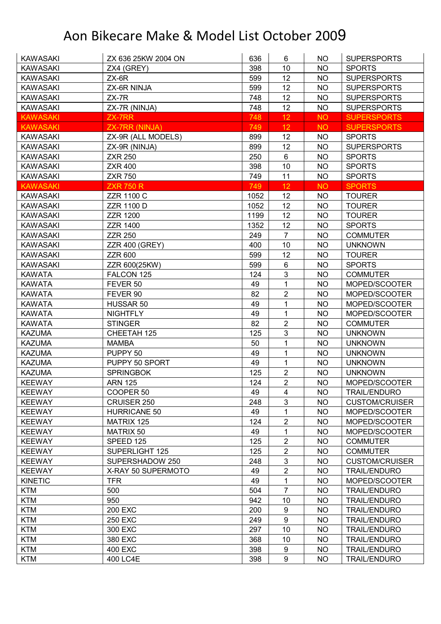| <b>KAWASAKI</b> | ZX 636 25KW 2004 ON   | 636  | 6                | NO        | <b>SUPERSPORTS</b>    |
|-----------------|-----------------------|------|------------------|-----------|-----------------------|
| <b>KAWASAKI</b> | ZX4 (GREY)            | 398  | 10               | <b>NO</b> | <b>SPORTS</b>         |
| <b>KAWASAKI</b> | $ZX-6R$               | 599  | 12               | <b>NO</b> | <b>SUPERSPORTS</b>    |
| <b>KAWASAKI</b> | ZX-6R NINJA           | 599  | 12               | <b>NO</b> | <b>SUPERSPORTS</b>    |
| <b>KAWASAKI</b> | $ZX-7R$               | 748  | 12               | <b>NO</b> | <b>SUPERSPORTS</b>    |
| <b>KAWASAKI</b> | ZX-7R (NINJA)         | 748  | 12               | <b>NO</b> | <b>SUPERSPORTS</b>    |
| <b>KAWASAKI</b> | ZX-7RR                | 748  | 12               | <b>NO</b> | <b>SUPERSPORTS</b>    |
| <b>KAWASAKI</b> | <b>ZX-7RR (NINJA)</b> | 749  | 12               | <b>NO</b> | <b>SUPERSPORTS</b>    |
| <b>KAWASAKI</b> | ZX-9R (ALL MODELS)    | 899  | 12               | <b>NO</b> | <b>SPORTS</b>         |
| <b>KAWASAKI</b> | ZX-9R (NINJA)         | 899  | 12               | <b>NO</b> | <b>SUPERSPORTS</b>    |
| <b>KAWASAKI</b> | <b>ZXR 250</b>        | 250  | 6                | <b>NO</b> | <b>SPORTS</b>         |
| <b>KAWASAKI</b> | <b>ZXR 400</b>        | 398  | 10               | <b>NO</b> | <b>SPORTS</b>         |
| <b>KAWASAKI</b> | <b>ZXR 750</b>        | 749  | 11               | <b>NO</b> | <b>SPORTS</b>         |
| <b>KAWASAKI</b> | <b>ZXR 750 R</b>      | 749  | 12               | <b>NO</b> | <b>SPORTS</b>         |
| <b>KAWASAKI</b> | <b>ZZR 1100 C</b>     | 1052 | 12               | NO        | <b>TOURER</b>         |
| <b>KAWASAKI</b> | <b>ZZR 1100 D</b>     | 1052 | 12               | <b>NO</b> | <b>TOURER</b>         |
| <b>KAWASAKI</b> | <b>ZZR 1200</b>       | 1199 | 12               | <b>NO</b> | <b>TOURER</b>         |
| <b>KAWASAKI</b> | <b>ZZR 1400</b>       | 1352 | 12               | <b>NO</b> | <b>SPORTS</b>         |
| <b>KAWASAKI</b> | <b>ZZR 250</b>        | 249  | $\overline{7}$   | <b>NO</b> | <b>COMMUTER</b>       |
| <b>KAWASAKI</b> | <b>ZZR 400 (GREY)</b> | 400  | 10               | <b>NO</b> | <b>UNKNOWN</b>        |
| <b>KAWASAKI</b> | <b>ZZR 600</b>        | 599  | 12               | <b>NO</b> | <b>TOURER</b>         |
| <b>KAWASAKI</b> | ZZR 600(25KW)         | 599  | 6                | <b>NO</b> | <b>SPORTS</b>         |
| <b>KAWATA</b>   | FALCON 125            | 124  | 3                | <b>NO</b> | <b>COMMUTER</b>       |
| <b>KAWATA</b>   | FEVER 50              | 49   | 1                | <b>NO</b> | MOPED/SCOOTER         |
| <b>KAWATA</b>   | FEVER 90              | 82   | $\overline{2}$   | <b>NO</b> | MOPED/SCOOTER         |
| <b>KAWATA</b>   | HUSSAR 50             | 49   | 1                | <b>NO</b> | MOPED/SCOOTER         |
| <b>KAWATA</b>   | <b>NIGHTFLY</b>       | 49   | 1                | <b>NO</b> | MOPED/SCOOTER         |
| <b>KAWATA</b>   | <b>STINGER</b>        | 82   | $\overline{2}$   | <b>NO</b> | <b>COMMUTER</b>       |
| <b>KAZUMA</b>   | CHEETAH 125           | 125  | $\mathbf{3}$     | <b>NO</b> | <b>UNKNOWN</b>        |
| <b>KAZUMA</b>   | <b>MAMBA</b>          | 50   | 1                | <b>NO</b> | <b>UNKNOWN</b>        |
| <b>KAZUMA</b>   | PUPPY 50              | 49   | 1                | <b>NO</b> | <b>UNKNOWN</b>        |
| <b>KAZUMA</b>   | PUPPY 50 SPORT        | 49   | $\mathbf{1}$     | <b>NO</b> | <b>UNKNOWN</b>        |
| <b>KAZUMA</b>   | <b>SPRINGBOK</b>      | 125  | $\overline{2}$   | <b>NO</b> | <b>UNKNOWN</b>        |
| <b>KEEWAY</b>   | <b>ARN 125</b>        | 124  | $\overline{2}$   | <b>NO</b> | MOPED/SCOOTER         |
| <b>KEEWAY</b>   | COOPER 50             | 49   | 4                | NO        | <b>TRAIL/ENDURO</b>   |
| <b>KEEWAY</b>   | CRUISER 250           | 248  | $\mathfrak{S}$   | NO.       | <b>CUSTOM/CRUISER</b> |
| <b>KEEWAY</b>   | <b>HURRICANE 50</b>   | 49   | 1                | <b>NO</b> | MOPED/SCOOTER         |
| <b>KEEWAY</b>   | MATRIX 125            | 124  | $\sqrt{2}$       | <b>NO</b> | MOPED/SCOOTER         |
| <b>KEEWAY</b>   | MATRIX 50             | 49   | 1                | NO        | MOPED/SCOOTER         |
| <b>KEEWAY</b>   | SPEED 125             | 125  | $\boldsymbol{2}$ | <b>NO</b> | <b>COMMUTER</b>       |
| <b>KEEWAY</b>   | SUPERLIGHT 125        | 125  | $\overline{2}$   | <b>NO</b> | <b>COMMUTER</b>       |
| <b>KEEWAY</b>   | SUPERSHADOW 250       | 248  | $\sqrt{3}$       | <b>NO</b> | <b>CUSTOM/CRUISER</b> |
| <b>KEEWAY</b>   | X-RAY 50 SUPERMOTO    | 49   | $\overline{2}$   | <b>NO</b> | <b>TRAIL/ENDURO</b>   |
| <b>KINETIC</b>  | TFR.                  | 49   | 1                | <b>NO</b> | MOPED/SCOOTER         |
| <b>KTM</b>      | 500                   | 504  | $\overline{7}$   | <b>NO</b> | <b>TRAIL/ENDURO</b>   |
| <b>KTM</b>      | 950                   | 942  | 10               | <b>NO</b> | <b>TRAIL/ENDURO</b>   |
| <b>KTM</b>      | 200 EXC               | 200  | $\boldsymbol{9}$ | <b>NO</b> | <b>TRAIL/ENDURO</b>   |
| <b>KTM</b>      | <b>250 EXC</b>        | 249  | $\boldsymbol{9}$ | <b>NO</b> | <b>TRAIL/ENDURO</b>   |
| <b>KTM</b>      | 300 EXC               | 297  | 10               | <b>NO</b> | <b>TRAIL/ENDURO</b>   |
| <b>KTM</b>      | 380 EXC               | 368  | 10               | <b>NO</b> | <b>TRAIL/ENDURO</b>   |
| <b>KTM</b>      | 400 EXC               | 398  | 9                | NO.       | <b>TRAIL/ENDURO</b>   |
| <b>KTM</b>      | 400 LC4E              | 398  | $\boldsymbol{9}$ | <b>NO</b> | <b>TRAIL/ENDURO</b>   |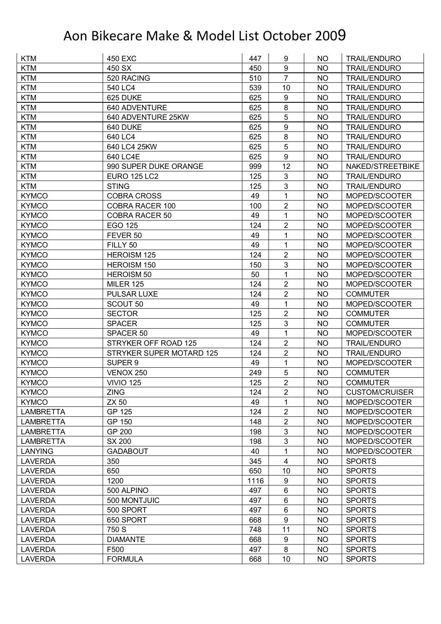| 9<br><b>KTM</b><br>450 SX<br>450<br><b>NO</b><br><b>TRAIL/ENDURO</b><br>$\overline{7}$<br><b>KTM</b><br>520 RACING<br>510<br><b>NO</b><br><b>TRAIL/ENDURO</b><br><b>KTM</b><br>540 LC4<br>539<br>10<br><b>NO</b><br><b>TRAIL/ENDURO</b><br>$\boldsymbol{9}$<br><b>KTM</b><br>625<br>625 DUKE<br><b>NO</b><br><b>TRAIL/ENDURO</b><br>8<br><b>KTM</b><br>640 ADVENTURE<br>625<br>NO<br><b>TRAIL/ENDURO</b><br>5<br><b>KTM</b><br>640 ADVENTURE 25KW<br>625<br><b>TRAIL/ENDURO</b><br><b>NO</b><br>9<br>625<br><b>KTM</b><br>640 DUKE<br><b>NO</b><br><b>TRAIL/ENDURO</b><br>$\bf 8$<br><b>KTM</b><br>640 LC4<br>625<br><b>NO</b><br><b>TRAIL/ENDURO</b><br>5<br><b>KTM</b><br>640 LC4 25KW<br>625<br><b>NO</b><br><b>TRAIL/ENDURO</b><br>9<br><b>KTM</b><br>640 LC4E<br>625<br><b>NO</b><br><b>TRAIL/ENDURO</b><br><b>KTM</b><br>990 SUPER DUKE ORANGE<br>12<br>999<br><b>NO</b><br>NAKED/STREETBIKE<br>3<br><b>KTM</b><br><b>EURO 125 LC2</b><br>125<br><b>NO</b><br><b>TRAIL/ENDURO</b><br>3<br><b>KTM</b><br><b>STING</b><br>125<br><b>NO</b><br><b>TRAIL/ENDURO</b><br>1<br><b>KYMCO</b><br><b>COBRA CROSS</b><br>49<br><b>NO</b><br>MOPED/SCOOTER<br>$\boldsymbol{2}$<br><b>COBRA RACER 100</b><br>100<br><b>KYMCO</b><br><b>NO</b><br>MOPED/SCOOTER<br>49<br>1<br><b>KYMCO</b><br><b>COBRA RACER 50</b><br><b>NO</b><br>MOPED/SCOOTER<br>$\overline{2}$<br>EGO 125<br>124<br><b>NO</b><br><b>KYMCO</b><br>MOPED/SCOOTER<br>1<br><b>KYMCO</b><br>49<br><b>NO</b><br>MOPED/SCOOTER<br>FEVER 50<br>1<br>49<br><b>KYMCO</b><br>FILLY 50<br><b>NO</b><br>MOPED/SCOOTER<br>$\overline{2}$<br><b>KYMCO</b><br><b>HEROISM 125</b><br>124<br><b>NO</b><br>MOPED/SCOOTER |
|--------------------------------------------------------------------------------------------------------------------------------------------------------------------------------------------------------------------------------------------------------------------------------------------------------------------------------------------------------------------------------------------------------------------------------------------------------------------------------------------------------------------------------------------------------------------------------------------------------------------------------------------------------------------------------------------------------------------------------------------------------------------------------------------------------------------------------------------------------------------------------------------------------------------------------------------------------------------------------------------------------------------------------------------------------------------------------------------------------------------------------------------------------------------------------------------------------------------------------------------------------------------------------------------------------------------------------------------------------------------------------------------------------------------------------------------------------------------------------------------------------------------------------------------------------------------------------------------------------------------------------------------------------------------|
|                                                                                                                                                                                                                                                                                                                                                                                                                                                                                                                                                                                                                                                                                                                                                                                                                                                                                                                                                                                                                                                                                                                                                                                                                                                                                                                                                                                                                                                                                                                                                                                                                                                                    |
|                                                                                                                                                                                                                                                                                                                                                                                                                                                                                                                                                                                                                                                                                                                                                                                                                                                                                                                                                                                                                                                                                                                                                                                                                                                                                                                                                                                                                                                                                                                                                                                                                                                                    |
|                                                                                                                                                                                                                                                                                                                                                                                                                                                                                                                                                                                                                                                                                                                                                                                                                                                                                                                                                                                                                                                                                                                                                                                                                                                                                                                                                                                                                                                                                                                                                                                                                                                                    |
|                                                                                                                                                                                                                                                                                                                                                                                                                                                                                                                                                                                                                                                                                                                                                                                                                                                                                                                                                                                                                                                                                                                                                                                                                                                                                                                                                                                                                                                                                                                                                                                                                                                                    |
|                                                                                                                                                                                                                                                                                                                                                                                                                                                                                                                                                                                                                                                                                                                                                                                                                                                                                                                                                                                                                                                                                                                                                                                                                                                                                                                                                                                                                                                                                                                                                                                                                                                                    |
|                                                                                                                                                                                                                                                                                                                                                                                                                                                                                                                                                                                                                                                                                                                                                                                                                                                                                                                                                                                                                                                                                                                                                                                                                                                                                                                                                                                                                                                                                                                                                                                                                                                                    |
|                                                                                                                                                                                                                                                                                                                                                                                                                                                                                                                                                                                                                                                                                                                                                                                                                                                                                                                                                                                                                                                                                                                                                                                                                                                                                                                                                                                                                                                                                                                                                                                                                                                                    |
|                                                                                                                                                                                                                                                                                                                                                                                                                                                                                                                                                                                                                                                                                                                                                                                                                                                                                                                                                                                                                                                                                                                                                                                                                                                                                                                                                                                                                                                                                                                                                                                                                                                                    |
|                                                                                                                                                                                                                                                                                                                                                                                                                                                                                                                                                                                                                                                                                                                                                                                                                                                                                                                                                                                                                                                                                                                                                                                                                                                                                                                                                                                                                                                                                                                                                                                                                                                                    |
|                                                                                                                                                                                                                                                                                                                                                                                                                                                                                                                                                                                                                                                                                                                                                                                                                                                                                                                                                                                                                                                                                                                                                                                                                                                                                                                                                                                                                                                                                                                                                                                                                                                                    |
|                                                                                                                                                                                                                                                                                                                                                                                                                                                                                                                                                                                                                                                                                                                                                                                                                                                                                                                                                                                                                                                                                                                                                                                                                                                                                                                                                                                                                                                                                                                                                                                                                                                                    |
|                                                                                                                                                                                                                                                                                                                                                                                                                                                                                                                                                                                                                                                                                                                                                                                                                                                                                                                                                                                                                                                                                                                                                                                                                                                                                                                                                                                                                                                                                                                                                                                                                                                                    |
|                                                                                                                                                                                                                                                                                                                                                                                                                                                                                                                                                                                                                                                                                                                                                                                                                                                                                                                                                                                                                                                                                                                                                                                                                                                                                                                                                                                                                                                                                                                                                                                                                                                                    |
|                                                                                                                                                                                                                                                                                                                                                                                                                                                                                                                                                                                                                                                                                                                                                                                                                                                                                                                                                                                                                                                                                                                                                                                                                                                                                                                                                                                                                                                                                                                                                                                                                                                                    |
|                                                                                                                                                                                                                                                                                                                                                                                                                                                                                                                                                                                                                                                                                                                                                                                                                                                                                                                                                                                                                                                                                                                                                                                                                                                                                                                                                                                                                                                                                                                                                                                                                                                                    |
|                                                                                                                                                                                                                                                                                                                                                                                                                                                                                                                                                                                                                                                                                                                                                                                                                                                                                                                                                                                                                                                                                                                                                                                                                                                                                                                                                                                                                                                                                                                                                                                                                                                                    |
|                                                                                                                                                                                                                                                                                                                                                                                                                                                                                                                                                                                                                                                                                                                                                                                                                                                                                                                                                                                                                                                                                                                                                                                                                                                                                                                                                                                                                                                                                                                                                                                                                                                                    |
|                                                                                                                                                                                                                                                                                                                                                                                                                                                                                                                                                                                                                                                                                                                                                                                                                                                                                                                                                                                                                                                                                                                                                                                                                                                                                                                                                                                                                                                                                                                                                                                                                                                                    |
|                                                                                                                                                                                                                                                                                                                                                                                                                                                                                                                                                                                                                                                                                                                                                                                                                                                                                                                                                                                                                                                                                                                                                                                                                                                                                                                                                                                                                                                                                                                                                                                                                                                                    |
|                                                                                                                                                                                                                                                                                                                                                                                                                                                                                                                                                                                                                                                                                                                                                                                                                                                                                                                                                                                                                                                                                                                                                                                                                                                                                                                                                                                                                                                                                                                                                                                                                                                                    |
| $\mathbf{3}$<br><b>KYMCO</b><br>HEROISM 150<br>150<br><b>NO</b><br>MOPED/SCOOTER                                                                                                                                                                                                                                                                                                                                                                                                                                                                                                                                                                                                                                                                                                                                                                                                                                                                                                                                                                                                                                                                                                                                                                                                                                                                                                                                                                                                                                                                                                                                                                                   |
| 1<br>50<br><b>NO</b><br><b>KYMCO</b><br><b>HEROISM 50</b><br>MOPED/SCOOTER                                                                                                                                                                                                                                                                                                                                                                                                                                                                                                                                                                                                                                                                                                                                                                                                                                                                                                                                                                                                                                                                                                                                                                                                                                                                                                                                                                                                                                                                                                                                                                                         |
| $\overline{2}$<br>124<br><b>KYMCO</b><br><b>MILER 125</b><br><b>NO</b><br>MOPED/SCOOTER                                                                                                                                                                                                                                                                                                                                                                                                                                                                                                                                                                                                                                                                                                                                                                                                                                                                                                                                                                                                                                                                                                                                                                                                                                                                                                                                                                                                                                                                                                                                                                            |
| $\overline{2}$<br><b>PULSAR LUXE</b><br>124<br><b>KYMCO</b><br>NO<br><b>COMMUTER</b>                                                                                                                                                                                                                                                                                                                                                                                                                                                                                                                                                                                                                                                                                                                                                                                                                                                                                                                                                                                                                                                                                                                                                                                                                                                                                                                                                                                                                                                                                                                                                                               |
| 1<br><b>KYMCO</b><br>SCOUT 50<br>49<br><b>NO</b><br>MOPED/SCOOTER                                                                                                                                                                                                                                                                                                                                                                                                                                                                                                                                                                                                                                                                                                                                                                                                                                                                                                                                                                                                                                                                                                                                                                                                                                                                                                                                                                                                                                                                                                                                                                                                  |
| $\overline{2}$<br>125<br><b>KYMCO</b><br><b>SECTOR</b><br><b>NO</b><br><b>COMMUTER</b>                                                                                                                                                                                                                                                                                                                                                                                                                                                                                                                                                                                                                                                                                                                                                                                                                                                                                                                                                                                                                                                                                                                                                                                                                                                                                                                                                                                                                                                                                                                                                                             |
| 3<br><b>KYMCO</b><br><b>SPACER</b><br>125<br><b>NO</b><br><b>COMMUTER</b>                                                                                                                                                                                                                                                                                                                                                                                                                                                                                                                                                                                                                                                                                                                                                                                                                                                                                                                                                                                                                                                                                                                                                                                                                                                                                                                                                                                                                                                                                                                                                                                          |
| $\mathbf 1$<br>49<br><b>NO</b><br><b>KYMCO</b><br>SPACER 50<br>MOPED/SCOOTER                                                                                                                                                                                                                                                                                                                                                                                                                                                                                                                                                                                                                                                                                                                                                                                                                                                                                                                                                                                                                                                                                                                                                                                                                                                                                                                                                                                                                                                                                                                                                                                       |
| $\overline{2}$<br>124<br><b>NO</b><br><b>KYMCO</b><br>STRYKER OFF ROAD 125<br><b>TRAIL/ENDURO</b>                                                                                                                                                                                                                                                                                                                                                                                                                                                                                                                                                                                                                                                                                                                                                                                                                                                                                                                                                                                                                                                                                                                                                                                                                                                                                                                                                                                                                                                                                                                                                                  |
| <b>KYMCO</b><br>$\overline{2}$<br>STRYKER SUPER MOTARD 125<br>124<br><b>NO</b><br><b>TRAIL/ENDURO</b>                                                                                                                                                                                                                                                                                                                                                                                                                                                                                                                                                                                                                                                                                                                                                                                                                                                                                                                                                                                                                                                                                                                                                                                                                                                                                                                                                                                                                                                                                                                                                              |
| $\mathbf{1}$<br><b>KYMCO</b><br>SUPER <sub>9</sub><br>49<br>MOPED/SCOOTER<br><b>NO</b>                                                                                                                                                                                                                                                                                                                                                                                                                                                                                                                                                                                                                                                                                                                                                                                                                                                                                                                                                                                                                                                                                                                                                                                                                                                                                                                                                                                                                                                                                                                                                                             |
| 5<br><b>KYMCO</b><br><b>VENOX 250</b><br>249<br><b>NO</b><br><b>COMMUTER</b>                                                                                                                                                                                                                                                                                                                                                                                                                                                                                                                                                                                                                                                                                                                                                                                                                                                                                                                                                                                                                                                                                                                                                                                                                                                                                                                                                                                                                                                                                                                                                                                       |
| $\overline{2}$<br><b>KYMCO</b><br>125<br><b>NO</b><br><b>VIVIO 125</b><br><b>COMMUTER</b>                                                                                                                                                                                                                                                                                                                                                                                                                                                                                                                                                                                                                                                                                                                                                                                                                                                                                                                                                                                                                                                                                                                                                                                                                                                                                                                                                                                                                                                                                                                                                                          |
| <b>ZING</b><br>$\overline{2}$<br><b>KYMCO</b><br>124<br>NO<br><b>CUSTOM/CRUISER</b>                                                                                                                                                                                                                                                                                                                                                                                                                                                                                                                                                                                                                                                                                                                                                                                                                                                                                                                                                                                                                                                                                                                                                                                                                                                                                                                                                                                                                                                                                                                                                                                |
| <b>ZX 50</b><br><b>KYMCO</b><br>49<br><b>NO</b><br>MOPED/SCOOTER<br>1                                                                                                                                                                                                                                                                                                                                                                                                                                                                                                                                                                                                                                                                                                                                                                                                                                                                                                                                                                                                                                                                                                                                                                                                                                                                                                                                                                                                                                                                                                                                                                                              |
| 124<br>2<br>GP 125<br><b>NO</b><br><b>LAMBRETTA</b><br>MOPED/SCOOTER                                                                                                                                                                                                                                                                                                                                                                                                                                                                                                                                                                                                                                                                                                                                                                                                                                                                                                                                                                                                                                                                                                                                                                                                                                                                                                                                                                                                                                                                                                                                                                                               |
| $\overline{2}$<br>GP 150<br>148<br><b>NO</b><br><b>LAMBRETTA</b><br>MOPED/SCOOTER                                                                                                                                                                                                                                                                                                                                                                                                                                                                                                                                                                                                                                                                                                                                                                                                                                                                                                                                                                                                                                                                                                                                                                                                                                                                                                                                                                                                                                                                                                                                                                                  |
| $\mathbf{3}$<br>GP 200<br><b>LAMBRETTA</b><br>198<br><b>NO</b><br>MOPED/SCOOTER                                                                                                                                                                                                                                                                                                                                                                                                                                                                                                                                                                                                                                                                                                                                                                                                                                                                                                                                                                                                                                                                                                                                                                                                                                                                                                                                                                                                                                                                                                                                                                                    |
| $\mathbf{3}$<br><b>LAMBRETTA</b><br>SX 200<br><b>NO</b><br>MOPED/SCOOTER<br>198                                                                                                                                                                                                                                                                                                                                                                                                                                                                                                                                                                                                                                                                                                                                                                                                                                                                                                                                                                                                                                                                                                                                                                                                                                                                                                                                                                                                                                                                                                                                                                                    |
| 1<br><b>LANYING</b><br><b>GADABOUT</b><br>40<br><b>NO</b><br>MOPED/SCOOTER                                                                                                                                                                                                                                                                                                                                                                                                                                                                                                                                                                                                                                                                                                                                                                                                                                                                                                                                                                                                                                                                                                                                                                                                                                                                                                                                                                                                                                                                                                                                                                                         |
| $\overline{4}$<br>350<br>345<br><b>NO</b><br><b>LAVERDA</b><br><b>SPORTS</b>                                                                                                                                                                                                                                                                                                                                                                                                                                                                                                                                                                                                                                                                                                                                                                                                                                                                                                                                                                                                                                                                                                                                                                                                                                                                                                                                                                                                                                                                                                                                                                                       |
| 650<br>10<br><b>LAVERDA</b><br>650<br><b>NO</b><br><b>SPORTS</b>                                                                                                                                                                                                                                                                                                                                                                                                                                                                                                                                                                                                                                                                                                                                                                                                                                                                                                                                                                                                                                                                                                                                                                                                                                                                                                                                                                                                                                                                                                                                                                                                   |
| 1200<br>9<br><b>NO</b><br><b>LAVERDA</b><br>1116<br><b>SPORTS</b>                                                                                                                                                                                                                                                                                                                                                                                                                                                                                                                                                                                                                                                                                                                                                                                                                                                                                                                                                                                                                                                                                                                                                                                                                                                                                                                                                                                                                                                                                                                                                                                                  |
| $6\phantom{1}$<br><b>LAVERDA</b><br>500 ALPINO<br>497<br><b>NO</b><br><b>SPORTS</b>                                                                                                                                                                                                                                                                                                                                                                                                                                                                                                                                                                                                                                                                                                                                                                                                                                                                                                                                                                                                                                                                                                                                                                                                                                                                                                                                                                                                                                                                                                                                                                                |
| 6<br><b>LAVERDA</b><br>500 MONTJUIC<br>497<br><b>NO</b><br><b>SPORTS</b>                                                                                                                                                                                                                                                                                                                                                                                                                                                                                                                                                                                                                                                                                                                                                                                                                                                                                                                                                                                                                                                                                                                                                                                                                                                                                                                                                                                                                                                                                                                                                                                           |
| $6\phantom{1}$<br>497<br><b>NO</b><br><b>SPORTS</b><br><b>LAVERDA</b><br>500 SPORT                                                                                                                                                                                                                                                                                                                                                                                                                                                                                                                                                                                                                                                                                                                                                                                                                                                                                                                                                                                                                                                                                                                                                                                                                                                                                                                                                                                                                                                                                                                                                                                 |
| $\boldsymbol{9}$<br><b>LAVERDA</b><br>650 SPORT<br>668<br><b>NO</b><br><b>SPORTS</b>                                                                                                                                                                                                                                                                                                                                                                                                                                                                                                                                                                                                                                                                                                                                                                                                                                                                                                                                                                                                                                                                                                                                                                                                                                                                                                                                                                                                                                                                                                                                                                               |
| 11<br>750 S<br>748<br><b>LAVERDA</b><br><b>NO</b><br><b>SPORTS</b>                                                                                                                                                                                                                                                                                                                                                                                                                                                                                                                                                                                                                                                                                                                                                                                                                                                                                                                                                                                                                                                                                                                                                                                                                                                                                                                                                                                                                                                                                                                                                                                                 |
| $\boldsymbol{9}$<br><b>LAVERDA</b><br><b>DIAMANTE</b><br>668<br><b>NO</b><br><b>SPORTS</b>                                                                                                                                                                                                                                                                                                                                                                                                                                                                                                                                                                                                                                                                                                                                                                                                                                                                                                                                                                                                                                                                                                                                                                                                                                                                                                                                                                                                                                                                                                                                                                         |
| 8<br><b>LAVERDA</b><br>F500<br>497<br><b>NO</b><br><b>SPORTS</b>                                                                                                                                                                                                                                                                                                                                                                                                                                                                                                                                                                                                                                                                                                                                                                                                                                                                                                                                                                                                                                                                                                                                                                                                                                                                                                                                                                                                                                                                                                                                                                                                   |
| 10<br><b>LAVERDA</b><br><b>FORMULA</b><br><b>NO</b><br><b>SPORTS</b><br>668                                                                                                                                                                                                                                                                                                                                                                                                                                                                                                                                                                                                                                                                                                                                                                                                                                                                                                                                                                                                                                                                                                                                                                                                                                                                                                                                                                                                                                                                                                                                                                                        |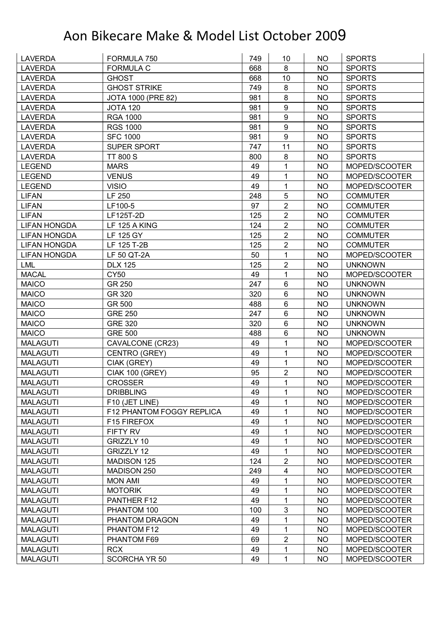| <b>LAVERDA</b>      | FORMULA 750                      | 749 | 10               | NO        | <b>SPORTS</b>   |
|---------------------|----------------------------------|-----|------------------|-----------|-----------------|
| <b>LAVERDA</b>      | <b>FORMULA C</b>                 | 668 | 8                | <b>NO</b> | <b>SPORTS</b>   |
| <b>LAVERDA</b>      | <b>GHOST</b>                     | 668 | 10               | <b>NO</b> | <b>SPORTS</b>   |
| <b>LAVERDA</b>      | <b>GHOST STRIKE</b>              | 749 | 8                | <b>NO</b> | <b>SPORTS</b>   |
| <b>LAVERDA</b>      | JOTA 1000 (PRE 82)               | 981 | 8                | <b>NO</b> | <b>SPORTS</b>   |
| <b>LAVERDA</b>      | <b>JOTA 120</b>                  | 981 | 9                | <b>NO</b> | <b>SPORTS</b>   |
| <b>LAVERDA</b>      | <b>RGA 1000</b>                  | 981 | $\boldsymbol{9}$ | <b>NO</b> | <b>SPORTS</b>   |
| <b>LAVERDA</b>      | <b>RGS 1000</b>                  | 981 | 9                | <b>NO</b> | <b>SPORTS</b>   |
| <b>LAVERDA</b>      | <b>SFC 1000</b>                  | 981 | $\boldsymbol{9}$ | <b>NO</b> | <b>SPORTS</b>   |
| <b>LAVERDA</b>      | SUPER SPORT                      | 747 | 11               | <b>NO</b> | <b>SPORTS</b>   |
| <b>LAVERDA</b>      | <b>TT 800 S</b>                  | 800 | 8                | <b>NO</b> | <b>SPORTS</b>   |
| LEGEND              | <b>MARS</b>                      | 49  | 1                | <b>NO</b> | MOPED/SCOOTER   |
| <b>LEGEND</b>       | <b>VENUS</b>                     | 49  | 1                | <b>NO</b> | MOPED/SCOOTER   |
| <b>LEGEND</b>       | <b>VISIO</b>                     | 49  | 1                | <b>NO</b> | MOPED/SCOOTER   |
| <b>LIFAN</b>        | LF 250                           | 248 | 5                | <b>NO</b> | <b>COMMUTER</b> |
| <b>LIFAN</b>        | LF100-5                          | 97  | $\boldsymbol{2}$ | <b>NO</b> | <b>COMMUTER</b> |
| <b>LIFAN</b>        | LF125T-2D                        | 125 | $\overline{2}$   | <b>NO</b> | <b>COMMUTER</b> |
| <b>LIFAN HONGDA</b> | LF 125 A KING                    | 124 | $\overline{2}$   | <b>NO</b> | <b>COMMUTER</b> |
| <b>LIFAN HONGDA</b> | <b>LF 125 GY</b>                 | 125 | $\boldsymbol{2}$ | <b>NO</b> | <b>COMMUTER</b> |
| <b>LIFAN HONGDA</b> | LF 125 T-2B                      | 125 | $\overline{2}$   | <b>NO</b> | <b>COMMUTER</b> |
| <b>LIFAN HONGDA</b> | LF 50 QT-2A                      | 50  | 1                | <b>NO</b> | MOPED/SCOOTER   |
| <b>LML</b>          | <b>DLX 125</b>                   | 125 | $\overline{2}$   | <b>NO</b> | <b>UNKNOWN</b>  |
| <b>MACAL</b>        | <b>CY50</b>                      | 49  | 1                | <b>NO</b> | MOPED/SCOOTER   |
| <b>MAICO</b>        | GR 250                           | 247 | 6                | <b>NO</b> | <b>UNKNOWN</b>  |
| <b>MAICO</b>        | GR 320                           | 320 | 6                | <b>NO</b> | <b>UNKNOWN</b>  |
| <b>MAICO</b>        | GR 500                           | 488 | 6                | <b>NO</b> | <b>UNKNOWN</b>  |
| <b>MAICO</b>        | <b>GRE 250</b>                   | 247 | 6                | <b>NO</b> | <b>UNKNOWN</b>  |
| <b>MAICO</b>        | <b>GRE 320</b>                   | 320 | 6                | <b>NO</b> | <b>UNKNOWN</b>  |
| <b>MAICO</b>        | <b>GRE 500</b>                   | 488 | 6                | <b>NO</b> | <b>UNKNOWN</b>  |
| <b>MALAGUTI</b>     | CAVALCONE (CR23)                 | 49  | 1                | <b>NO</b> | MOPED/SCOOTER   |
| <b>MALAGUTI</b>     | CENTRO (GREY)                    | 49  | 1                | <b>NO</b> | MOPED/SCOOTER   |
| <b>MALAGUTI</b>     | CIAK (GREY)                      | 49  | 1                | <b>NO</b> | MOPED/SCOOTER   |
| <b>MALAGUTI</b>     | <b>CIAK 100 (GREY)</b>           | 95  | $\overline{2}$   | <b>NO</b> | MOPED/SCOOTER   |
| <b>MALAGUTI</b>     | <b>CROSSER</b>                   | 49  | 1                | <b>NO</b> | MOPED/SCOOTER   |
| <b>MALAGUTI</b>     | <b>DRIBBLING</b>                 | 49  | 1                | <b>NO</b> | MOPED/SCOOTER   |
| <b>MALAGUTI</b>     | F10 (JET LINE)                   | 49  | 1                | <b>NO</b> | MOPED/SCOOTER   |
| <b>MALAGUTI</b>     | F12 PHANTOM FOGGY REPLICA        | 49  | 1                | <b>NO</b> | MOPED/SCOOTER   |
| <b>MALAGUTI</b>     | F15 FIREFOX                      | 49  | 1                | <b>NO</b> | MOPED/SCOOTER   |
| <b>MALAGUTI</b>     | FIFTY RV                         | 49  | 1                | <b>NO</b> | MOPED/SCOOTER   |
| <b>MALAGUTI</b>     | GRIZZLY 10                       | 49  | 1                | <b>NO</b> | MOPED/SCOOTER   |
| <b>MALAGUTI</b>     | GRIZZLY 12                       | 49  | 1                | <b>NO</b> | MOPED/SCOOTER   |
| <b>MALAGUTI</b>     | <b>MADISON 125</b>               | 124 | $\overline{2}$   | <b>NO</b> | MOPED/SCOOTER   |
| <b>MALAGUTI</b>     | MADISON 250                      | 249 | 4                | <b>NO</b> | MOPED/SCOOTER   |
| <b>MALAGUTI</b>     |                                  | 49  | 1                | <b>NO</b> | MOPED/SCOOTER   |
| <b>MALAGUTI</b>     | <b>MON AMI</b><br><b>MOTORIK</b> | 49  |                  | <b>NO</b> |                 |
|                     |                                  | 49  | 1<br>1           |           | MOPED/SCOOTER   |
| <b>MALAGUTI</b>     | PANTHER F12                      |     |                  | <b>NO</b> | MOPED/SCOOTER   |
| <b>MALAGUTI</b>     | PHANTOM 100                      | 100 | 3                | NO.       | MOPED/SCOOTER   |
| <b>MALAGUTI</b>     | PHANTOM DRAGON                   | 49  | 1                | <b>NO</b> | MOPED/SCOOTER   |
| MALAGUTI            | PHANTOM F12                      | 49  | 1                | <b>NO</b> | MOPED/SCOOTER   |
| <b>MALAGUTI</b>     | PHANTOM F69                      | 69  | $\overline{2}$   | <b>NO</b> | MOPED/SCOOTER   |
| <b>MALAGUTI</b>     | <b>RCX</b>                       | 49  | 1                | <b>NO</b> | MOPED/SCOOTER   |
| <b>MALAGUTI</b>     | <b>SCORCHA YR 50</b>             | 49  | 1                | NO        | MOPED/SCOOTER   |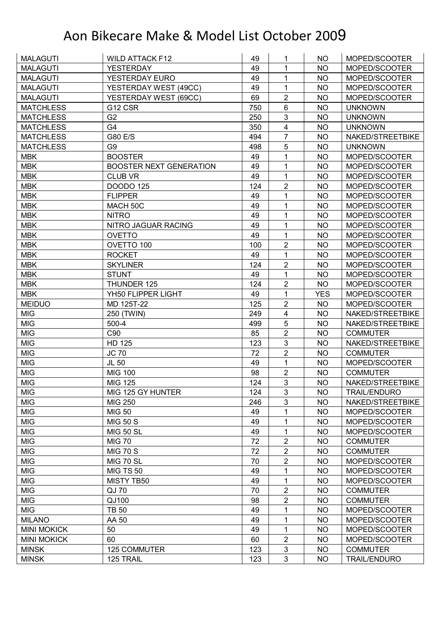| <b>MALAGUTI</b>              | <b>WILD ATTACK F12</b>         | 49         | 1                 | <b>NO</b>              | MOPED/SCOOTER                          |
|------------------------------|--------------------------------|------------|-------------------|------------------------|----------------------------------------|
| <b>MALAGUTI</b>              | <b>YESTERDAY</b>               | 49         | 1                 | <b>NO</b>              | MOPED/SCOOTER                          |
| <b>MALAGUTI</b>              | YESTERDAY EURO                 | 49         | 1                 | <b>NO</b>              | MOPED/SCOOTER                          |
| <b>MALAGUTI</b>              | YESTERDAY WEST (49CC)          | 49         | 1                 | <b>NO</b>              | MOPED/SCOOTER                          |
| <b>MALAGUTI</b>              | YESTERDAY WEST (69CC)          | 69         | $\overline{2}$    | <b>NO</b>              | MOPED/SCOOTER                          |
| <b>MATCHLESS</b>             | G12 CSR                        | 750        | 6                 | <b>NO</b>              | <b>UNKNOWN</b>                         |
| <b>MATCHLESS</b>             | G <sub>2</sub>                 | 250        | 3                 | <b>NO</b>              | <b>UNKNOWN</b>                         |
| <b>MATCHLESS</b>             | G4                             | 350        | 4                 | <b>NO</b>              | <b>UNKNOWN</b>                         |
| <b>MATCHLESS</b>             | G80 E/S                        | 494        | 7                 | <b>NO</b>              | NAKED/STREETBIKE                       |
| <b>MATCHLESS</b>             | G9                             | 498        | 5                 | <b>NO</b>              | <b>UNKNOWN</b>                         |
| <b>MBK</b>                   | <b>BOOSTER</b>                 | 49         | 1                 | <b>NO</b>              | MOPED/SCOOTER                          |
| <b>MBK</b>                   | <b>BOOSTER NEXT GENERATION</b> | 49         | 1                 | <b>NO</b>              | MOPED/SCOOTER                          |
| <b>MBK</b>                   | <b>CLUB VR</b>                 | 49         | 1                 | <b>NO</b>              | MOPED/SCOOTER                          |
| <b>MBK</b>                   | <b>DOODO 125</b>               | 124        | $\overline{2}$    | <b>NO</b>              | MOPED/SCOOTER                          |
| <b>MBK</b>                   | <b>FLIPPER</b>                 | 49         | 1                 | <b>NO</b>              | MOPED/SCOOTER                          |
| <b>MBK</b>                   | MACH 50C                       | 49         | 1                 | <b>NO</b>              | MOPED/SCOOTER                          |
| <b>MBK</b>                   | <b>NITRO</b>                   | 49         | 1                 | <b>NO</b>              | MOPED/SCOOTER                          |
| <b>MBK</b>                   | NITRO JAGUAR RACING            | 49         | 1                 | <b>NO</b>              | MOPED/SCOOTER                          |
| <b>MBK</b>                   | <b>OVETTO</b>                  | 49         | 1                 | <b>NO</b>              | MOPED/SCOOTER                          |
| <b>MBK</b>                   | OVETTO 100                     | 100        | $\overline{2}$    | <b>NO</b>              | MOPED/SCOOTER                          |
| <b>MBK</b>                   | <b>ROCKET</b>                  | 49         | 1                 | <b>NO</b>              | MOPED/SCOOTER                          |
| <b>MBK</b>                   | <b>SKYLINER</b>                | 124        | $\overline{2}$    | <b>NO</b>              | MOPED/SCOOTER                          |
| <b>MBK</b>                   | <b>STUNT</b>                   | 49         | 1                 | <b>NO</b>              | MOPED/SCOOTER                          |
| <b>MBK</b>                   | THUNDER 125                    | 124        | $\overline{2}$    | <b>NO</b>              | MOPED/SCOOTER                          |
| <b>MBK</b>                   | YH50 FLIPPER LIGHT             | 49         | 1                 | <b>YES</b>             | MOPED/SCOOTER                          |
| <b>MEIDUO</b>                | MD 125T-22                     | 125        | $\overline{2}$    | <b>NO</b>              | MOPED/SCOOTER                          |
| <b>MIG</b>                   | 250 (TWIN)                     | 249        | 4                 | <b>NO</b>              | NAKED/STREETBIKE                       |
| <b>MIG</b>                   | 500-4                          | 499        | 5                 | <b>NO</b>              | NAKED/STREETBIKE                       |
| <b>MIG</b>                   | C90                            | 85         | $\overline{2}$    | <b>NO</b>              | <b>COMMUTER</b>                        |
| <b>MIG</b>                   | <b>HD 125</b>                  | 123        | $\mathfrak{S}$    | <b>NO</b>              | NAKED/STREETBIKE                       |
| <b>MIG</b>                   | <b>JC 70</b>                   | 72         | $\overline{2}$    | <b>NO</b>              | <b>COMMUTER</b>                        |
| <b>MIG</b>                   | JL 50                          | 49         | 1                 | <b>NO</b>              | MOPED/SCOOTER                          |
| <b>MIG</b>                   | <b>MIG 100</b>                 | 98         | $\overline{2}$    | <b>NO</b>              | <b>COMMUTER</b>                        |
| <b>MIG</b>                   | <b>MIG 125</b>                 | 124        | $\overline{3}$    | <b>NO</b>              | NAKED/STREETBIKE                       |
| <b>MIG</b>                   | MIG 125 GY HUNTER              | 124        | 3                 | NO.                    | <b>TRAIL/ENDURO</b>                    |
| <b>MIG</b>                   | <b>MIG 250</b>                 | 246        | 3                 | <b>NO</b>              | NAKED/STREETBIKE                       |
| <b>MIG</b>                   | <b>MIG 50</b>                  | 49         | 1                 | <b>NO</b>              | MOPED/SCOOTER                          |
| <b>MIG</b>                   | <b>MIG 50 S</b>                | 49         | 1                 | <b>NO</b>              | MOPED/SCOOTER                          |
| <b>MIG</b>                   | <b>MIG 50 SL</b>               | 49         | 1                 | <b>NO</b>              | MOPED/SCOOTER                          |
| <b>MIG</b>                   | <b>MIG 70</b>                  | 72         | $\boldsymbol{2}$  | NO                     | <b>COMMUTER</b>                        |
| <b>MIG</b>                   | <b>MIG 70 S</b>                | 72         | $\overline{2}$    | <b>NO</b>              | <b>COMMUTER</b>                        |
| <b>MIG</b>                   | <b>MIG 70 SL</b>               | 70         | $\overline{2}$    | <b>NO</b>              | MOPED/SCOOTER                          |
| <b>MIG</b>                   | <b>MIG TS 50</b>               | 49         | 1                 | <b>NO</b>              | MOPED/SCOOTER                          |
| <b>MIG</b>                   | MISTY TB50                     | 49         | 1                 | <b>NO</b>              | MOPED/SCOOTER                          |
| <b>MIG</b>                   | QJ 70                          | 70         | $\overline{2}$    | NO.                    | <b>COMMUTER</b>                        |
| <b>MIG</b>                   | QJ100                          | 98         | 2                 | <b>NO</b>              | <b>COMMUTER</b>                        |
|                              | <b>TB 50</b>                   | 49         | 1                 | NO.                    | MOPED/SCOOTER                          |
|                              |                                |            |                   |                        |                                        |
| <b>MIG</b>                   |                                |            |                   |                        |                                        |
| <b>MILANO</b>                | AA 50                          | 49         | 1                 | <b>NO</b>              | MOPED/SCOOTER                          |
| <b>MINI MOKICK</b>           | 50                             | 49         | 1                 | <b>NO</b>              | MOPED/SCOOTER                          |
| <b>MINI MOKICK</b>           | 60                             | 60         | $\overline{2}$    | <b>NO</b>              | MOPED/SCOOTER                          |
| <b>MINSK</b><br><b>MINSK</b> | 125 COMMUTER<br>125 TRAIL      | 123<br>123 | $\mathbf{3}$<br>3 | <b>NO</b><br><b>NO</b> | <b>COMMUTER</b><br><b>TRAIL/ENDURO</b> |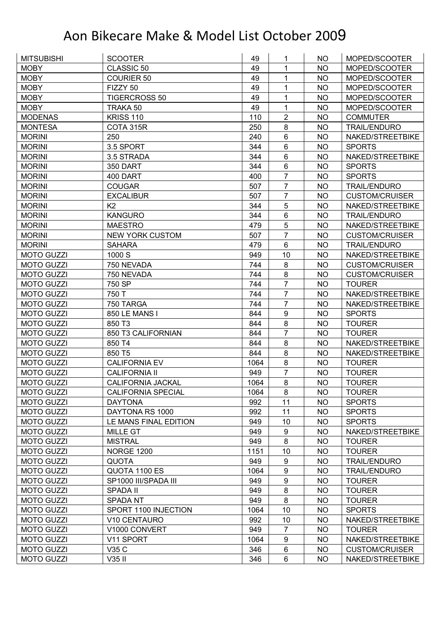| <b>MITSUBISHI</b> | <b>SCOOTER</b>            | 49   | 1                | NO.       | MOPED/SCOOTER         |
|-------------------|---------------------------|------|------------------|-----------|-----------------------|
| <b>MOBY</b>       | CLASSIC 50                | 49   | 1                | <b>NO</b> | MOPED/SCOOTER         |
| <b>MOBY</b>       | <b>COURIER 50</b>         | 49   | 1                | <b>NO</b> | MOPED/SCOOTER         |
| <b>MOBY</b>       | FIZZY 50                  | 49   | 1                | <b>NO</b> | MOPED/SCOOTER         |
| <b>MOBY</b>       | <b>TIGERCROSS 50</b>      | 49   | 1                | <b>NO</b> | MOPED/SCOOTER         |
| <b>MOBY</b>       | TRAKA 50                  | 49   | $\mathbf{1}$     | <b>NO</b> | MOPED/SCOOTER         |
| <b>MODENAS</b>    | <b>KRISS 110</b>          | 110  | $\overline{2}$   | <b>NO</b> | <b>COMMUTER</b>       |
| <b>MONTESA</b>    | COTA 315R                 | 250  | 8                | <b>NO</b> | <b>TRAIL/ENDURO</b>   |
| <b>MORINI</b>     | 250                       | 240  | $6\phantom{1}$   | <b>NO</b> | NAKED/STREETBIKE      |
| <b>MORINI</b>     | 3.5 SPORT                 | 344  | $6\phantom{1}$   | <b>NO</b> | <b>SPORTS</b>         |
| <b>MORINI</b>     | 3.5 STRADA                | 344  | $6\phantom{1}$   | <b>NO</b> | NAKED/STREETBIKE      |
| <b>MORINI</b>     | 350 DART                  | 344  | $6\phantom{1}$   | <b>NO</b> | <b>SPORTS</b>         |
| <b>MORINI</b>     | 400 DART                  | 400  | $\overline{7}$   | <b>NO</b> | <b>SPORTS</b>         |
| <b>MORINI</b>     | <b>COUGAR</b>             | 507  | $\overline{7}$   | <b>NO</b> | <b>TRAIL/ENDURO</b>   |
| <b>MORINI</b>     | <b>EXCALIBUR</b>          | 507  | $\overline{7}$   | <b>NO</b> | <b>CUSTOM/CRUISER</b> |
| <b>MORINI</b>     | K <sub>2</sub>            | 344  | 5                | <b>NO</b> | NAKED/STREETBIKE      |
| <b>MORINI</b>     | <b>KANGURO</b>            | 344  | $\,6$            | <b>NO</b> | <b>TRAIL/ENDURO</b>   |
| <b>MORINI</b>     | <b>MAESTRO</b>            | 479  | 5                | <b>NO</b> | NAKED/STREETBIKE      |
| <b>MORINI</b>     | <b>NEW YORK CUSTOM</b>    | 507  | $\overline{7}$   | <b>NO</b> | <b>CUSTOM/CRUISER</b> |
| <b>MORINI</b>     | <b>SAHARA</b>             | 479  | $6\phantom{1}$   | <b>NO</b> | <b>TRAIL/ENDURO</b>   |
| <b>MOTO GUZZI</b> | 1000 S                    | 949  | 10               | <b>NO</b> | NAKED/STREETBIKE      |
| <b>MOTO GUZZI</b> | 750 NEVADA                | 744  | 8                | <b>NO</b> | <b>CUSTOM/CRUISER</b> |
| <b>MOTO GUZZI</b> | 750 NEVADA                | 744  | 8                | <b>NO</b> | <b>CUSTOM/CRUISER</b> |
| <b>MOTO GUZZI</b> | 750 SP                    | 744  | $\overline{7}$   | <b>NO</b> | <b>TOURER</b>         |
| <b>MOTO GUZZI</b> | 750 T                     | 744  | $\overline{7}$   | <b>NO</b> | NAKED/STREETBIKE      |
| <b>MOTO GUZZI</b> | 750 TARGA                 | 744  | $\overline{7}$   | <b>NO</b> | NAKED/STREETBIKE      |
| <b>MOTO GUZZI</b> | 850 LE MANS I             | 844  | $\boldsymbol{9}$ | <b>NO</b> | <b>SPORTS</b>         |
| <b>MOTO GUZZI</b> | 850 T3                    | 844  | 8                | <b>NO</b> | <b>TOURER</b>         |
| <b>MOTO GUZZI</b> | 850 T3 CALIFORNIAN        | 844  | $\overline{7}$   | <b>NO</b> | <b>TOURER</b>         |
| <b>MOTO GUZZI</b> | 850 T4                    | 844  | 8                | <b>NO</b> | NAKED/STREETBIKE      |
| <b>MOTO GUZZI</b> | 850 T5                    | 844  | 8                | <b>NO</b> | NAKED/STREETBIKE      |
| <b>MOTO GUZZI</b> | <b>CALIFORNIA EV</b>      | 1064 | 8                | <b>NO</b> | <b>TOURER</b>         |
| <b>MOTO GUZZI</b> | <b>CALIFORNIA II</b>      | 949  | $\overline{7}$   | <b>NO</b> | <b>TOURER</b>         |
| <b>MOTO GUZZI</b> | <b>CALIFORNIA JACKAL</b>  | 1064 | 8                | <b>NO</b> | <b>TOURER</b>         |
| <b>MOTO GUZZI</b> | <b>CALIFORNIA SPECIAL</b> | 1064 | 8                | <b>NO</b> | <b>TOURER</b>         |
| <b>MOTO GUZZI</b> | <b>DAYTONA</b>            | 992  | 11               | <b>NO</b> | <b>SPORTS</b>         |
| <b>MOTO GUZZI</b> | DAYTONA RS 1000           | 992  | 11               | <b>NO</b> | <b>SPORTS</b>         |
| <b>MOTO GUZZI</b> | LE MANS FINAL EDITION     | 949  | 10               | <b>NO</b> | <b>SPORTS</b>         |
| <b>MOTO GUZZI</b> | <b>MILLE GT</b>           | 949  | $\boldsymbol{9}$ | <b>NO</b> | NAKED/STREETBIKE      |
| <b>MOTO GUZZI</b> | <b>MISTRAL</b>            | 949  | 8                | NO        | <b>TOURER</b>         |
| <b>MOTO GUZZI</b> | <b>NORGE 1200</b>         | 1151 | 10               | <b>NO</b> | <b>TOURER</b>         |
| <b>MOTO GUZZI</b> | <b>QUOTA</b>              | 949  | $\boldsymbol{9}$ | <b>NO</b> | <b>TRAIL/ENDURO</b>   |
| <b>MOTO GUZZI</b> | QUOTA 1100 ES             | 1064 | $\boldsymbol{9}$ | <b>NO</b> | <b>TRAIL/ENDURO</b>   |
| <b>MOTO GUZZI</b> | SP1000 III/SPADA III      | 949  | $\boldsymbol{9}$ | <b>NO</b> | <b>TOURER</b>         |
| <b>MOTO GUZZI</b> | <b>SPADA II</b>           | 949  | 8                | <b>NO</b> | <b>TOURER</b>         |
| <b>MOTO GUZZI</b> | SPADA NT                  | 949  | 8                | <b>NO</b> | <b>TOURER</b>         |
| <b>MOTO GUZZI</b> | SPORT 1100 INJECTION      | 1064 | 10               | <b>NO</b> | <b>SPORTS</b>         |
| <b>MOTO GUZZI</b> | V10 CENTAURO              | 992  | 10               | <b>NO</b> | NAKED/STREETBIKE      |
| <b>MOTO GUZZI</b> | V1000 CONVERT             | 949  | $\overline{7}$   | <b>NO</b> | <b>TOURER</b>         |
| <b>MOTO GUZZI</b> | V11 SPORT                 | 1064 | $\boldsymbol{9}$ | <b>NO</b> | NAKED/STREETBIKE      |
| <b>MOTO GUZZI</b> | V35 C                     | 346  | $\,6$            | <b>NO</b> | <b>CUSTOM/CRUISER</b> |
| <b>MOTO GUZZI</b> | V35 II                    | 346  | $6\phantom{1}$   | <b>NO</b> | NAKED/STREETBIKE      |
|                   |                           |      |                  |           |                       |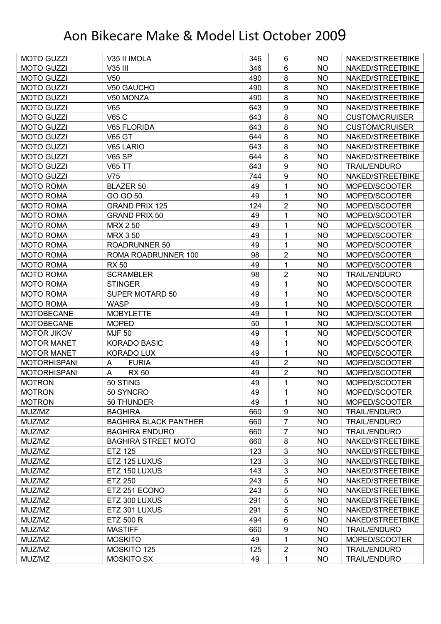| <b>MOTO GUZZI</b>   | V35 II IMOLA                 | 346 | 6                | NO        | NAKED/STREETBIKE      |
|---------------------|------------------------------|-----|------------------|-----------|-----------------------|
| <b>MOTO GUZZI</b>   | V35 III                      | 346 | $6\phantom{1}$   | NO        | NAKED/STREETBIKE      |
| <b>MOTO GUZZI</b>   | V <sub>50</sub>              | 490 | 8                | <b>NO</b> | NAKED/STREETBIKE      |
| <b>MOTO GUZZI</b>   | V50 GAUCHO                   | 490 | 8                | NO        | NAKED/STREETBIKE      |
| <b>MOTO GUZZI</b>   | V50 MONZA                    | 490 | $\bf 8$          | <b>NO</b> | NAKED/STREETBIKE      |
| <b>MOTO GUZZI</b>   | V65                          | 643 | 9                | <b>NO</b> | NAKED/STREETBIKE      |
| <b>MOTO GUZZI</b>   | V65 C                        | 643 | 8                | NO        | <b>CUSTOM/CRUISER</b> |
| <b>MOTO GUZZI</b>   | V65 FLORIDA                  | 643 | 8                | <b>NO</b> | <b>CUSTOM/CRUISER</b> |
| <b>MOTO GUZZI</b>   | <b>V65 GT</b>                | 644 | 8                | <b>NO</b> | NAKED/STREETBIKE      |
| <b>MOTO GUZZI</b>   | V65 LARIO                    | 643 | 8                | <b>NO</b> | NAKED/STREETBIKE      |
| <b>MOTO GUZZI</b>   | <b>V65 SP</b>                | 644 | $\bf 8$          | NO        | NAKED/STREETBIKE      |
| <b>MOTO GUZZI</b>   | <b>V65 TT</b>                | 643 | $\boldsymbol{9}$ | <b>NO</b> | <b>TRAIL/ENDURO</b>   |
| <b>MOTO GUZZI</b>   | V75                          | 744 | 9                | <b>NO</b> | NAKED/STREETBIKE      |
| <b>MOTO ROMA</b>    | <b>BLAZER 50</b>             | 49  | 1                | <b>NO</b> | MOPED/SCOOTER         |
| <b>MOTO ROMA</b>    | GO GO 50                     | 49  | 1                | <b>NO</b> | MOPED/SCOOTER         |
| <b>MOTO ROMA</b>    | <b>GRAND PRIX 125</b>        | 124 | $\overline{2}$   | NO        | MOPED/SCOOTER         |
| <b>MOTO ROMA</b>    | <b>GRAND PRIX 50</b>         | 49  | 1                | <b>NO</b> | MOPED/SCOOTER         |
| <b>MOTO ROMA</b>    | <b>MRX 250</b>               | 49  | 1                | <b>NO</b> | MOPED/SCOOTER         |
| <b>MOTO ROMA</b>    | <b>MRX 3 50</b>              | 49  | 1                | <b>NO</b> | MOPED/SCOOTER         |
| <b>MOTO ROMA</b>    | ROADRUNNER 50                | 49  | 1                | <b>NO</b> | MOPED/SCOOTER         |
| <b>MOTO ROMA</b>    | ROMA ROADRUNNER 100          | 98  | $\overline{2}$   | <b>NO</b> | MOPED/SCOOTER         |
| <b>MOTO ROMA</b>    | <b>RX 50</b>                 | 49  | 1                | <b>NO</b> | MOPED/SCOOTER         |
| <b>MOTO ROMA</b>    | <b>SCRAMBLER</b>             | 98  | $\overline{2}$   | <b>NO</b> | <b>TRAIL/ENDURO</b>   |
| <b>MOTO ROMA</b>    | <b>STINGER</b>               | 49  | 1                | <b>NO</b> | MOPED/SCOOTER         |
| <b>MOTO ROMA</b>    | SUPER MOTARD 50              | 49  | 1                | <b>NO</b> | MOPED/SCOOTER         |
| <b>MOTO ROMA</b>    | <b>WASP</b>                  | 49  | 1                | <b>NO</b> | MOPED/SCOOTER         |
| <b>MOTOBECANE</b>   | <b>MOBYLETTE</b>             | 49  | 1                | <b>NO</b> | MOPED/SCOOTER         |
| <b>MOTOBECANE</b>   | <b>MOPED</b>                 | 50  | 1                | <b>NO</b> | MOPED/SCOOTER         |
| <b>MOTOR JIKOV</b>  | <b>MJF 50</b>                | 49  | 1                | <b>NO</b> | MOPED/SCOOTER         |
| <b>MOTOR MANET</b>  | <b>KORADO BASIC</b>          | 49  | 1                | <b>NO</b> | MOPED/SCOOTER         |
| <b>MOTOR MANET</b>  | <b>KORADO LUX</b>            | 49  | 1                | <b>NO</b> | MOPED/SCOOTER         |
| <b>MOTORHISPANI</b> | <b>FURIA</b><br>A            | 49  | $\overline{2}$   | <b>NO</b> | MOPED/SCOOTER         |
| <b>MOTORHISPANI</b> | A<br><b>RX 50</b>            | 49  | $\overline{2}$   | NO        | MOPED/SCOOTER         |
| <b>MOTRON</b>       | 50 STING                     | 49  | $\mathbf{1}$     | <b>NO</b> | MOPED/SCOOTER         |
| <b>MOTRON</b>       | 50 SYNCRO                    | 49  | 1                | <b>NO</b> | MOPED/SCOOTER         |
| <b>MOTRON</b>       | 50 THUNDER                   | 49  | 1                | <b>NO</b> | MOPED/SCOOTER         |
| MUZ/MZ              | <b>BAGHIRA</b>               | 660 | $\boldsymbol{9}$ | <b>NO</b> | <b>TRAIL/ENDURO</b>   |
| MUZ/MZ              | <b>BAGHIRA BLACK PANTHER</b> | 660 | $\overline{7}$   | <b>NO</b> | <b>TRAIL/ENDURO</b>   |
| MUZ/MZ              | <b>BAGHIRA ENDURO</b>        | 660 | $\overline{7}$   | <b>NO</b> | <b>TRAIL/ENDURO</b>   |
| MUZ/MZ              | <b>BAGHIRA STREET MOTO</b>   | 660 | 8                | NO        | NAKED/STREETBIKE      |
| MUZ/MZ              | <b>ETZ 125</b>               | 123 | 3                | <b>NO</b> | NAKED/STREETBIKE      |
| MUZ/MZ              | ETZ 125 LUXUS                | 123 | 3                | <b>NO</b> | NAKED/STREETBIKE      |
| MUZ/MZ              | ETZ 150 LUXUS                | 143 | 3                | <b>NO</b> | NAKED/STREETBIKE      |
| MUZ/MZ              | <b>ETZ 250</b>               | 243 | 5                | <b>NO</b> | NAKED/STREETBIKE      |
| MUZ/MZ              | ETZ 251 ECONO                | 243 | 5                | <b>NO</b> | NAKED/STREETBIKE      |
| MUZ/MZ              | ETZ 300 LUXUS                | 291 | 5                | <b>NO</b> | NAKED/STREETBIKE      |
| MUZ/MZ              | ETZ 301 LUXUS                | 291 | 5                | <b>NO</b> | NAKED/STREETBIKE      |
| MUZ/MZ              | <b>ETZ 500 R</b>             | 494 | 6                | <b>NO</b> | NAKED/STREETBIKE      |
| MUZ/MZ              | <b>MASTIFF</b>               | 660 | $\boldsymbol{9}$ | <b>NO</b> | <b>TRAIL/ENDURO</b>   |
| MUZ/MZ              | <b>MOSKITO</b>               | 49  | 1                | <b>NO</b> | MOPED/SCOOTER         |
| MUZ/MZ              | MOSKITO 125                  | 125 | $\overline{2}$   | <b>NO</b> | <b>TRAIL/ENDURO</b>   |
| MUZ/MZ              | <b>MOSKITO SX</b>            | 49  | 1                | <b>NO</b> | <b>TRAIL/ENDURO</b>   |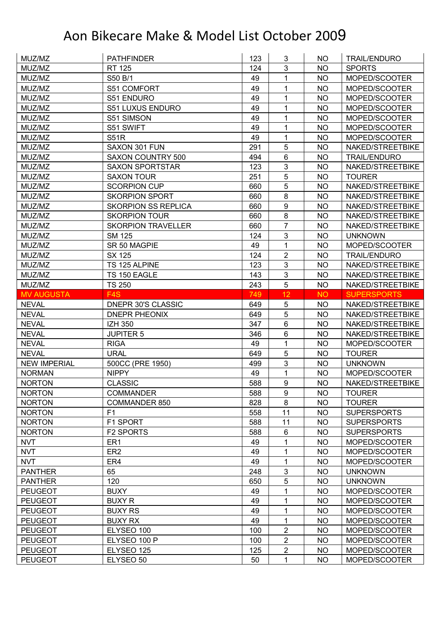| MUZ/MZ                           | <b>PATHFINDER</b>          | 123       | 3                 | NO.                    | <b>TRAIL/ENDURO</b>            |
|----------------------------------|----------------------------|-----------|-------------------|------------------------|--------------------------------|
| MUZ/MZ                           | <b>RT 125</b>              | 124       | 3                 | <b>NO</b>              | <b>SPORTS</b>                  |
| MUZ/MZ                           | S50 B/1                    | 49        | $\mathbf{1}$      | <b>NO</b>              | MOPED/SCOOTER                  |
| MUZ/MZ                           | S51 COMFORT                | 49        | 1                 | <b>NO</b>              | MOPED/SCOOTER                  |
| MUZ/MZ                           | S51 ENDURO                 | 49        | 1                 | <b>NO</b>              | MOPED/SCOOTER                  |
| MUZ/MZ                           | S51 LUXUS ENDURO           | 49        | 1                 | <b>NO</b>              | MOPED/SCOOTER                  |
| MUZ/MZ                           | S51 SIMSON                 | 49        | 1                 | <b>NO</b>              | MOPED/SCOOTER                  |
| MUZ/MZ                           | S51 SWIFT                  | 49        | 1                 | <b>NO</b>              | MOPED/SCOOTER                  |
| MUZ/MZ                           | <b>S51R</b>                | 49        | 1                 | <b>NO</b>              | MOPED/SCOOTER                  |
| MUZ/MZ                           | SAXON 301 FUN              | 291       | 5                 | <b>NO</b>              | NAKED/STREETBIKE               |
| MUZ/MZ                           | SAXON COUNTRY 500          | 494       | 6                 | <b>NO</b>              | <b>TRAIL/ENDURO</b>            |
| MUZ/MZ                           | <b>SAXON SPORTSTAR</b>     | 123       | 3                 | <b>NO</b>              | NAKED/STREETBIKE               |
| MUZ/MZ                           | <b>SAXON TOUR</b>          | 251       | 5                 | <b>NO</b>              | <b>TOURER</b>                  |
| MUZ/MZ                           | <b>SCORPION CUP</b>        | 660       | 5                 | <b>NO</b>              | NAKED/STREETBIKE               |
| MUZ/MZ                           | <b>SKORPION SPORT</b>      | 660       | 8                 | <b>NO</b>              | NAKED/STREETBIKE               |
| MUZ/MZ                           | <b>SKORPION SS REPLICA</b> | 660       | $\boldsymbol{9}$  | <b>NO</b>              | NAKED/STREETBIKE               |
| MUZ/MZ                           | <b>SKORPION TOUR</b>       | 660       | 8                 | <b>NO</b>              | NAKED/STREETBIKE               |
| MUZ/MZ                           | <b>SKORPION TRAVELLER</b>  | 660       | $\overline{7}$    | <b>NO</b>              | NAKED/STREETBIKE               |
| MUZ/MZ                           | <b>SM 125</b>              | 124       | 3                 | <b>NO</b>              | <b>UNKNOWN</b>                 |
| MUZ/MZ                           | SR 50 MAGPIE               | 49        | 1                 | <b>NO</b>              | MOPED/SCOOTER                  |
| MUZ/MZ                           | SX 125                     | 124       | $\overline{2}$    | <b>NO</b>              | <b>TRAIL/ENDURO</b>            |
| MUZ/MZ                           | TS 125 ALPINE              | 123       | 3                 | <b>NO</b>              | NAKED/STREETBIKE               |
| MUZ/MZ                           | TS 150 EAGLE               | 143       | 3                 | <b>NO</b>              | NAKED/STREETBIKE               |
| MUZ/MZ                           | <b>TS 250</b>              | 243       | 5                 | <b>NO</b>              | NAKED/STREETBIKE               |
| <b>MV AUGUSTA</b>                | F <sub>4</sub> S           | 749       | 12                | <b>NO</b>              | <b>SUPERSPORTS</b>             |
| <b>NEVAL</b>                     | DNEPR 30'S CLASSIC         | 649       | 5                 | <b>NO</b>              | NAKED/STREETBIKE               |
| <b>NEVAL</b>                     | <b>DNEPR PHEONIX</b>       | 649       | 5                 | <b>NO</b>              | NAKED/STREETBIKE               |
|                                  |                            |           |                   |                        |                                |
|                                  |                            |           |                   |                        |                                |
| <b>NEVAL</b>                     | <b>IZH 350</b>             | 347       | $6\phantom{1}$    | <b>NO</b>              | NAKED/STREETBIKE               |
| <b>NEVAL</b>                     | <b>JUPITER 5</b>           | 346       | $6\phantom{1}$    | NO                     | NAKED/STREETBIKE               |
| <b>NEVAL</b>                     | <b>RIGA</b>                | 49        | $\mathbf{1}$      | <b>NO</b>              | MOPED/SCOOTER                  |
| <b>NEVAL</b>                     | <b>URAL</b>                | 649       | 5                 | <b>NO</b>              | <b>TOURER</b>                  |
| <b>NEW IMPERIAL</b>              | 500CC (PRE 1950)           | 499       | 3                 | <b>NO</b>              | <b>UNKNOWN</b>                 |
| <b>NORMAN</b>                    | <b>NIPPY</b>               | 49        | 1<br>$\mathbf{Q}$ | <b>NO</b>              | MOPED/SCOOTER                  |
| <b>NORTON</b>                    | <b>CLASSIC</b>             | 588       |                   | <b>NO</b>              | NAKED/STREETBIKE               |
| <b>NORTON</b>                    | <b>COMMANDER</b>           | 588       | 9                 | <b>NO</b>              | <b>TOURER</b>                  |
| <b>NORTON</b>                    | <b>COMMANDER 850</b>       | 828       | 8                 | <b>NO</b>              | <b>TOURER</b>                  |
| <b>NORTON</b>                    | F <sub>1</sub>             | 558       | 11                | <b>NO</b>              | <b>SUPERSPORTS</b>             |
| <b>NORTON</b>                    | F1 SPORT                   | 588       | 11                | <b>NO</b>              | <b>SUPERSPORTS</b>             |
| <b>NORTON</b>                    | <b>F2 SPORTS</b>           | 588       | $\,6$             | <b>NO</b>              | <b>SUPERSPORTS</b>             |
| <b>NVT</b>                       | ER <sub>1</sub>            | 49        | 1                 | <b>NO</b>              | MOPED/SCOOTER                  |
| <b>NVT</b>                       | ER <sub>2</sub>            | 49        | 1                 | <b>NO</b>              | MOPED/SCOOTER                  |
| <b>NVT</b>                       | ER4                        | 49        | 1                 | <b>NO</b>              | MOPED/SCOOTER                  |
| <b>PANTHER</b>                   | 65                         | 248       | 3                 | <b>NO</b>              | <b>UNKNOWN</b>                 |
| <b>PANTHER</b>                   | 120                        | 650       | 5                 | <b>NO</b>              | <b>UNKNOWN</b>                 |
| <b>PEUGEOT</b>                   | <b>BUXY</b>                | 49        | 1                 | <b>NO</b>              | MOPED/SCOOTER                  |
| <b>PEUGEOT</b>                   | <b>BUXY R</b>              | 49        | 1                 | <b>NO</b>              | MOPED/SCOOTER                  |
| <b>PEUGEOT</b>                   | <b>BUXY RS</b>             | 49        | 1                 | <b>NO</b>              | MOPED/SCOOTER                  |
| <b>PEUGEOT</b>                   | <b>BUXY RX</b>             | 49        | 1                 | NO                     | MOPED/SCOOTER                  |
| <b>PEUGEOT</b>                   | ELYSEO 100                 | 100       | $\overline{2}$    | <b>NO</b>              | MOPED/SCOOTER                  |
| <b>PEUGEOT</b>                   | ELYSEO 100 P               | 100       | $\overline{2}$    | <b>NO</b>              | MOPED/SCOOTER                  |
| <b>PEUGEOT</b><br><b>PEUGEOT</b> | ELYSEO 125<br>ELYSEO 50    | 125<br>50 | $\mathbf{2}$<br>1 | <b>NO</b><br><b>NO</b> | MOPED/SCOOTER<br>MOPED/SCOOTER |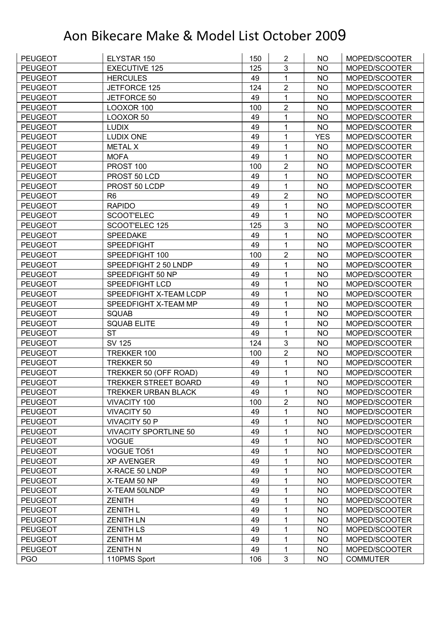| <b>PEUGEOT</b> | ELYSTAR 150                  | 150 | $\overline{2}$ | NO         | MOPED/SCOOTER   |
|----------------|------------------------------|-----|----------------|------------|-----------------|
| <b>PEUGEOT</b> | <b>EXECUTIVE 125</b>         | 125 | 3              | <b>NO</b>  | MOPED/SCOOTER   |
| <b>PEUGEOT</b> | <b>HERCULES</b>              | 49  | 1              | <b>NO</b>  | MOPED/SCOOTER   |
| <b>PEUGEOT</b> | JETFORCE 125                 | 124 | $\overline{2}$ | <b>NO</b>  | MOPED/SCOOTER   |
| <b>PEUGEOT</b> | JETFORCE 50                  | 49  | 1              | <b>NO</b>  | MOPED/SCOOTER   |
| <b>PEUGEOT</b> | LOOXOR 100                   | 100 | $\overline{2}$ | NO         | MOPED/SCOOTER   |
| <b>PEUGEOT</b> | LOOXOR 50                    | 49  | 1              | <b>NO</b>  | MOPED/SCOOTER   |
| <b>PEUGEOT</b> | <b>LUDIX</b>                 | 49  | 1              | <b>NO</b>  | MOPED/SCOOTER   |
| <b>PEUGEOT</b> | <b>LUDIX ONE</b>             | 49  | 1              | <b>YES</b> | MOPED/SCOOTER   |
| <b>PEUGEOT</b> | <b>METAL X</b>               | 49  | 1              | <b>NO</b>  | MOPED/SCOOTER   |
| <b>PEUGEOT</b> | <b>MOFA</b>                  | 49  | 1              | <b>NO</b>  | MOPED/SCOOTER   |
| <b>PEUGEOT</b> | PROST 100                    | 100 | $\overline{2}$ | <b>NO</b>  | MOPED/SCOOTER   |
| <b>PEUGEOT</b> | PROST 50 LCD                 | 49  | 1              | <b>NO</b>  | MOPED/SCOOTER   |
| <b>PEUGEOT</b> | PROST 50 LCDP                | 49  | 1              | <b>NO</b>  | MOPED/SCOOTER   |
| <b>PEUGEOT</b> | R <sub>6</sub>               | 49  | $\overline{2}$ | <b>NO</b>  | MOPED/SCOOTER   |
| <b>PEUGEOT</b> | <b>RAPIDO</b>                | 49  | 1              | <b>NO</b>  | MOPED/SCOOTER   |
| <b>PEUGEOT</b> | SCOOT'ELEC                   | 49  | 1              | <b>NO</b>  | MOPED/SCOOTER   |
| <b>PEUGEOT</b> | SCOOT'ELEC 125               | 125 | 3              | <b>NO</b>  | MOPED/SCOOTER   |
| <b>PEUGEOT</b> | SPEEDAKE                     | 49  | 1              | <b>NO</b>  | MOPED/SCOOTER   |
| <b>PEUGEOT</b> | <b>SPEEDFIGHT</b>            | 49  | 1              | <b>NO</b>  | MOPED/SCOOTER   |
| <b>PEUGEOT</b> | SPEEDFIGHT 100               | 100 | $\overline{2}$ | <b>NO</b>  | MOPED/SCOOTER   |
| <b>PEUGEOT</b> | SPEEDFIGHT 2 50 LNDP         | 49  | 1              | <b>NO</b>  | MOPED/SCOOTER   |
| <b>PEUGEOT</b> | SPEEDFIGHT 50 NP             | 49  | 1              | <b>NO</b>  | MOPED/SCOOTER   |
| <b>PEUGEOT</b> | SPEEDFIGHT LCD               | 49  | 1              | <b>NO</b>  | MOPED/SCOOTER   |
| <b>PEUGEOT</b> | SPEEDFIGHT X-TEAM LCDP       | 49  | 1              | NO         | MOPED/SCOOTER   |
| <b>PEUGEOT</b> | SPEEDFIGHT X-TEAM MP         | 49  | 1              | <b>NO</b>  | MOPED/SCOOTER   |
| <b>PEUGEOT</b> | <b>SQUAB</b>                 | 49  | 1              | <b>NO</b>  | MOPED/SCOOTER   |
| <b>PEUGEOT</b> | <b>SQUAB ELITE</b>           | 49  | 1              | <b>NO</b>  | MOPED/SCOOTER   |
| <b>PEUGEOT</b> | <b>ST</b>                    | 49  | 1              | <b>NO</b>  | MOPED/SCOOTER   |
| <b>PEUGEOT</b> | <b>SV 125</b>                | 124 | $\mathbf{3}$   | <b>NO</b>  | MOPED/SCOOTER   |
| <b>PEUGEOT</b> | TREKKER 100                  | 100 | $\overline{2}$ | <b>NO</b>  | MOPED/SCOOTER   |
| <b>PEUGEOT</b> | TREKKER 50                   | 49  | 1              | <b>NO</b>  | MOPED/SCOOTER   |
| <b>PEUGEOT</b> | TREKKER 50 (OFF ROAD)        | 49  | 1              | <b>NO</b>  | MOPED/SCOOTER   |
| <b>PEUGEOT</b> | TREKKER STREET BOARD         | 49  | 1              | <b>NO</b>  | MOPED/SCOOTER   |
| <b>PEUGEOT</b> | <b>TREKKER URBAN BLACK</b>   | 49  | 1              | <b>NO</b>  | MOPED/SCOOTER   |
| <b>PEUGEOT</b> | VIVACITY 100                 | 100 | $\overline{2}$ | <b>NO</b>  | MOPED/SCOOTER   |
| <b>PEUGEOT</b> | <b>VIVACITY 50</b>           | 49  | 1              | <b>NO</b>  | MOPED/SCOOTER   |
| <b>PEUGEOT</b> | <b>VIVACITY 50 P</b>         | 49  | 1              | <b>NO</b>  | MOPED/SCOOTER   |
| <b>PEUGEOT</b> | <b>VIVACITY SPORTLINE 50</b> | 49  | 1              | <b>NO</b>  | MOPED/SCOOTER   |
| <b>PEUGEOT</b> | <b>VOGUE</b>                 | 49  | 1              | <b>NO</b>  | MOPED/SCOOTER   |
| <b>PEUGEOT</b> | VOGUE TO51                   | 49  | 1              | <b>NO</b>  | MOPED/SCOOTER   |
| <b>PEUGEOT</b> | <b>XP AVENGER</b>            | 49  | 1              | <b>NO</b>  | MOPED/SCOOTER   |
| <b>PEUGEOT</b> | X-RACE 50 LNDP               | 49  | 1              | <b>NO</b>  | MOPED/SCOOTER   |
| <b>PEUGEOT</b> | X-TEAM 50 NP                 | 49  | 1              | <b>NO</b>  | MOPED/SCOOTER   |
| <b>PEUGEOT</b> | X-TEAM 50LNDP                | 49  | 1              | <b>NO</b>  | MOPED/SCOOTER   |
| <b>PEUGEOT</b> | <b>ZENITH</b>                | 49  | 1              | <b>NO</b>  | MOPED/SCOOTER   |
| <b>PEUGEOT</b> | <b>ZENITH L</b>              | 49  | 1              | <b>NO</b>  | MOPED/SCOOTER   |
| <b>PEUGEOT</b> | <b>ZENITH LN</b>             | 49  | 1              | <b>NO</b>  | MOPED/SCOOTER   |
| <b>PEUGEOT</b> | <b>ZENITH LS</b>             | 49  | 1              | <b>NO</b>  | MOPED/SCOOTER   |
| <b>PEUGEOT</b> | <b>ZENITH M</b>              | 49  | 1              | <b>NO</b>  | MOPED/SCOOTER   |
| <b>PEUGEOT</b> | <b>ZENITH N</b>              | 49  | 1              | <b>NO</b>  | MOPED/SCOOTER   |
| <b>PGO</b>     | 110PMS Sport                 | 106 | 3              | <b>NO</b>  | <b>COMMUTER</b> |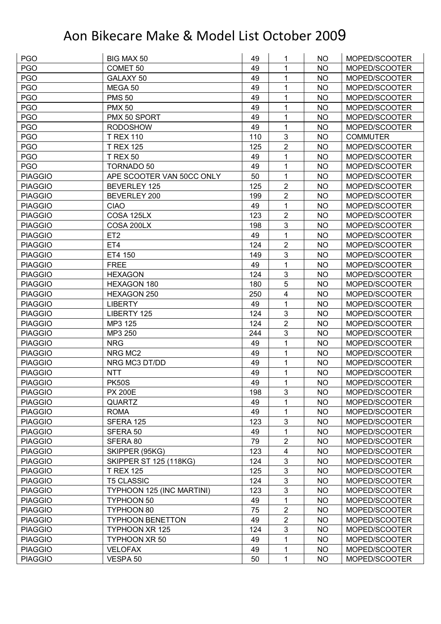| <b>PGO</b>     | BIG MAX 50                    | 49  | 1                       | NO        | MOPED/SCOOTER   |
|----------------|-------------------------------|-----|-------------------------|-----------|-----------------|
| <b>PGO</b>     | COMET <sub>50</sub>           | 49  | 1                       | <b>NO</b> | MOPED/SCOOTER   |
| <b>PGO</b>     | GALAXY 50                     | 49  | 1                       | <b>NO</b> | MOPED/SCOOTER   |
| <b>PGO</b>     | MEGA 50                       | 49  | 1                       | <b>NO</b> | MOPED/SCOOTER   |
| <b>PGO</b>     | <b>PMS 50</b>                 | 49  | 1                       | <b>NO</b> | MOPED/SCOOTER   |
| <b>PGO</b>     | <b>PMX 50</b>                 | 49  | 1                       | NO        | MOPED/SCOOTER   |
| <b>PGO</b>     | PMX 50 SPORT                  | 49  | 1                       | <b>NO</b> | MOPED/SCOOTER   |
| <b>PGO</b>     | <b>RODOSHOW</b>               | 49  | $\mathbf{1}$            | <b>NO</b> | MOPED/SCOOTER   |
| <b>PGO</b>     | <b>T REX 110</b>              | 110 | $\mathbf{3}$            | <b>NO</b> | <b>COMMUTER</b> |
| <b>PGO</b>     | <b>T REX 125</b>              | 125 | $\overline{2}$          | <b>NO</b> | MOPED/SCOOTER   |
| <b>PGO</b>     | <b>T REX 50</b>               | 49  | 1                       | <b>NO</b> | MOPED/SCOOTER   |
| <b>PGO</b>     | <b>TORNADO 50</b>             | 49  | 1                       | <b>NO</b> | MOPED/SCOOTER   |
| <b>PIAGGIO</b> | APE SCOOTER VAN 50CC ONLY     | 50  | 1                       | <b>NO</b> | MOPED/SCOOTER   |
| <b>PIAGGIO</b> | <b>BEVERLEY 125</b>           | 125 | $\overline{2}$          | <b>NO</b> | MOPED/SCOOTER   |
| <b>PIAGGIO</b> | BEVERLEY 200                  | 199 | $\overline{2}$          | <b>NO</b> | MOPED/SCOOTER   |
| <b>PIAGGIO</b> | <b>CIAO</b>                   | 49  | $\mathbf{1}$            | <b>NO</b> | MOPED/SCOOTER   |
| <b>PIAGGIO</b> | COSA 125LX                    | 123 | $\overline{2}$          | <b>NO</b> | MOPED/SCOOTER   |
| <b>PIAGGIO</b> | COSA 200LX                    | 198 | 3                       | <b>NO</b> | MOPED/SCOOTER   |
| <b>PIAGGIO</b> | ET <sub>2</sub>               | 49  | 1                       | <b>NO</b> | MOPED/SCOOTER   |
| <b>PIAGGIO</b> | ET4                           | 124 | $\overline{2}$          | <b>NO</b> | MOPED/SCOOTER   |
| <b>PIAGGIO</b> | ET4 150                       | 149 | 3                       | <b>NO</b> | MOPED/SCOOTER   |
| <b>PIAGGIO</b> | <b>FREE</b>                   | 49  | 1                       | <b>NO</b> | MOPED/SCOOTER   |
| <b>PIAGGIO</b> | <b>HEXAGON</b>                | 124 | 3                       | <b>NO</b> | MOPED/SCOOTER   |
| <b>PIAGGIO</b> | HEXAGON 180                   | 180 | 5                       | <b>NO</b> | MOPED/SCOOTER   |
| <b>PIAGGIO</b> | HEXAGON 250                   | 250 | $\overline{\mathbf{4}}$ | NO        | MOPED/SCOOTER   |
| <b>PIAGGIO</b> | <b>LIBERTY</b>                | 49  | $\mathbf{1}$            | <b>NO</b> | MOPED/SCOOTER   |
| <b>PIAGGIO</b> | LIBERTY 125                   | 124 | $\mathbf{3}$            | <b>NO</b> | MOPED/SCOOTER   |
| <b>PIAGGIO</b> | MP3 125                       | 124 | $\overline{2}$          | <b>NO</b> | MOPED/SCOOTER   |
| <b>PIAGGIO</b> | MP3 250                       | 244 | 3                       | <b>NO</b> | MOPED/SCOOTER   |
| <b>PIAGGIO</b> | <b>NRG</b>                    | 49  | 1                       | <b>NO</b> | MOPED/SCOOTER   |
| <b>PIAGGIO</b> | NRG MC2                       | 49  | 1                       | <b>NO</b> | MOPED/SCOOTER   |
| <b>PIAGGIO</b> | NRG MC3 DT/DD                 | 49  | $\mathbf{1}$            | <b>NO</b> | MOPED/SCOOTER   |
| <b>PIAGGIO</b> | <b>NTT</b>                    | 49  | 1                       | <b>NO</b> | MOPED/SCOOTER   |
| <b>PIAGGIO</b> | <b>PK50S</b>                  | 49  | 1                       | <b>NO</b> | MOPED/SCOOTER   |
| <b>PIAGGIO</b> | <b>PX 200E</b>                | 198 | $\mathbf{3}$            | <b>NO</b> | MOPED/SCOOTER   |
| <b>PIAGGIO</b> | <b>QUARTZ</b>                 | 49  | 1                       | <b>NO</b> | MOPED/SCOOTER   |
| <b>PIAGGIO</b> | <b>ROMA</b>                   | 49  | 1                       | <b>NO</b> | MOPED/SCOOTER   |
| <b>PIAGGIO</b> | SFERA 125                     | 123 | $\mathbf{3}$            | <b>NO</b> | MOPED/SCOOTER   |
| <b>PIAGGIO</b> | SFERA 50                      | 49  | $\mathbf 1$             | <b>NO</b> | MOPED/SCOOTER   |
| <b>PIAGGIO</b> | SFERA 80                      | 79  | $\mathbf 2$             | <b>NO</b> | MOPED/SCOOTER   |
| <b>PIAGGIO</b> | SKIPPER (95KG)                | 123 | $\overline{\mathbf{4}}$ | <b>NO</b> | MOPED/SCOOTER   |
| <b>PIAGGIO</b> | <b>SKIPPER ST 125 (118KG)</b> | 124 | $\mathbf{3}$            | <b>NO</b> | MOPED/SCOOTER   |
| <b>PIAGGIO</b> | <b>T REX 125</b>              | 125 | $\mathbf{3}$            | <b>NO</b> | MOPED/SCOOTER   |
| <b>PIAGGIO</b> | <b>T5 CLASSIC</b>             | 124 | $\mathbf{3}$            | <b>NO</b> | MOPED/SCOOTER   |
| <b>PIAGGIO</b> | TYPHOON 125 (INC MARTINI)     | 123 | $\mathbf{3}$            | <b>NO</b> | MOPED/SCOOTER   |
| <b>PIAGGIO</b> | TYPHOON 50                    | 49  | 1                       | <b>NO</b> | MOPED/SCOOTER   |
| <b>PIAGGIO</b> | TYPHOON 80                    | 75  | $\overline{2}$          | <b>NO</b> | MOPED/SCOOTER   |
| <b>PIAGGIO</b> | <b>TYPHOON BENETTON</b>       | 49  | $\overline{2}$          | <b>NO</b> | MOPED/SCOOTER   |
| <b>PIAGGIO</b> | TYPHOON XR 125                | 124 | $\mathbf{3}$            | <b>NO</b> | MOPED/SCOOTER   |
| <b>PIAGGIO</b> | TYPHOON XR 50                 | 49  | 1                       | <b>NO</b> | MOPED/SCOOTER   |
| <b>PIAGGIO</b> | <b>VELOFAX</b>                | 49  | 1                       | <b>NO</b> | MOPED/SCOOTER   |
| <b>PIAGGIO</b> | VESPA 50                      | 50  | 1                       | <b>NO</b> | MOPED/SCOOTER   |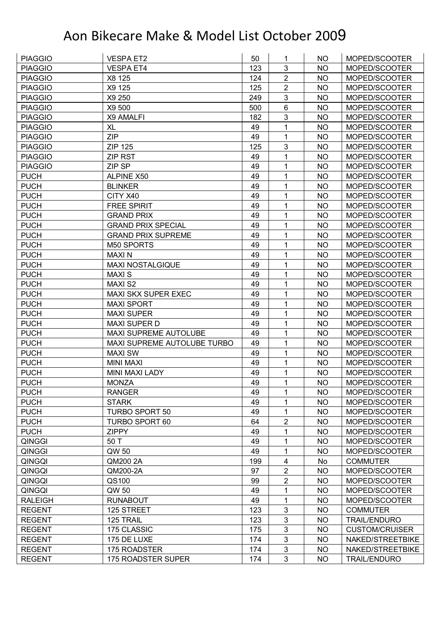| <b>PIAGGIO</b> | <b>VESPA ET2</b>            | 50  | 1              | NO        | MOPED/SCOOTER         |
|----------------|-----------------------------|-----|----------------|-----------|-----------------------|
| <b>PIAGGIO</b> | <b>VESPA ET4</b>            | 123 | 3              | <b>NO</b> | MOPED/SCOOTER         |
| <b>PIAGGIO</b> | X8 125                      | 124 | $\overline{2}$ | <b>NO</b> | MOPED/SCOOTER         |
| <b>PIAGGIO</b> | X9 125                      | 125 | $\overline{2}$ | <b>NO</b> | MOPED/SCOOTER         |
| <b>PIAGGIO</b> | X9 250                      | 249 | 3              | <b>NO</b> | MOPED/SCOOTER         |
| <b>PIAGGIO</b> | X9 500                      | 500 | $6\phantom{1}$ | NO        | MOPED/SCOOTER         |
| <b>PIAGGIO</b> | X9 AMALFI                   | 182 | $\mathfrak{B}$ | <b>NO</b> | MOPED/SCOOTER         |
| <b>PIAGGIO</b> | <b>XL</b>                   | 49  | 1              | <b>NO</b> | MOPED/SCOOTER         |
| <b>PIAGGIO</b> | <b>ZIP</b>                  | 49  | 1              | <b>NO</b> | MOPED/SCOOTER         |
| <b>PIAGGIO</b> | <b>ZIP 125</b>              | 125 | 3              | <b>NO</b> | MOPED/SCOOTER         |
| <b>PIAGGIO</b> | <b>ZIP RST</b>              | 49  | 1              | <b>NO</b> | MOPED/SCOOTER         |
| <b>PIAGGIO</b> | ZIP SP                      | 49  | 1              | <b>NO</b> | MOPED/SCOOTER         |
| <b>PUCH</b>    | <b>ALPINE X50</b>           | 49  | 1              | <b>NO</b> | MOPED/SCOOTER         |
| <b>PUCH</b>    | <b>BLINKER</b>              | 49  | 1              | <b>NO</b> | MOPED/SCOOTER         |
| <b>PUCH</b>    | CITY X40                    | 49  | 1              | <b>NO</b> | MOPED/SCOOTER         |
| <b>PUCH</b>    | <b>FREE SPIRIT</b>          | 49  | 1              | <b>NO</b> | MOPED/SCOOTER         |
| <b>PUCH</b>    | <b>GRAND PRIX</b>           | 49  | 1              | <b>NO</b> | MOPED/SCOOTER         |
| <b>PUCH</b>    | <b>GRAND PRIX SPECIAL</b>   | 49  | 1              | <b>NO</b> | MOPED/SCOOTER         |
| <b>PUCH</b>    | <b>GRAND PRIX SUPREME</b>   | 49  | 1              | <b>NO</b> | MOPED/SCOOTER         |
| <b>PUCH</b>    | M50 SPORTS                  | 49  | 1              | <b>NO</b> | MOPED/SCOOTER         |
| <b>PUCH</b>    | <b>MAXIN</b>                | 49  | 1              | <b>NO</b> | MOPED/SCOOTER         |
| <b>PUCH</b>    | <b>MAXI NOSTALGIQUE</b>     | 49  | 1              | <b>NO</b> | MOPED/SCOOTER         |
| <b>PUCH</b>    | <b>MAXIS</b>                | 49  | 1              | <b>NO</b> | MOPED/SCOOTER         |
| <b>PUCH</b>    | <b>MAXI S2</b>              | 49  | 1              | <b>NO</b> | MOPED/SCOOTER         |
| <b>PUCH</b>    | MAXI SKX SUPER EXEC         | 49  | 1              | NO        | MOPED/SCOOTER         |
| <b>PUCH</b>    | <b>MAXI SPORT</b>           | 49  | 1              | <b>NO</b> | MOPED/SCOOTER         |
| <b>PUCH</b>    | <b>MAXI SUPER</b>           | 49  | 1              | <b>NO</b> | MOPED/SCOOTER         |
| <b>PUCH</b>    | <b>MAXI SUPER D</b>         | 49  | 1              | <b>NO</b> | MOPED/SCOOTER         |
| <b>PUCH</b>    | MAXI SUPREME AUTOLUBE       | 49  | $\mathbf{1}$   | <b>NO</b> | MOPED/SCOOTER         |
| <b>PUCH</b>    | MAXI SUPREME AUTOLUBE TURBO | 49  | 1              | <b>NO</b> | MOPED/SCOOTER         |
| <b>PUCH</b>    | <b>MAXI SW</b>              | 49  | 1              | <b>NO</b> | MOPED/SCOOTER         |
| <b>PUCH</b>    | <b>MINI MAXI</b>            | 49  | $\mathbf{1}$   | <b>NO</b> | MOPED/SCOOTER         |
| <b>PUCH</b>    | <b>MINI MAXI LADY</b>       | 49  | 1              | <b>NO</b> | MOPED/SCOOTER         |
| <b>PUCH</b>    | <b>MONZA</b>                | 49  | 1              | <b>NO</b> | MOPED/SCOOTER         |
| <b>PUCH</b>    | <b>RANGER</b>               | 49  | 1              | NO.       | MOPED/SCOOTER         |
| <b>PUCH</b>    | <b>STARK</b>                | 49  | 1              | <b>NO</b> | MOPED/SCOOTER         |
| <b>PUCH</b>    | TURBO SPORT 50              | 49  | $\mathbf{1}$   | <b>NO</b> | MOPED/SCOOTER         |
| <b>PUCH</b>    | <b>TURBO SPORT 60</b>       | 64  | $\overline{c}$ | <b>NO</b> | MOPED/SCOOTER         |
| <b>PUCH</b>    | <b>ZIPPY</b>                | 49  | 1              | <b>NO</b> | MOPED/SCOOTER         |
| QINGGI         | 50 T                        | 49  | 1              | <b>NO</b> | MOPED/SCOOTER         |
| QINGGI         | QW 50                       | 49  | 1              | <b>NO</b> | MOPED/SCOOTER         |
| QINGQI         | QM200 2A                    | 199 | 4              | No        | <b>COMMUTER</b>       |
| QINGQI         | QM200-2A                    | 97  | $\overline{c}$ | <b>NO</b> | MOPED/SCOOTER         |
| QINGQI         | QS100                       | 99  | $\overline{2}$ | <b>NO</b> | MOPED/SCOOTER         |
| QINGQI         | QW 50                       | 49  | 1              | <b>NO</b> | MOPED/SCOOTER         |
| <b>RALEIGH</b> | <b>RUNABOUT</b>             | 49  | 1              | <b>NO</b> | MOPED/SCOOTER         |
| <b>REGENT</b>  | 125 STREET                  | 123 | 3              | <b>NO</b> | <b>COMMUTER</b>       |
| <b>REGENT</b>  | 125 TRAIL                   | 123 | 3              | <b>NO</b> | <b>TRAIL/ENDURO</b>   |
| <b>REGENT</b>  | 175 CLASSIC                 | 175 | 3              | <b>NO</b> | <b>CUSTOM/CRUISER</b> |
| <b>REGENT</b>  | 175 DE LUXE                 | 174 | $\mathfrak{B}$ | <b>NO</b> | NAKED/STREETBIKE      |
| <b>REGENT</b>  | 175 ROADSTER                | 174 | $\mathbf{3}$   | <b>NO</b> | NAKED/STREETBIKE      |
| <b>REGENT</b>  | 175 ROADSTER SUPER          | 174 | $\mathbf{3}$   | <b>NO</b> | <b>TRAIL/ENDURO</b>   |
|                |                             |     |                |           |                       |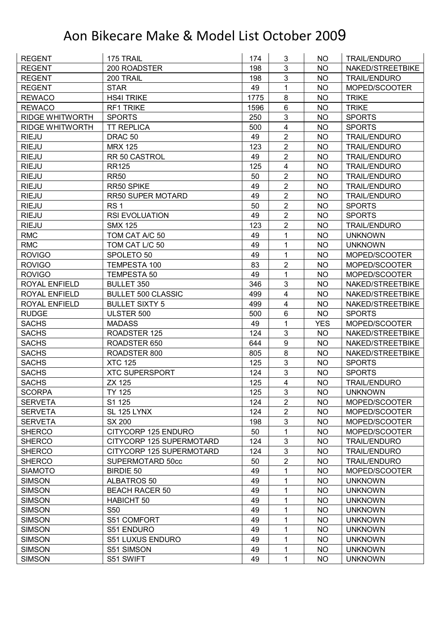| <b>REGENT</b>          | 175 TRAIL                      | 174      | 3                       | NO.        | <b>TRAIL/ENDURO</b> |
|------------------------|--------------------------------|----------|-------------------------|------------|---------------------|
| <b>REGENT</b>          | 200 ROADSTER                   | 198      | 3                       | <b>NO</b>  | NAKED/STREETBIKE    |
| <b>REGENT</b>          | 200 TRAIL                      | 198      | 3                       | <b>NO</b>  | <b>TRAIL/ENDURO</b> |
| <b>REGENT</b>          | <b>STAR</b>                    | 49       | $\mathbf{1}$            | <b>NO</b>  | MOPED/SCOOTER       |
| <b>REWACO</b>          | <b>HS4I TRIKE</b>              | 1775     | 8                       | <b>NO</b>  | <b>TRIKE</b>        |
| <b>REWACO</b>          | <b>RF1 TRIKE</b>               | 1596     | $6\phantom{1}$          | NO         | <b>TRIKE</b>        |
| <b>RIDGE WHITWORTH</b> | <b>SPORTS</b>                  | 250      | 3                       | <b>NO</b>  | <b>SPORTS</b>       |
| <b>RIDGE WHITWORTH</b> | <b>TT REPLICA</b>              | 500      | 4                       | <b>NO</b>  | <b>SPORTS</b>       |
| <b>RIEJU</b>           | DRAC <sub>50</sub>             | 49       | $\overline{2}$          | <b>NO</b>  | <b>TRAIL/ENDURO</b> |
| <b>RIEJU</b>           | <b>MRX 125</b>                 | 123      | $\overline{2}$          | <b>NO</b>  | TRAIL/ENDURO        |
| <b>RIEJU</b>           | RR 50 CASTROL                  | 49       | $\overline{2}$          | <b>NO</b>  | <b>TRAIL/ENDURO</b> |
| <b>RIEJU</b>           | <b>RR125</b>                   | 125      | 4                       | <b>NO</b>  | <b>TRAIL/ENDURO</b> |
| <b>RIEJU</b>           | <b>RR50</b>                    | 50       | $\overline{2}$          | <b>NO</b>  | <b>TRAIL/ENDURO</b> |
| <b>RIEJU</b>           | RR50 SPIKE                     | 49       | $\overline{2}$          | <b>NO</b>  | <b>TRAIL/ENDURO</b> |
| <b>RIEJU</b>           | <b>RR50 SUPER MOTARD</b>       | 49       | $\overline{2}$          | <b>NO</b>  | <b>TRAIL/ENDURO</b> |
| <b>RIEJU</b>           | RS <sub>1</sub>                | 50       | $\overline{2}$          | <b>NO</b>  | <b>SPORTS</b>       |
| <b>RIEJU</b>           | <b>RSI EVOLUATION</b>          | 49       | $\overline{2}$          | <b>NO</b>  | <b>SPORTS</b>       |
| <b>RIEJU</b>           | <b>SMX 125</b>                 | 123      | $\overline{2}$          | <b>NO</b>  | <b>TRAIL/ENDURO</b> |
| <b>RMC</b>             | TOM CAT A/C 50                 | 49       | 1                       | <b>NO</b>  | <b>UNKNOWN</b>      |
| <b>RMC</b>             | TOM CAT L/C 50                 | 49       | 1                       | <b>NO</b>  | <b>UNKNOWN</b>      |
| <b>ROVIGO</b>          | SPOLETO 50                     | 49       | 1                       | <b>NO</b>  | MOPED/SCOOTER       |
| <b>ROVIGO</b>          | TEMPESTA 100                   | 83       | $\overline{2}$          | <b>NO</b>  | MOPED/SCOOTER       |
| <b>ROVIGO</b>          | <b>TEMPESTA 50</b>             | 49       | $\mathbf{1}$            | <b>NO</b>  | MOPED/SCOOTER       |
| ROYAL ENFIELD          | <b>BULLET 350</b>              | 346      | 3                       | <b>NO</b>  | NAKED/STREETBIKE    |
| <b>ROYAL ENFIELD</b>   | <b>BULLET 500 CLASSIC</b>      | 499      | $\overline{\mathbf{4}}$ | NO         | NAKED/STREETBIKE    |
| <b>ROYAL ENFIELD</b>   | <b>BULLET SIXTY 5</b>          | 499      | 4                       | <b>NO</b>  | NAKED/STREETBIKE    |
| <b>RUDGE</b>           | ULSTER 500                     | 500      | $6\phantom{1}$          | <b>NO</b>  | <b>SPORTS</b>       |
| <b>SACHS</b>           | <b>MADASS</b>                  | 49       | $\mathbf{1}$            | <b>YES</b> | MOPED/SCOOTER       |
| <b>SACHS</b>           | ROADSTER 125                   | 124      | 3                       | <b>NO</b>  | NAKED/STREETBIKE    |
| <b>SACHS</b>           | ROADSTER 650                   | 644      | $\boldsymbol{9}$        | NO         | NAKED/STREETBIKE    |
| <b>SACHS</b>           | ROADSTER 800                   | 805      | 8                       | <b>NO</b>  | NAKED/STREETBIKE    |
| <b>SACHS</b>           | <b>XTC 125</b>                 | 125      | 3                       | <b>NO</b>  | <b>SPORTS</b>       |
| <b>SACHS</b>           | <b>XTC SUPERSPORT</b>          | 124      | 3                       | <b>NO</b>  | <b>SPORTS</b>       |
| <b>SACHS</b>           | ZX 125                         | 125      | $\overline{4}$          | <b>NO</b>  | <b>TRAIL/ENDURO</b> |
| <b>SCORPA</b>          | <b>TY 125</b>                  | 125      | 3                       | <b>NO</b>  | <b>UNKNOWN</b>      |
| <b>SERVETA</b>         | S1 125                         | 124      | $\overline{2}$          | <b>NO</b>  | MOPED/SCOOTER       |
| <b>SERVETA</b>         | SL 125 LYNX                    | 124      | $\overline{2}$          | <b>NO</b>  | MOPED/SCOOTER       |
| <b>SERVETA</b>         | <b>SX 200</b>                  | 198      | $\sqrt{3}$              | <b>NO</b>  | MOPED/SCOOTER       |
| <b>SHERCO</b>          | CITYCORP 125 ENDURO            | 50       | $\mathbf{1}$            | <b>NO</b>  | MOPED/SCOOTER       |
| <b>SHERCO</b>          | CITYCORP 125 SUPERMOTARD       | 124      | $\mathfrak{B}$          | <b>NO</b>  | <b>TRAIL/ENDURO</b> |
| <b>SHERCO</b>          | CITYCORP 125 SUPERMOTARD       | 124      | $\mathfrak{B}$          | <b>NO</b>  | <b>TRAIL/ENDURO</b> |
| <b>SHERCO</b>          | SUPERMOTARD 50cc               | 50       | $\overline{2}$          | <b>NO</b>  | <b>TRAIL/ENDURO</b> |
| <b>SIAMOTO</b>         | <b>BIRDIE 50</b>               | 49       | 1                       | <b>NO</b>  | MOPED/SCOOTER       |
| <b>SIMSON</b>          | ALBATROS 50                    | 49       | 1                       | <b>NO</b>  | <b>UNKNOWN</b>      |
| <b>SIMSON</b>          | <b>BEACH RACER 50</b>          | 49       | 1                       | <b>NO</b>  | <b>UNKNOWN</b>      |
| <b>SIMSON</b>          | <b>HABICHT 50</b>              | 49       | 1                       | <b>NO</b>  | <b>UNKNOWN</b>      |
| <b>SIMSON</b>          | S <sub>50</sub>                | 49       | 1                       | <b>NO</b>  | <b>UNKNOWN</b>      |
| <b>SIMSON</b>          | S51 COMFORT                    | 49       | 1                       | <b>NO</b>  | <b>UNKNOWN</b>      |
| <b>SIMSON</b>          | S51 ENDURO                     | 49       | 1                       | <b>NO</b>  | <b>UNKNOWN</b>      |
|                        |                                |          |                         |            |                     |
| <b>SIMSON</b>          | S51 LUXUS ENDURO<br>S51 SIMSON | 49<br>49 | 1<br>1                  | <b>NO</b>  | <b>UNKNOWN</b>      |
| <b>SIMSON</b>          |                                |          |                         | NO         | <b>UNKNOWN</b>      |
| <b>SIMSON</b>          | S51 SWIFT                      | 49       | 1                       | <b>NO</b>  | <b>UNKNOWN</b>      |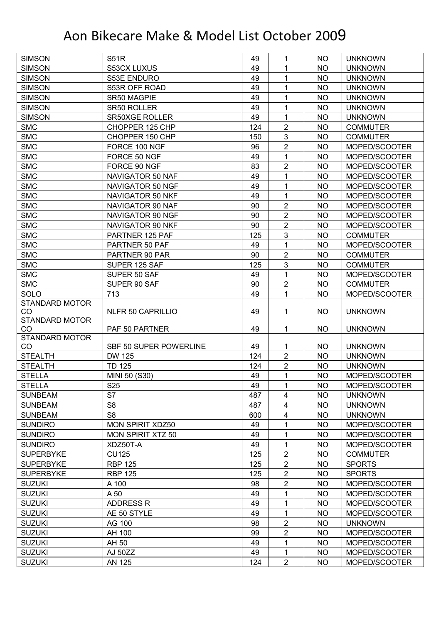| <b>SIMSON</b>         | <b>S51R</b>              | 49  | 1                | NO        | <b>UNKNOWN</b>  |
|-----------------------|--------------------------|-----|------------------|-----------|-----------------|
| <b>SIMSON</b>         | S53CX LUXUS              | 49  | 1                | <b>NO</b> | <b>UNKNOWN</b>  |
| <b>SIMSON</b>         | S53E ENDURO              | 49  | $\mathbf 1$      | <b>NO</b> | <b>UNKNOWN</b>  |
| <b>SIMSON</b>         | S53R OFF ROAD            | 49  | 1                | <b>NO</b> | <b>UNKNOWN</b>  |
| <b>SIMSON</b>         | SR50 MAGPIE              | 49  | 1                | <b>NO</b> | <b>UNKNOWN</b>  |
| <b>SIMSON</b>         | SR50 ROLLER              | 49  | 1                | <b>NO</b> | <b>UNKNOWN</b>  |
| <b>SIMSON</b>         | <b>SR50XGE ROLLER</b>    | 49  | 1                | <b>NO</b> | <b>UNKNOWN</b>  |
| <b>SMC</b>            | CHOPPER 125 CHP          | 124 | $\overline{2}$   | <b>NO</b> | <b>COMMUTER</b> |
| <b>SMC</b>            | CHOPPER 150 CHP          | 150 | 3                | <b>NO</b> | <b>COMMUTER</b> |
| <b>SMC</b>            | FORCE 100 NGF            | 96  | $\overline{2}$   | <b>NO</b> | MOPED/SCOOTER   |
| <b>SMC</b>            | FORCE 50 NGF             | 49  | 1                | <b>NO</b> | MOPED/SCOOTER   |
| <b>SMC</b>            | FORCE 90 NGF             | 83  | $\overline{2}$   | <b>NO</b> | MOPED/SCOOTER   |
| <b>SMC</b>            | NAVIGATOR 50 NAF         | 49  | 1                | <b>NO</b> | MOPED/SCOOTER   |
| <b>SMC</b>            | NAVIGATOR 50 NGF         | 49  | 1                | <b>NO</b> | MOPED/SCOOTER   |
| <b>SMC</b>            | NAVIGATOR 50 NKF         | 49  | $\mathbf{1}$     | <b>NO</b> | MOPED/SCOOTER   |
| <b>SMC</b>            | NAVIGATOR 90 NAF         | 90  | $\overline{2}$   | <b>NO</b> | MOPED/SCOOTER   |
| <b>SMC</b>            | NAVIGATOR 90 NGF         | 90  | $\overline{2}$   | <b>NO</b> | MOPED/SCOOTER   |
| <b>SMC</b>            | NAVIGATOR 90 NKF         | 90  | $\overline{2}$   | <b>NO</b> | MOPED/SCOOTER   |
| <b>SMC</b>            | PARTNER 125 PAF          | 125 | 3                | <b>NO</b> | <b>COMMUTER</b> |
| <b>SMC</b>            | PARTNER 50 PAF           | 49  | $\mathbf 1$      | <b>NO</b> | MOPED/SCOOTER   |
| <b>SMC</b>            | PARTNER 90 PAR           | 90  | $\overline{2}$   | <b>NO</b> | <b>COMMUTER</b> |
| <b>SMC</b>            | SUPER 125 SAF            | 125 | 3                | <b>NO</b> | <b>COMMUTER</b> |
| <b>SMC</b>            | SUPER 50 SAF             | 49  | $\mathbf{1}$     | <b>NO</b> | MOPED/SCOOTER   |
| <b>SMC</b>            | SUPER 90 SAF             | 90  | $\overline{2}$   | <b>NO</b> | <b>COMMUTER</b> |
| <b>SOLO</b>           | 713                      | 49  | $\mathbf 1$      | <b>NO</b> | MOPED/SCOOTER   |
| <b>STANDARD MOTOR</b> |                          |     |                  |           |                 |
| CO                    | <b>NLFR 50 CAPRILLIO</b> | 49  | 1                | <b>NO</b> | <b>UNKNOWN</b>  |
| <b>STANDARD MOTOR</b> |                          |     |                  |           |                 |
| CO                    | PAF 50 PARTNER           | 49  | 1                | <b>NO</b> | <b>UNKNOWN</b>  |
| <b>STANDARD MOTOR</b> |                          |     |                  |           |                 |
| CO                    | SBF 50 SUPER POWERLINE   | 49  | 1                | <b>NO</b> | <b>UNKNOWN</b>  |
| <b>STEALTH</b>        | <b>DW 125</b>            | 124 | $\boldsymbol{2}$ | NO        | <b>UNKNOWN</b>  |
| <b>STEALTH</b>        | <b>TD 125</b>            | 124 | $\overline{2}$   | <b>NO</b> | <b>UNKNOWN</b>  |
| <b>STELLA</b>         | MINI 50 (S30)            | 49  | $\mathbf{1}$     | <b>NO</b> | MOPED/SCOOTER   |
| <b>STELLA</b>         | <b>S25</b>               | 49  | $\mathbf{1}$     | $N$ O     | MOPED/SCOOTER   |
| <b>SUNBEAM</b>        | S7                       | 487 | 4                | NO        | <b>UNKNOWN</b>  |
| <b>SUNBEAM</b>        | S <sub>8</sub>           | 487 | 4                | <b>NO</b> | <b>UNKNOWN</b>  |
| <b>SUNBEAM</b>        | S <sub>8</sub>           | 600 | 4                | <b>NO</b> | <b>UNKNOWN</b>  |
| <b>SUNDIRO</b>        | MON SPIRIT XDZ50         | 49  | 1                | <b>NO</b> | MOPED/SCOOTER   |
| <b>SUNDIRO</b>        | MON SPIRIT XTZ 50        | 49  | 1                | <b>NO</b> | MOPED/SCOOTER   |
| <b>SUNDIRO</b>        | XDZ50T-A                 | 49  | $\mathbf{1}$     | <b>NO</b> | MOPED/SCOOTER   |
| <b>SUPERBYKE</b>      | <b>CU125</b>             | 125 | $\overline{2}$   | <b>NO</b> | <b>COMMUTER</b> |
| <b>SUPERBYKE</b>      | <b>RBP 125</b>           | 125 | $\overline{2}$   | <b>NO</b> | <b>SPORTS</b>   |
| <b>SUPERBYKE</b>      | <b>RBP 125</b>           | 125 | $\overline{2}$   | <b>NO</b> | <b>SPORTS</b>   |
| <b>SUZUKI</b>         | A 100                    | 98  | $\overline{2}$   | <b>NO</b> | MOPED/SCOOTER   |
| <b>SUZUKI</b>         | A 50                     | 49  | 1                | <b>NO</b> | MOPED/SCOOTER   |
| <b>SUZUKI</b>         | <b>ADDRESS R</b>         | 49  | 1                | <b>NO</b> | MOPED/SCOOTER   |
| <b>SUZUKI</b>         | AE 50 STYLE              | 49  | 1                | <b>NO</b> | MOPED/SCOOTER   |
| <b>SUZUKI</b>         | AG 100                   | 98  | $\mathbf{2}$     | <b>NO</b> | <b>UNKNOWN</b>  |
| <b>SUZUKI</b>         | AH 100                   | 99  | $\mathbf 2$      | <b>NO</b> | MOPED/SCOOTER   |
| <b>SUZUKI</b>         | AH 50                    | 49  | 1                | NO.       | MOPED/SCOOTER   |
| <b>SUZUKI</b>         | AJ 50ZZ                  | 49  | 1                | <b>NO</b> | MOPED/SCOOTER   |
| <b>SUZUKI</b>         | AN 125                   | 124 | $\overline{2}$   | <b>NO</b> | MOPED/SCOOTER   |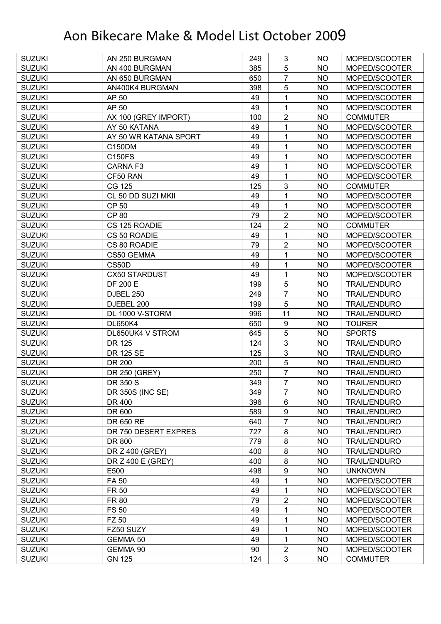| <b>SUZUKI</b> | AN 250 BURGMAN        | 249 | 3                       | NO.       | MOPED/SCOOTER       |
|---------------|-----------------------|-----|-------------------------|-----------|---------------------|
| <b>SUZUKI</b> | AN 400 BURGMAN        | 385 | 5                       | <b>NO</b> | MOPED/SCOOTER       |
| <b>SUZUKI</b> | AN 650 BURGMAN        | 650 | $\overline{7}$          | <b>NO</b> | MOPED/SCOOTER       |
| <b>SUZUKI</b> | AN400K4 BURGMAN       | 398 | 5                       | <b>NO</b> | MOPED/SCOOTER       |
| <b>SUZUKI</b> | AP 50                 | 49  | 1                       | <b>NO</b> | MOPED/SCOOTER       |
| <b>SUZUKI</b> | AP 50                 | 49  | 1                       | NO        | MOPED/SCOOTER       |
| <b>SUZUKI</b> | AX 100 (GREY IMPORT)  | 100 | $\overline{\mathbf{c}}$ | <b>NO</b> | <b>COMMUTER</b>     |
| <b>SUZUKI</b> | AY 50 KATANA          | 49  | 1                       | <b>NO</b> | MOPED/SCOOTER       |
| <b>SUZUKI</b> | AY 50 WR KATANA SPORT | 49  | 1                       | <b>NO</b> | MOPED/SCOOTER       |
| <b>SUZUKI</b> | C150DM                | 49  | 1                       | <b>NO</b> | MOPED/SCOOTER       |
| <b>SUZUKI</b> | <b>C150FS</b>         | 49  | 1                       | <b>NO</b> | MOPED/SCOOTER       |
| <b>SUZUKI</b> | <b>CARNA F3</b>       | 49  | 1                       | <b>NO</b> | MOPED/SCOOTER       |
| <b>SUZUKI</b> | CF50 RAN              | 49  | 1                       | <b>NO</b> | MOPED/SCOOTER       |
| <b>SUZUKI</b> | CG 125                | 125 | 3                       | <b>NO</b> | <b>COMMUTER</b>     |
| <b>SUZUKI</b> | CL 50 DD SUZI MKII    | 49  | 1                       | <b>NO</b> | MOPED/SCOOTER       |
| <b>SUZUKI</b> | <b>CP 50</b>          | 49  | 1                       | <b>NO</b> | MOPED/SCOOTER       |
| <b>SUZUKI</b> | <b>CP 80</b>          | 79  | $\overline{2}$          | <b>NO</b> | MOPED/SCOOTER       |
| <b>SUZUKI</b> | CS 125 ROADIE         | 124 | $\overline{2}$          | <b>NO</b> | <b>COMMUTER</b>     |
| <b>SUZUKI</b> | CS 50 ROADIE          | 49  | $\mathbf{1}$            | <b>NO</b> | MOPED/SCOOTER       |
| <b>SUZUKI</b> | CS 80 ROADIE          | 79  | $\overline{2}$          | <b>NO</b> | MOPED/SCOOTER       |
| <b>SUZUKI</b> | CS50 GEMMA            | 49  | 1                       | <b>NO</b> | MOPED/SCOOTER       |
| <b>SUZUKI</b> | CS50D                 | 49  | 1                       | <b>NO</b> | MOPED/SCOOTER       |
| <b>SUZUKI</b> | <b>CX50 STARDUST</b>  | 49  | 1                       | <b>NO</b> | MOPED/SCOOTER       |
| <b>SUZUKI</b> | <b>DF 200 E</b>       | 199 | 5                       | <b>NO</b> | <b>TRAIL/ENDURO</b> |
| <b>SUZUKI</b> | DJBEL 250             | 249 | $\overline{7}$          | <b>NO</b> | <b>TRAIL/ENDURO</b> |
| <b>SUZUKI</b> | DJEBEL 200            | 199 | 5                       | <b>NO</b> | <b>TRAIL/ENDURO</b> |
| <b>SUZUKI</b> | DL 1000 V-STORM       | 996 | 11                      | <b>NO</b> | <b>TRAIL/ENDURO</b> |
| <b>SUZUKI</b> | <b>DL650K4</b>        | 650 | 9                       | <b>NO</b> | <b>TOURER</b>       |
| <b>SUZUKI</b> | DL650UK4 V STROM      | 645 | 5                       | <b>NO</b> | <b>SPORTS</b>       |
| <b>SUZUKI</b> | DR 125                | 124 | $\mathbf{3}$            | <b>NO</b> | <b>TRAIL/ENDURO</b> |
| <b>SUZUKI</b> | DR 125 SE             | 125 | $\mathfrak{B}$          | <b>NO</b> | <b>TRAIL/ENDURO</b> |
| <b>SUZUKI</b> | DR 200                | 200 | 5                       | <b>NO</b> | <b>TRAIL/ENDURO</b> |
| <b>SUZUKI</b> | DR 250 (GREY)         | 250 | $\overline{7}$          | <b>NO</b> | <b>TRAIL/ENDURO</b> |
| <b>SUZUKI</b> | DR 350 S              | 349 | $\overline{7}$          | <b>NO</b> | <b>TRAIL/ENDURO</b> |
| <b>SUZUKI</b> | DR 350S (INC SE)      | 349 | 7                       | <b>NO</b> | <b>TRAIL/ENDURO</b> |
| <b>SUZUKI</b> | DR 400                | 396 | 6                       | <b>NO</b> | <b>TRAIL/ENDURO</b> |
| <b>SUZUKI</b> | DR 600                | 589 | $\boldsymbol{9}$        | <b>NO</b> | <b>TRAIL/ENDURO</b> |
| <b>SUZUKI</b> | DR 650 RE             | 640 | $\overline{7}$          | <b>NO</b> | <b>TRAIL/ENDURO</b> |
| <b>SUZUKI</b> | DR 750 DESERT EXPRES  | 727 | 8                       | <b>NO</b> | <b>TRAIL/ENDURO</b> |
| <b>SUZUKI</b> | DR 800                | 779 | 8                       | <b>NO</b> | <b>TRAIL/ENDURO</b> |
| <b>SUZUKI</b> | DR Z 400 (GREY)       | 400 | 8                       | <b>NO</b> | <b>TRAIL/ENDURO</b> |
| <b>SUZUKI</b> | DR Z 400 E (GREY)     | 400 | $\bf 8$                 | <b>NO</b> | <b>TRAIL/ENDURO</b> |
| <b>SUZUKI</b> | E500                  | 498 | $\boldsymbol{9}$        | <b>NO</b> | <b>UNKNOWN</b>      |
| <b>SUZUKI</b> | FA 50                 | 49  | 1                       | <b>NO</b> | MOPED/SCOOTER       |
| <b>SUZUKI</b> | <b>FR 50</b>          | 49  | 1                       | <b>NO</b> | MOPED/SCOOTER       |
| <b>SUZUKI</b> | <b>FR 80</b>          | 79  | $\overline{2}$          | <b>NO</b> | MOPED/SCOOTER       |
| <b>SUZUKI</b> | <b>FS 50</b>          | 49  | 1                       | <b>NO</b> | MOPED/SCOOTER       |
| <b>SUZUKI</b> | FZ 50                 | 49  | $\mathbf{1}$            | <b>NO</b> | MOPED/SCOOTER       |
| <b>SUZUKI</b> | FZ50 SUZY             | 49  | 1                       | <b>NO</b> | MOPED/SCOOTER       |
| <b>SUZUKI</b> | GEMMA 50              | 49  | $\mathbf 1$             | <b>NO</b> | MOPED/SCOOTER       |
| <b>SUZUKI</b> | GEMMA 90              | 90  | $\overline{2}$          | <b>NO</b> | MOPED/SCOOTER       |
| <b>SUZUKI</b> | <b>GN 125</b>         | 124 | $\mathbf{3}$            | <b>NO</b> | <b>COMMUTER</b>     |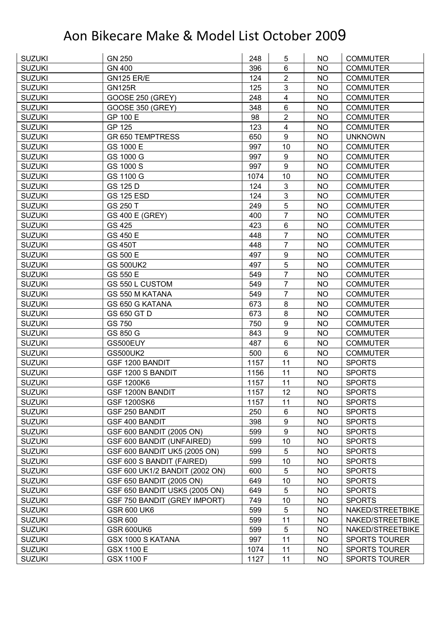| <b>SUZUKI</b> | <b>GN 250</b>                       | 248  | 5                | NO        | <b>COMMUTER</b>      |
|---------------|-------------------------------------|------|------------------|-----------|----------------------|
| <b>SUZUKI</b> | <b>GN 400</b>                       | 396  | 6                | <b>NO</b> | <b>COMMUTER</b>      |
| <b>SUZUKI</b> | <b>GN125 ER/E</b>                   | 124  | $\overline{2}$   | <b>NO</b> | <b>COMMUTER</b>      |
| <b>SUZUKI</b> | <b>GN125R</b>                       | 125  | $\mathfrak{S}$   | <b>NO</b> | <b>COMMUTER</b>      |
| <b>SUZUKI</b> | <b>GOOSE 250 (GREY)</b>             | 248  | 4                | <b>NO</b> | <b>COMMUTER</b>      |
| <b>SUZUKI</b> | <b>GOOSE 350 (GREY)</b>             | 348  | 6                | <b>NO</b> | <b>COMMUTER</b>      |
| <b>SUZUKI</b> | GP 100 E                            | 98   | $\overline{2}$   | <b>NO</b> | <b>COMMUTER</b>      |
| <b>SUZUKI</b> | GP 125                              | 123  | 4                | <b>NO</b> | <b>COMMUTER</b>      |
| <b>SUZUKI</b> | <b>GR 650 TEMPTRESS</b>             | 650  | $\boldsymbol{9}$ | <b>NO</b> | <b>UNKNOWN</b>       |
| <b>SUZUKI</b> | GS 1000 E                           | 997  | 10               | <b>NO</b> | <b>COMMUTER</b>      |
| <b>SUZUKI</b> | GS 1000 G                           | 997  | 9                | <b>NO</b> | <b>COMMUTER</b>      |
| <b>SUZUKI</b> | GS 1000 S                           | 997  | 9                | <b>NO</b> | <b>COMMUTER</b>      |
| <b>SUZUKI</b> | GS 1100 G                           | 1074 | 10               | <b>NO</b> | <b>COMMUTER</b>      |
| <b>SUZUKI</b> | GS 125 D                            | 124  | $\mathfrak{B}$   | <b>NO</b> | <b>COMMUTER</b>      |
| <b>SUZUKI</b> | <b>GS 125 ESD</b>                   | 124  | $\mathfrak{S}$   | <b>NO</b> | <b>COMMUTER</b>      |
| <b>SUZUKI</b> | GS 250 T                            | 249  | 5                | <b>NO</b> | <b>COMMUTER</b>      |
| <b>SUZUKI</b> | <b>GS 400 E (GREY)</b>              | 400  | $\overline{7}$   | <b>NO</b> | <b>COMMUTER</b>      |
| <b>SUZUKI</b> | GS 425                              | 423  | 6                | <b>NO</b> | <b>COMMUTER</b>      |
| <b>SUZUKI</b> | GS 450 E                            | 448  | 7                | <b>NO</b> | <b>COMMUTER</b>      |
| <b>SUZUKI</b> | <b>GS 450T</b>                      | 448  | $\overline{7}$   | <b>NO</b> | <b>COMMUTER</b>      |
| <b>SUZUKI</b> | GS 500 E                            | 497  | 9                | <b>NO</b> | <b>COMMUTER</b>      |
| <b>SUZUKI</b> | <b>GS 500UK2</b>                    | 497  | 5                | <b>NO</b> | <b>COMMUTER</b>      |
| <b>SUZUKI</b> | GS 550 E                            | 549  | 7                | <b>NO</b> | <b>COMMUTER</b>      |
| <b>SUZUKI</b> | GS 550 L CUSTOM                     | 549  | 7                | <b>NO</b> | <b>COMMUTER</b>      |
| <b>SUZUKI</b> | GS 550 M KATANA                     | 549  | 7                | <b>NO</b> | <b>COMMUTER</b>      |
| <b>SUZUKI</b> | GS 650 G KATANA                     | 673  | 8                | <b>NO</b> | <b>COMMUTER</b>      |
| <b>SUZUKI</b> | GS 650 GT D                         | 673  | 8                | <b>NO</b> | <b>COMMUTER</b>      |
| <b>SUZUKI</b> | GS 750                              | 750  | 9                | <b>NO</b> | <b>COMMUTER</b>      |
| <b>SUZUKI</b> | GS 850 G                            | 843  | $\boldsymbol{9}$ | <b>NO</b> | <b>COMMUTER</b>      |
| <b>SUZUKI</b> | GS500EUY                            | 487  | $6\phantom{1}$   | <b>NO</b> | <b>COMMUTER</b>      |
| <b>SUZUKI</b> | <b>GS500UK2</b>                     | 500  | 6                | <b>NO</b> | <b>COMMUTER</b>      |
| <b>SUZUKI</b> | GSF 1200 BANDIT                     | 1157 | 11               | <b>NO</b> | <b>SPORTS</b>        |
| <b>SUZUKI</b> | GSF 1200 S BANDIT                   | 1156 | 11               | <b>NO</b> | <b>SPORTS</b>        |
| <b>SUZUKI</b> | <b>GSF 1200K6</b>                   | 1157 | 11               | <b>NO</b> | <b>SPORTS</b>        |
| <b>SUZUKI</b> | GSF 1200N BANDIT                    | 1157 | 12               | <b>NO</b> | <b>SPORTS</b>        |
| <b>SUZUKI</b> | <b>GSF 1200SK6</b>                  | 1157 | 11               | <b>NO</b> | <b>SPORTS</b>        |
| <b>SUZUKI</b> | GSF 250 BANDIT                      | 250  | 6                | <b>NO</b> | <b>SPORTS</b>        |
| <b>SUZUKI</b> | GSF 400 BANDIT                      | 398  | $\boldsymbol{9}$ | <b>NO</b> | <b>SPORTS</b>        |
| <b>SUZUKI</b> | GSF 600 BANDIT (2005 ON)            | 599  | $\boldsymbol{9}$ | <b>NO</b> | <b>SPORTS</b>        |
| <b>SUZUKI</b> | <b>GSF 600 BANDIT (UNFAIRED)</b>    | 599  | 10               | <b>NO</b> | <b>SPORTS</b>        |
| <b>SUZUKI</b> | GSF 600 BANDIT UK5 (2005 ON)        | 599  | 5                | <b>NO</b> | <b>SPORTS</b>        |
| <b>SUZUKI</b> | GSF 600 S BANDIT (FAIRED)           | 599  | 10               | <b>NO</b> | <b>SPORTS</b>        |
| <b>SUZUKI</b> | GSF 600 UK1/2 BANDIT (2002 ON)      | 600  | 5                | <b>NO</b> | <b>SPORTS</b>        |
| <b>SUZUKI</b> | GSF 650 BANDIT (2005 ON)            | 649  | 10               | <b>NO</b> | <b>SPORTS</b>        |
| <b>SUZUKI</b> | GSF 650 BANDIT USK5 (2005 ON)       | 649  | 5                | <b>NO</b> | <b>SPORTS</b>        |
| <b>SUZUKI</b> | <b>GSF 750 BANDIT (GREY IMPORT)</b> | 749  | 10               | <b>NO</b> | <b>SPORTS</b>        |
| <b>SUZUKI</b> | <b>GSR 600 UK6</b>                  | 599  | 5                | <b>NO</b> | NAKED/STREETBIKE     |
| <b>SUZUKI</b> | <b>GSR 600</b>                      | 599  | 11               | <b>NO</b> | NAKED/STREETBIKE     |
| <b>SUZUKI</b> | GSR 600UK6                          | 599  | 5                | <b>NO</b> | NAKED/STREETBIKE     |
| <b>SUZUKI</b> | GSX 1000 S KATANA                   | 997  | 11               | <b>NO</b> | <b>SPORTS TOURER</b> |
| <b>SUZUKI</b> | GSX 1100 E                          | 1074 | 11               | <b>NO</b> | SPORTS TOURER        |
|               |                                     |      |                  |           |                      |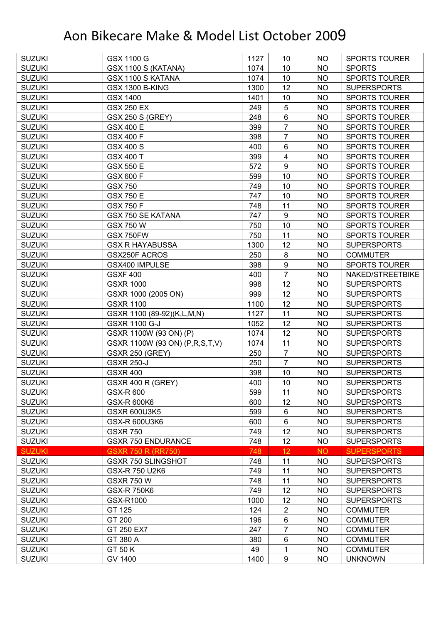| <b>SUZUKI</b> | GSX 1100 G                     | 1127 | 10 <sup>°</sup>  | <b>NO</b> | <b>SPORTS TOURER</b> |
|---------------|--------------------------------|------|------------------|-----------|----------------------|
| <b>SUZUKI</b> | GSX 1100 S (KATANA)            | 1074 | 10               | <b>NO</b> | <b>SPORTS</b>        |
| <b>SUZUKI</b> | GSX 1100 S KATANA              | 1074 | 10               | <b>NO</b> | <b>SPORTS TOURER</b> |
| <b>SUZUKI</b> | <b>GSX 1300 B-KING</b>         | 1300 | 12               | <b>NO</b> | <b>SUPERSPORTS</b>   |
| <b>SUZUKI</b> | GSX 1400                       | 1401 | 10               | <b>NO</b> | <b>SPORTS TOURER</b> |
| <b>SUZUKI</b> | <b>GSX 250 EX</b>              | 249  | 5                | <b>NO</b> | <b>SPORTS TOURER</b> |
| <b>SUZUKI</b> | <b>GSX 250 S (GREY)</b>        | 248  | $\,6\,$          | <b>NO</b> | <b>SPORTS TOURER</b> |
| <b>SUZUKI</b> | <b>GSX 400 E</b>               | 399  | $\overline{7}$   | <b>NO</b> | <b>SPORTS TOURER</b> |
| <b>SUZUKI</b> | <b>GSX 400 F</b>               | 398  | $\overline{7}$   | <b>NO</b> | <b>SPORTS TOURER</b> |
| <b>SUZUKI</b> | <b>GSX 400 S</b>               | 400  | 6                | <b>NO</b> | <b>SPORTS TOURER</b> |
| <b>SUZUKI</b> | <b>GSX 400 T</b>               | 399  | $\overline{4}$   | <b>NO</b> | <b>SPORTS TOURER</b> |
| <b>SUZUKI</b> | <b>GSX 550 E</b>               | 572  | $\boldsymbol{9}$ | <b>NO</b> | SPORTS TOURER        |
| <b>SUZUKI</b> | GSX 600 F                      | 599  | 10               | <b>NO</b> | <b>SPORTS TOURER</b> |
| <b>SUZUKI</b> | <b>GSX 750</b>                 | 749  | 10               | <b>NO</b> | <b>SPORTS TOURER</b> |
| <b>SUZUKI</b> | <b>GSX 750 E</b>               | 747  | 10               | <b>NO</b> | <b>SPORTS TOURER</b> |
| <b>SUZUKI</b> | <b>GSX 750 F</b>               | 748  | 11               | <b>NO</b> | <b>SPORTS TOURER</b> |
| <b>SUZUKI</b> | <b>GSX 750 SE KATANA</b>       | 747  | $\boldsymbol{9}$ | <b>NO</b> | <b>SPORTS TOURER</b> |
| <b>SUZUKI</b> | <b>GSX 750 W</b>               | 750  | 10               | <b>NO</b> | <b>SPORTS TOURER</b> |
| <b>SUZUKI</b> | <b>GSX 750FW</b>               | 750  | 11               | <b>NO</b> | <b>SPORTS TOURER</b> |
| <b>SUZUKI</b> | <b>GSX R HAYABUSSA</b>         | 1300 | 12               | <b>NO</b> | <b>SUPERSPORTS</b>   |
| <b>SUZUKI</b> | <b>GSX250F ACROS</b>           | 250  | 8                | <b>NO</b> | <b>COMMUTER</b>      |
| <b>SUZUKI</b> | GSX400 IMPULSE                 | 398  | 9                | <b>NO</b> | <b>SPORTS TOURER</b> |
| <b>SUZUKI</b> | <b>GSXF 400</b>                | 400  | $\overline{7}$   | <b>NO</b> | NAKED/STREETBIKE     |
| <b>SUZUKI</b> | <b>GSXR 1000</b>               | 998  | 12               | <b>NO</b> | <b>SUPERSPORTS</b>   |
| <b>SUZUKI</b> | GSXR 1000 (2005 ON)            | 999  | 12               | <b>NO</b> | <b>SUPERSPORTS</b>   |
| <b>SUZUKI</b> | <b>GSXR 1100</b>               | 1100 | 12               | <b>NO</b> | <b>SUPERSPORTS</b>   |
| <b>SUZUKI</b> | GSXR 1100 (89-92)(K,L,M,N)     | 1127 | 11               | <b>NO</b> | <b>SUPERSPORTS</b>   |
| <b>SUZUKI</b> | <b>GSXR 1100 G-J</b>           | 1052 | 12               | <b>NO</b> | <b>SUPERSPORTS</b>   |
| <b>SUZUKI</b> | GSXR 1100W (93 ON) (P)         | 1074 | 12               | <b>NO</b> | <b>SUPERSPORTS</b>   |
| <b>SUZUKI</b> | GSXR 1100W (93 ON) (P,R,S,T,V) | 1074 | 11               | <b>NO</b> | <b>SUPERSPORTS</b>   |
| <b>SUZUKI</b> | <b>GSXR 250 (GREY)</b>         | 250  | $\overline{7}$   | <b>NO</b> | <b>SUPERSPORTS</b>   |
| <b>SUZUKI</b> | <b>GSXR 250-J</b>              | 250  | $\overline{7}$   | NO        | <b>SUPERSPORTS</b>   |
| <b>SUZUKI</b> | <b>GSXR 400</b>                | 398  | 10               | <b>NO</b> | <b>SUPERSPORTS</b>   |
| <b>SUZUKI</b> | GSXR 400 R (GREY)              | 400  | 10               | <b>NO</b> | <b>SUPERSPORTS</b>   |
| <b>SUZUKI</b> | GSX-R 600                      | 599  | 11               | NO        | <b>SUPERSPORTS</b>   |
| <b>SUZUKI</b> | <b>GSX-R 600K6</b>             | 600  | 12               | <b>NO</b> | <b>SUPERSPORTS</b>   |
| <b>SUZUKI</b> | <b>GSXR 600U3K5</b>            | 599  | 6                | NO        | <b>SUPERSPORTS</b>   |
| <b>SUZUKI</b> | <b>GSX-R 600U3K6</b>           | 600  | $\,6\,$          | <b>NO</b> | <b>SUPERSPORTS</b>   |
| <b>SUZUKI</b> | <b>GSXR 750</b>                | 749  | 12               | <b>NO</b> | <b>SUPERSPORTS</b>   |
| <b>SUZUKI</b> | <b>GSXR 750 ENDURANCE</b>      | 748  | 12               | <b>NO</b> | <b>SUPERSPORTS</b>   |
| <b>SUZUKI</b> | <b>GSXR 750 R (RR750)</b>      | 748  | 12               | <b>NO</b> | <b>SUPERSPORTS</b>   |
| <b>SUZUKI</b> | <b>GSXR 750 SLINGSHOT</b>      | 748  | 11               | NO        | <b>SUPERSPORTS</b>   |
| <b>SUZUKI</b> | GSX-R 750 U2K6                 | 749  | 11               | <b>NO</b> | <b>SUPERSPORTS</b>   |
| <b>SUZUKI</b> | <b>GSXR 750 W</b>              | 748  | 11               | <b>NO</b> | <b>SUPERSPORTS</b>   |
| <b>SUZUKI</b> | <b>GSX-R750K6</b>              | 749  | 12               | NO        | <b>SUPERSPORTS</b>   |
| <b>SUZUKI</b> | GSX-R1000                      | 1000 | 12               | <b>NO</b> | <b>SUPERSPORTS</b>   |
| <b>SUZUKI</b> | GT 125                         | 124  | $\overline{2}$   | <b>NO</b> | <b>COMMUTER</b>      |
| <b>SUZUKI</b> | GT 200                         | 196  | $\,6\,$          | <b>NO</b> | <b>COMMUTER</b>      |
| <b>SUZUKI</b> | GT 250 EX7                     | 247  | $\overline{7}$   | <b>NO</b> | <b>COMMUTER</b>      |
| <b>SUZUKI</b> | GT 380 A                       | 380  | $\,6$            | <b>NO</b> | <b>COMMUTER</b>      |
| <b>SUZUKI</b> | GT 50 K                        | 49   | 1                | NO        | <b>COMMUTER</b>      |
| <b>SUZUKI</b> | GV 1400                        | 1400 | $\boldsymbol{9}$ | <b>NO</b> | <b>UNKNOWN</b>       |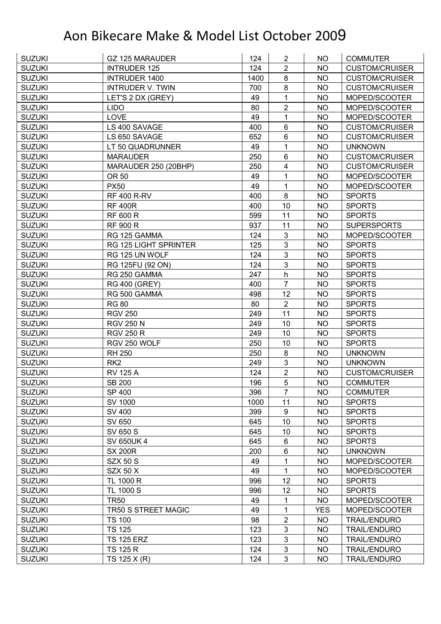| <b>SUZUKI</b> | <b>GZ 125 MARAUDER</b>  | 124  | $\overline{2}$   | NO.        | <b>COMMUTER</b>       |
|---------------|-------------------------|------|------------------|------------|-----------------------|
| <b>SUZUKI</b> | <b>INTRUDER 125</b>     | 124  | $\overline{2}$   | <b>NO</b>  | <b>CUSTOM/CRUISER</b> |
| <b>SUZUKI</b> | <b>INTRUDER 1400</b>    | 1400 | 8                | <b>NO</b>  | <b>CUSTOM/CRUISER</b> |
| <b>SUZUKI</b> | <b>INTRUDER V. TWIN</b> | 700  | 8                | <b>NO</b>  | <b>CUSTOM/CRUISER</b> |
| <b>SUZUKI</b> | LET'S 2 DX (GREY)       | 49   | $\mathbf{1}$     | <b>NO</b>  | MOPED/SCOOTER         |
| <b>SUZUKI</b> | <b>LIDO</b>             | 80   | $\overline{2}$   | NO         | MOPED/SCOOTER         |
| <b>SUZUKI</b> | <b>LOVE</b>             | 49   | 1                | <b>NO</b>  | MOPED/SCOOTER         |
| <b>SUZUKI</b> | LS 400 SAVAGE           | 400  | 6                | <b>NO</b>  | <b>CUSTOM/CRUISER</b> |
| <b>SUZUKI</b> | LS 650 SAVAGE           | 652  | $6\phantom{1}$   | <b>NO</b>  | <b>CUSTOM/CRUISER</b> |
| <b>SUZUKI</b> | LT 50 QUADRUNNER        | 49   | $\mathbf{1}$     | <b>NO</b>  | <b>UNKNOWN</b>        |
| <b>SUZUKI</b> | <b>MARAUDER</b>         | 250  | $6\phantom{1}$   | <b>NO</b>  | <b>CUSTOM/CRUISER</b> |
| <b>SUZUKI</b> | MARAUDER 250 (20BHP)    | 250  | 4                | <b>NO</b>  | <b>CUSTOM/CRUISER</b> |
| <b>SUZUKI</b> | OR 50                   | 49   | 1                | <b>NO</b>  | MOPED/SCOOTER         |
| <b>SUZUKI</b> | <b>PX50</b>             | 49   | $\mathbf{1}$     | <b>NO</b>  | MOPED/SCOOTER         |
| <b>SUZUKI</b> | <b>RF 400 R-RV</b>      | 400  | 8                | <b>NO</b>  | <b>SPORTS</b>         |
| <b>SUZUKI</b> | <b>RF 400R</b>          | 400  | 10               | <b>NO</b>  | <b>SPORTS</b>         |
| <b>SUZUKI</b> | <b>RF 600 R</b>         | 599  | 11               | <b>NO</b>  | <b>SPORTS</b>         |
| <b>SUZUKI</b> | <b>RF 900 R</b>         | 937  | 11               | <b>NO</b>  | <b>SUPERSPORTS</b>    |
| <b>SUZUKI</b> | RG 125 GAMMA            | 124  | 3                | <b>NO</b>  | MOPED/SCOOTER         |
| <b>SUZUKI</b> | RG 125 LIGHT SPRINTER   | 125  | 3                | <b>NO</b>  | <b>SPORTS</b>         |
| <b>SUZUKI</b> | RG 125 UN WOLF          | 124  | 3                | <b>NO</b>  | <b>SPORTS</b>         |
| <b>SUZUKI</b> | RG 125FU (92 ON)        | 124  | 3                | <b>NO</b>  | <b>SPORTS</b>         |
| <b>SUZUKI</b> | RG 250 GAMMA            | 247  | h                | <b>NO</b>  | <b>SPORTS</b>         |
| <b>SUZUKI</b> | <b>RG 400 (GREY)</b>    | 400  | $\overline{7}$   | <b>NO</b>  | <b>SPORTS</b>         |
| <b>SUZUKI</b> | RG 500 GAMMA            | 498  | 12               | <b>NO</b>  | <b>SPORTS</b>         |
| <b>SUZUKI</b> | <b>RG 80</b>            | 80   | $\overline{2}$   | <b>NO</b>  | <b>SPORTS</b>         |
| <b>SUZUKI</b> | <b>RGV 250</b>          | 249  | 11               | <b>NO</b>  | <b>SPORTS</b>         |
| <b>SUZUKI</b> | <b>RGV 250 N</b>        | 249  | 10               | <b>NO</b>  | <b>SPORTS</b>         |
| <b>SUZUKI</b> | <b>RGV 250 R</b>        | 249  | 10               | <b>NO</b>  | <b>SPORTS</b>         |
| <b>SUZUKI</b> | RGV 250 WOLF            | 250  | 10               | <b>NO</b>  | <b>SPORTS</b>         |
| <b>SUZUKI</b> | <b>RH 250</b>           | 250  | 8                | <b>NO</b>  | <b>UNKNOWN</b>        |
| <b>SUZUKI</b> | RK <sub>2</sub>         | 249  | 3                | <b>NO</b>  | <b>UNKNOWN</b>        |
| <b>SUZUKI</b> | <b>RV 125 A</b>         | 124  | $\overline{2}$   | <b>NO</b>  | <b>CUSTOM/CRUISER</b> |
| <b>SUZUKI</b> | <b>SB 200</b>           | 196  | 5                | <b>NO</b>  | <b>COMMUTER</b>       |
| <b>SUZUKI</b> | SP 400                  | 396  | 7                | <b>NO</b>  | <b>COMMUTER</b>       |
| <b>SUZUKI</b> | SV 1000                 | 1000 | 11               | <b>NO</b>  | <b>SPORTS</b>         |
| <b>SUZUKI</b> | <b>SV 400</b>           | 399  | $\boldsymbol{9}$ | <b>NO</b>  | <b>SPORTS</b>         |
| <b>SUZUKI</b> | SV 650                  | 645  | 10               | <b>NO</b>  | <b>SPORTS</b>         |
| <b>SUZUKI</b> | SV 650 S                | 645  | 10               | <b>NO</b>  | <b>SPORTS</b>         |
| <b>SUZUKI</b> | <b>SV 650UK 4</b>       | 645  | 6                | <b>NO</b>  | <b>SPORTS</b>         |
| <b>SUZUKI</b> | <b>SX 200R</b>          | 200  | $6\phantom{1}$   | <b>NO</b>  | <b>UNKNOWN</b>        |
| <b>SUZUKI</b> | <b>SZX 50 S</b>         | 49   | 1                | <b>NO</b>  | MOPED/SCOOTER         |
| <b>SUZUKI</b> | <b>SZX 50 X</b>         | 49   | $\mathbf 1$      | <b>NO</b>  | MOPED/SCOOTER         |
| <b>SUZUKI</b> | TL 1000 R               | 996  | 12               | <b>NO</b>  | <b>SPORTS</b>         |
| <b>SUZUKI</b> | TL 1000 S               | 996  | 12               | <b>NO</b>  | <b>SPORTS</b>         |
| <b>SUZUKI</b> | <b>TR50</b>             | 49   | 1                | <b>NO</b>  | MOPED/SCOOTER         |
| <b>SUZUKI</b> | TR50 S STREET MAGIC     | 49   | 1                | <b>YES</b> | MOPED/SCOOTER         |
| <b>SUZUKI</b> | <b>TS 100</b>           | 98   | $\overline{2}$   | <b>NO</b>  | <b>TRAIL/ENDURO</b>   |
| <b>SUZUKI</b> | <b>TS 125</b>           | 123  | $\mathfrak{B}$   | <b>NO</b>  | <b>TRAIL/ENDURO</b>   |
| <b>SUZUKI</b> | <b>TS 125 ERZ</b>       | 123  | $\mathfrak{B}$   | <b>NO</b>  | <b>TRAIL/ENDURO</b>   |
| <b>SUZUKI</b> | <b>TS 125 R</b>         | 124  | $\mathfrak{S}$   | <b>NO</b>  | <b>TRAIL/ENDURO</b>   |
| <b>SUZUKI</b> | TS 125 X (R)            | 124  | 3                | <b>NO</b>  | <b>TRAIL/ENDURO</b>   |
|               |                         |      |                  |            |                       |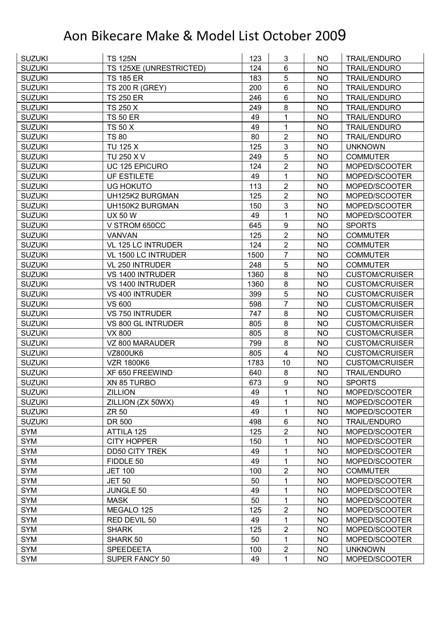| <b>SUZUKI</b> | <b>TS 125N</b>          | 123  | 3                       | NO        | <b>TRAIL/ENDURO</b>   |
|---------------|-------------------------|------|-------------------------|-----------|-----------------------|
| <b>SUZUKI</b> | TS 125XE (UNRESTRICTED) | 124  | 6                       | NO        | <b>TRAIL/ENDURO</b>   |
| <b>SUZUKI</b> | <b>TS 185 ER</b>        | 183  | 5                       | <b>NO</b> | <b>TRAIL/ENDURO</b>   |
| <b>SUZUKI</b> | <b>TS 200 R (GREY)</b>  | 200  | $6\phantom{1}$          | <b>NO</b> | <b>TRAIL/ENDURO</b>   |
| <b>SUZUKI</b> | <b>TS 250 ER</b>        | 246  | 6                       | <b>NO</b> | <b>TRAIL/ENDURO</b>   |
| <b>SUZUKI</b> | TS 250 X                | 249  | 8                       | <b>NO</b> | <b>TRAIL/ENDURO</b>   |
| <b>SUZUKI</b> | <b>TS 50 ER</b>         | 49   | 1                       | <b>NO</b> | <b>TRAIL/ENDURO</b>   |
| <b>SUZUKI</b> | <b>TS 50 X</b>          | 49   | 1                       | <b>NO</b> | <b>TRAIL/ENDURO</b>   |
| <b>SUZUKI</b> | <b>TS 80</b>            | 80   | $\overline{2}$          | <b>NO</b> | <b>TRAIL/ENDURO</b>   |
| <b>SUZUKI</b> | <b>TU 125 X</b>         | 125  | 3                       | <b>NO</b> | <b>UNKNOWN</b>        |
| <b>SUZUKI</b> | TU 250 X V              | 249  | $\overline{5}$          | <b>NO</b> | <b>COMMUTER</b>       |
| <b>SUZUKI</b> | UC 125 EPICURO          | 124  | $\overline{2}$          | <b>NO</b> | MOPED/SCOOTER         |
| <b>SUZUKI</b> | UF ESTILETE             | 49   | 1                       | <b>NO</b> | MOPED/SCOOTER         |
| <b>SUZUKI</b> | <b>UG HOKUTO</b>        | 113  | $\overline{2}$          | NO        | MOPED/SCOOTER         |
| <b>SUZUKI</b> | UH125K2 BURGMAN         | 125  | $\overline{2}$          | <b>NO</b> | MOPED/SCOOTER         |
| <b>SUZUKI</b> | UH150K2 BURGMAN         | 150  | $\mathbf{3}$            | NO        | MOPED/SCOOTER         |
| <b>SUZUKI</b> | <b>UX 50 W</b>          | 49   | 1                       | <b>NO</b> | MOPED/SCOOTER         |
| <b>SUZUKI</b> | V STROM 650CC           | 645  | $\boldsymbol{9}$        | <b>NO</b> | <b>SPORTS</b>         |
| <b>SUZUKI</b> | <b>VANVAN</b>           | 125  | $\overline{\mathbf{c}}$ | <b>NO</b> | <b>COMMUTER</b>       |
| <b>SUZUKI</b> | VL 125 LC INTRUDER      | 124  | $\overline{2}$          | <b>NO</b> | <b>COMMUTER</b>       |
| <b>SUZUKI</b> | VL 1500 LC INTRUDER     | 1500 | $\overline{7}$          | <b>NO</b> | <b>COMMUTER</b>       |
| <b>SUZUKI</b> | VL 250 INTRUDER         | 248  | 5                       | <b>NO</b> | <b>COMMUTER</b>       |
| <b>SUZUKI</b> | VS 1400 INTRUDER        | 1360 | 8                       | <b>NO</b> | <b>CUSTOM/CRUISER</b> |
| <b>SUZUKI</b> | VS 1400 INTRUDER        | 1360 | 8                       | <b>NO</b> | <b>CUSTOM/CRUISER</b> |
| <b>SUZUKI</b> | VS 400 INTRUDER         | 399  | $\overline{5}$          | <b>NO</b> | <b>CUSTOM/CRUISER</b> |
| <b>SUZUKI</b> | <b>VS 600</b>           | 598  | $\overline{7}$          | NO        | <b>CUSTOM/CRUISER</b> |
| <b>SUZUKI</b> | VS 750 INTRUDER         | 747  | 8                       | <b>NO</b> | <b>CUSTOM/CRUISER</b> |
| <b>SUZUKI</b> | VS 800 GL INTRUDER      | 805  | 8                       | <b>NO</b> | <b>CUSTOM/CRUISER</b> |
| <b>SUZUKI</b> | <b>VX 800</b>           | 805  | 8                       | <b>NO</b> | <b>CUSTOM/CRUISER</b> |
| <b>SUZUKI</b> | VZ 800 MARAUDER         | 799  | 8                       | <b>NO</b> | <b>CUSTOM/CRUISER</b> |
| <b>SUZUKI</b> | <b>VZ800UK6</b>         | 805  | $\overline{4}$          | <b>NO</b> | <b>CUSTOM/CRUISER</b> |
| <b>SUZUKI</b> | <b>VZR 1800K6</b>       | 1783 | 10                      | <b>NO</b> | <b>CUSTOM/CRUISER</b> |
| <b>SUZUKI</b> | XF 650 FREEWIND         | 640  | 8                       | NO        | <b>TRAIL/ENDURO</b>   |
| <b>SUZUKI</b> | XN 85 TURBO             | 673  | 9                       | <b>NO</b> | <b>SPORTS</b>         |
| <b>SUZUKI</b> | <b>ZILLION</b>          | 49   | 1                       | <b>NO</b> | MOPED/SCOOTER         |
| <b>SUZUKI</b> | ZILLION (ZX 50WX)       | 49   | 1                       | <b>NO</b> | MOPED/SCOOTER         |
| <b>SUZUKI</b> | ZR 50                   | 49   | 1                       | <b>NO</b> | MOPED/SCOOTER         |
| <b>SUZUKI</b> | DR 500                  | 498  | 6                       | <b>NO</b> | <b>TRAIL/ENDURO</b>   |
| <b>SYM</b>    | ATTILA 125              | 125  | $\sqrt{2}$              | <b>NO</b> | MOPED/SCOOTER         |
| <b>SYM</b>    | <b>CITY HOPPER</b>      | 150  | 1                       | NO        | MOPED/SCOOTER         |
| <b>SYM</b>    | <b>DD50 CITY TREK</b>   | 49   | 1                       | <b>NO</b> | MOPED/SCOOTER         |
| <b>SYM</b>    | FIDDLE 50               | 49   | 1                       | <b>NO</b> | MOPED/SCOOTER         |
| <b>SYM</b>    | <b>JET 100</b>          | 100  | $\boldsymbol{2}$        | <b>NO</b> | <b>COMMUTER</b>       |
| <b>SYM</b>    | <b>JET 50</b>           | 50   | 1                       | <b>NO</b> | MOPED/SCOOTER         |
| <b>SYM</b>    | JUNGLE 50               | 49   | 1                       | <b>NO</b> | MOPED/SCOOTER         |
| <b>SYM</b>    | <b>MASK</b>             | 50   | 1                       | <b>NO</b> | MOPED/SCOOTER         |
| <b>SYM</b>    | MEGALO 125              | 125  | $\overline{2}$          | NO        | MOPED/SCOOTER         |
| <b>SYM</b>    | RED DEVIL 50            | 49   | $\mathbf 1$             | <b>NO</b> | MOPED/SCOOTER         |
| <b>SYM</b>    | <b>SHARK</b>            | 125  | $\boldsymbol{2}$        | <b>NO</b> | MOPED/SCOOTER         |
| <b>SYM</b>    | SHARK 50                | 50   | 1                       | <b>NO</b> | MOPED/SCOOTER         |
| <b>SYM</b>    | <b>SPEEDEETA</b>        | 100  | $\overline{2}$          | <b>NO</b> | <b>UNKNOWN</b>        |
| <b>SYM</b>    | <b>SUPER FANCY 50</b>   | 49   | 1                       | <b>NO</b> | MOPED/SCOOTER         |
|               |                         |      |                         |           |                       |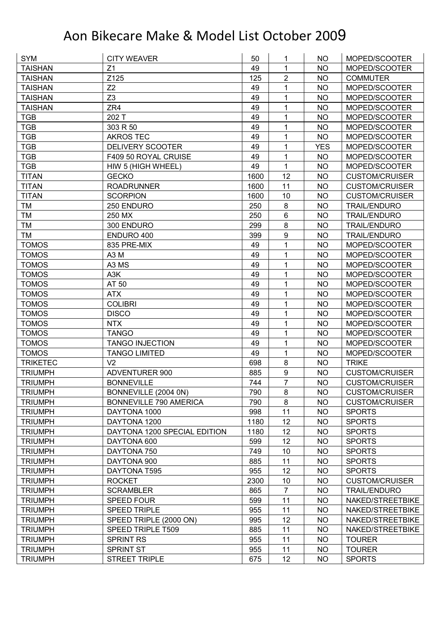| <b>TAISHAN</b><br>Z <sub>1</sub><br>49<br><b>NO</b><br>MOPED/SCOOTER<br>1<br>$\overline{2}$<br>Z125<br><b>TAISHAN</b><br>125<br><b>NO</b><br><b>COMMUTER</b><br>Z2<br>1<br><b>TAISHAN</b><br>49<br><b>NO</b><br>MOPED/SCOOTER<br>Z <sub>3</sub><br>49<br><b>TAISHAN</b><br>1<br><b>NO</b><br>MOPED/SCOOTER<br><b>TAISHAN</b><br>ZR4<br>49<br>1<br>MOPED/SCOOTER<br>NO<br><b>TGB</b><br>202 T<br>49<br>1<br>MOPED/SCOOTER<br><b>NO</b><br><b>TGB</b><br>303 R 50<br>1<br>49<br><b>NO</b><br>MOPED/SCOOTER<br>1<br><b>TGB</b><br>49<br><b>NO</b><br><b>AKROS TEC</b><br>MOPED/SCOOTER<br>49<br><b>TGB</b><br><b>DELIVERY SCOOTER</b><br>1<br><b>YES</b><br>MOPED/SCOOTER<br><b>TGB</b><br>F409 50 ROYAL CRUISE<br>49<br>1<br><b>NO</b><br>MOPED/SCOOTER<br><b>TGB</b><br>49<br>1<br>HIW 5 (HIGH WHEEL)<br><b>NO</b><br>MOPED/SCOOTER<br>12<br><b>TITAN</b><br><b>GECKO</b><br>1600<br><b>NO</b><br><b>CUSTOM/CRUISER</b><br><b>TITAN</b><br>11<br>1600<br><b>CUSTOM/CRUISER</b><br><b>ROADRUNNER</b><br><b>NO</b><br><b>TITAN</b><br><b>SCORPION</b><br>1600<br>10<br><b>NO</b><br><b>CUSTOM/CRUISER</b><br>250<br>8<br>TM<br>250 ENDURO<br><b>NO</b><br><b>TRAIL/ENDURO</b><br>6<br>250 MX<br>250<br>TM<br><b>NO</b><br><b>TRAIL/ENDURO</b><br>8<br>299<br>TM<br>300 ENDURO<br><b>NO</b><br><b>TRAIL/ENDURO</b><br>$\boldsymbol{9}$<br><b>TM</b><br>399<br><b>NO</b><br>ENDURO 400<br><b>TRAIL/ENDURO</b><br><b>TOMOS</b><br>835 PRE-MIX<br>49<br>1<br><b>NO</b><br>MOPED/SCOOTER<br><b>TOMOS</b><br>A <sub>3</sub> M<br>49<br>1<br><b>NO</b><br>MOPED/SCOOTER<br>A3 MS<br>1<br><b>TOMOS</b><br>49<br><b>NO</b><br>MOPED/SCOOTER<br>49<br>1<br><b>TOMOS</b><br>A <sub>3</sub> K<br><b>NO</b><br>MOPED/SCOOTER<br>49<br>1<br>AT 50<br><b>TOMOS</b><br><b>NO</b><br>MOPED/SCOOTER<br><b>TOMOS</b><br><b>ATX</b><br>49<br>1<br>MOPED/SCOOTER<br>NO<br><b>TOMOS</b><br><b>COLIBRI</b><br>49<br>1<br><b>NO</b><br>MOPED/SCOOTER<br>1<br><b>TOMOS</b><br><b>DISCO</b><br>49<br><b>NO</b><br>MOPED/SCOOTER<br>49<br>1<br><b>NO</b><br><b>TOMOS</b><br><b>NTX</b><br>MOPED/SCOOTER<br>49<br><b>NO</b><br><b>TOMOS</b><br><b>TANGO</b><br>1<br>MOPED/SCOOTER<br><b>TOMOS</b><br><b>TANGO INJECTION</b><br>49<br>1<br>MOPED/SCOOTER<br><b>NO</b><br><b>TOMOS</b><br>49<br>1<br><b>TANGO LIMITED</b><br><b>NO</b><br>MOPED/SCOOTER<br>V <sub>2</sub><br>8<br><b>TRIKETEC</b><br>698<br><b>TRIKE</b><br><b>NO</b><br>$\boldsymbol{9}$<br><b>TRIUMPH</b><br>885<br><b>NO</b><br><b>ADVENTURER 900</b><br><b>CUSTOM/CRUISER</b><br>$\overline{7}$<br><b>NO</b><br><b>TRIUMPH</b><br><b>BONNEVILLE</b><br>744<br><b>CUSTOM/CRUISER</b><br><b>TRIUMPH</b><br>BONNEVILLE (2004 0N)<br>790<br>8<br>NO<br><b>CUSTOM/CRUISER</b><br>8<br><b>TRIUMPH</b><br><b>BONNEVILLE 790 AMERICA</b><br>790<br><b>NO</b><br><b>CUSTOM/CRUISER</b><br>11<br><b>TRIUMPH</b><br>DAYTONA 1000<br>998<br>NO.<br><b>SPORTS</b><br>1180<br>12<br><b>TRIUMPH</b><br>DAYTONA 1200<br>NO<br><b>SPORTS</b><br>12<br><b>NO</b><br><b>TRIUMPH</b><br>DAYTONA 1200 SPECIAL EDITION<br>1180<br><b>SPORTS</b><br>12<br><b>TRIUMPH</b><br>599<br><b>NO</b><br><b>SPORTS</b><br>DAYTONA 600<br>749<br>10<br><b>NO</b><br><b>TRIUMPH</b><br>DAYTONA 750<br><b>SPORTS</b><br>11<br>885<br><b>NO</b><br><b>TRIUMPH</b><br>DAYTONA 900<br><b>SPORTS</b><br>955<br>12<br><b>TRIUMPH</b><br><b>NO</b><br><b>SPORTS</b><br>DAYTONA T595<br>2300<br>10<br><b>TRIUMPH</b><br><b>ROCKET</b><br><b>NO</b><br><b>CUSTOM/CRUISER</b><br><b>TRIUMPH</b><br><b>SCRAMBLER</b><br>865<br>$\overline{7}$<br><b>NO</b><br><b>TRAIL/ENDURO</b><br>11<br>599<br><b>NO</b><br><b>TRIUMPH</b><br><b>SPEED FOUR</b><br>NAKED/STREETBIKE<br>11<br><b>SPEED TRIPLE</b><br>955<br><b>NO</b><br>NAKED/STREETBIKE<br><b>TRIUMPH</b><br>12<br><b>TRIUMPH</b><br>995<br><b>NO</b><br>NAKED/STREETBIKE<br>SPEED TRIPLE (2000 ON)<br>11<br><b>TRIUMPH</b><br>SPEED TRIPLE T509<br>885<br><b>NO</b><br>NAKED/STREETBIKE<br><b>TRIUMPH</b><br><b>SPRINT RS</b><br>955<br>11<br><b>NO</b><br><b>TOURER</b><br>SPRINT ST<br>955<br>11<br>NO<br><b>TRIUMPH</b><br><b>TOURER</b> | <b>SYM</b>     | <b>CITY WEAVER</b>   | 50  | 1  | <b>NO</b> | MOPED/SCOOTER |
|----------------------------------------------------------------------------------------------------------------------------------------------------------------------------------------------------------------------------------------------------------------------------------------------------------------------------------------------------------------------------------------------------------------------------------------------------------------------------------------------------------------------------------------------------------------------------------------------------------------------------------------------------------------------------------------------------------------------------------------------------------------------------------------------------------------------------------------------------------------------------------------------------------------------------------------------------------------------------------------------------------------------------------------------------------------------------------------------------------------------------------------------------------------------------------------------------------------------------------------------------------------------------------------------------------------------------------------------------------------------------------------------------------------------------------------------------------------------------------------------------------------------------------------------------------------------------------------------------------------------------------------------------------------------------------------------------------------------------------------------------------------------------------------------------------------------------------------------------------------------------------------------------------------------------------------------------------------------------------------------------------------------------------------------------------------------------------------------------------------------------------------------------------------------------------------------------------------------------------------------------------------------------------------------------------------------------------------------------------------------------------------------------------------------------------------------------------------------------------------------------------------------------------------------------------------------------------------------------------------------------------------------------------------------------------------------------------------------------------------------------------------------------------------------------------------------------------------------------------------------------------------------------------------------------------------------------------------------------------------------------------------------------------------------------------------------------------------------------------------------------------------------------------------------------------------------------------------------------------------------------------------------------------------------------------------------------------------------------------------------------------------------------------------------------------------------------------------------------------------------------------------------------------------------------------------------------------------------------------------------------------------------------------------------------------------------------------------------------------------------------------------------------------------------------------------------------------------------------------------------------------------------------------------------------------------------------------------------------------------------------------------------------------------------------------------------------------------|----------------|----------------------|-----|----|-----------|---------------|
|                                                                                                                                                                                                                                                                                                                                                                                                                                                                                                                                                                                                                                                                                                                                                                                                                                                                                                                                                                                                                                                                                                                                                                                                                                                                                                                                                                                                                                                                                                                                                                                                                                                                                                                                                                                                                                                                                                                                                                                                                                                                                                                                                                                                                                                                                                                                                                                                                                                                                                                                                                                                                                                                                                                                                                                                                                                                                                                                                                                                                                                                                                                                                                                                                                                                                                                                                                                                                                                                                                                                                                                                                                                                                                                                                                                                                                                                                                                                                                                                                                                                                        |                |                      |     |    |           |               |
|                                                                                                                                                                                                                                                                                                                                                                                                                                                                                                                                                                                                                                                                                                                                                                                                                                                                                                                                                                                                                                                                                                                                                                                                                                                                                                                                                                                                                                                                                                                                                                                                                                                                                                                                                                                                                                                                                                                                                                                                                                                                                                                                                                                                                                                                                                                                                                                                                                                                                                                                                                                                                                                                                                                                                                                                                                                                                                                                                                                                                                                                                                                                                                                                                                                                                                                                                                                                                                                                                                                                                                                                                                                                                                                                                                                                                                                                                                                                                                                                                                                                                        |                |                      |     |    |           |               |
|                                                                                                                                                                                                                                                                                                                                                                                                                                                                                                                                                                                                                                                                                                                                                                                                                                                                                                                                                                                                                                                                                                                                                                                                                                                                                                                                                                                                                                                                                                                                                                                                                                                                                                                                                                                                                                                                                                                                                                                                                                                                                                                                                                                                                                                                                                                                                                                                                                                                                                                                                                                                                                                                                                                                                                                                                                                                                                                                                                                                                                                                                                                                                                                                                                                                                                                                                                                                                                                                                                                                                                                                                                                                                                                                                                                                                                                                                                                                                                                                                                                                                        |                |                      |     |    |           |               |
|                                                                                                                                                                                                                                                                                                                                                                                                                                                                                                                                                                                                                                                                                                                                                                                                                                                                                                                                                                                                                                                                                                                                                                                                                                                                                                                                                                                                                                                                                                                                                                                                                                                                                                                                                                                                                                                                                                                                                                                                                                                                                                                                                                                                                                                                                                                                                                                                                                                                                                                                                                                                                                                                                                                                                                                                                                                                                                                                                                                                                                                                                                                                                                                                                                                                                                                                                                                                                                                                                                                                                                                                                                                                                                                                                                                                                                                                                                                                                                                                                                                                                        |                |                      |     |    |           |               |
|                                                                                                                                                                                                                                                                                                                                                                                                                                                                                                                                                                                                                                                                                                                                                                                                                                                                                                                                                                                                                                                                                                                                                                                                                                                                                                                                                                                                                                                                                                                                                                                                                                                                                                                                                                                                                                                                                                                                                                                                                                                                                                                                                                                                                                                                                                                                                                                                                                                                                                                                                                                                                                                                                                                                                                                                                                                                                                                                                                                                                                                                                                                                                                                                                                                                                                                                                                                                                                                                                                                                                                                                                                                                                                                                                                                                                                                                                                                                                                                                                                                                                        |                |                      |     |    |           |               |
|                                                                                                                                                                                                                                                                                                                                                                                                                                                                                                                                                                                                                                                                                                                                                                                                                                                                                                                                                                                                                                                                                                                                                                                                                                                                                                                                                                                                                                                                                                                                                                                                                                                                                                                                                                                                                                                                                                                                                                                                                                                                                                                                                                                                                                                                                                                                                                                                                                                                                                                                                                                                                                                                                                                                                                                                                                                                                                                                                                                                                                                                                                                                                                                                                                                                                                                                                                                                                                                                                                                                                                                                                                                                                                                                                                                                                                                                                                                                                                                                                                                                                        |                |                      |     |    |           |               |
|                                                                                                                                                                                                                                                                                                                                                                                                                                                                                                                                                                                                                                                                                                                                                                                                                                                                                                                                                                                                                                                                                                                                                                                                                                                                                                                                                                                                                                                                                                                                                                                                                                                                                                                                                                                                                                                                                                                                                                                                                                                                                                                                                                                                                                                                                                                                                                                                                                                                                                                                                                                                                                                                                                                                                                                                                                                                                                                                                                                                                                                                                                                                                                                                                                                                                                                                                                                                                                                                                                                                                                                                                                                                                                                                                                                                                                                                                                                                                                                                                                                                                        |                |                      |     |    |           |               |
|                                                                                                                                                                                                                                                                                                                                                                                                                                                                                                                                                                                                                                                                                                                                                                                                                                                                                                                                                                                                                                                                                                                                                                                                                                                                                                                                                                                                                                                                                                                                                                                                                                                                                                                                                                                                                                                                                                                                                                                                                                                                                                                                                                                                                                                                                                                                                                                                                                                                                                                                                                                                                                                                                                                                                                                                                                                                                                                                                                                                                                                                                                                                                                                                                                                                                                                                                                                                                                                                                                                                                                                                                                                                                                                                                                                                                                                                                                                                                                                                                                                                                        |                |                      |     |    |           |               |
|                                                                                                                                                                                                                                                                                                                                                                                                                                                                                                                                                                                                                                                                                                                                                                                                                                                                                                                                                                                                                                                                                                                                                                                                                                                                                                                                                                                                                                                                                                                                                                                                                                                                                                                                                                                                                                                                                                                                                                                                                                                                                                                                                                                                                                                                                                                                                                                                                                                                                                                                                                                                                                                                                                                                                                                                                                                                                                                                                                                                                                                                                                                                                                                                                                                                                                                                                                                                                                                                                                                                                                                                                                                                                                                                                                                                                                                                                                                                                                                                                                                                                        |                |                      |     |    |           |               |
|                                                                                                                                                                                                                                                                                                                                                                                                                                                                                                                                                                                                                                                                                                                                                                                                                                                                                                                                                                                                                                                                                                                                                                                                                                                                                                                                                                                                                                                                                                                                                                                                                                                                                                                                                                                                                                                                                                                                                                                                                                                                                                                                                                                                                                                                                                                                                                                                                                                                                                                                                                                                                                                                                                                                                                                                                                                                                                                                                                                                                                                                                                                                                                                                                                                                                                                                                                                                                                                                                                                                                                                                                                                                                                                                                                                                                                                                                                                                                                                                                                                                                        |                |                      |     |    |           |               |
|                                                                                                                                                                                                                                                                                                                                                                                                                                                                                                                                                                                                                                                                                                                                                                                                                                                                                                                                                                                                                                                                                                                                                                                                                                                                                                                                                                                                                                                                                                                                                                                                                                                                                                                                                                                                                                                                                                                                                                                                                                                                                                                                                                                                                                                                                                                                                                                                                                                                                                                                                                                                                                                                                                                                                                                                                                                                                                                                                                                                                                                                                                                                                                                                                                                                                                                                                                                                                                                                                                                                                                                                                                                                                                                                                                                                                                                                                                                                                                                                                                                                                        |                |                      |     |    |           |               |
|                                                                                                                                                                                                                                                                                                                                                                                                                                                                                                                                                                                                                                                                                                                                                                                                                                                                                                                                                                                                                                                                                                                                                                                                                                                                                                                                                                                                                                                                                                                                                                                                                                                                                                                                                                                                                                                                                                                                                                                                                                                                                                                                                                                                                                                                                                                                                                                                                                                                                                                                                                                                                                                                                                                                                                                                                                                                                                                                                                                                                                                                                                                                                                                                                                                                                                                                                                                                                                                                                                                                                                                                                                                                                                                                                                                                                                                                                                                                                                                                                                                                                        |                |                      |     |    |           |               |
|                                                                                                                                                                                                                                                                                                                                                                                                                                                                                                                                                                                                                                                                                                                                                                                                                                                                                                                                                                                                                                                                                                                                                                                                                                                                                                                                                                                                                                                                                                                                                                                                                                                                                                                                                                                                                                                                                                                                                                                                                                                                                                                                                                                                                                                                                                                                                                                                                                                                                                                                                                                                                                                                                                                                                                                                                                                                                                                                                                                                                                                                                                                                                                                                                                                                                                                                                                                                                                                                                                                                                                                                                                                                                                                                                                                                                                                                                                                                                                                                                                                                                        |                |                      |     |    |           |               |
|                                                                                                                                                                                                                                                                                                                                                                                                                                                                                                                                                                                                                                                                                                                                                                                                                                                                                                                                                                                                                                                                                                                                                                                                                                                                                                                                                                                                                                                                                                                                                                                                                                                                                                                                                                                                                                                                                                                                                                                                                                                                                                                                                                                                                                                                                                                                                                                                                                                                                                                                                                                                                                                                                                                                                                                                                                                                                                                                                                                                                                                                                                                                                                                                                                                                                                                                                                                                                                                                                                                                                                                                                                                                                                                                                                                                                                                                                                                                                                                                                                                                                        |                |                      |     |    |           |               |
|                                                                                                                                                                                                                                                                                                                                                                                                                                                                                                                                                                                                                                                                                                                                                                                                                                                                                                                                                                                                                                                                                                                                                                                                                                                                                                                                                                                                                                                                                                                                                                                                                                                                                                                                                                                                                                                                                                                                                                                                                                                                                                                                                                                                                                                                                                                                                                                                                                                                                                                                                                                                                                                                                                                                                                                                                                                                                                                                                                                                                                                                                                                                                                                                                                                                                                                                                                                                                                                                                                                                                                                                                                                                                                                                                                                                                                                                                                                                                                                                                                                                                        |                |                      |     |    |           |               |
|                                                                                                                                                                                                                                                                                                                                                                                                                                                                                                                                                                                                                                                                                                                                                                                                                                                                                                                                                                                                                                                                                                                                                                                                                                                                                                                                                                                                                                                                                                                                                                                                                                                                                                                                                                                                                                                                                                                                                                                                                                                                                                                                                                                                                                                                                                                                                                                                                                                                                                                                                                                                                                                                                                                                                                                                                                                                                                                                                                                                                                                                                                                                                                                                                                                                                                                                                                                                                                                                                                                                                                                                                                                                                                                                                                                                                                                                                                                                                                                                                                                                                        |                |                      |     |    |           |               |
|                                                                                                                                                                                                                                                                                                                                                                                                                                                                                                                                                                                                                                                                                                                                                                                                                                                                                                                                                                                                                                                                                                                                                                                                                                                                                                                                                                                                                                                                                                                                                                                                                                                                                                                                                                                                                                                                                                                                                                                                                                                                                                                                                                                                                                                                                                                                                                                                                                                                                                                                                                                                                                                                                                                                                                                                                                                                                                                                                                                                                                                                                                                                                                                                                                                                                                                                                                                                                                                                                                                                                                                                                                                                                                                                                                                                                                                                                                                                                                                                                                                                                        |                |                      |     |    |           |               |
|                                                                                                                                                                                                                                                                                                                                                                                                                                                                                                                                                                                                                                                                                                                                                                                                                                                                                                                                                                                                                                                                                                                                                                                                                                                                                                                                                                                                                                                                                                                                                                                                                                                                                                                                                                                                                                                                                                                                                                                                                                                                                                                                                                                                                                                                                                                                                                                                                                                                                                                                                                                                                                                                                                                                                                                                                                                                                                                                                                                                                                                                                                                                                                                                                                                                                                                                                                                                                                                                                                                                                                                                                                                                                                                                                                                                                                                                                                                                                                                                                                                                                        |                |                      |     |    |           |               |
|                                                                                                                                                                                                                                                                                                                                                                                                                                                                                                                                                                                                                                                                                                                                                                                                                                                                                                                                                                                                                                                                                                                                                                                                                                                                                                                                                                                                                                                                                                                                                                                                                                                                                                                                                                                                                                                                                                                                                                                                                                                                                                                                                                                                                                                                                                                                                                                                                                                                                                                                                                                                                                                                                                                                                                                                                                                                                                                                                                                                                                                                                                                                                                                                                                                                                                                                                                                                                                                                                                                                                                                                                                                                                                                                                                                                                                                                                                                                                                                                                                                                                        |                |                      |     |    |           |               |
|                                                                                                                                                                                                                                                                                                                                                                                                                                                                                                                                                                                                                                                                                                                                                                                                                                                                                                                                                                                                                                                                                                                                                                                                                                                                                                                                                                                                                                                                                                                                                                                                                                                                                                                                                                                                                                                                                                                                                                                                                                                                                                                                                                                                                                                                                                                                                                                                                                                                                                                                                                                                                                                                                                                                                                                                                                                                                                                                                                                                                                                                                                                                                                                                                                                                                                                                                                                                                                                                                                                                                                                                                                                                                                                                                                                                                                                                                                                                                                                                                                                                                        |                |                      |     |    |           |               |
|                                                                                                                                                                                                                                                                                                                                                                                                                                                                                                                                                                                                                                                                                                                                                                                                                                                                                                                                                                                                                                                                                                                                                                                                                                                                                                                                                                                                                                                                                                                                                                                                                                                                                                                                                                                                                                                                                                                                                                                                                                                                                                                                                                                                                                                                                                                                                                                                                                                                                                                                                                                                                                                                                                                                                                                                                                                                                                                                                                                                                                                                                                                                                                                                                                                                                                                                                                                                                                                                                                                                                                                                                                                                                                                                                                                                                                                                                                                                                                                                                                                                                        |                |                      |     |    |           |               |
|                                                                                                                                                                                                                                                                                                                                                                                                                                                                                                                                                                                                                                                                                                                                                                                                                                                                                                                                                                                                                                                                                                                                                                                                                                                                                                                                                                                                                                                                                                                                                                                                                                                                                                                                                                                                                                                                                                                                                                                                                                                                                                                                                                                                                                                                                                                                                                                                                                                                                                                                                                                                                                                                                                                                                                                                                                                                                                                                                                                                                                                                                                                                                                                                                                                                                                                                                                                                                                                                                                                                                                                                                                                                                                                                                                                                                                                                                                                                                                                                                                                                                        |                |                      |     |    |           |               |
|                                                                                                                                                                                                                                                                                                                                                                                                                                                                                                                                                                                                                                                                                                                                                                                                                                                                                                                                                                                                                                                                                                                                                                                                                                                                                                                                                                                                                                                                                                                                                                                                                                                                                                                                                                                                                                                                                                                                                                                                                                                                                                                                                                                                                                                                                                                                                                                                                                                                                                                                                                                                                                                                                                                                                                                                                                                                                                                                                                                                                                                                                                                                                                                                                                                                                                                                                                                                                                                                                                                                                                                                                                                                                                                                                                                                                                                                                                                                                                                                                                                                                        |                |                      |     |    |           |               |
|                                                                                                                                                                                                                                                                                                                                                                                                                                                                                                                                                                                                                                                                                                                                                                                                                                                                                                                                                                                                                                                                                                                                                                                                                                                                                                                                                                                                                                                                                                                                                                                                                                                                                                                                                                                                                                                                                                                                                                                                                                                                                                                                                                                                                                                                                                                                                                                                                                                                                                                                                                                                                                                                                                                                                                                                                                                                                                                                                                                                                                                                                                                                                                                                                                                                                                                                                                                                                                                                                                                                                                                                                                                                                                                                                                                                                                                                                                                                                                                                                                                                                        |                |                      |     |    |           |               |
|                                                                                                                                                                                                                                                                                                                                                                                                                                                                                                                                                                                                                                                                                                                                                                                                                                                                                                                                                                                                                                                                                                                                                                                                                                                                                                                                                                                                                                                                                                                                                                                                                                                                                                                                                                                                                                                                                                                                                                                                                                                                                                                                                                                                                                                                                                                                                                                                                                                                                                                                                                                                                                                                                                                                                                                                                                                                                                                                                                                                                                                                                                                                                                                                                                                                                                                                                                                                                                                                                                                                                                                                                                                                                                                                                                                                                                                                                                                                                                                                                                                                                        |                |                      |     |    |           |               |
|                                                                                                                                                                                                                                                                                                                                                                                                                                                                                                                                                                                                                                                                                                                                                                                                                                                                                                                                                                                                                                                                                                                                                                                                                                                                                                                                                                                                                                                                                                                                                                                                                                                                                                                                                                                                                                                                                                                                                                                                                                                                                                                                                                                                                                                                                                                                                                                                                                                                                                                                                                                                                                                                                                                                                                                                                                                                                                                                                                                                                                                                                                                                                                                                                                                                                                                                                                                                                                                                                                                                                                                                                                                                                                                                                                                                                                                                                                                                                                                                                                                                                        |                |                      |     |    |           |               |
|                                                                                                                                                                                                                                                                                                                                                                                                                                                                                                                                                                                                                                                                                                                                                                                                                                                                                                                                                                                                                                                                                                                                                                                                                                                                                                                                                                                                                                                                                                                                                                                                                                                                                                                                                                                                                                                                                                                                                                                                                                                                                                                                                                                                                                                                                                                                                                                                                                                                                                                                                                                                                                                                                                                                                                                                                                                                                                                                                                                                                                                                                                                                                                                                                                                                                                                                                                                                                                                                                                                                                                                                                                                                                                                                                                                                                                                                                                                                                                                                                                                                                        |                |                      |     |    |           |               |
|                                                                                                                                                                                                                                                                                                                                                                                                                                                                                                                                                                                                                                                                                                                                                                                                                                                                                                                                                                                                                                                                                                                                                                                                                                                                                                                                                                                                                                                                                                                                                                                                                                                                                                                                                                                                                                                                                                                                                                                                                                                                                                                                                                                                                                                                                                                                                                                                                                                                                                                                                                                                                                                                                                                                                                                                                                                                                                                                                                                                                                                                                                                                                                                                                                                                                                                                                                                                                                                                                                                                                                                                                                                                                                                                                                                                                                                                                                                                                                                                                                                                                        |                |                      |     |    |           |               |
|                                                                                                                                                                                                                                                                                                                                                                                                                                                                                                                                                                                                                                                                                                                                                                                                                                                                                                                                                                                                                                                                                                                                                                                                                                                                                                                                                                                                                                                                                                                                                                                                                                                                                                                                                                                                                                                                                                                                                                                                                                                                                                                                                                                                                                                                                                                                                                                                                                                                                                                                                                                                                                                                                                                                                                                                                                                                                                                                                                                                                                                                                                                                                                                                                                                                                                                                                                                                                                                                                                                                                                                                                                                                                                                                                                                                                                                                                                                                                                                                                                                                                        |                |                      |     |    |           |               |
|                                                                                                                                                                                                                                                                                                                                                                                                                                                                                                                                                                                                                                                                                                                                                                                                                                                                                                                                                                                                                                                                                                                                                                                                                                                                                                                                                                                                                                                                                                                                                                                                                                                                                                                                                                                                                                                                                                                                                                                                                                                                                                                                                                                                                                                                                                                                                                                                                                                                                                                                                                                                                                                                                                                                                                                                                                                                                                                                                                                                                                                                                                                                                                                                                                                                                                                                                                                                                                                                                                                                                                                                                                                                                                                                                                                                                                                                                                                                                                                                                                                                                        |                |                      |     |    |           |               |
|                                                                                                                                                                                                                                                                                                                                                                                                                                                                                                                                                                                                                                                                                                                                                                                                                                                                                                                                                                                                                                                                                                                                                                                                                                                                                                                                                                                                                                                                                                                                                                                                                                                                                                                                                                                                                                                                                                                                                                                                                                                                                                                                                                                                                                                                                                                                                                                                                                                                                                                                                                                                                                                                                                                                                                                                                                                                                                                                                                                                                                                                                                                                                                                                                                                                                                                                                                                                                                                                                                                                                                                                                                                                                                                                                                                                                                                                                                                                                                                                                                                                                        |                |                      |     |    |           |               |
|                                                                                                                                                                                                                                                                                                                                                                                                                                                                                                                                                                                                                                                                                                                                                                                                                                                                                                                                                                                                                                                                                                                                                                                                                                                                                                                                                                                                                                                                                                                                                                                                                                                                                                                                                                                                                                                                                                                                                                                                                                                                                                                                                                                                                                                                                                                                                                                                                                                                                                                                                                                                                                                                                                                                                                                                                                                                                                                                                                                                                                                                                                                                                                                                                                                                                                                                                                                                                                                                                                                                                                                                                                                                                                                                                                                                                                                                                                                                                                                                                                                                                        |                |                      |     |    |           |               |
|                                                                                                                                                                                                                                                                                                                                                                                                                                                                                                                                                                                                                                                                                                                                                                                                                                                                                                                                                                                                                                                                                                                                                                                                                                                                                                                                                                                                                                                                                                                                                                                                                                                                                                                                                                                                                                                                                                                                                                                                                                                                                                                                                                                                                                                                                                                                                                                                                                                                                                                                                                                                                                                                                                                                                                                                                                                                                                                                                                                                                                                                                                                                                                                                                                                                                                                                                                                                                                                                                                                                                                                                                                                                                                                                                                                                                                                                                                                                                                                                                                                                                        |                |                      |     |    |           |               |
|                                                                                                                                                                                                                                                                                                                                                                                                                                                                                                                                                                                                                                                                                                                                                                                                                                                                                                                                                                                                                                                                                                                                                                                                                                                                                                                                                                                                                                                                                                                                                                                                                                                                                                                                                                                                                                                                                                                                                                                                                                                                                                                                                                                                                                                                                                                                                                                                                                                                                                                                                                                                                                                                                                                                                                                                                                                                                                                                                                                                                                                                                                                                                                                                                                                                                                                                                                                                                                                                                                                                                                                                                                                                                                                                                                                                                                                                                                                                                                                                                                                                                        |                |                      |     |    |           |               |
|                                                                                                                                                                                                                                                                                                                                                                                                                                                                                                                                                                                                                                                                                                                                                                                                                                                                                                                                                                                                                                                                                                                                                                                                                                                                                                                                                                                                                                                                                                                                                                                                                                                                                                                                                                                                                                                                                                                                                                                                                                                                                                                                                                                                                                                                                                                                                                                                                                                                                                                                                                                                                                                                                                                                                                                                                                                                                                                                                                                                                                                                                                                                                                                                                                                                                                                                                                                                                                                                                                                                                                                                                                                                                                                                                                                                                                                                                                                                                                                                                                                                                        |                |                      |     |    |           |               |
|                                                                                                                                                                                                                                                                                                                                                                                                                                                                                                                                                                                                                                                                                                                                                                                                                                                                                                                                                                                                                                                                                                                                                                                                                                                                                                                                                                                                                                                                                                                                                                                                                                                                                                                                                                                                                                                                                                                                                                                                                                                                                                                                                                                                                                                                                                                                                                                                                                                                                                                                                                                                                                                                                                                                                                                                                                                                                                                                                                                                                                                                                                                                                                                                                                                                                                                                                                                                                                                                                                                                                                                                                                                                                                                                                                                                                                                                                                                                                                                                                                                                                        |                |                      |     |    |           |               |
|                                                                                                                                                                                                                                                                                                                                                                                                                                                                                                                                                                                                                                                                                                                                                                                                                                                                                                                                                                                                                                                                                                                                                                                                                                                                                                                                                                                                                                                                                                                                                                                                                                                                                                                                                                                                                                                                                                                                                                                                                                                                                                                                                                                                                                                                                                                                                                                                                                                                                                                                                                                                                                                                                                                                                                                                                                                                                                                                                                                                                                                                                                                                                                                                                                                                                                                                                                                                                                                                                                                                                                                                                                                                                                                                                                                                                                                                                                                                                                                                                                                                                        |                |                      |     |    |           |               |
|                                                                                                                                                                                                                                                                                                                                                                                                                                                                                                                                                                                                                                                                                                                                                                                                                                                                                                                                                                                                                                                                                                                                                                                                                                                                                                                                                                                                                                                                                                                                                                                                                                                                                                                                                                                                                                                                                                                                                                                                                                                                                                                                                                                                                                                                                                                                                                                                                                                                                                                                                                                                                                                                                                                                                                                                                                                                                                                                                                                                                                                                                                                                                                                                                                                                                                                                                                                                                                                                                                                                                                                                                                                                                                                                                                                                                                                                                                                                                                                                                                                                                        |                |                      |     |    |           |               |
|                                                                                                                                                                                                                                                                                                                                                                                                                                                                                                                                                                                                                                                                                                                                                                                                                                                                                                                                                                                                                                                                                                                                                                                                                                                                                                                                                                                                                                                                                                                                                                                                                                                                                                                                                                                                                                                                                                                                                                                                                                                                                                                                                                                                                                                                                                                                                                                                                                                                                                                                                                                                                                                                                                                                                                                                                                                                                                                                                                                                                                                                                                                                                                                                                                                                                                                                                                                                                                                                                                                                                                                                                                                                                                                                                                                                                                                                                                                                                                                                                                                                                        |                |                      |     |    |           |               |
|                                                                                                                                                                                                                                                                                                                                                                                                                                                                                                                                                                                                                                                                                                                                                                                                                                                                                                                                                                                                                                                                                                                                                                                                                                                                                                                                                                                                                                                                                                                                                                                                                                                                                                                                                                                                                                                                                                                                                                                                                                                                                                                                                                                                                                                                                                                                                                                                                                                                                                                                                                                                                                                                                                                                                                                                                                                                                                                                                                                                                                                                                                                                                                                                                                                                                                                                                                                                                                                                                                                                                                                                                                                                                                                                                                                                                                                                                                                                                                                                                                                                                        |                |                      |     |    |           |               |
|                                                                                                                                                                                                                                                                                                                                                                                                                                                                                                                                                                                                                                                                                                                                                                                                                                                                                                                                                                                                                                                                                                                                                                                                                                                                                                                                                                                                                                                                                                                                                                                                                                                                                                                                                                                                                                                                                                                                                                                                                                                                                                                                                                                                                                                                                                                                                                                                                                                                                                                                                                                                                                                                                                                                                                                                                                                                                                                                                                                                                                                                                                                                                                                                                                                                                                                                                                                                                                                                                                                                                                                                                                                                                                                                                                                                                                                                                                                                                                                                                                                                                        |                |                      |     |    |           |               |
|                                                                                                                                                                                                                                                                                                                                                                                                                                                                                                                                                                                                                                                                                                                                                                                                                                                                                                                                                                                                                                                                                                                                                                                                                                                                                                                                                                                                                                                                                                                                                                                                                                                                                                                                                                                                                                                                                                                                                                                                                                                                                                                                                                                                                                                                                                                                                                                                                                                                                                                                                                                                                                                                                                                                                                                                                                                                                                                                                                                                                                                                                                                                                                                                                                                                                                                                                                                                                                                                                                                                                                                                                                                                                                                                                                                                                                                                                                                                                                                                                                                                                        |                |                      |     |    |           |               |
|                                                                                                                                                                                                                                                                                                                                                                                                                                                                                                                                                                                                                                                                                                                                                                                                                                                                                                                                                                                                                                                                                                                                                                                                                                                                                                                                                                                                                                                                                                                                                                                                                                                                                                                                                                                                                                                                                                                                                                                                                                                                                                                                                                                                                                                                                                                                                                                                                                                                                                                                                                                                                                                                                                                                                                                                                                                                                                                                                                                                                                                                                                                                                                                                                                                                                                                                                                                                                                                                                                                                                                                                                                                                                                                                                                                                                                                                                                                                                                                                                                                                                        |                |                      |     |    |           |               |
|                                                                                                                                                                                                                                                                                                                                                                                                                                                                                                                                                                                                                                                                                                                                                                                                                                                                                                                                                                                                                                                                                                                                                                                                                                                                                                                                                                                                                                                                                                                                                                                                                                                                                                                                                                                                                                                                                                                                                                                                                                                                                                                                                                                                                                                                                                                                                                                                                                                                                                                                                                                                                                                                                                                                                                                                                                                                                                                                                                                                                                                                                                                                                                                                                                                                                                                                                                                                                                                                                                                                                                                                                                                                                                                                                                                                                                                                                                                                                                                                                                                                                        |                |                      |     |    |           |               |
|                                                                                                                                                                                                                                                                                                                                                                                                                                                                                                                                                                                                                                                                                                                                                                                                                                                                                                                                                                                                                                                                                                                                                                                                                                                                                                                                                                                                                                                                                                                                                                                                                                                                                                                                                                                                                                                                                                                                                                                                                                                                                                                                                                                                                                                                                                                                                                                                                                                                                                                                                                                                                                                                                                                                                                                                                                                                                                                                                                                                                                                                                                                                                                                                                                                                                                                                                                                                                                                                                                                                                                                                                                                                                                                                                                                                                                                                                                                                                                                                                                                                                        |                |                      |     |    |           |               |
|                                                                                                                                                                                                                                                                                                                                                                                                                                                                                                                                                                                                                                                                                                                                                                                                                                                                                                                                                                                                                                                                                                                                                                                                                                                                                                                                                                                                                                                                                                                                                                                                                                                                                                                                                                                                                                                                                                                                                                                                                                                                                                                                                                                                                                                                                                                                                                                                                                                                                                                                                                                                                                                                                                                                                                                                                                                                                                                                                                                                                                                                                                                                                                                                                                                                                                                                                                                                                                                                                                                                                                                                                                                                                                                                                                                                                                                                                                                                                                                                                                                                                        |                |                      |     |    |           |               |
|                                                                                                                                                                                                                                                                                                                                                                                                                                                                                                                                                                                                                                                                                                                                                                                                                                                                                                                                                                                                                                                                                                                                                                                                                                                                                                                                                                                                                                                                                                                                                                                                                                                                                                                                                                                                                                                                                                                                                                                                                                                                                                                                                                                                                                                                                                                                                                                                                                                                                                                                                                                                                                                                                                                                                                                                                                                                                                                                                                                                                                                                                                                                                                                                                                                                                                                                                                                                                                                                                                                                                                                                                                                                                                                                                                                                                                                                                                                                                                                                                                                                                        |                |                      |     |    |           |               |
|                                                                                                                                                                                                                                                                                                                                                                                                                                                                                                                                                                                                                                                                                                                                                                                                                                                                                                                                                                                                                                                                                                                                                                                                                                                                                                                                                                                                                                                                                                                                                                                                                                                                                                                                                                                                                                                                                                                                                                                                                                                                                                                                                                                                                                                                                                                                                                                                                                                                                                                                                                                                                                                                                                                                                                                                                                                                                                                                                                                                                                                                                                                                                                                                                                                                                                                                                                                                                                                                                                                                                                                                                                                                                                                                                                                                                                                                                                                                                                                                                                                                                        |                |                      |     |    |           |               |
|                                                                                                                                                                                                                                                                                                                                                                                                                                                                                                                                                                                                                                                                                                                                                                                                                                                                                                                                                                                                                                                                                                                                                                                                                                                                                                                                                                                                                                                                                                                                                                                                                                                                                                                                                                                                                                                                                                                                                                                                                                                                                                                                                                                                                                                                                                                                                                                                                                                                                                                                                                                                                                                                                                                                                                                                                                                                                                                                                                                                                                                                                                                                                                                                                                                                                                                                                                                                                                                                                                                                                                                                                                                                                                                                                                                                                                                                                                                                                                                                                                                                                        |                |                      |     |    |           |               |
|                                                                                                                                                                                                                                                                                                                                                                                                                                                                                                                                                                                                                                                                                                                                                                                                                                                                                                                                                                                                                                                                                                                                                                                                                                                                                                                                                                                                                                                                                                                                                                                                                                                                                                                                                                                                                                                                                                                                                                                                                                                                                                                                                                                                                                                                                                                                                                                                                                                                                                                                                                                                                                                                                                                                                                                                                                                                                                                                                                                                                                                                                                                                                                                                                                                                                                                                                                                                                                                                                                                                                                                                                                                                                                                                                                                                                                                                                                                                                                                                                                                                                        |                |                      |     |    |           |               |
|                                                                                                                                                                                                                                                                                                                                                                                                                                                                                                                                                                                                                                                                                                                                                                                                                                                                                                                                                                                                                                                                                                                                                                                                                                                                                                                                                                                                                                                                                                                                                                                                                                                                                                                                                                                                                                                                                                                                                                                                                                                                                                                                                                                                                                                                                                                                                                                                                                                                                                                                                                                                                                                                                                                                                                                                                                                                                                                                                                                                                                                                                                                                                                                                                                                                                                                                                                                                                                                                                                                                                                                                                                                                                                                                                                                                                                                                                                                                                                                                                                                                                        | <b>TRIUMPH</b> | <b>STREET TRIPLE</b> | 675 | 12 | <b>NO</b> | <b>SPORTS</b> |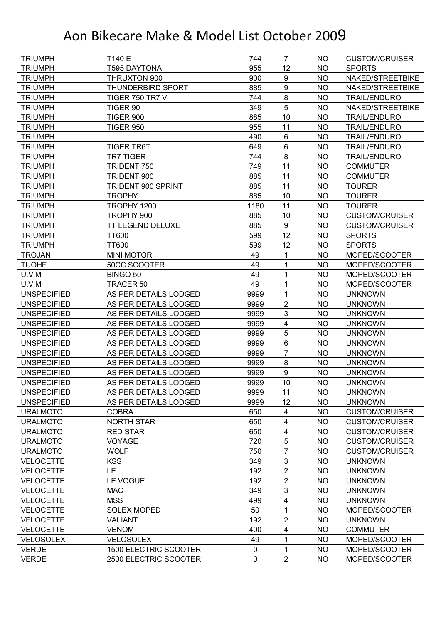| <b>TRIUMPH</b>     | T140 E                   | 744         | 7                       | <b>NO</b> | <b>CUSTOM/CRUISER</b> |
|--------------------|--------------------------|-------------|-------------------------|-----------|-----------------------|
| <b>TRIUMPH</b>     | <b>T595 DAYTONA</b>      | 955         | 12                      | <b>NO</b> | <b>SPORTS</b>         |
| <b>TRIUMPH</b>     | THRUXTON 900             | 900         | 9                       | <b>NO</b> | NAKED/STREETBIKE      |
| <b>TRIUMPH</b>     | <b>THUNDERBIRD SPORT</b> | 885         | $\boldsymbol{9}$        | <b>NO</b> | NAKED/STREETBIKE      |
| <b>TRIUMPH</b>     | <b>TIGER 750 TR7 V</b>   | 744         | 8                       | <b>NO</b> | <b>TRAIL/ENDURO</b>   |
| <b>TRIUMPH</b>     | TIGER 90                 | 349         | 5                       | NO        | NAKED/STREETBIKE      |
| <b>TRIUMPH</b>     | <b>TIGER 900</b>         | 885         | 10                      | <b>NO</b> | <b>TRAIL/ENDURO</b>   |
| <b>TRIUMPH</b>     | <b>TIGER 950</b>         | 955         | 11                      | <b>NO</b> | <b>TRAIL/ENDURO</b>   |
| <b>TRIUMPH</b>     |                          | 490         | $6\phantom{1}$          | <b>NO</b> | <b>TRAIL/ENDURO</b>   |
| <b>TRIUMPH</b>     | <b>TIGER TR6T</b>        | 649         | $\,6\,$                 | <b>NO</b> | <b>TRAIL/ENDURO</b>   |
| <b>TRIUMPH</b>     | <b>TR7 TIGER</b>         | 744         | $\bf 8$                 | <b>NO</b> | <b>TRAIL/ENDURO</b>   |
| <b>TRIUMPH</b>     | TRIDENT 750              | 749         | 11                      | <b>NO</b> | <b>COMMUTER</b>       |
| <b>TRIUMPH</b>     | TRIDENT 900              | 885         | 11                      | <b>NO</b> | <b>COMMUTER</b>       |
| <b>TRIUMPH</b>     | TRIDENT 900 SPRINT       | 885         | 11                      | <b>NO</b> | <b>TOURER</b>         |
| <b>TRIUMPH</b>     | <b>TROPHY</b>            | 885         | 10                      | NO        | <b>TOURER</b>         |
| <b>TRIUMPH</b>     | TROPHY 1200              | 1180        | 11                      | <b>NO</b> | <b>TOURER</b>         |
| <b>TRIUMPH</b>     | TROPHY 900               | 885         | 10                      | <b>NO</b> | <b>CUSTOM/CRUISER</b> |
| <b>TRIUMPH</b>     | TT LEGEND DELUXE         | 885         | $\boldsymbol{9}$        | <b>NO</b> | <b>CUSTOM/CRUISER</b> |
| <b>TRIUMPH</b>     | <b>TT600</b>             | 599         | 12                      | <b>NO</b> | <b>SPORTS</b>         |
| <b>TRIUMPH</b>     | <b>TT600</b>             | 599         | 12                      | <b>NO</b> | <b>SPORTS</b>         |
| <b>TROJAN</b>      | <b>MINI MOTOR</b>        | 49          | 1                       | <b>NO</b> | MOPED/SCOOTER         |
| <b>TUOHE</b>       | 50CC SCOOTER             | 49          | 1                       | <b>NO</b> | MOPED/SCOOTER         |
| U.V.M              | BINGO 50                 | 49          | 1                       | <b>NO</b> | MOPED/SCOOTER         |
| U.V.M              | TRACER 50                | 49          | 1                       | <b>NO</b> | MOPED/SCOOTER         |
| <b>UNSPECIFIED</b> | AS PER DETAILS LODGED    | 9999        | 1                       | <b>NO</b> | <b>UNKNOWN</b>        |
| <b>UNSPECIFIED</b> | AS PER DETAILS LODGED    | 9999        | $\overline{2}$          | <b>NO</b> | <b>UNKNOWN</b>        |
| <b>UNSPECIFIED</b> | AS PER DETAILS LODGED    | 9999        | 3                       | <b>NO</b> | <b>UNKNOWN</b>        |
| <b>UNSPECIFIED</b> | AS PER DETAILS LODGED    | 9999        | 4                       | <b>NO</b> | <b>UNKNOWN</b>        |
| <b>UNSPECIFIED</b> | AS PER DETAILS LODGED    | 9999        | 5                       | <b>NO</b> | <b>UNKNOWN</b>        |
| <b>UNSPECIFIED</b> | AS PER DETAILS LODGED    | 9999        | 6                       | <b>NO</b> | <b>UNKNOWN</b>        |
| <b>UNSPECIFIED</b> | AS PER DETAILS LODGED    | 9999        | $\overline{7}$          | <b>NO</b> | <b>UNKNOWN</b>        |
| <b>UNSPECIFIED</b> | AS PER DETAILS LODGED    | 9999        | 8                       | NO        | <b>UNKNOWN</b>        |
| <b>UNSPECIFIED</b> | AS PER DETAILS LODGED    | 9999        | $\overline{9}$          | <b>NO</b> | <b>UNKNOWN</b>        |
| <b>UNSPECIFIED</b> | AS PER DETAILS LODGED    | 9999        | 10                      | <b>NO</b> | <b>UNKNOWN</b>        |
| <b>UNSPECIFIED</b> | AS PER DETAILS LODGED    | 9999        | 11                      | <b>NO</b> | <b>UNKNOWN</b>        |
| <b>UNSPECIFIED</b> | AS PER DETAILS LODGED    | 9999        | 12                      | <b>NO</b> | <b>UNKNOWN</b>        |
| <b>URALMOTO</b>    | <b>COBRA</b>             | 650         | 4                       | <b>NO</b> | <b>CUSTOM/CRUISER</b> |
| <b>URALMOTO</b>    | <b>NORTH STAR</b>        | 650         | $\overline{\mathbf{4}}$ | <b>NO</b> | <b>CUSTOM/CRUISER</b> |
| <b>URALMOTO</b>    | <b>RED STAR</b>          | 650         | 4                       | NO        | <b>CUSTOM/CRUISER</b> |
| <b>URALMOTO</b>    | <b>VOYAGE</b>            | 720         | 5                       | <b>NO</b> | <b>CUSTOM/CRUISER</b> |
| <b>URALMOTO</b>    | <b>WOLF</b>              | 750         | $\overline{7}$          | <b>NO</b> | <b>CUSTOM/CRUISER</b> |
| <b>VELOCETTE</b>   | <b>KSS</b>               | 349         | 3                       | <b>NO</b> | <b>UNKNOWN</b>        |
| <b>VELOCETTE</b>   | LE.                      | 192         | $\mathbf{2}$            | <b>NO</b> | <b>UNKNOWN</b>        |
| <b>VELOCETTE</b>   | LE VOGUE                 | 192         | $\overline{2}$          | <b>NO</b> | <b>UNKNOWN</b>        |
| <b>VELOCETTE</b>   | <b>MAC</b>               | 349         | 3                       | <b>NO</b> | <b>UNKNOWN</b>        |
| <b>VELOCETTE</b>   | <b>MSS</b>               | 499         | 4                       | <b>NO</b> | <b>UNKNOWN</b>        |
| <b>VELOCETTE</b>   | <b>SOLEX MOPED</b>       | 50          | 1                       | <b>NO</b> | MOPED/SCOOTER         |
| <b>VELOCETTE</b>   | <b>VALIANT</b>           | 192         | $\mathbf{2}$            | <b>NO</b> | <b>UNKNOWN</b>        |
| <b>VELOCETTE</b>   | <b>VENOM</b>             | 400         | 4                       | <b>NO</b> | <b>COMMUTER</b>       |
| <b>VELOSOLEX</b>   | <b>VELOSOLEX</b>         | 49          | 1                       | <b>NO</b> | MOPED/SCOOTER         |
| <b>VERDE</b>       | 1500 ELECTRIC SCOOTER    | $\pmb{0}$   | 1                       | <b>NO</b> | MOPED/SCOOTER         |
| <b>VERDE</b>       | 2500 ELECTRIC SCOOTER    | $\mathbf 0$ | $\overline{2}$          | <b>NO</b> | MOPED/SCOOTER         |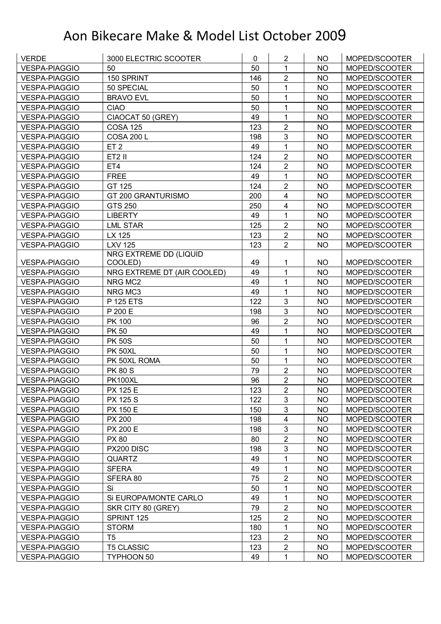| <b>VESPA-PIAGGIO</b><br>50<br>50<br>1<br><b>NO</b><br>MOPED/SCOOTER<br>$\overline{2}$<br>150 SPRINT<br><b>VESPA-PIAGGIO</b><br>146<br><b>NO</b><br>MOPED/SCOOTER<br>1<br><b>VESPA-PIAGGIO</b><br>50 SPECIAL<br>50<br><b>NO</b><br>MOPED/SCOOTER<br>50<br><b>VESPA-PIAGGIO</b><br><b>BRAVO EVL</b><br>1<br><b>NO</b><br>MOPED/SCOOTER<br>50<br><b>CIAO</b><br>1<br>MOPED/SCOOTER<br>VESPA-PIAGGIO<br>NO<br>$\mathbf{1}$<br>CIAOCAT 50 (GREY)<br>49<br>MOPED/SCOOTER<br><b>VESPA-PIAGGIO</b><br><b>NO</b><br>$\overline{2}$<br><b>COSA 125</b><br>123<br><b>NO</b><br>MOPED/SCOOTER<br><b>VESPA-PIAGGIO</b><br>3<br><b>NO</b><br><b>VESPA-PIAGGIO</b><br><b>COSA 200 L</b><br>198<br>MOPED/SCOOTER<br>49<br>1<br><b>NO</b><br><b>VESPA-PIAGGIO</b><br>ET <sub>2</sub><br>MOPED/SCOOTER<br>$\overline{2}$<br>ET2 II<br>124<br><b>VESPA-PIAGGIO</b><br><b>NO</b><br>MOPED/SCOOTER<br>$\overline{2}$<br>ET4<br><b>VESPA-PIAGGIO</b><br>124<br><b>NO</b><br>MOPED/SCOOTER<br>$\mathbf{1}$<br><b>FREE</b><br>49<br><b>NO</b><br>MOPED/SCOOTER<br><b>VESPA-PIAGGIO</b><br>$\overline{2}$<br>124<br><b>VESPA-PIAGGIO</b><br>GT 125<br><b>NO</b><br>MOPED/SCOOTER<br>200<br>$\overline{\mathbf{4}}$<br>GT 200 GRANTURISMO<br><b>NO</b><br>MOPED/SCOOTER<br><b>VESPA-PIAGGIO</b><br>$\overline{\mathbf{4}}$<br><b>VESPA-PIAGGIO</b><br><b>GTS 250</b><br>250<br><b>NO</b><br>MOPED/SCOOTER<br><b>LIBERTY</b><br>49<br>1<br><b>NO</b><br>MOPED/SCOOTER<br><b>VESPA-PIAGGIO</b><br>$\overline{2}$<br>125<br><b>LML STAR</b><br><b>NO</b><br>MOPED/SCOOTER<br><b>VESPA-PIAGGIO</b><br>$\overline{2}$<br>LX 125<br>123<br><b>NO</b><br><b>VESPA-PIAGGIO</b><br>MOPED/SCOOTER<br>$\overline{2}$<br><b>LXV 125</b><br>123<br><b>NO</b><br>MOPED/SCOOTER<br><b>VESPA-PIAGGIO</b><br>NRG EXTREME DD (LIQUID<br><b>VESPA-PIAGGIO</b><br>49<br>MOPED/SCOOTER<br>COOLED)<br>1<br>NO.<br>49<br>$\mathbf{1}$<br><b>VESPA-PIAGGIO</b><br>NRG EXTREME DT (AIR COOLED)<br><b>NO</b><br>MOPED/SCOOTER<br>49<br>1<br><b>VESPA-PIAGGIO</b><br>NRG MC2<br><b>NO</b><br>MOPED/SCOOTER<br>$\mathbf{1}$<br>NRG MC3<br>49<br><b>NO</b><br><b>VESPA-PIAGGIO</b><br>MOPED/SCOOTER<br>3<br>122<br><b>VESPA-PIAGGIO</b><br>P 125 ETS<br><b>NO</b><br>MOPED/SCOOTER<br>3<br>P 200 E<br><b>NO</b><br>MOPED/SCOOTER<br><b>VESPA-PIAGGIO</b><br>198<br>$\overline{2}$<br>PK 100<br>MOPED/SCOOTER<br><b>VESPA-PIAGGIO</b><br>96<br><b>NO</b><br>49<br>1<br><b>VESPA-PIAGGIO</b><br><b>PK 50</b><br><b>NO</b><br>MOPED/SCOOTER<br>50<br>1<br><b>PK 50S</b><br><b>NO</b><br>MOPED/SCOOTER<br><b>VESPA-PIAGGIO</b><br>50<br>$\mathbf{1}$<br><b>NO</b><br><b>VESPA-PIAGGIO</b><br><b>PK 50XL</b><br>MOPED/SCOOTER<br>50<br>$\mathbf{1}$<br>PK 50XL ROMA<br>MOPED/SCOOTER<br><b>VESPA-PIAGGIO</b><br><b>NO</b><br>$\overline{2}$<br><b>PK 80 S</b><br>79<br><b>VESPA-PIAGGIO</b><br><b>NO</b><br>MOPED/SCOOTER<br>$\overline{2}$<br>96<br><b>VESPA-PIAGGIO</b><br><b>PK100XL</b><br><b>NO</b><br>MOPED/SCOOTER<br>123<br>$\overline{2}$<br><b>NO</b><br><b>VESPA-PIAGGIO</b><br><b>PX 125 E</b><br>MOPED/SCOOTER<br>3<br>122<br><b>PX 125 S</b><br><b>NO</b><br><b>VESPA-PIAGGIO</b><br>MOPED/SCOOTER<br>3<br><b>PX 150 E</b><br>150<br><b>NO</b><br>MOPED/SCOOTER<br>VESPA-PIAGGIO<br>4<br>PX 200<br>198<br><b>NO</b><br>MOPED/SCOOTER<br><b>VESPA-PIAGGIO</b><br>3<br><b>PX 200 E</b><br><b>VESPA-PIAGGIO</b><br>198<br><b>NO</b><br>MOPED/SCOOTER<br>$\overline{2}$<br><b>PX 80</b><br>80<br><b>NO</b><br><b>VESPA-PIAGGIO</b><br>MOPED/SCOOTER<br>$\mathsf 3$<br>198<br><b>VESPA-PIAGGIO</b><br>PX200 DISC<br>NO<br>MOPED/SCOOTER<br>1<br><b>VESPA-PIAGGIO</b><br><b>QUARTZ</b><br>49<br>NO<br>MOPED/SCOOTER<br>49<br><b>SFERA</b><br>1<br><b>NO</b><br>MOPED/SCOOTER<br><b>VESPA-PIAGGIO</b><br>$\overline{2}$<br>75<br>SFERA 80<br><b>NO</b><br>MOPED/SCOOTER<br><b>VESPA-PIAGGIO</b><br>Si<br>1<br>50<br><b>NO</b><br><b>VESPA-PIAGGIO</b><br>MOPED/SCOOTER<br>49<br>1<br><b>NO</b><br>Si EUROPA/MONTE CARLO<br>MOPED/SCOOTER<br><b>VESPA-PIAGGIO</b><br>$\overline{2}$<br>79<br><b>VESPA-PIAGGIO</b><br>SKR CITY 80 (GREY)<br><b>NO</b><br>MOPED/SCOOTER<br>$\overline{2}$<br>SPRINT 125<br>125<br><b>NO</b><br><b>VESPA-PIAGGIO</b><br>MOPED/SCOOTER<br>1<br><b>STORM</b><br>180<br><b>NO</b><br>MOPED/SCOOTER<br><b>VESPA-PIAGGIO</b><br>$\overline{2}$<br>123<br><b>VESPA-PIAGGIO</b><br>T5<br><b>NO</b><br>MOPED/SCOOTER<br>$\overline{2}$<br><b>VESPA-PIAGGIO</b><br><b>T5 CLASSIC</b><br>123<br><b>NO</b><br>MOPED/SCOOTER<br>49<br>1<br>MOPED/SCOOTER<br><b>VESPA-PIAGGIO</b><br>TYPHOON 50<br>NO | <b>VERDE</b> | 3000 ELECTRIC SCOOTER | $\mathbf 0$ | $\overline{2}$ | <b>NO</b> | MOPED/SCOOTER |
|-----------------------------------------------------------------------------------------------------------------------------------------------------------------------------------------------------------------------------------------------------------------------------------------------------------------------------------------------------------------------------------------------------------------------------------------------------------------------------------------------------------------------------------------------------------------------------------------------------------------------------------------------------------------------------------------------------------------------------------------------------------------------------------------------------------------------------------------------------------------------------------------------------------------------------------------------------------------------------------------------------------------------------------------------------------------------------------------------------------------------------------------------------------------------------------------------------------------------------------------------------------------------------------------------------------------------------------------------------------------------------------------------------------------------------------------------------------------------------------------------------------------------------------------------------------------------------------------------------------------------------------------------------------------------------------------------------------------------------------------------------------------------------------------------------------------------------------------------------------------------------------------------------------------------------------------------------------------------------------------------------------------------------------------------------------------------------------------------------------------------------------------------------------------------------------------------------------------------------------------------------------------------------------------------------------------------------------------------------------------------------------------------------------------------------------------------------------------------------------------------------------------------------------------------------------------------------------------------------------------------------------------------------------------------------------------------------------------------------------------------------------------------------------------------------------------------------------------------------------------------------------------------------------------------------------------------------------------------------------------------------------------------------------------------------------------------------------------------------------------------------------------------------------------------------------------------------------------------------------------------------------------------------------------------------------------------------------------------------------------------------------------------------------------------------------------------------------------------------------------------------------------------------------------------------------------------------------------------------------------------------------------------------------------------------------------------------------------------------------------------------------------------------------------------------------------------------------------------------------------------------------------------------------------------------------------------------------------------------------------------------------------------------------------------------------------------------------------------------------------------------------------------------------------------------------------------------------------------------------------------------------------------------------------------------------------------------------------------------------------------------------------------------------------------------------------------------------------------------------------------------------------------------------------------------------------|--------------|-----------------------|-------------|----------------|-----------|---------------|
|                                                                                                                                                                                                                                                                                                                                                                                                                                                                                                                                                                                                                                                                                                                                                                                                                                                                                                                                                                                                                                                                                                                                                                                                                                                                                                                                                                                                                                                                                                                                                                                                                                                                                                                                                                                                                                                                                                                                                                                                                                                                                                                                                                                                                                                                                                                                                                                                                                                                                                                                                                                                                                                                                                                                                                                                                                                                                                                                                                                                                                                                                                                                                                                                                                                                                                                                                                                                                                                                                                                                                                                                                                                                                                                                                                                                                                                                                                                                                                                                                                                                                                                                                                                                                                                                                                                                                                                                                                                                                                                                                                 |              |                       |             |                |           |               |
|                                                                                                                                                                                                                                                                                                                                                                                                                                                                                                                                                                                                                                                                                                                                                                                                                                                                                                                                                                                                                                                                                                                                                                                                                                                                                                                                                                                                                                                                                                                                                                                                                                                                                                                                                                                                                                                                                                                                                                                                                                                                                                                                                                                                                                                                                                                                                                                                                                                                                                                                                                                                                                                                                                                                                                                                                                                                                                                                                                                                                                                                                                                                                                                                                                                                                                                                                                                                                                                                                                                                                                                                                                                                                                                                                                                                                                                                                                                                                                                                                                                                                                                                                                                                                                                                                                                                                                                                                                                                                                                                                                 |              |                       |             |                |           |               |
|                                                                                                                                                                                                                                                                                                                                                                                                                                                                                                                                                                                                                                                                                                                                                                                                                                                                                                                                                                                                                                                                                                                                                                                                                                                                                                                                                                                                                                                                                                                                                                                                                                                                                                                                                                                                                                                                                                                                                                                                                                                                                                                                                                                                                                                                                                                                                                                                                                                                                                                                                                                                                                                                                                                                                                                                                                                                                                                                                                                                                                                                                                                                                                                                                                                                                                                                                                                                                                                                                                                                                                                                                                                                                                                                                                                                                                                                                                                                                                                                                                                                                                                                                                                                                                                                                                                                                                                                                                                                                                                                                                 |              |                       |             |                |           |               |
|                                                                                                                                                                                                                                                                                                                                                                                                                                                                                                                                                                                                                                                                                                                                                                                                                                                                                                                                                                                                                                                                                                                                                                                                                                                                                                                                                                                                                                                                                                                                                                                                                                                                                                                                                                                                                                                                                                                                                                                                                                                                                                                                                                                                                                                                                                                                                                                                                                                                                                                                                                                                                                                                                                                                                                                                                                                                                                                                                                                                                                                                                                                                                                                                                                                                                                                                                                                                                                                                                                                                                                                                                                                                                                                                                                                                                                                                                                                                                                                                                                                                                                                                                                                                                                                                                                                                                                                                                                                                                                                                                                 |              |                       |             |                |           |               |
|                                                                                                                                                                                                                                                                                                                                                                                                                                                                                                                                                                                                                                                                                                                                                                                                                                                                                                                                                                                                                                                                                                                                                                                                                                                                                                                                                                                                                                                                                                                                                                                                                                                                                                                                                                                                                                                                                                                                                                                                                                                                                                                                                                                                                                                                                                                                                                                                                                                                                                                                                                                                                                                                                                                                                                                                                                                                                                                                                                                                                                                                                                                                                                                                                                                                                                                                                                                                                                                                                                                                                                                                                                                                                                                                                                                                                                                                                                                                                                                                                                                                                                                                                                                                                                                                                                                                                                                                                                                                                                                                                                 |              |                       |             |                |           |               |
|                                                                                                                                                                                                                                                                                                                                                                                                                                                                                                                                                                                                                                                                                                                                                                                                                                                                                                                                                                                                                                                                                                                                                                                                                                                                                                                                                                                                                                                                                                                                                                                                                                                                                                                                                                                                                                                                                                                                                                                                                                                                                                                                                                                                                                                                                                                                                                                                                                                                                                                                                                                                                                                                                                                                                                                                                                                                                                                                                                                                                                                                                                                                                                                                                                                                                                                                                                                                                                                                                                                                                                                                                                                                                                                                                                                                                                                                                                                                                                                                                                                                                                                                                                                                                                                                                                                                                                                                                                                                                                                                                                 |              |                       |             |                |           |               |
|                                                                                                                                                                                                                                                                                                                                                                                                                                                                                                                                                                                                                                                                                                                                                                                                                                                                                                                                                                                                                                                                                                                                                                                                                                                                                                                                                                                                                                                                                                                                                                                                                                                                                                                                                                                                                                                                                                                                                                                                                                                                                                                                                                                                                                                                                                                                                                                                                                                                                                                                                                                                                                                                                                                                                                                                                                                                                                                                                                                                                                                                                                                                                                                                                                                                                                                                                                                                                                                                                                                                                                                                                                                                                                                                                                                                                                                                                                                                                                                                                                                                                                                                                                                                                                                                                                                                                                                                                                                                                                                                                                 |              |                       |             |                |           |               |
|                                                                                                                                                                                                                                                                                                                                                                                                                                                                                                                                                                                                                                                                                                                                                                                                                                                                                                                                                                                                                                                                                                                                                                                                                                                                                                                                                                                                                                                                                                                                                                                                                                                                                                                                                                                                                                                                                                                                                                                                                                                                                                                                                                                                                                                                                                                                                                                                                                                                                                                                                                                                                                                                                                                                                                                                                                                                                                                                                                                                                                                                                                                                                                                                                                                                                                                                                                                                                                                                                                                                                                                                                                                                                                                                                                                                                                                                                                                                                                                                                                                                                                                                                                                                                                                                                                                                                                                                                                                                                                                                                                 |              |                       |             |                |           |               |
|                                                                                                                                                                                                                                                                                                                                                                                                                                                                                                                                                                                                                                                                                                                                                                                                                                                                                                                                                                                                                                                                                                                                                                                                                                                                                                                                                                                                                                                                                                                                                                                                                                                                                                                                                                                                                                                                                                                                                                                                                                                                                                                                                                                                                                                                                                                                                                                                                                                                                                                                                                                                                                                                                                                                                                                                                                                                                                                                                                                                                                                                                                                                                                                                                                                                                                                                                                                                                                                                                                                                                                                                                                                                                                                                                                                                                                                                                                                                                                                                                                                                                                                                                                                                                                                                                                                                                                                                                                                                                                                                                                 |              |                       |             |                |           |               |
|                                                                                                                                                                                                                                                                                                                                                                                                                                                                                                                                                                                                                                                                                                                                                                                                                                                                                                                                                                                                                                                                                                                                                                                                                                                                                                                                                                                                                                                                                                                                                                                                                                                                                                                                                                                                                                                                                                                                                                                                                                                                                                                                                                                                                                                                                                                                                                                                                                                                                                                                                                                                                                                                                                                                                                                                                                                                                                                                                                                                                                                                                                                                                                                                                                                                                                                                                                                                                                                                                                                                                                                                                                                                                                                                                                                                                                                                                                                                                                                                                                                                                                                                                                                                                                                                                                                                                                                                                                                                                                                                                                 |              |                       |             |                |           |               |
|                                                                                                                                                                                                                                                                                                                                                                                                                                                                                                                                                                                                                                                                                                                                                                                                                                                                                                                                                                                                                                                                                                                                                                                                                                                                                                                                                                                                                                                                                                                                                                                                                                                                                                                                                                                                                                                                                                                                                                                                                                                                                                                                                                                                                                                                                                                                                                                                                                                                                                                                                                                                                                                                                                                                                                                                                                                                                                                                                                                                                                                                                                                                                                                                                                                                                                                                                                                                                                                                                                                                                                                                                                                                                                                                                                                                                                                                                                                                                                                                                                                                                                                                                                                                                                                                                                                                                                                                                                                                                                                                                                 |              |                       |             |                |           |               |
|                                                                                                                                                                                                                                                                                                                                                                                                                                                                                                                                                                                                                                                                                                                                                                                                                                                                                                                                                                                                                                                                                                                                                                                                                                                                                                                                                                                                                                                                                                                                                                                                                                                                                                                                                                                                                                                                                                                                                                                                                                                                                                                                                                                                                                                                                                                                                                                                                                                                                                                                                                                                                                                                                                                                                                                                                                                                                                                                                                                                                                                                                                                                                                                                                                                                                                                                                                                                                                                                                                                                                                                                                                                                                                                                                                                                                                                                                                                                                                                                                                                                                                                                                                                                                                                                                                                                                                                                                                                                                                                                                                 |              |                       |             |                |           |               |
|                                                                                                                                                                                                                                                                                                                                                                                                                                                                                                                                                                                                                                                                                                                                                                                                                                                                                                                                                                                                                                                                                                                                                                                                                                                                                                                                                                                                                                                                                                                                                                                                                                                                                                                                                                                                                                                                                                                                                                                                                                                                                                                                                                                                                                                                                                                                                                                                                                                                                                                                                                                                                                                                                                                                                                                                                                                                                                                                                                                                                                                                                                                                                                                                                                                                                                                                                                                                                                                                                                                                                                                                                                                                                                                                                                                                                                                                                                                                                                                                                                                                                                                                                                                                                                                                                                                                                                                                                                                                                                                                                                 |              |                       |             |                |           |               |
|                                                                                                                                                                                                                                                                                                                                                                                                                                                                                                                                                                                                                                                                                                                                                                                                                                                                                                                                                                                                                                                                                                                                                                                                                                                                                                                                                                                                                                                                                                                                                                                                                                                                                                                                                                                                                                                                                                                                                                                                                                                                                                                                                                                                                                                                                                                                                                                                                                                                                                                                                                                                                                                                                                                                                                                                                                                                                                                                                                                                                                                                                                                                                                                                                                                                                                                                                                                                                                                                                                                                                                                                                                                                                                                                                                                                                                                                                                                                                                                                                                                                                                                                                                                                                                                                                                                                                                                                                                                                                                                                                                 |              |                       |             |                |           |               |
|                                                                                                                                                                                                                                                                                                                                                                                                                                                                                                                                                                                                                                                                                                                                                                                                                                                                                                                                                                                                                                                                                                                                                                                                                                                                                                                                                                                                                                                                                                                                                                                                                                                                                                                                                                                                                                                                                                                                                                                                                                                                                                                                                                                                                                                                                                                                                                                                                                                                                                                                                                                                                                                                                                                                                                                                                                                                                                                                                                                                                                                                                                                                                                                                                                                                                                                                                                                                                                                                                                                                                                                                                                                                                                                                                                                                                                                                                                                                                                                                                                                                                                                                                                                                                                                                                                                                                                                                                                                                                                                                                                 |              |                       |             |                |           |               |
|                                                                                                                                                                                                                                                                                                                                                                                                                                                                                                                                                                                                                                                                                                                                                                                                                                                                                                                                                                                                                                                                                                                                                                                                                                                                                                                                                                                                                                                                                                                                                                                                                                                                                                                                                                                                                                                                                                                                                                                                                                                                                                                                                                                                                                                                                                                                                                                                                                                                                                                                                                                                                                                                                                                                                                                                                                                                                                                                                                                                                                                                                                                                                                                                                                                                                                                                                                                                                                                                                                                                                                                                                                                                                                                                                                                                                                                                                                                                                                                                                                                                                                                                                                                                                                                                                                                                                                                                                                                                                                                                                                 |              |                       |             |                |           |               |
|                                                                                                                                                                                                                                                                                                                                                                                                                                                                                                                                                                                                                                                                                                                                                                                                                                                                                                                                                                                                                                                                                                                                                                                                                                                                                                                                                                                                                                                                                                                                                                                                                                                                                                                                                                                                                                                                                                                                                                                                                                                                                                                                                                                                                                                                                                                                                                                                                                                                                                                                                                                                                                                                                                                                                                                                                                                                                                                                                                                                                                                                                                                                                                                                                                                                                                                                                                                                                                                                                                                                                                                                                                                                                                                                                                                                                                                                                                                                                                                                                                                                                                                                                                                                                                                                                                                                                                                                                                                                                                                                                                 |              |                       |             |                |           |               |
|                                                                                                                                                                                                                                                                                                                                                                                                                                                                                                                                                                                                                                                                                                                                                                                                                                                                                                                                                                                                                                                                                                                                                                                                                                                                                                                                                                                                                                                                                                                                                                                                                                                                                                                                                                                                                                                                                                                                                                                                                                                                                                                                                                                                                                                                                                                                                                                                                                                                                                                                                                                                                                                                                                                                                                                                                                                                                                                                                                                                                                                                                                                                                                                                                                                                                                                                                                                                                                                                                                                                                                                                                                                                                                                                                                                                                                                                                                                                                                                                                                                                                                                                                                                                                                                                                                                                                                                                                                                                                                                                                                 |              |                       |             |                |           |               |
|                                                                                                                                                                                                                                                                                                                                                                                                                                                                                                                                                                                                                                                                                                                                                                                                                                                                                                                                                                                                                                                                                                                                                                                                                                                                                                                                                                                                                                                                                                                                                                                                                                                                                                                                                                                                                                                                                                                                                                                                                                                                                                                                                                                                                                                                                                                                                                                                                                                                                                                                                                                                                                                                                                                                                                                                                                                                                                                                                                                                                                                                                                                                                                                                                                                                                                                                                                                                                                                                                                                                                                                                                                                                                                                                                                                                                                                                                                                                                                                                                                                                                                                                                                                                                                                                                                                                                                                                                                                                                                                                                                 |              |                       |             |                |           |               |
|                                                                                                                                                                                                                                                                                                                                                                                                                                                                                                                                                                                                                                                                                                                                                                                                                                                                                                                                                                                                                                                                                                                                                                                                                                                                                                                                                                                                                                                                                                                                                                                                                                                                                                                                                                                                                                                                                                                                                                                                                                                                                                                                                                                                                                                                                                                                                                                                                                                                                                                                                                                                                                                                                                                                                                                                                                                                                                                                                                                                                                                                                                                                                                                                                                                                                                                                                                                                                                                                                                                                                                                                                                                                                                                                                                                                                                                                                                                                                                                                                                                                                                                                                                                                                                                                                                                                                                                                                                                                                                                                                                 |              |                       |             |                |           |               |
|                                                                                                                                                                                                                                                                                                                                                                                                                                                                                                                                                                                                                                                                                                                                                                                                                                                                                                                                                                                                                                                                                                                                                                                                                                                                                                                                                                                                                                                                                                                                                                                                                                                                                                                                                                                                                                                                                                                                                                                                                                                                                                                                                                                                                                                                                                                                                                                                                                                                                                                                                                                                                                                                                                                                                                                                                                                                                                                                                                                                                                                                                                                                                                                                                                                                                                                                                                                                                                                                                                                                                                                                                                                                                                                                                                                                                                                                                                                                                                                                                                                                                                                                                                                                                                                                                                                                                                                                                                                                                                                                                                 |              |                       |             |                |           |               |
|                                                                                                                                                                                                                                                                                                                                                                                                                                                                                                                                                                                                                                                                                                                                                                                                                                                                                                                                                                                                                                                                                                                                                                                                                                                                                                                                                                                                                                                                                                                                                                                                                                                                                                                                                                                                                                                                                                                                                                                                                                                                                                                                                                                                                                                                                                                                                                                                                                                                                                                                                                                                                                                                                                                                                                                                                                                                                                                                                                                                                                                                                                                                                                                                                                                                                                                                                                                                                                                                                                                                                                                                                                                                                                                                                                                                                                                                                                                                                                                                                                                                                                                                                                                                                                                                                                                                                                                                                                                                                                                                                                 |              |                       |             |                |           |               |
|                                                                                                                                                                                                                                                                                                                                                                                                                                                                                                                                                                                                                                                                                                                                                                                                                                                                                                                                                                                                                                                                                                                                                                                                                                                                                                                                                                                                                                                                                                                                                                                                                                                                                                                                                                                                                                                                                                                                                                                                                                                                                                                                                                                                                                                                                                                                                                                                                                                                                                                                                                                                                                                                                                                                                                                                                                                                                                                                                                                                                                                                                                                                                                                                                                                                                                                                                                                                                                                                                                                                                                                                                                                                                                                                                                                                                                                                                                                                                                                                                                                                                                                                                                                                                                                                                                                                                                                                                                                                                                                                                                 |              |                       |             |                |           |               |
|                                                                                                                                                                                                                                                                                                                                                                                                                                                                                                                                                                                                                                                                                                                                                                                                                                                                                                                                                                                                                                                                                                                                                                                                                                                                                                                                                                                                                                                                                                                                                                                                                                                                                                                                                                                                                                                                                                                                                                                                                                                                                                                                                                                                                                                                                                                                                                                                                                                                                                                                                                                                                                                                                                                                                                                                                                                                                                                                                                                                                                                                                                                                                                                                                                                                                                                                                                                                                                                                                                                                                                                                                                                                                                                                                                                                                                                                                                                                                                                                                                                                                                                                                                                                                                                                                                                                                                                                                                                                                                                                                                 |              |                       |             |                |           |               |
|                                                                                                                                                                                                                                                                                                                                                                                                                                                                                                                                                                                                                                                                                                                                                                                                                                                                                                                                                                                                                                                                                                                                                                                                                                                                                                                                                                                                                                                                                                                                                                                                                                                                                                                                                                                                                                                                                                                                                                                                                                                                                                                                                                                                                                                                                                                                                                                                                                                                                                                                                                                                                                                                                                                                                                                                                                                                                                                                                                                                                                                                                                                                                                                                                                                                                                                                                                                                                                                                                                                                                                                                                                                                                                                                                                                                                                                                                                                                                                                                                                                                                                                                                                                                                                                                                                                                                                                                                                                                                                                                                                 |              |                       |             |                |           |               |
|                                                                                                                                                                                                                                                                                                                                                                                                                                                                                                                                                                                                                                                                                                                                                                                                                                                                                                                                                                                                                                                                                                                                                                                                                                                                                                                                                                                                                                                                                                                                                                                                                                                                                                                                                                                                                                                                                                                                                                                                                                                                                                                                                                                                                                                                                                                                                                                                                                                                                                                                                                                                                                                                                                                                                                                                                                                                                                                                                                                                                                                                                                                                                                                                                                                                                                                                                                                                                                                                                                                                                                                                                                                                                                                                                                                                                                                                                                                                                                                                                                                                                                                                                                                                                                                                                                                                                                                                                                                                                                                                                                 |              |                       |             |                |           |               |
|                                                                                                                                                                                                                                                                                                                                                                                                                                                                                                                                                                                                                                                                                                                                                                                                                                                                                                                                                                                                                                                                                                                                                                                                                                                                                                                                                                                                                                                                                                                                                                                                                                                                                                                                                                                                                                                                                                                                                                                                                                                                                                                                                                                                                                                                                                                                                                                                                                                                                                                                                                                                                                                                                                                                                                                                                                                                                                                                                                                                                                                                                                                                                                                                                                                                                                                                                                                                                                                                                                                                                                                                                                                                                                                                                                                                                                                                                                                                                                                                                                                                                                                                                                                                                                                                                                                                                                                                                                                                                                                                                                 |              |                       |             |                |           |               |
|                                                                                                                                                                                                                                                                                                                                                                                                                                                                                                                                                                                                                                                                                                                                                                                                                                                                                                                                                                                                                                                                                                                                                                                                                                                                                                                                                                                                                                                                                                                                                                                                                                                                                                                                                                                                                                                                                                                                                                                                                                                                                                                                                                                                                                                                                                                                                                                                                                                                                                                                                                                                                                                                                                                                                                                                                                                                                                                                                                                                                                                                                                                                                                                                                                                                                                                                                                                                                                                                                                                                                                                                                                                                                                                                                                                                                                                                                                                                                                                                                                                                                                                                                                                                                                                                                                                                                                                                                                                                                                                                                                 |              |                       |             |                |           |               |
|                                                                                                                                                                                                                                                                                                                                                                                                                                                                                                                                                                                                                                                                                                                                                                                                                                                                                                                                                                                                                                                                                                                                                                                                                                                                                                                                                                                                                                                                                                                                                                                                                                                                                                                                                                                                                                                                                                                                                                                                                                                                                                                                                                                                                                                                                                                                                                                                                                                                                                                                                                                                                                                                                                                                                                                                                                                                                                                                                                                                                                                                                                                                                                                                                                                                                                                                                                                                                                                                                                                                                                                                                                                                                                                                                                                                                                                                                                                                                                                                                                                                                                                                                                                                                                                                                                                                                                                                                                                                                                                                                                 |              |                       |             |                |           |               |
|                                                                                                                                                                                                                                                                                                                                                                                                                                                                                                                                                                                                                                                                                                                                                                                                                                                                                                                                                                                                                                                                                                                                                                                                                                                                                                                                                                                                                                                                                                                                                                                                                                                                                                                                                                                                                                                                                                                                                                                                                                                                                                                                                                                                                                                                                                                                                                                                                                                                                                                                                                                                                                                                                                                                                                                                                                                                                                                                                                                                                                                                                                                                                                                                                                                                                                                                                                                                                                                                                                                                                                                                                                                                                                                                                                                                                                                                                                                                                                                                                                                                                                                                                                                                                                                                                                                                                                                                                                                                                                                                                                 |              |                       |             |                |           |               |
|                                                                                                                                                                                                                                                                                                                                                                                                                                                                                                                                                                                                                                                                                                                                                                                                                                                                                                                                                                                                                                                                                                                                                                                                                                                                                                                                                                                                                                                                                                                                                                                                                                                                                                                                                                                                                                                                                                                                                                                                                                                                                                                                                                                                                                                                                                                                                                                                                                                                                                                                                                                                                                                                                                                                                                                                                                                                                                                                                                                                                                                                                                                                                                                                                                                                                                                                                                                                                                                                                                                                                                                                                                                                                                                                                                                                                                                                                                                                                                                                                                                                                                                                                                                                                                                                                                                                                                                                                                                                                                                                                                 |              |                       |             |                |           |               |
|                                                                                                                                                                                                                                                                                                                                                                                                                                                                                                                                                                                                                                                                                                                                                                                                                                                                                                                                                                                                                                                                                                                                                                                                                                                                                                                                                                                                                                                                                                                                                                                                                                                                                                                                                                                                                                                                                                                                                                                                                                                                                                                                                                                                                                                                                                                                                                                                                                                                                                                                                                                                                                                                                                                                                                                                                                                                                                                                                                                                                                                                                                                                                                                                                                                                                                                                                                                                                                                                                                                                                                                                                                                                                                                                                                                                                                                                                                                                                                                                                                                                                                                                                                                                                                                                                                                                                                                                                                                                                                                                                                 |              |                       |             |                |           |               |
|                                                                                                                                                                                                                                                                                                                                                                                                                                                                                                                                                                                                                                                                                                                                                                                                                                                                                                                                                                                                                                                                                                                                                                                                                                                                                                                                                                                                                                                                                                                                                                                                                                                                                                                                                                                                                                                                                                                                                                                                                                                                                                                                                                                                                                                                                                                                                                                                                                                                                                                                                                                                                                                                                                                                                                                                                                                                                                                                                                                                                                                                                                                                                                                                                                                                                                                                                                                                                                                                                                                                                                                                                                                                                                                                                                                                                                                                                                                                                                                                                                                                                                                                                                                                                                                                                                                                                                                                                                                                                                                                                                 |              |                       |             |                |           |               |
|                                                                                                                                                                                                                                                                                                                                                                                                                                                                                                                                                                                                                                                                                                                                                                                                                                                                                                                                                                                                                                                                                                                                                                                                                                                                                                                                                                                                                                                                                                                                                                                                                                                                                                                                                                                                                                                                                                                                                                                                                                                                                                                                                                                                                                                                                                                                                                                                                                                                                                                                                                                                                                                                                                                                                                                                                                                                                                                                                                                                                                                                                                                                                                                                                                                                                                                                                                                                                                                                                                                                                                                                                                                                                                                                                                                                                                                                                                                                                                                                                                                                                                                                                                                                                                                                                                                                                                                                                                                                                                                                                                 |              |                       |             |                |           |               |
|                                                                                                                                                                                                                                                                                                                                                                                                                                                                                                                                                                                                                                                                                                                                                                                                                                                                                                                                                                                                                                                                                                                                                                                                                                                                                                                                                                                                                                                                                                                                                                                                                                                                                                                                                                                                                                                                                                                                                                                                                                                                                                                                                                                                                                                                                                                                                                                                                                                                                                                                                                                                                                                                                                                                                                                                                                                                                                                                                                                                                                                                                                                                                                                                                                                                                                                                                                                                                                                                                                                                                                                                                                                                                                                                                                                                                                                                                                                                                                                                                                                                                                                                                                                                                                                                                                                                                                                                                                                                                                                                                                 |              |                       |             |                |           |               |
|                                                                                                                                                                                                                                                                                                                                                                                                                                                                                                                                                                                                                                                                                                                                                                                                                                                                                                                                                                                                                                                                                                                                                                                                                                                                                                                                                                                                                                                                                                                                                                                                                                                                                                                                                                                                                                                                                                                                                                                                                                                                                                                                                                                                                                                                                                                                                                                                                                                                                                                                                                                                                                                                                                                                                                                                                                                                                                                                                                                                                                                                                                                                                                                                                                                                                                                                                                                                                                                                                                                                                                                                                                                                                                                                                                                                                                                                                                                                                                                                                                                                                                                                                                                                                                                                                                                                                                                                                                                                                                                                                                 |              |                       |             |                |           |               |
|                                                                                                                                                                                                                                                                                                                                                                                                                                                                                                                                                                                                                                                                                                                                                                                                                                                                                                                                                                                                                                                                                                                                                                                                                                                                                                                                                                                                                                                                                                                                                                                                                                                                                                                                                                                                                                                                                                                                                                                                                                                                                                                                                                                                                                                                                                                                                                                                                                                                                                                                                                                                                                                                                                                                                                                                                                                                                                                                                                                                                                                                                                                                                                                                                                                                                                                                                                                                                                                                                                                                                                                                                                                                                                                                                                                                                                                                                                                                                                                                                                                                                                                                                                                                                                                                                                                                                                                                                                                                                                                                                                 |              |                       |             |                |           |               |
|                                                                                                                                                                                                                                                                                                                                                                                                                                                                                                                                                                                                                                                                                                                                                                                                                                                                                                                                                                                                                                                                                                                                                                                                                                                                                                                                                                                                                                                                                                                                                                                                                                                                                                                                                                                                                                                                                                                                                                                                                                                                                                                                                                                                                                                                                                                                                                                                                                                                                                                                                                                                                                                                                                                                                                                                                                                                                                                                                                                                                                                                                                                                                                                                                                                                                                                                                                                                                                                                                                                                                                                                                                                                                                                                                                                                                                                                                                                                                                                                                                                                                                                                                                                                                                                                                                                                                                                                                                                                                                                                                                 |              |                       |             |                |           |               |
|                                                                                                                                                                                                                                                                                                                                                                                                                                                                                                                                                                                                                                                                                                                                                                                                                                                                                                                                                                                                                                                                                                                                                                                                                                                                                                                                                                                                                                                                                                                                                                                                                                                                                                                                                                                                                                                                                                                                                                                                                                                                                                                                                                                                                                                                                                                                                                                                                                                                                                                                                                                                                                                                                                                                                                                                                                                                                                                                                                                                                                                                                                                                                                                                                                                                                                                                                                                                                                                                                                                                                                                                                                                                                                                                                                                                                                                                                                                                                                                                                                                                                                                                                                                                                                                                                                                                                                                                                                                                                                                                                                 |              |                       |             |                |           |               |
|                                                                                                                                                                                                                                                                                                                                                                                                                                                                                                                                                                                                                                                                                                                                                                                                                                                                                                                                                                                                                                                                                                                                                                                                                                                                                                                                                                                                                                                                                                                                                                                                                                                                                                                                                                                                                                                                                                                                                                                                                                                                                                                                                                                                                                                                                                                                                                                                                                                                                                                                                                                                                                                                                                                                                                                                                                                                                                                                                                                                                                                                                                                                                                                                                                                                                                                                                                                                                                                                                                                                                                                                                                                                                                                                                                                                                                                                                                                                                                                                                                                                                                                                                                                                                                                                                                                                                                                                                                                                                                                                                                 |              |                       |             |                |           |               |
|                                                                                                                                                                                                                                                                                                                                                                                                                                                                                                                                                                                                                                                                                                                                                                                                                                                                                                                                                                                                                                                                                                                                                                                                                                                                                                                                                                                                                                                                                                                                                                                                                                                                                                                                                                                                                                                                                                                                                                                                                                                                                                                                                                                                                                                                                                                                                                                                                                                                                                                                                                                                                                                                                                                                                                                                                                                                                                                                                                                                                                                                                                                                                                                                                                                                                                                                                                                                                                                                                                                                                                                                                                                                                                                                                                                                                                                                                                                                                                                                                                                                                                                                                                                                                                                                                                                                                                                                                                                                                                                                                                 |              |                       |             |                |           |               |
|                                                                                                                                                                                                                                                                                                                                                                                                                                                                                                                                                                                                                                                                                                                                                                                                                                                                                                                                                                                                                                                                                                                                                                                                                                                                                                                                                                                                                                                                                                                                                                                                                                                                                                                                                                                                                                                                                                                                                                                                                                                                                                                                                                                                                                                                                                                                                                                                                                                                                                                                                                                                                                                                                                                                                                                                                                                                                                                                                                                                                                                                                                                                                                                                                                                                                                                                                                                                                                                                                                                                                                                                                                                                                                                                                                                                                                                                                                                                                                                                                                                                                                                                                                                                                                                                                                                                                                                                                                                                                                                                                                 |              |                       |             |                |           |               |
|                                                                                                                                                                                                                                                                                                                                                                                                                                                                                                                                                                                                                                                                                                                                                                                                                                                                                                                                                                                                                                                                                                                                                                                                                                                                                                                                                                                                                                                                                                                                                                                                                                                                                                                                                                                                                                                                                                                                                                                                                                                                                                                                                                                                                                                                                                                                                                                                                                                                                                                                                                                                                                                                                                                                                                                                                                                                                                                                                                                                                                                                                                                                                                                                                                                                                                                                                                                                                                                                                                                                                                                                                                                                                                                                                                                                                                                                                                                                                                                                                                                                                                                                                                                                                                                                                                                                                                                                                                                                                                                                                                 |              |                       |             |                |           |               |
|                                                                                                                                                                                                                                                                                                                                                                                                                                                                                                                                                                                                                                                                                                                                                                                                                                                                                                                                                                                                                                                                                                                                                                                                                                                                                                                                                                                                                                                                                                                                                                                                                                                                                                                                                                                                                                                                                                                                                                                                                                                                                                                                                                                                                                                                                                                                                                                                                                                                                                                                                                                                                                                                                                                                                                                                                                                                                                                                                                                                                                                                                                                                                                                                                                                                                                                                                                                                                                                                                                                                                                                                                                                                                                                                                                                                                                                                                                                                                                                                                                                                                                                                                                                                                                                                                                                                                                                                                                                                                                                                                                 |              |                       |             |                |           |               |
|                                                                                                                                                                                                                                                                                                                                                                                                                                                                                                                                                                                                                                                                                                                                                                                                                                                                                                                                                                                                                                                                                                                                                                                                                                                                                                                                                                                                                                                                                                                                                                                                                                                                                                                                                                                                                                                                                                                                                                                                                                                                                                                                                                                                                                                                                                                                                                                                                                                                                                                                                                                                                                                                                                                                                                                                                                                                                                                                                                                                                                                                                                                                                                                                                                                                                                                                                                                                                                                                                                                                                                                                                                                                                                                                                                                                                                                                                                                                                                                                                                                                                                                                                                                                                                                                                                                                                                                                                                                                                                                                                                 |              |                       |             |                |           |               |
|                                                                                                                                                                                                                                                                                                                                                                                                                                                                                                                                                                                                                                                                                                                                                                                                                                                                                                                                                                                                                                                                                                                                                                                                                                                                                                                                                                                                                                                                                                                                                                                                                                                                                                                                                                                                                                                                                                                                                                                                                                                                                                                                                                                                                                                                                                                                                                                                                                                                                                                                                                                                                                                                                                                                                                                                                                                                                                                                                                                                                                                                                                                                                                                                                                                                                                                                                                                                                                                                                                                                                                                                                                                                                                                                                                                                                                                                                                                                                                                                                                                                                                                                                                                                                                                                                                                                                                                                                                                                                                                                                                 |              |                       |             |                |           |               |
|                                                                                                                                                                                                                                                                                                                                                                                                                                                                                                                                                                                                                                                                                                                                                                                                                                                                                                                                                                                                                                                                                                                                                                                                                                                                                                                                                                                                                                                                                                                                                                                                                                                                                                                                                                                                                                                                                                                                                                                                                                                                                                                                                                                                                                                                                                                                                                                                                                                                                                                                                                                                                                                                                                                                                                                                                                                                                                                                                                                                                                                                                                                                                                                                                                                                                                                                                                                                                                                                                                                                                                                                                                                                                                                                                                                                                                                                                                                                                                                                                                                                                                                                                                                                                                                                                                                                                                                                                                                                                                                                                                 |              |                       |             |                |           |               |
|                                                                                                                                                                                                                                                                                                                                                                                                                                                                                                                                                                                                                                                                                                                                                                                                                                                                                                                                                                                                                                                                                                                                                                                                                                                                                                                                                                                                                                                                                                                                                                                                                                                                                                                                                                                                                                                                                                                                                                                                                                                                                                                                                                                                                                                                                                                                                                                                                                                                                                                                                                                                                                                                                                                                                                                                                                                                                                                                                                                                                                                                                                                                                                                                                                                                                                                                                                                                                                                                                                                                                                                                                                                                                                                                                                                                                                                                                                                                                                                                                                                                                                                                                                                                                                                                                                                                                                                                                                                                                                                                                                 |              |                       |             |                |           |               |
|                                                                                                                                                                                                                                                                                                                                                                                                                                                                                                                                                                                                                                                                                                                                                                                                                                                                                                                                                                                                                                                                                                                                                                                                                                                                                                                                                                                                                                                                                                                                                                                                                                                                                                                                                                                                                                                                                                                                                                                                                                                                                                                                                                                                                                                                                                                                                                                                                                                                                                                                                                                                                                                                                                                                                                                                                                                                                                                                                                                                                                                                                                                                                                                                                                                                                                                                                                                                                                                                                                                                                                                                                                                                                                                                                                                                                                                                                                                                                                                                                                                                                                                                                                                                                                                                                                                                                                                                                                                                                                                                                                 |              |                       |             |                |           |               |
|                                                                                                                                                                                                                                                                                                                                                                                                                                                                                                                                                                                                                                                                                                                                                                                                                                                                                                                                                                                                                                                                                                                                                                                                                                                                                                                                                                                                                                                                                                                                                                                                                                                                                                                                                                                                                                                                                                                                                                                                                                                                                                                                                                                                                                                                                                                                                                                                                                                                                                                                                                                                                                                                                                                                                                                                                                                                                                                                                                                                                                                                                                                                                                                                                                                                                                                                                                                                                                                                                                                                                                                                                                                                                                                                                                                                                                                                                                                                                                                                                                                                                                                                                                                                                                                                                                                                                                                                                                                                                                                                                                 |              |                       |             |                |           |               |
|                                                                                                                                                                                                                                                                                                                                                                                                                                                                                                                                                                                                                                                                                                                                                                                                                                                                                                                                                                                                                                                                                                                                                                                                                                                                                                                                                                                                                                                                                                                                                                                                                                                                                                                                                                                                                                                                                                                                                                                                                                                                                                                                                                                                                                                                                                                                                                                                                                                                                                                                                                                                                                                                                                                                                                                                                                                                                                                                                                                                                                                                                                                                                                                                                                                                                                                                                                                                                                                                                                                                                                                                                                                                                                                                                                                                                                                                                                                                                                                                                                                                                                                                                                                                                                                                                                                                                                                                                                                                                                                                                                 |              |                       |             |                |           |               |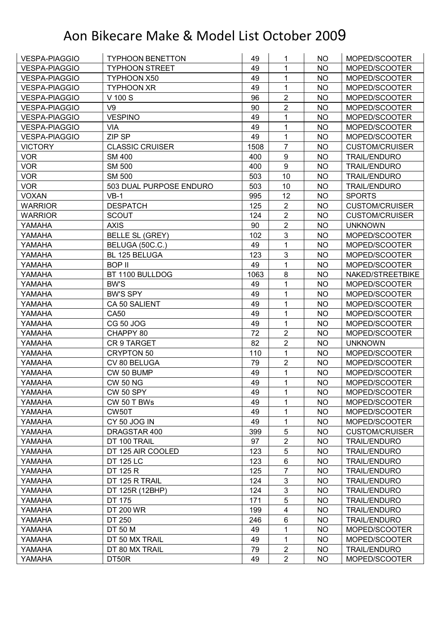| <b>VESPA-PIAGGIO</b> | <b>TYPHOON BENETTON</b> | 49   | 1                | <b>NO</b> | MOPED/SCOOTER         |
|----------------------|-------------------------|------|------------------|-----------|-----------------------|
| <b>VESPA-PIAGGIO</b> | <b>TYPHOON STREET</b>   | 49   | 1                | <b>NO</b> | MOPED/SCOOTER         |
| <b>VESPA-PIAGGIO</b> | TYPHOON X50             | 49   | 1                | <b>NO</b> | MOPED/SCOOTER         |
| <b>VESPA-PIAGGIO</b> | <b>TYPHOON XR</b>       | 49   | $\mathbf{1}$     | <b>NO</b> | MOPED/SCOOTER         |
| <b>VESPA-PIAGGIO</b> | V 100 S                 | 96   | $\overline{2}$   | <b>NO</b> | MOPED/SCOOTER         |
| <b>VESPA-PIAGGIO</b> | V9                      | 90   | $\overline{2}$   | NO        | MOPED/SCOOTER         |
| <b>VESPA-PIAGGIO</b> | <b>VESPINO</b>          | 49   | 1                | <b>NO</b> | MOPED/SCOOTER         |
| <b>VESPA-PIAGGIO</b> | <b>VIA</b>              | 49   | $\mathbf{1}$     | <b>NO</b> | MOPED/SCOOTER         |
| <b>VESPA-PIAGGIO</b> | ZIP SP                  | 49   | $\mathbf{1}$     | <b>NO</b> | MOPED/SCOOTER         |
| <b>VICTORY</b>       | <b>CLASSIC CRUISER</b>  | 1508 | $\overline{7}$   | <b>NO</b> | <b>CUSTOM/CRUISER</b> |
| <b>VOR</b>           | <b>SM 400</b>           | 400  | $\boldsymbol{9}$ | <b>NO</b> | <b>TRAIL/ENDURO</b>   |
| <b>VOR</b>           | <b>SM 500</b>           | 400  | $\boldsymbol{9}$ | <b>NO</b> | <b>TRAIL/ENDURO</b>   |
| <b>VOR</b>           | <b>SM 500</b>           | 503  | 10               | <b>NO</b> | <b>TRAIL/ENDURO</b>   |
| <b>VOR</b>           | 503 DUAL PURPOSE ENDURO | 503  | 10               | <b>NO</b> | <b>TRAIL/ENDURO</b>   |
| <b>VOXAN</b>         | $VB-1$                  | 995  | 12               | <b>NO</b> | <b>SPORTS</b>         |
| <b>WARRIOR</b>       | <b>DESPATCH</b>         | 125  | $\overline{2}$   | <b>NO</b> | <b>CUSTOM/CRUISER</b> |
| <b>WARRIOR</b>       | <b>SCOUT</b>            | 124  | $\overline{2}$   | <b>NO</b> | <b>CUSTOM/CRUISER</b> |
| YAMAHA               | <b>AXIS</b>             | 90   | $\overline{2}$   | <b>NO</b> | <b>UNKNOWN</b>        |
| YAMAHA               | <b>BELLE SL (GREY)</b>  | 102  | 3                | <b>NO</b> | MOPED/SCOOTER         |
| YAMAHA               | BELUGA (50C.C.)         | 49   | $\mathbf{1}$     | <b>NO</b> | MOPED/SCOOTER         |
| YAMAHA               | BL 125 BELUGA           | 123  | 3                | <b>NO</b> | MOPED/SCOOTER         |
| YAMAHA               | <b>BOP II</b>           | 49   | 1                | <b>NO</b> | MOPED/SCOOTER         |
| YAMAHA               | BT 1100 BULLDOG         | 1063 | 8                | <b>NO</b> | NAKED/STREETBIKE      |
| YAMAHA               | <b>BW'S</b>             | 49   | 1                | <b>NO</b> | MOPED/SCOOTER         |
| YAMAHA               | <b>BW'S SPY</b>         | 49   | 1                | NO        | MOPED/SCOOTER         |
| YAMAHA               | CA 50 SALIENT           | 49   | 1                | <b>NO</b> | MOPED/SCOOTER         |
| YAMAHA               | <b>CA50</b>             | 49   | $\mathbf{1}$     | <b>NO</b> | MOPED/SCOOTER         |
| YAMAHA               | <b>CG 50 JOG</b>        | 49   | 1                | <b>NO</b> | MOPED/SCOOTER         |
| YAMAHA               | CHAPPY 80               | 72   | $\overline{2}$   | <b>NO</b> | MOPED/SCOOTER         |
| YAMAHA               | CR 9 TARGET             | 82   | $\overline{2}$   | <b>NO</b> | <b>UNKNOWN</b>        |
| YAMAHA               | <b>CRYPTON 50</b>       | 110  | $\mathbf{1}$     | <b>NO</b> | MOPED/SCOOTER         |
| YAMAHA               | CV 80 BELUGA            | 79   | $\overline{2}$   | <b>NO</b> | MOPED/SCOOTER         |
| YAMAHA               | CW 50 BUMP              | 49   | 1                | <b>NO</b> | MOPED/SCOOTER         |
| YAMAHA               | <b>CW 50 NG</b>         | 49   | 1                | <b>NO</b> | MOPED/SCOOTER         |
| YAMAHA               | <b>CW 50 SPY</b>        | 49   | 1                | NO.       | MOPED/SCOOTER         |
| YAMAHA               | CW 50 T BWs             | 49   | 1                | <b>NO</b> | MOPED/SCOOTER         |
| YAMAHA               | CW50T                   | 49   | 1                | <b>NO</b> | MOPED/SCOOTER         |
| YAMAHA               | CY 50 JOG IN            | 49   | 1                | <b>NO</b> | MOPED/SCOOTER         |
| YAMAHA               | DRAGSTAR 400            | 399  | 5                | <b>NO</b> | <b>CUSTOM/CRUISER</b> |
| YAMAHA               | DT 100 TRAIL            | 97   | $\mathbf 2$      | <b>NO</b> | <b>TRAIL/ENDURO</b>   |
| YAMAHA               | DT 125 AIR COOLED       | 123  | 5                | <b>NO</b> | <b>TRAIL/ENDURO</b>   |
| YAMAHA               | <b>DT 125 LC</b>        | 123  | $\,6\,$          | <b>NO</b> | <b>TRAIL/ENDURO</b>   |
| YAMAHA               | DT 125 R                | 125  | $\overline{7}$   | <b>NO</b> | <b>TRAIL/ENDURO</b>   |
| YAMAHA               | DT 125 R TRAIL          | 124  | 3                | <b>NO</b> | <b>TRAIL/ENDURO</b>   |
| YAMAHA               | DT 125R (12BHP)         | 124  | $\mathbf{3}$     | <b>NO</b> | <b>TRAIL/ENDURO</b>   |
| YAMAHA               | DT 175                  | 171  | 5                | <b>NO</b> | <b>TRAIL/ENDURO</b>   |
| YAMAHA               | DT 200 WR               | 199  | 4                | <b>NO</b> | <b>TRAIL/ENDURO</b>   |
| YAMAHA               | DT 250                  | 246  | $\,6\,$          | <b>NO</b> | <b>TRAIL/ENDURO</b>   |
| YAMAHA               | DT 50 M                 | 49   | 1                | <b>NO</b> | MOPED/SCOOTER         |
| YAMAHA               | DT 50 MX TRAIL          | 49   | $\mathbf 1$      | <b>NO</b> | MOPED/SCOOTER         |
| YAMAHA               | DT 80 MX TRAIL          | 79   | $\overline{2}$   | <b>NO</b> | <b>TRAIL/ENDURO</b>   |
| YAMAHA               | DT50R                   | 49   | $\overline{2}$   | <b>NO</b> | MOPED/SCOOTER         |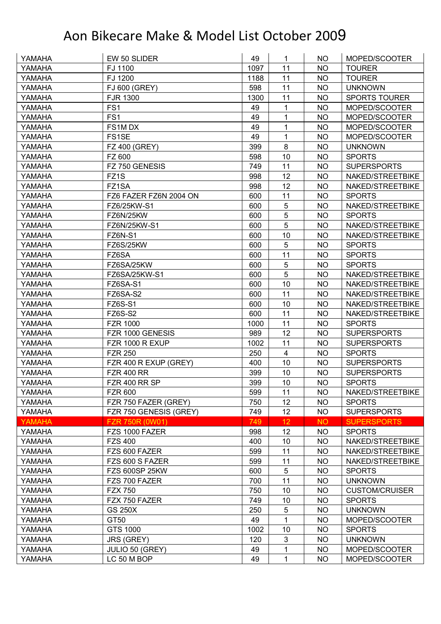| EW 50 SLIDER<br>49<br>YAMAHA<br>NO.<br>1                                                 | MOPED/SCOOTER         |
|------------------------------------------------------------------------------------------|-----------------------|
| FJ 1100<br>1097<br>YAMAHA<br>11<br><b>NO</b><br><b>TOURER</b>                            |                       |
| FJ 1200<br>11<br>YAMAHA<br>1188<br><b>NO</b><br><b>TOURER</b>                            |                       |
| 11<br>YAMAHA<br>FJ 600 (GREY)<br>598<br><b>NO</b><br><b>UNKNOWN</b>                      |                       |
| 11<br>YAMAHA<br><b>FJR 1300</b><br>1300<br><b>NO</b><br><b>SPORTS TOURER</b>             |                       |
| FS <sub>1</sub><br>49<br>YAMAHA<br>1<br><b>NO</b>                                        | MOPED/SCOOTER         |
| 49<br>1<br>YAMAHA<br>FS <sub>1</sub><br><b>NO</b>                                        | MOPED/SCOOTER         |
| FS1M DX<br>49<br>1<br><b>NO</b><br>YAMAHA                                                | MOPED/SCOOTER         |
| 1<br>FS1SE<br>49<br><b>NO</b><br>YAMAHA                                                  | MOPED/SCOOTER         |
| 8<br>399<br><b>NO</b><br>YAMAHA<br>FZ 400 (GREY)<br><b>UNKNOWN</b>                       |                       |
| FZ 600<br>YAMAHA<br>598<br>10<br><b>NO</b><br><b>SPORTS</b>                              |                       |
| FZ 750 GENESIS<br>749<br>11<br><b>SUPERSPORTS</b><br>YAMAHA<br><b>NO</b>                 |                       |
| FZ <sub>1</sub> S<br>12<br>998<br><b>NO</b><br>YAMAHA                                    | NAKED/STREETBIKE      |
| 12<br>YAMAHA<br>FZ1SA<br>998<br><b>NO</b>                                                | NAKED/STREETBIKE      |
| 600<br>11<br><b>NO</b><br>YAMAHA<br>FZ6 FAZER FZ6N 2004 ON<br><b>SPORTS</b>              |                       |
| 5<br>YAMAHA<br>FZ6/25KW-S1<br>600<br><b>NO</b>                                           | NAKED/STREETBIKE      |
| 5<br>FZ6N/25KW<br>600<br><b>NO</b><br>YAMAHA<br><b>SPORTS</b>                            |                       |
| 5<br>600<br><b>NO</b><br>YAMAHA<br>FZ6N/25KW-S1                                          | NAKED/STREETBIKE      |
| 10<br>600<br><b>NO</b><br>YAMAHA<br>FZ6N-S1                                              | NAKED/STREETBIKE      |
| <b>FZ6S/25KW</b><br>600<br>5<br>YAMAHA<br>NO<br><b>SPORTS</b>                            |                       |
| 11<br>YAMAHA<br>FZ6SA<br>600<br><b>NO</b><br><b>SPORTS</b>                               |                       |
| 5<br>FZ6SA/25KW<br>YAMAHA<br>600<br><b>NO</b><br><b>SPORTS</b>                           |                       |
| 5<br>FZ6SA/25KW-S1<br>600<br><b>NO</b><br>YAMAHA                                         | NAKED/STREETBIKE      |
| 10<br>600<br>YAMAHA<br>FZ6SA-S1<br><b>NO</b>                                             | NAKED/STREETBIKE      |
| 11<br>600<br>YAMAHA<br>FZ6SA-S2<br><b>NO</b>                                             | NAKED/STREETBIKE      |
| <b>FZ6S-S1</b><br>600<br>10<br><b>NO</b><br>YAMAHA                                       | NAKED/STREETBIKE      |
| <b>FZ6S-S2</b><br>11<br>YAMAHA<br>600<br><b>NO</b>                                       | NAKED/STREETBIKE      |
| 11<br><b>NO</b><br>YAMAHA<br><b>FZR 1000</b><br>1000<br><b>SPORTS</b>                    |                       |
| 12<br>YAMAHA<br>FZR 1000 GENESIS<br>989<br><b>NO</b><br><b>SUPERSPORTS</b>               |                       |
| FZR 1000 R EXUP<br>1002<br>11<br><b>SUPERSPORTS</b><br>YAMAHA<br>NO                      |                       |
| <b>FZR 250</b><br>250<br>$\overline{\mathbf{4}}$<br>YAMAHA<br><b>NO</b><br><b>SPORTS</b> |                       |
| 400<br>10<br><b>SUPERSPORTS</b><br>YAMAHA<br>FZR 400 R EXUP (GREY)<br>NO.                |                       |
| 399<br>10<br>YAMAHA<br><b>FZR 400 RR</b><br><b>NO</b><br><b>SUPERSPORTS</b>              |                       |
| 399<br>10<br><b>NO</b><br>FZR 400 RR SP<br><b>SPORTS</b><br>YAMAHA                       |                       |
| YAMAHA<br><b>FZR 600</b><br>599<br>11<br><b>NO</b>                                       | NAKED/STREETBIKE      |
| FZR 750 FAZER (GREY)<br>750<br>12<br>YAMAHA<br><b>NO</b><br><b>SPORTS</b>                |                       |
| 12<br>YAMAHA<br>FZR 750 GENESIS (GREY)<br>749<br><b>NO</b><br><b>SUPERSPORTS</b>         |                       |
| <b>YAMAHA</b><br>12<br><b>SUPERSPORTS</b><br>FZR 750R (0W01)<br>749<br><b>NO</b>         |                       |
| FZS 1000 FAZER<br>12<br><b>SPORTS</b><br>YAMAHA<br>998<br><b>NO</b>                      |                       |
| 10<br><b>FZS 400</b><br>400<br><b>NO</b><br>YAMAHA                                       | NAKED/STREETBIKE      |
| 599<br>11<br>FZS 600 FAZER<br><b>NO</b><br>YAMAHA                                        | NAKED/STREETBIKE      |
| 599<br>11<br><b>NO</b><br>YAMAHA<br>FZS 600 S FAZER                                      | NAKED/STREETBIKE      |
| 5<br>YAMAHA<br><b>FZS 600SP 25KW</b><br>600<br><b>NO</b><br><b>SPORTS</b>                |                       |
| 700<br>11<br>YAMAHA<br>FZS 700 FAZER<br><b>NO</b><br><b>UNKNOWN</b>                      |                       |
| 10<br>YAMAHA<br><b>FZX 750</b><br>750<br><b>NO</b>                                       | <b>CUSTOM/CRUISER</b> |
| FZX 750 FAZER<br>749<br>10<br><b>NO</b><br>YAMAHA<br><b>SPORTS</b>                       |                       |
| 5<br><b>GS 250X</b><br>250<br><b>NO</b><br>YAMAHA<br><b>UNKNOWN</b>                      |                       |
| 49<br>YAMAHA<br>GT50<br>1<br><b>NO</b>                                                   | MOPED/SCOOTER         |
| 1002<br>10<br>YAMAHA<br>GTS 1000<br><b>NO</b><br><b>SPORTS</b>                           |                       |
| 3<br>120<br><b>NO</b><br><b>UNKNOWN</b><br>YAMAHA<br><b>JRS (GREY)</b>                   |                       |
| JULIO 50 (GREY)<br>49<br>1<br><b>NO</b><br>YAMAHA                                        | MOPED/SCOOTER         |
| 1<br>YAMAHA<br>LC 50 M BOP<br>49<br><b>NO</b>                                            | MOPED/SCOOTER         |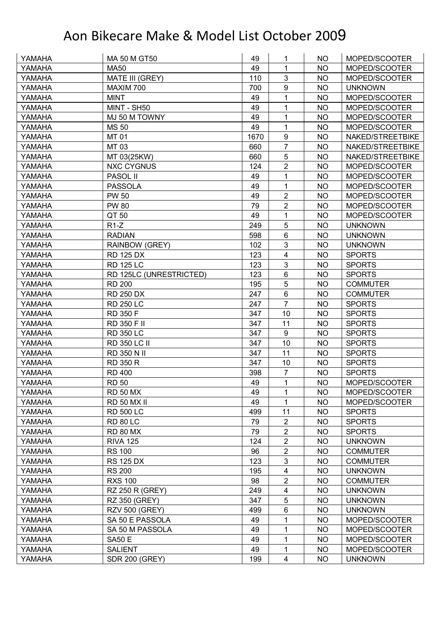| YAMAHA | MA 50 M GT50            | 49   | 1                       | <b>NO</b> | MOPED/SCOOTER    |
|--------|-------------------------|------|-------------------------|-----------|------------------|
| YAMAHA | <b>MA50</b>             | 49   | 1                       | <b>NO</b> | MOPED/SCOOTER    |
| YAMAHA | MATE III (GREY)         | 110  | 3                       | <b>NO</b> | MOPED/SCOOTER    |
| YAMAHA | MAXIM 700               | 700  | 9                       | <b>NO</b> | <b>UNKNOWN</b>   |
| YAMAHA | <b>MINT</b>             | 49   | 1                       | <b>NO</b> | MOPED/SCOOTER    |
| YAMAHA | MINT - SH50             | 49   | 1                       | NO        | MOPED/SCOOTER    |
| YAMAHA | MJ 50 M TOWNY           | 49   | 1                       | <b>NO</b> | MOPED/SCOOTER    |
| YAMAHA | <b>MS 50</b>            | 49   | 1                       | <b>NO</b> | MOPED/SCOOTER    |
| YAMAHA | MT 01                   | 1670 | 9                       | <b>NO</b> | NAKED/STREETBIKE |
| YAMAHA | MT 03                   | 660  | $\overline{7}$          | <b>NO</b> | NAKED/STREETBIKE |
| YAMAHA | MT 03(25KW)             | 660  | 5                       | <b>NO</b> | NAKED/STREETBIKE |
| YAMAHA | <b>NXC CYGNUS</b>       | 124  | $\overline{2}$          | <b>NO</b> | MOPED/SCOOTER    |
| YAMAHA | PASOL II                | 49   | 1                       | <b>NO</b> | MOPED/SCOOTER    |
| YAMAHA | <b>PASSOLA</b>          | 49   | 1                       | <b>NO</b> | MOPED/SCOOTER    |
| YAMAHA | <b>PW 50</b>            | 49   | $\overline{2}$          | <b>NO</b> | MOPED/SCOOTER    |
| YAMAHA | <b>PW 80</b>            | 79   | $\overline{2}$          | <b>NO</b> | MOPED/SCOOTER    |
| YAMAHA | QT 50                   | 49   | 1                       | <b>NO</b> | MOPED/SCOOTER    |
| YAMAHA | $R1-Z$                  | 249  | 5                       | <b>NO</b> | <b>UNKNOWN</b>   |
| YAMAHA | <b>RADIAN</b>           | 598  | 6                       | <b>NO</b> | <b>UNKNOWN</b>   |
| YAMAHA | RAINBOW (GREY)          | 102  | $\mathfrak{S}$          | <b>NO</b> | <b>UNKNOWN</b>   |
| YAMAHA | <b>RD 125 DX</b>        | 123  | 4                       | <b>NO</b> | <b>SPORTS</b>    |
| YAMAHA | <b>RD 125 LC</b>        | 123  | $\mathbf{3}$            | <b>NO</b> | <b>SPORTS</b>    |
| YAMAHA | RD 125LC (UNRESTRICTED) | 123  | 6                       | <b>NO</b> | <b>SPORTS</b>    |
| YAMAHA | <b>RD 200</b>           | 195  | 5                       | <b>NO</b> | <b>COMMUTER</b>  |
| YAMAHA | <b>RD 250 DX</b>        | 247  | $\,6\,$                 | <b>NO</b> | <b>COMMUTER</b>  |
| YAMAHA | <b>RD 250 LC</b>        | 247  | $\overline{7}$          | <b>NO</b> | <b>SPORTS</b>    |
| YAMAHA | RD 350 F                | 347  | 10                      | <b>NO</b> | <b>SPORTS</b>    |
| YAMAHA | RD 350 F II             | 347  | 11                      | <b>NO</b> | <b>SPORTS</b>    |
| YAMAHA | <b>RD 350 LC</b>        | 347  | 9                       | <b>NO</b> | <b>SPORTS</b>    |
| YAMAHA | <b>RD 350 LC II</b>     | 347  | 10                      | <b>NO</b> | <b>SPORTS</b>    |
| YAMAHA | RD 350 N II             | 347  | 11                      | <b>NO</b> | <b>SPORTS</b>    |
| YAMAHA | <b>RD 350 R</b>         | 347  | 10                      | <b>NO</b> | <b>SPORTS</b>    |
| YAMAHA | <b>RD 400</b>           | 398  | $\overline{7}$          | <b>NO</b> | <b>SPORTS</b>    |
| YAMAHA | <b>RD 50</b>            | 49   | 1                       | <b>NO</b> | MOPED/SCOOTER    |
| YAMAHA | <b>RD 50 MX</b>         | 49   | 1                       | NO.       | MOPED/SCOOTER    |
| YAMAHA | <b>RD 50 MX II</b>      | 49   | 1                       | <b>NO</b> | MOPED/SCOOTER    |
| YAMAHA | <b>RD 500 LC</b>        | 499  | 11                      | NO.       | <b>SPORTS</b>    |
| YAMAHA | <b>RD 80 LC</b>         | 79   | $\boldsymbol{2}$        | <b>NO</b> | <b>SPORTS</b>    |
| YAMAHA | <b>RD 80 MX</b>         | 79   | $\boldsymbol{2}$        | <b>NO</b> | <b>SPORTS</b>    |
| YAMAHA | <b>RIVA 125</b>         | 124  | $\boldsymbol{2}$        | <b>NO</b> | <b>UNKNOWN</b>   |
| YAMAHA | <b>RS 100</b>           | 96   | $\overline{2}$          | <b>NO</b> | <b>COMMUTER</b>  |
| YAMAHA | <b>RS 125 DX</b>        | 123  | $\mathfrak{S}$          | <b>NO</b> | <b>COMMUTER</b>  |
| YAMAHA | <b>RS 200</b>           | 195  | $\overline{\mathbf{4}}$ | <b>NO</b> | <b>UNKNOWN</b>   |
| YAMAHA | <b>RXS 100</b>          | 98   | $\overline{2}$          | <b>NO</b> | <b>COMMUTER</b>  |
| YAMAHA | <b>RZ 250 R (GREY)</b>  | 249  | $\overline{\mathbf{4}}$ | <b>NO</b> | <b>UNKNOWN</b>   |
| YAMAHA | RZ 350 (GREY)           | 347  | 5                       | <b>NO</b> | <b>UNKNOWN</b>   |
| YAMAHA | <b>RZV 500 (GREY)</b>   | 499  | 6                       | NO        | <b>UNKNOWN</b>   |
| YAMAHA | SA 50 E PASSOLA         | 49   | 1                       | <b>NO</b> | MOPED/SCOOTER    |
| YAMAHA | SA 50 M PASSOLA         | 49   | 1                       | <b>NO</b> | MOPED/SCOOTER    |
| YAMAHA | <b>SA50 E</b>           | 49   | 1                       | <b>NO</b> | MOPED/SCOOTER    |
| YAMAHA | <b>SALIENT</b>          | 49   | 1                       | <b>NO</b> | MOPED/SCOOTER    |
| YAMAHA | <b>SDR 200 (GREY)</b>   | 199  | $\overline{\mathbf{4}}$ | NO        | <b>UNKNOWN</b>   |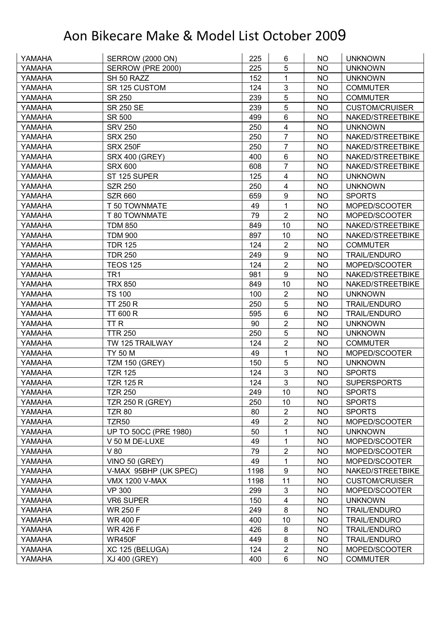| YAMAHA | <b>SERROW (2000 ON)</b>      | 225  | 6                       | NO.       | <b>UNKNOWN</b>        |
|--------|------------------------------|------|-------------------------|-----------|-----------------------|
| YAMAHA | SERROW (PRE 2000)            | 225  | 5                       | <b>NO</b> | <b>UNKNOWN</b>        |
| YAMAHA | SH 50 RAZZ                   | 152  | 1                       | <b>NO</b> | <b>UNKNOWN</b>        |
| YAMAHA | SR 125 CUSTOM                | 124  | 3                       | <b>NO</b> | <b>COMMUTER</b>       |
| YAMAHA | SR 250                       | 239  | 5                       | <b>NO</b> | <b>COMMUTER</b>       |
| YAMAHA | <b>SR 250 SE</b>             | 239  | 5                       | <b>NO</b> | <b>CUSTOM/CRUISER</b> |
| YAMAHA | <b>SR 500</b>                | 499  | 6                       | <b>NO</b> | NAKED/STREETBIKE      |
| YAMAHA | <b>SRV 250</b>               | 250  | 4                       | <b>NO</b> | <b>UNKNOWN</b>        |
| YAMAHA | <b>SRX 250</b>               | 250  | $\overline{7}$          | <b>NO</b> | NAKED/STREETBIKE      |
| YAMAHA | <b>SRX 250F</b>              | 250  | $\overline{7}$          | <b>NO</b> | NAKED/STREETBIKE      |
| YAMAHA | <b>SRX 400 (GREY)</b>        | 400  | 6                       | <b>NO</b> | NAKED/STREETBIKE      |
| YAMAHA | <b>SRX 600</b>               | 608  | $\overline{7}$          | <b>NO</b> | NAKED/STREETBIKE      |
| YAMAHA | ST 125 SUPER                 | 125  | $\overline{\mathbf{4}}$ | <b>NO</b> | <b>UNKNOWN</b>        |
| YAMAHA | <b>SZR 250</b>               | 250  | $\overline{\mathbf{4}}$ | <b>NO</b> | <b>UNKNOWN</b>        |
| YAMAHA | <b>SZR 660</b>               | 659  | 9                       | <b>NO</b> | <b>SPORTS</b>         |
| YAMAHA | T 50 TOWNMATE                | 49   | 1                       | <b>NO</b> | MOPED/SCOOTER         |
| YAMAHA | T 80 TOWNMATE                | 79   | $\overline{2}$          | <b>NO</b> | MOPED/SCOOTER         |
| YAMAHA | <b>TDM 850</b>               | 849  | 10                      | <b>NO</b> | NAKED/STREETBIKE      |
| YAMAHA | <b>TDM 900</b>               | 897  | 10                      | <b>NO</b> | NAKED/STREETBIKE      |
| YAMAHA | <b>TDR 125</b>               | 124  | $\overline{2}$          | <b>NO</b> | <b>COMMUTER</b>       |
| YAMAHA | <b>TDR 250</b>               | 249  | 9                       | <b>NO</b> | TRAIL/ENDURO          |
| YAMAHA | <b>TEOS 125</b>              | 124  | $\overline{2}$          | <b>NO</b> | MOPED/SCOOTER         |
| YAMAHA | TR <sub>1</sub>              | 981  | 9                       | <b>NO</b> | NAKED/STREETBIKE      |
| YAMAHA | <b>TRX 850</b>               | 849  | 10                      | <b>NO</b> | NAKED/STREETBIKE      |
| YAMAHA | <b>TS 100</b>                | 100  | $\overline{2}$          | NO        | <b>UNKNOWN</b>        |
| YAMAHA | <b>TT 250 R</b>              | 250  | 5                       | <b>NO</b> | <b>TRAIL/ENDURO</b>   |
| YAMAHA | <b>TT 600 R</b>              | 595  | 6                       | <b>NO</b> | <b>TRAIL/ENDURO</b>   |
| YAMAHA | TT <sub>R</sub>              | 90   | $\overline{2}$          | <b>NO</b> | <b>UNKNOWN</b>        |
| YAMAHA | <b>TTR 250</b>               | 250  | 5                       | <b>NO</b> | <b>UNKNOWN</b>        |
| YAMAHA | TW 125 TRAILWAY              | 124  | $\overline{2}$          | <b>NO</b> | <b>COMMUTER</b>       |
| YAMAHA | TY 50 M                      | 49   | 1                       | <b>NO</b> | MOPED/SCOOTER         |
| YAMAHA | <b>TZM 150 (GREY)</b>        | 150  | 5                       | <b>NO</b> | <b>UNKNOWN</b>        |
| YAMAHA | <b>TZR 125</b>               | 124  | 3                       | <b>NO</b> | <b>SPORTS</b>         |
| YAMAHA | <b>TZR 125 R</b>             | 124  | $\overline{3}$          | <b>NO</b> | <b>SUPERSPORTS</b>    |
| YAMAHA | <b>TZR 250</b>               | 249  | 10                      | NO        | <b>SPORTS</b>         |
| YAMAHA | <b>TZR 250 R (GREY)</b>      | 250  | 10                      | <b>NO</b> | <b>SPORTS</b>         |
| YAMAHA | <b>TZR 80</b>                | 80   | $\overline{2}$          | NO.       | <b>SPORTS</b>         |
| YAMAHA | TZR <sub>50</sub>            | 49   | $\sqrt{2}$              | <b>NO</b> | MOPED/SCOOTER         |
| YAMAHA | <b>UP TO 50CC (PRE 1980)</b> | 50   | 1                       | <b>NO</b> | <b>UNKNOWN</b>        |
| YAMAHA | V 50 M DE-LUXE               | 49   | 1                       | <b>NO</b> | MOPED/SCOOTER         |
| YAMAHA | V80                          | 79   | 2                       | <b>NO</b> | MOPED/SCOOTER         |
| YAMAHA | VINO 50 (GREY)               | 49   | 1                       | <b>NO</b> | MOPED/SCOOTER         |
| YAMAHA | V-MAX 95BHP (UK SPEC)        | 1198 | $\boldsymbol{9}$        | <b>NO</b> | NAKED/STREETBIKE      |
| YAMAHA | <b>VMX 1200 V-MAX</b>        | 1198 | 11                      | <b>NO</b> | <b>CUSTOM/CRUISER</b> |
| YAMAHA | <b>VP 300</b>                | 299  | 3                       | <b>NO</b> | MOPED/SCOOTER         |
| YAMAHA | <b>VR6 SUPER</b>             | 150  | $\overline{4}$          | <b>NO</b> | <b>UNKNOWN</b>        |
| YAMAHA | <b>WR 250 F</b>              | 249  | $\,8\,$                 | <b>NO</b> | <b>TRAIL/ENDURO</b>   |
| YAMAHA | <b>WR 400 F</b>              | 400  | 10                      | <b>NO</b> | <b>TRAIL/ENDURO</b>   |
| YAMAHA | <b>WR 426 F</b>              | 426  | 8                       | <b>NO</b> | <b>TRAIL/ENDURO</b>   |
| YAMAHA | <b>WR450F</b>                | 449  | $\bf 8$                 | <b>NO</b> | <b>TRAIL/ENDURO</b>   |
| YAMAHA | XC 125 (BELUGA)              | 124  | $\overline{2}$          | NO        | MOPED/SCOOTER         |
| YAMAHA | <b>XJ 400 (GREY)</b>         | 400  | 6                       | <b>NO</b> | <b>COMMUTER</b>       |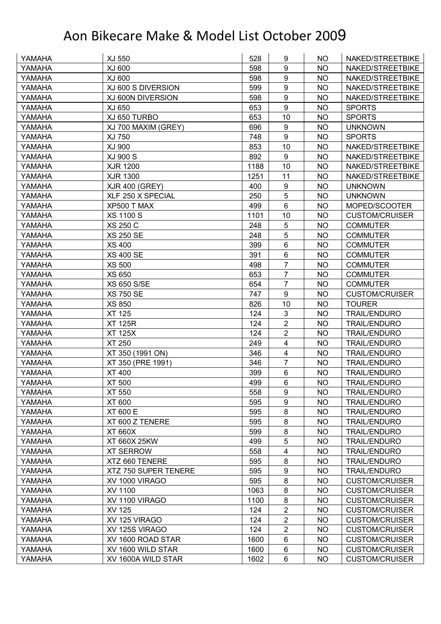| YAMAHA | XJ 550                | 528  | 9                       | NO.       | NAKED/STREETBIKE      |
|--------|-----------------------|------|-------------------------|-----------|-----------------------|
| YAMAHA | XJ 600                | 598  | 9                       | <b>NO</b> | NAKED/STREETBIKE      |
| YAMAHA | XJ 600                | 598  | 9                       | <b>NO</b> | NAKED/STREETBIKE      |
| YAMAHA | XJ 600 S DIVERSION    | 599  | 9                       | <b>NO</b> | NAKED/STREETBIKE      |
| YAMAHA | XJ 600N DIVERSION     | 598  | $\boldsymbol{9}$        | <b>NO</b> | NAKED/STREETBIKE      |
| YAMAHA | XJ 650                | 653  | 9                       | <b>NO</b> | <b>SPORTS</b>         |
| YAMAHA | XJ 650 TURBO          | 653  | 10                      | <b>NO</b> | <b>SPORTS</b>         |
| YAMAHA | XJ 700 MAXIM (GREY)   | 696  | 9                       | <b>NO</b> | <b>UNKNOWN</b>        |
| YAMAHA | XJ 750                | 748  | 9                       | <b>NO</b> | <b>SPORTS</b>         |
| YAMAHA | <b>XJ 900</b>         | 853  | 10                      | <b>NO</b> | NAKED/STREETBIKE      |
| YAMAHA | <b>XJ 900 S</b>       | 892  | 9                       | <b>NO</b> | NAKED/STREETBIKE      |
| YAMAHA | <b>XJR 1200</b>       | 1188 | 10                      | <b>NO</b> | NAKED/STREETBIKE      |
| YAMAHA | <b>XJR 1300</b>       | 1251 | 11                      | <b>NO</b> | NAKED/STREETBIKE      |
| YAMAHA | <b>XJR 400 (GREY)</b> | 400  | $\boldsymbol{9}$        | <b>NO</b> | <b>UNKNOWN</b>        |
| YAMAHA | XLF 250 X SPECIAL     | 250  | $\overline{5}$          | <b>NO</b> | <b>UNKNOWN</b>        |
| YAMAHA | XP500 T MAX           | 499  | 6                       | <b>NO</b> | MOPED/SCOOTER         |
| YAMAHA | <b>XS 1100 S</b>      | 1101 | 10                      | <b>NO</b> | <b>CUSTOM/CRUISER</b> |
| YAMAHA | <b>XS 250 C</b>       | 248  | 5                       | <b>NO</b> | <b>COMMUTER</b>       |
| YAMAHA | <b>XS 250 SE</b>      | 248  | 5                       | <b>NO</b> | <b>COMMUTER</b>       |
| YAMAHA | <b>XS 400</b>         | 399  | 6                       | <b>NO</b> | <b>COMMUTER</b>       |
| YAMAHA | <b>XS 400 SE</b>      | 391  | 6                       | <b>NO</b> | <b>COMMUTER</b>       |
| YAMAHA | <b>XS 500</b>         | 498  | $\overline{7}$          | <b>NO</b> | <b>COMMUTER</b>       |
| YAMAHA | <b>XS 650</b>         | 653  | $\overline{7}$          | <b>NO</b> | <b>COMMUTER</b>       |
| YAMAHA | <b>XS 650 S/SE</b>    | 654  | $\overline{7}$          | <b>NO</b> | <b>COMMUTER</b>       |
| YAMAHA | <b>XS 750 SE</b>      | 747  | 9                       | NO        | <b>CUSTOM/CRUISER</b> |
| YAMAHA | <b>XS 850</b>         | 826  | 10                      | <b>NO</b> | <b>TOURER</b>         |
| YAMAHA | <b>XT 125</b>         | 124  | $\mathbf{3}$            | <b>NO</b> | <b>TRAIL/ENDURO</b>   |
| YAMAHA | <b>XT 125R</b>        | 124  | $\overline{2}$          | <b>NO</b> | <b>TRAIL/ENDURO</b>   |
| YAMAHA | <b>XT 125X</b>        | 124  | $\overline{2}$          | <b>NO</b> | TRAIL/ENDURO          |
| YAMAHA | <b>XT 250</b>         | 249  | $\overline{\mathbf{4}}$ | <b>NO</b> | <b>TRAIL/ENDURO</b>   |
| YAMAHA | XT 350 (1991 ON)      | 346  | $\overline{\mathbf{4}}$ | <b>NO</b> | <b>TRAIL/ENDURO</b>   |
| YAMAHA | XT 350 (PRE 1991)     | 346  | $\overline{7}$          | <b>NO</b> | <b>TRAIL/ENDURO</b>   |
| YAMAHA | <b>XT 400</b>         | 399  | 6                       | <b>NO</b> | <b>TRAIL/ENDURO</b>   |
| YAMAHA | <b>XT 500</b>         | 499  | 6                       | <b>NO</b> | <b>TRAIL/ENDURO</b>   |
| YAMAHA | <b>XT 550</b>         | 558  | 9                       | NO        | <b>TRAIL/ENDURO</b>   |
| YAMAHA | XT 600                | 595  | 9                       | NO.       | <b>TRAIL/ENDURO</b>   |
| YAMAHA | <b>XT 600 E</b>       | 595  | 8                       | <b>NO</b> | <b>TRAIL/ENDURO</b>   |
| YAMAHA | XT 600 Z TENERE       | 595  | $\bf 8$                 | <b>NO</b> | <b>TRAIL/ENDURO</b>   |
| YAMAHA | XT 660X               | 599  | $\bf 8$                 | <b>NO</b> | <b>TRAIL/ENDURO</b>   |
| YAMAHA | XT 660X 25KW          | 499  | 5                       | NO.       | <b>TRAIL/ENDURO</b>   |
| YAMAHA | <b>XT SERROW</b>      | 558  | 4                       | NO.       | <b>TRAIL/ENDURO</b>   |
| YAMAHA | XTZ 660 TENERE        | 595  | 8                       | <b>NO</b> | <b>TRAIL/ENDURO</b>   |
| YAMAHA | XTZ 750 SUPER TENERE  | 595  | $\boldsymbol{9}$        | <b>NO</b> | <b>TRAIL/ENDURO</b>   |
| YAMAHA | XV 1000 VIRAGO        | 595  | $\bf 8$                 | <b>NO</b> | <b>CUSTOM/CRUISER</b> |
| YAMAHA | XV 1100               | 1063 | 8                       | NO        | <b>CUSTOM/CRUISER</b> |
| YAMAHA | XV 1100 VIRAGO        | 1100 | 8                       | NO.       | <b>CUSTOM/CRUISER</b> |
| YAMAHA | XV 125                | 124  | $\overline{2}$          | NO        | <b>CUSTOM/CRUISER</b> |
| YAMAHA | XV 125 VIRAGO         | 124  | $\boldsymbol{2}$        | <b>NO</b> | <b>CUSTOM/CRUISER</b> |
| YAMAHA | XV 125S VIRAGO        | 124  | $\boldsymbol{2}$        | <b>NO</b> | <b>CUSTOM/CRUISER</b> |
| YAMAHA | XV 1600 ROAD STAR     | 1600 | 6                       | <b>NO</b> | <b>CUSTOM/CRUISER</b> |
| YAMAHA | XV 1600 WILD STAR     | 1600 | 6                       | NO.       | <b>CUSTOM/CRUISER</b> |
| YAMAHA | XV 1600A WILD STAR    | 1602 | 6                       | <b>NO</b> | <b>CUSTOM/CRUISER</b> |
|        |                       |      |                         |           |                       |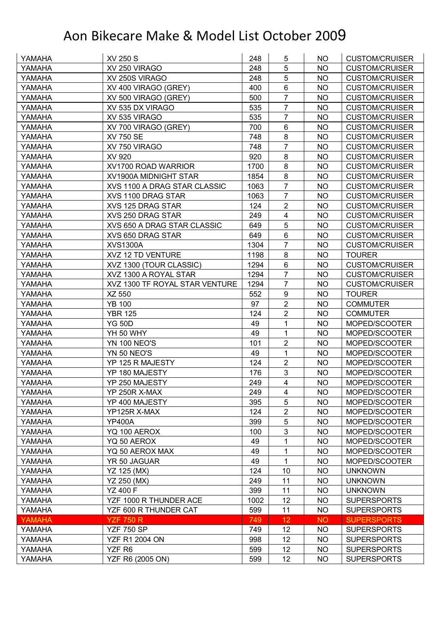| YAMAHA        | <b>XV 250 S</b>                | 248  | 5                | NO.       | <b>CUSTOM/CRUISER</b> |
|---------------|--------------------------------|------|------------------|-----------|-----------------------|
| YAMAHA        | XV 250 VIRAGO                  | 248  | 5                | <b>NO</b> | <b>CUSTOM/CRUISER</b> |
| YAMAHA        | XV 250S VIRAGO                 | 248  | 5                | <b>NO</b> | <b>CUSTOM/CRUISER</b> |
| YAMAHA        | XV 400 VIRAGO (GREY)           | 400  | $6\phantom{1}$   | NO        | <b>CUSTOM/CRUISER</b> |
| YAMAHA        | XV 500 VIRAGO (GREY)           | 500  | $\overline{7}$   | <b>NO</b> | <b>CUSTOM/CRUISER</b> |
| YAMAHA        | XV 535 DX VIRAGO               | 535  | $\overline{7}$   | NO        | <b>CUSTOM/CRUISER</b> |
| YAMAHA        | XV 535 VIRAGO                  | 535  | 7                | <b>NO</b> | <b>CUSTOM/CRUISER</b> |
| YAMAHA        | XV 700 VIRAGO (GREY)           | 700  | 6                | <b>NO</b> | <b>CUSTOM/CRUISER</b> |
| YAMAHA        | <b>XV 750 SE</b>               | 748  | 8                | <b>NO</b> | <b>CUSTOM/CRUISER</b> |
| YAMAHA        | XV 750 VIRAGO                  | 748  | $\overline{7}$   | <b>NO</b> | <b>CUSTOM/CRUISER</b> |
| YAMAHA        | XV 920                         | 920  | 8                | NO        | <b>CUSTOM/CRUISER</b> |
| YAMAHA        | XV1700 ROAD WARRIOR            | 1700 | 8                | <b>NO</b> | <b>CUSTOM/CRUISER</b> |
| YAMAHA        | XV1900A MIDNIGHT STAR          | 1854 | 8                | <b>NO</b> | <b>CUSTOM/CRUISER</b> |
| YAMAHA        | XVS 1100 A DRAG STAR CLASSIC   | 1063 | $\overline{7}$   | <b>NO</b> | <b>CUSTOM/CRUISER</b> |
| YAMAHA        | XVS 1100 DRAG STAR             | 1063 | $\overline{7}$   | <b>NO</b> | <b>CUSTOM/CRUISER</b> |
| YAMAHA        | XVS 125 DRAG STAR              | 124  | $\overline{2}$   | <b>NO</b> | <b>CUSTOM/CRUISER</b> |
| YAMAHA        | XVS 250 DRAG STAR              | 249  | 4                | <b>NO</b> | <b>CUSTOM/CRUISER</b> |
| YAMAHA        | XVS 650 A DRAG STAR CLASSIC    | 649  | 5                | <b>NO</b> | <b>CUSTOM/CRUISER</b> |
| YAMAHA        | XVS 650 DRAG STAR              | 649  | 6                | <b>NO</b> | <b>CUSTOM/CRUISER</b> |
| YAMAHA        | <b>XVS1300A</b>                | 1304 | $\overline{7}$   | <b>NO</b> | <b>CUSTOM/CRUISER</b> |
| YAMAHA        | XVZ 12 TD VENTURE              | 1198 | 8                | NO.       | <b>TOURER</b>         |
| YAMAHA        | XVZ 1300 (TOUR CLASSIC)        | 1294 | 6                | <b>NO</b> | <b>CUSTOM/CRUISER</b> |
| YAMAHA        | XVZ 1300 A ROYAL STAR          | 1294 | 7                | NO        | <b>CUSTOM/CRUISER</b> |
| YAMAHA        | XVZ 1300 TF ROYAL STAR VENTURE | 1294 | $\overline{7}$   | <b>NO</b> | <b>CUSTOM/CRUISER</b> |
| YAMAHA        | XZ 550                         | 552  | $\boldsymbol{9}$ | NO        | <b>TOURER</b>         |
| YAMAHA        | <b>YB 100</b>                  | 97   | $\overline{2}$   | <b>NO</b> | <b>COMMUTER</b>       |
| YAMAHA        | <b>YBR 125</b>                 | 124  | $\overline{2}$   | <b>NO</b> | <b>COMMUTER</b>       |
| YAMAHA        | <b>YG 50D</b>                  | 49   | 1                | NO.       | MOPED/SCOOTER         |
| YAMAHA        | YH 50 WHY                      | 49   | 1                | <b>NO</b> | MOPED/SCOOTER         |
| YAMAHA        | <b>YN 100 NEO'S</b>            | 101  | $\overline{2}$   | NO        | MOPED/SCOOTER         |
| YAMAHA        | YN 50 NEO'S                    | 49   | 1                | <b>NO</b> | MOPED/SCOOTER         |
| YAMAHA        | YP 125 R MAJESTY               | 124  | $\overline{2}$   | <b>NO</b> | MOPED/SCOOTER         |
| YAMAHA        | YP 180 MAJESTY                 | 176  | 3                | <b>NO</b> | MOPED/SCOOTER         |
| YAMAHA        | YP 250 MAJESTY                 | 249  | $\overline{4}$   | <b>NO</b> | MOPED/SCOOTER         |
| YAMAHA        | YP 250R X-MAX                  | 249  | 4                | <b>NO</b> | MOPED/SCOOTER         |
| YAMAHA        | YP 400 MAJESTY                 | 395  | 5                | <b>NO</b> | MOPED/SCOOTER         |
| YAMAHA        | YP125R X-MAX                   | 124  | $\overline{2}$   | <b>NO</b> | MOPED/SCOOTER         |
| YAMAHA        | <b>YP400A</b>                  | 399  | 5                | <b>NO</b> | MOPED/SCOOTER         |
| YAMAHA        | YQ 100 AEROX                   | 100  | 3                | <b>NO</b> | MOPED/SCOOTER         |
| YAMAHA        | YQ 50 AEROX                    | 49   | 1                | <b>NO</b> | MOPED/SCOOTER         |
| YAMAHA        | YQ 50 AEROX MAX                | 49   | 1                | <b>NO</b> | MOPED/SCOOTER         |
| YAMAHA        | YR 50 JAGUAR                   | 49   | 1                | <b>NO</b> | MOPED/SCOOTER         |
| YAMAHA        | YZ 125 (MX)                    | 124  | 10               | <b>NO</b> | <b>UNKNOWN</b>        |
| YAMAHA        | YZ 250 (MX)                    | 249  | 11               | <b>NO</b> | <b>UNKNOWN</b>        |
| YAMAHA        | <b>YZ 400 F</b>                | 399  | 11               | <b>NO</b> | <b>UNKNOWN</b>        |
| YAMAHA        | YZF 1000 R THUNDER ACE         | 1002 | 12               | <b>NO</b> | <b>SUPERSPORTS</b>    |
| YAMAHA        | YZF 600 R THUNDER CAT          | 599  | 11               | <b>NO</b> | <b>SUPERSPORTS</b>    |
| <b>YAMAHA</b> | <b>YZF 750 R</b>               | 749  | 12               | <b>NO</b> | <b>SUPERSPORTS</b>    |
| YAMAHA        | <b>YZF 750 SP</b>              | 749  | 12               | <b>NO</b> | <b>SUPERSPORTS</b>    |
| YAMAHA        | <b>YZF R1 2004 ON</b>          | 998  | 12               | <b>NO</b> | <b>SUPERSPORTS</b>    |
| YAMAHA        | YZF R6                         | 599  | 12               | <b>NO</b> | <b>SUPERSPORTS</b>    |
| YAMAHA        | YZF R6 (2005 ON)               | 599  | 12               | <b>NO</b> | <b>SUPERSPORTS</b>    |
|               |                                |      |                  |           |                       |